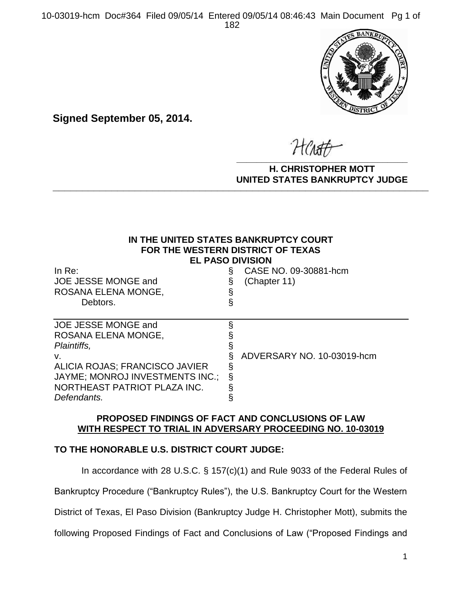10-03019-hcm Doc#364 Filed 09/05/14 Entered 09/05/14 08:46:43 Main Document Pg 1 of 182



**Signed September 05, 2014.**

**\_\_\_\_\_\_\_\_\_\_\_\_\_\_\_\_\_\_\_\_\_\_\_\_\_\_\_\_\_\_\_\_\_\_**

**H. CHRISTOPHER MOTT UNITED STATES BANKRUPTCY JUDGE PATTED DRIVING TOT 00DCL** 

# **IN THE UNITED STATES BANKRUPTCY COURT FOR THE WESTERN DISTRICT OF TEXAS EL PASO DIVISION**

| In $Re:$<br>JOE JESSE MONGE and<br>ROSANA ELENA MONGE,<br>Debtors.                                                                                                                  | CASE NO. 09-30881-hcm<br>(Chapter 11) |
|-------------------------------------------------------------------------------------------------------------------------------------------------------------------------------------|---------------------------------------|
| JOE JESSE MONGE and<br>ROSANA ELENA MONGE,<br>Plaintiffs,<br>V.<br>ALICIA ROJAS; FRANCISCO JAVIER<br>JAYME; MONROJ INVESTMENTS INC.;<br>NORTHEAST PATRIOT PLAZA INC.<br>Defendants. | ADVERSARY NO. 10-03019-hcm            |

# **PROPOSED FINDINGS OF FACT AND CONCLUSIONS OF LAW WITH RESPECT TO TRIAL IN ADVERSARY PROCEEDING NO. 10-03019**

# **TO THE HONORABLE U.S. DISTRICT COURT JUDGE:**

In accordance with 28 U.S.C. § 157(c)(1) and Rule 9033 of the Federal Rules of Bankruptcy Procedure ("Bankruptcy Rules"), the U.S. Bankruptcy Court for the Western District of Texas, El Paso Division (Bankruptcy Judge H. Christopher Mott), submits the following Proposed Findings of Fact and Conclusions of Law ("Proposed Findings and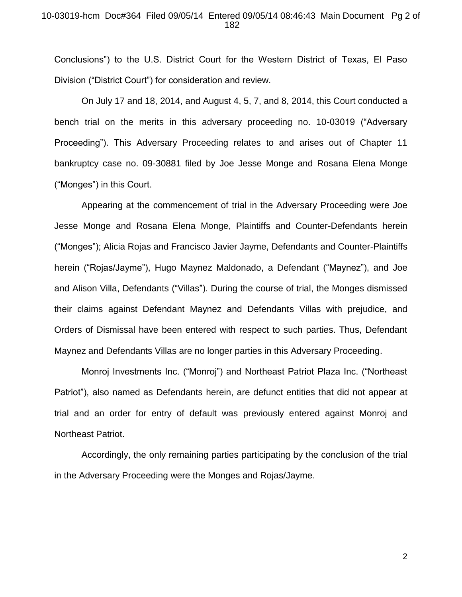### 10-03019-hcm Doc#364 Filed 09/05/14 Entered 09/05/14 08:46:43 Main Document Pg 2 of 182

Conclusions") to the U.S. District Court for the Western District of Texas, El Paso Division ("District Court") for consideration and review.

On July 17 and 18, 2014, and August 4, 5, 7, and 8, 2014, this Court conducted a bench trial on the merits in this adversary proceeding no. 10-03019 ("Adversary Proceeding"). This Adversary Proceeding relates to and arises out of Chapter 11 bankruptcy case no. 09-30881 filed by Joe Jesse Monge and Rosana Elena Monge ("Monges") in this Court.

Appearing at the commencement of trial in the Adversary Proceeding were Joe Jesse Monge and Rosana Elena Monge, Plaintiffs and Counter-Defendants herein ("Monges"); Alicia Rojas and Francisco Javier Jayme, Defendants and Counter-Plaintiffs herein ("Rojas/Jayme"), Hugo Maynez Maldonado, a Defendant ("Maynez"), and Joe and Alison Villa, Defendants ("Villas"). During the course of trial, the Monges dismissed their claims against Defendant Maynez and Defendants Villas with prejudice, and Orders of Dismissal have been entered with respect to such parties. Thus, Defendant Maynez and Defendants Villas are no longer parties in this Adversary Proceeding.

Monroj Investments Inc. ("Monroj") and Northeast Patriot Plaza Inc. ("Northeast Patriot"), also named as Defendants herein, are defunct entities that did not appear at trial and an order for entry of default was previously entered against Monroj and Northeast Patriot.

Accordingly, the only remaining parties participating by the conclusion of the trial in the Adversary Proceeding were the Monges and Rojas/Jayme.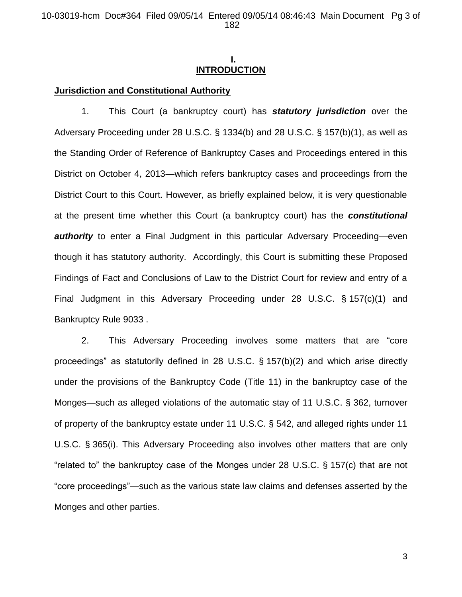# **I. INTRODUCTION**

## **Jurisdiction and Constitutional Authority**

1. This Court (a bankruptcy court) has *statutory jurisdiction* over the Adversary Proceeding under 28 U.S.C. § 1334(b) and 28 U.S.C. § 157(b)(1), as well as the Standing Order of Reference of Bankruptcy Cases and Proceedings entered in this District on October 4, 2013—which refers bankruptcy cases and proceedings from the District Court to this Court. However, as briefly explained below, it is very questionable at the present time whether this Court (a bankruptcy court) has the *constitutional authority* to enter a Final Judgment in this particular Adversary Proceeding—even though it has statutory authority. Accordingly, this Court is submitting these Proposed Findings of Fact and Conclusions of Law to the District Court for review and entry of a Final Judgment in this Adversary Proceeding under 28 U.S.C. § 157(c)(1) and Bankruptcy Rule 9033 .

2. This Adversary Proceeding involves some matters that are "core proceedings" as statutorily defined in 28 U.S.C. § 157(b)(2) and which arise directly under the provisions of the Bankruptcy Code (Title 11) in the bankruptcy case of the Monges—such as alleged violations of the automatic stay of 11 U.S.C. § 362, turnover of property of the bankruptcy estate under 11 U.S.C. § 542, and alleged rights under 11 U.S.C. § 365(i). This Adversary Proceeding also involves other matters that are only "related to" the bankruptcy case of the Monges under 28 U.S.C. § 157(c) that are not "core proceedings"—such as the various state law claims and defenses asserted by the Monges and other parties.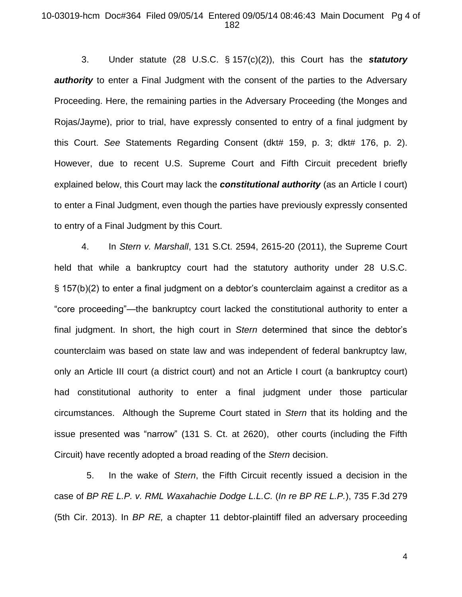### 10-03019-hcm Doc#364 Filed 09/05/14 Entered 09/05/14 08:46:43 Main Document Pg 4 of 182

3. Under statute (28 U.S.C. § 157(c)(2)), this Court has the *statutory authority* to enter a Final Judgment with the consent of the parties to the Adversary Proceeding. Here, the remaining parties in the Adversary Proceeding (the Monges and Rojas/Jayme), prior to trial, have expressly consented to entry of a final judgment by this Court. *See* Statements Regarding Consent (dkt# 159, p. 3; dkt# 176, p. 2). However, due to recent U.S. Supreme Court and Fifth Circuit precedent briefly explained below, this Court may lack the *constitutional authority* (as an Article I court) to enter a Final Judgment, even though the parties have previously expressly consented to entry of a Final Judgment by this Court.

4. In *Stern v. Marshall*, 131 S.Ct. 2594, 2615-20 (2011), the Supreme Court held that while a bankruptcy court had the statutory authority under 28 U.S.C. § 157(b)(2) to enter a final judgment on a debtor's counterclaim against a creditor as a "core proceeding"—the bankruptcy court lacked the constitutional authority to enter a final judgment. In short, the high court in *Stern* determined that since the debtor's counterclaim was based on state law and was independent of federal bankruptcy law, only an Article III court (a district court) and not an Article I court (a bankruptcy court) had constitutional authority to enter a final judgment under those particular circumstances. Although the Supreme Court stated in *Stern* that its holding and the issue presented was "narrow" (131 S. Ct. at 2620), other courts (including the Fifth Circuit) have recently adopted a broad reading of the *Stern* decision.

 5. In the wake of *Stern*, the Fifth Circuit recently issued a decision in the case of *BP RE L.P. v. RML Waxahachie Dodge L.L.C.* (*In re BP RE L.P.*), 735 F.3d 279 (5th Cir. 2013). In *BP RE,* a chapter 11 debtor-plaintiff filed an adversary proceeding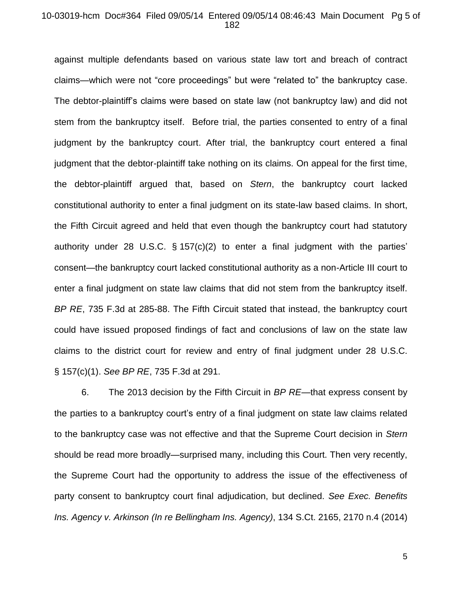### 10-03019-hcm Doc#364 Filed 09/05/14 Entered 09/05/14 08:46:43 Main Document Pg 5 of 182

against multiple defendants based on various state law tort and breach of contract claims—which were not "core proceedings" but were "related to" the bankruptcy case. The debtor-plaintiff's claims were based on state law (not bankruptcy law) and did not stem from the bankruptcy itself. Before trial, the parties consented to entry of a final judgment by the bankruptcy court. After trial, the bankruptcy court entered a final judgment that the debtor-plaintiff take nothing on its claims. On appeal for the first time, the debtor-plaintiff argued that, based on *Stern*, the bankruptcy court lacked constitutional authority to enter a final judgment on its state-law based claims. In short, the Fifth Circuit agreed and held that even though the bankruptcy court had statutory authority under 28 U.S.C. § 157(c)(2) to enter a final judgment with the parties' consent—the bankruptcy court lacked constitutional authority as a non-Article III court to enter a final judgment on state law claims that did not stem from the bankruptcy itself. *BP RE*, 735 F.3d at 285-88. The Fifth Circuit stated that instead, the bankruptcy court could have issued proposed findings of fact and conclusions of law on the state law claims to the district court for review and entry of final judgment under 28 U.S.C. § 157(c)(1). *See BP RE*, 735 F.3d at 291.

6. The 2013 decision by the Fifth Circuit in *BP RE*—that express consent by the parties to a bankruptcy court's entry of a final judgment on state law claims related to the bankruptcy case was not effective and that the Supreme Court decision in *Stern* should be read more broadly—surprised many, including this Court. Then very recently, the Supreme Court had the opportunity to address the issue of the effectiveness of party consent to bankruptcy court final adjudication, but declined. *See Exec. Benefits Ins. Agency v. Arkinson (In re Bellingham Ins. Agency)*, 134 S.Ct. 2165, 2170 n.4 (2014)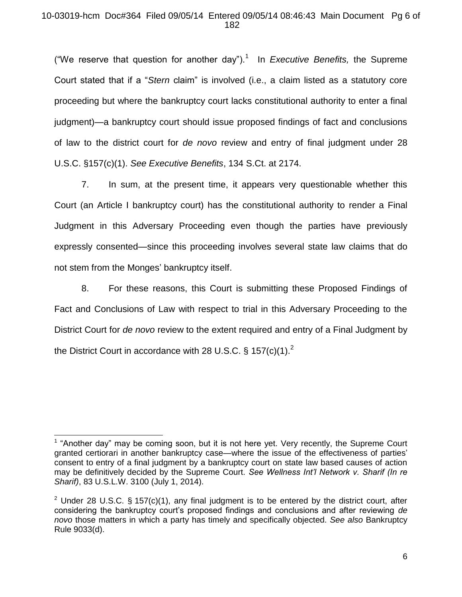# 10-03019-hcm Doc#364 Filed 09/05/14 Entered 09/05/14 08:46:43 Main Document Pg 6 of 182

("We reserve that question for another day").<sup>1</sup> In *Executive Benefits*, the Supreme Court stated that if a "*Stern* claim" is involved (i.e., a claim listed as a statutory core proceeding but where the bankruptcy court lacks constitutional authority to enter a final judgment)—a bankruptcy court should issue proposed findings of fact and conclusions of law to the district court for *de novo* review and entry of final judgment under 28 U.S.C. §157(c)(1). *See Executive Benefits*, 134 S.Ct. at 2174.

7. In sum, at the present time, it appears very questionable whether this Court (an Article I bankruptcy court) has the constitutional authority to render a Final Judgment in this Adversary Proceeding even though the parties have previously expressly consented—since this proceeding involves several state law claims that do not stem from the Monges' bankruptcy itself.

8. For these reasons, this Court is submitting these Proposed Findings of Fact and Conclusions of Law with respect to trial in this Adversary Proceeding to the District Court for *de novo* review to the extent required and entry of a Final Judgment by the District Court in accordance with 28 U.S.C.  $\frac{6}{5}$  157(c)(1).<sup>2</sup>

 $\overline{a}$ 

 $<sup>1</sup>$  "Another day" may be coming soon, but it is not here yet. Very recently, the Supreme Court</sup> granted certiorari in another bankruptcy case—where the issue of the effectiveness of parties' consent to entry of a final judgment by a bankruptcy court on state law based causes of action may be definitively decided by the Supreme Court. *See Wellness Int'l Network v. Sharif (In re Sharif)*, 83 U.S.L.W. 3100 (July 1, 2014).

<sup>&</sup>lt;sup>2</sup> Under 28 U.S.C. § 157(c)(1), any final judgment is to be entered by the district court, after considering the bankruptcy court's proposed findings and conclusions and after reviewing *de novo* those matters in which a party has timely and specifically objected. *See also* Bankruptcy Rule 9033(d).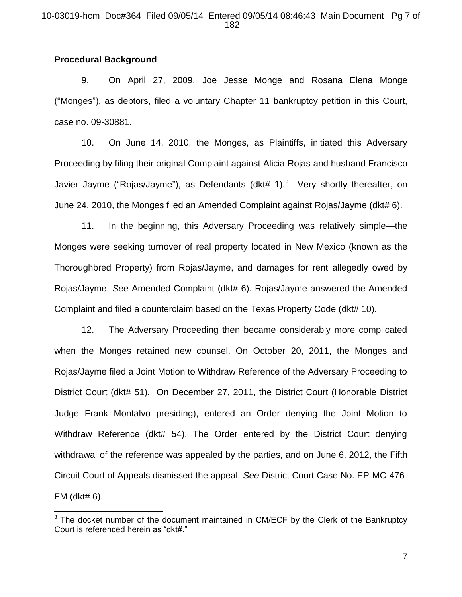## 10-03019-hcm Doc#364 Filed 09/05/14 Entered 09/05/14 08:46:43 Main Document Pg 7 of 182

# **Procedural Background**

l

9. On April 27, 2009, Joe Jesse Monge and Rosana Elena Monge ("Monges"), as debtors, filed a voluntary Chapter 11 bankruptcy petition in this Court, case no. 09-30881.

10. On June 14, 2010, the Monges, as Plaintiffs, initiated this Adversary Proceeding by filing their original Complaint against Alicia Rojas and husband Francisco Javier Jayme ("Rojas/Jayme"), as Defendants (dkt# 1). $3$  Very shortly thereafter, on June 24, 2010, the Monges filed an Amended Complaint against Rojas/Jayme (dkt# 6).

11. In the beginning, this Adversary Proceeding was relatively simple—the Monges were seeking turnover of real property located in New Mexico (known as the Thoroughbred Property) from Rojas/Jayme, and damages for rent allegedly owed by Rojas/Jayme. *See* Amended Complaint (dkt# 6). Rojas/Jayme answered the Amended Complaint and filed a counterclaim based on the Texas Property Code (dkt# 10).

12. The Adversary Proceeding then became considerably more complicated when the Monges retained new counsel. On October 20, 2011, the Monges and Rojas/Jayme filed a Joint Motion to Withdraw Reference of the Adversary Proceeding to District Court (dkt# 51). On December 27, 2011, the District Court (Honorable District Judge Frank Montalvo presiding), entered an Order denying the Joint Motion to Withdraw Reference (dkt# 54). The Order entered by the District Court denying withdrawal of the reference was appealed by the parties, and on June 6, 2012, the Fifth Circuit Court of Appeals dismissed the appeal. *See* District Court Case No. EP-MC-476- FM (dkt# 6).

<sup>&</sup>lt;sup>3</sup> The docket number of the document maintained in CM/ECF by the Clerk of the Bankruptcy Court is referenced herein as "dkt#."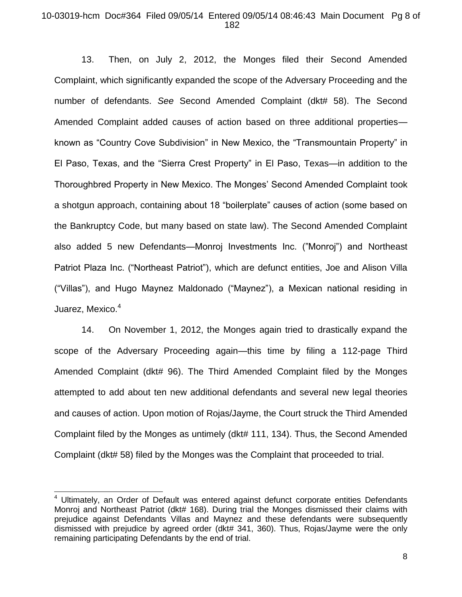## 10-03019-hcm Doc#364 Filed 09/05/14 Entered 09/05/14 08:46:43 Main Document Pg 8 of 182

13. Then, on July 2, 2012, the Monges filed their Second Amended Complaint, which significantly expanded the scope of the Adversary Proceeding and the number of defendants. *See* Second Amended Complaint (dkt# 58). The Second Amended Complaint added causes of action based on three additional properties known as "Country Cove Subdivision" in New Mexico, the "Transmountain Property" in El Paso, Texas, and the "Sierra Crest Property" in El Paso, Texas—in addition to the Thoroughbred Property in New Mexico. The Monges' Second Amended Complaint took a shotgun approach, containing about 18 "boilerplate" causes of action (some based on the Bankruptcy Code, but many based on state law). The Second Amended Complaint also added 5 new Defendants—Monroj Investments Inc. ("Monroj") and Northeast Patriot Plaza Inc. ("Northeast Patriot"), which are defunct entities, Joe and Alison Villa ("Villas"), and Hugo Maynez Maldonado ("Maynez"), a Mexican national residing in Juarez, Mexico.<sup>4</sup>

14. On November 1, 2012, the Monges again tried to drastically expand the scope of the Adversary Proceeding again—this time by filing a 112-page Third Amended Complaint (dkt# 96). The Third Amended Complaint filed by the Monges attempted to add about ten new additional defendants and several new legal theories and causes of action. Upon motion of Rojas/Jayme, the Court struck the Third Amended Complaint filed by the Monges as untimely (dkt# 111, 134). Thus, the Second Amended Complaint (dkt# 58) filed by the Monges was the Complaint that proceeded to trial.

 $\overline{a}$ 

<sup>4</sup> Ultimately, an Order of Default was entered against defunct corporate entities Defendants Monroj and Northeast Patriot (dkt# 168). During trial the Monges dismissed their claims with prejudice against Defendants Villas and Maynez and these defendants were subsequently dismissed with prejudice by agreed order (dkt# 341, 360). Thus, Rojas/Jayme were the only remaining participating Defendants by the end of trial.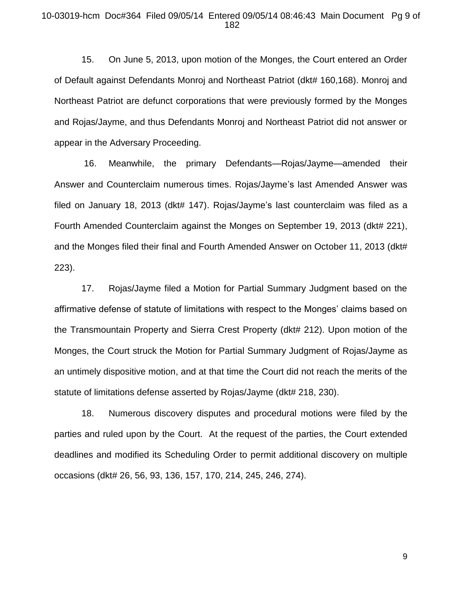### 10-03019-hcm Doc#364 Filed 09/05/14 Entered 09/05/14 08:46:43 Main Document Pg 9 of 182

15. On June 5, 2013, upon motion of the Monges, the Court entered an Order of Default against Defendants Monroj and Northeast Patriot (dkt# 160,168). Monroj and Northeast Patriot are defunct corporations that were previously formed by the Monges and Rojas/Jayme, and thus Defendants Monroj and Northeast Patriot did not answer or appear in the Adversary Proceeding.

16. Meanwhile, the primary Defendants—Rojas/Jayme—amended their Answer and Counterclaim numerous times. Rojas/Jayme's last Amended Answer was filed on January 18, 2013 (dkt# 147). Rojas/Jayme's last counterclaim was filed as a Fourth Amended Counterclaim against the Monges on September 19, 2013 (dkt# 221), and the Monges filed their final and Fourth Amended Answer on October 11, 2013 (dkt# 223).

17. Rojas/Jayme filed a Motion for Partial Summary Judgment based on the affirmative defense of statute of limitations with respect to the Monges' claims based on the Transmountain Property and Sierra Crest Property (dkt# 212). Upon motion of the Monges, the Court struck the Motion for Partial Summary Judgment of Rojas/Jayme as an untimely dispositive motion, and at that time the Court did not reach the merits of the statute of limitations defense asserted by Rojas/Jayme (dkt# 218, 230).

18. Numerous discovery disputes and procedural motions were filed by the parties and ruled upon by the Court. At the request of the parties, the Court extended deadlines and modified its Scheduling Order to permit additional discovery on multiple occasions (dkt# 26, 56, 93, 136, 157, 170, 214, 245, 246, 274).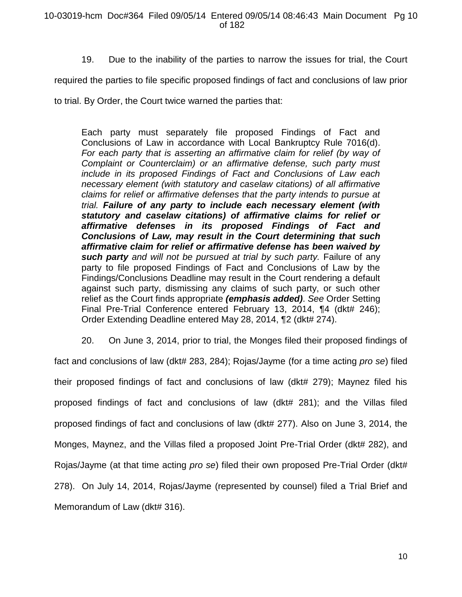19. Due to the inability of the parties to narrow the issues for trial, the Court

required the parties to file specific proposed findings of fact and conclusions of law prior

to trial. By Order, the Court twice warned the parties that:

Each party must separately file proposed Findings of Fact and Conclusions of Law in accordance with Local Bankruptcy Rule 7016(d). *For each party that is asserting an affirmative claim for relief (by way of Complaint or Counterclaim) or an affirmative defense, such party must include in its proposed Findings of Fact and Conclusions of Law each necessary element (with statutory and caselaw citations) of all affirmative claims for relief or affirmative defenses that the party intends to pursue at trial. Failure of any party to include each necessary element (with statutory and caselaw citations) of affirmative claims for relief or affirmative defenses in its proposed Findings of Fact and Conclusions of Law, may result in the Court determining that such affirmative claim for relief or affirmative defense has been waived by such party and will not be pursued at trial by such party.* Failure of any party to file proposed Findings of Fact and Conclusions of Law by the Findings/Conclusions Deadline may result in the Court rendering a default against such party, dismissing any claims of such party, or such other relief as the Court finds appropriate *(emphasis added)*. *See* Order Setting Final Pre-Trial Conference entered February 13, 2014, ¶4 (dkt# 246); Order Extending Deadline entered May 28, 2014, ¶2 (dkt# 274).

20. On June 3, 2014, prior to trial, the Monges filed their proposed findings of fact and conclusions of law (dkt# 283, 284); Rojas/Jayme (for a time acting *pro se*) filed their proposed findings of fact and conclusions of law (dkt# 279); Maynez filed his proposed findings of fact and conclusions of law (dkt# 281); and the Villas filed proposed findings of fact and conclusions of law (dkt# 277). Also on June 3, 2014, the Monges, Maynez, and the Villas filed a proposed Joint Pre-Trial Order (dkt# 282), and Rojas/Jayme (at that time acting *pro se*) filed their own proposed Pre-Trial Order (dkt# 278). On July 14, 2014, Rojas/Jayme (represented by counsel) filed a Trial Brief and Memorandum of Law (dkt# 316).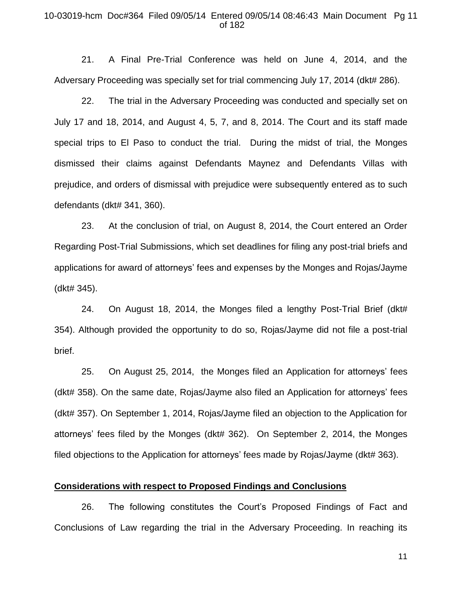## 10-03019-hcm Doc#364 Filed 09/05/14 Entered 09/05/14 08:46:43 Main Document Pg 11 of 182

21. A Final Pre-Trial Conference was held on June 4, 2014, and the Adversary Proceeding was specially set for trial commencing July 17, 2014 (dkt# 286).

22. The trial in the Adversary Proceeding was conducted and specially set on July 17 and 18, 2014, and August 4, 5, 7, and 8, 2014. The Court and its staff made special trips to El Paso to conduct the trial. During the midst of trial, the Monges dismissed their claims against Defendants Maynez and Defendants Villas with prejudice, and orders of dismissal with prejudice were subsequently entered as to such defendants (dkt# 341, 360).

23. At the conclusion of trial, on August 8, 2014, the Court entered an Order Regarding Post-Trial Submissions, which set deadlines for filing any post-trial briefs and applications for award of attorneys' fees and expenses by the Monges and Rojas/Jayme (dkt# 345).

24. On August 18, 2014, the Monges filed a lengthy Post-Trial Brief (dkt# 354). Although provided the opportunity to do so, Rojas/Jayme did not file a post-trial brief.

25. On August 25, 2014, the Monges filed an Application for attorneys' fees (dkt# 358). On the same date, Rojas/Jayme also filed an Application for attorneys' fees (dkt# 357). On September 1, 2014, Rojas/Jayme filed an objection to the Application for attorneys' fees filed by the Monges (dkt# 362). On September 2, 2014, the Monges filed objections to the Application for attorneys' fees made by Rojas/Jayme (dkt# 363).

# **Considerations with respect to Proposed Findings and Conclusions**

26. The following constitutes the Court's Proposed Findings of Fact and Conclusions of Law regarding the trial in the Adversary Proceeding. In reaching its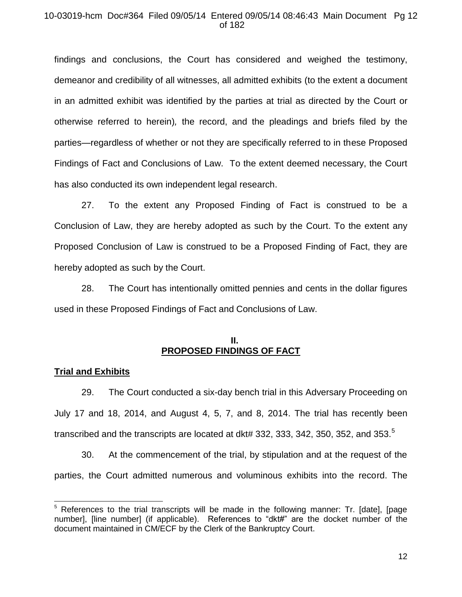## 10-03019-hcm Doc#364 Filed 09/05/14 Entered 09/05/14 08:46:43 Main Document Pg 12 of 182

findings and conclusions, the Court has considered and weighed the testimony, demeanor and credibility of all witnesses, all admitted exhibits (to the extent a document in an admitted exhibit was identified by the parties at trial as directed by the Court or otherwise referred to herein)*,* the record, and the pleadings and briefs filed by the parties—regardless of whether or not they are specifically referred to in these Proposed Findings of Fact and Conclusions of Law. To the extent deemed necessary, the Court has also conducted its own independent legal research.

27. To the extent any Proposed Finding of Fact is construed to be a Conclusion of Law, they are hereby adopted as such by the Court. To the extent any Proposed Conclusion of Law is construed to be a Proposed Finding of Fact, they are hereby adopted as such by the Court.

28. The Court has intentionally omitted pennies and cents in the dollar figures used in these Proposed Findings of Fact and Conclusions of Law.

# **II. PROPOSED FINDINGS OF FACT**

# **Trial and Exhibits**

 $\overline{a}$ 

29. The Court conducted a six-day bench trial in this Adversary Proceeding on July 17 and 18, 2014, and August 4, 5, 7, and 8, 2014. The trial has recently been transcribed and the transcripts are located at dkt# 332, 333, 342, 350, 352, and 353. $^5$ 

30. At the commencement of the trial, by stipulation and at the request of the parties, the Court admitted numerous and voluminous exhibits into the record. The

 $5$  References to the trial transcripts will be made in the following manner: Tr. [date], [page number], [line number] (if applicable). References to "dkt#" are the docket number of the document maintained in CM/ECF by the Clerk of the Bankruptcy Court.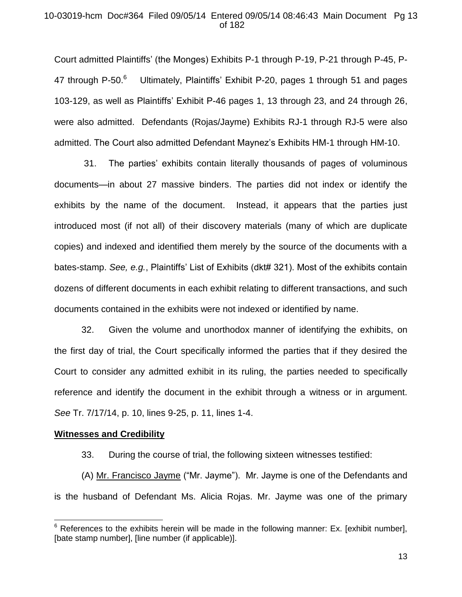## 10-03019-hcm Doc#364 Filed 09/05/14 Entered 09/05/14 08:46:43 Main Document Pg 13 of 182

Court admitted Plaintiffs' (the Monges) Exhibits P-1 through P-19, P-21 through P-45, P-47 through P-50. $^6$  Ultimately, Plaintiffs' Exhibit P-20, pages 1 through 51 and pages 103-129, as well as Plaintiffs' Exhibit P-46 pages 1, 13 through 23, and 24 through 26, were also admitted. Defendants (Rojas/Jayme) Exhibits RJ-1 through RJ-5 were also admitted. The Court also admitted Defendant Maynez's Exhibits HM-1 through HM-10.

31. The parties' exhibits contain literally thousands of pages of voluminous documents—in about 27 massive binders. The parties did not index or identify the exhibits by the name of the document. Instead, it appears that the parties just introduced most (if not all) of their discovery materials (many of which are duplicate copies) and indexed and identified them merely by the source of the documents with a bates-stamp. *See, e.g.*, Plaintiffs' List of Exhibits (dkt# 321). Most of the exhibits contain dozens of different documents in each exhibit relating to different transactions, and such documents contained in the exhibits were not indexed or identified by name.

32. Given the volume and unorthodox manner of identifying the exhibits, on the first day of trial, the Court specifically informed the parties that if they desired the Court to consider any admitted exhibit in its ruling, the parties needed to specifically reference and identify the document in the exhibit through a witness or in argument. *See* Tr. 7/17/14, p. 10, lines 9-25, p. 11, lines 1-4.

### **Witnesses and Credibility**

 $\overline{a}$ 

33. During the course of trial, the following sixteen witnesses testified:

(A) Mr. Francisco Jayme ("Mr. Jayme"). Mr. Jayme is one of the Defendants and is the husband of Defendant Ms. Alicia Rojas. Mr. Jayme was one of the primary

 $6$  References to the exhibits herein will be made in the following manner: Ex. [exhibit number], [bate stamp number], [line number (if applicable)].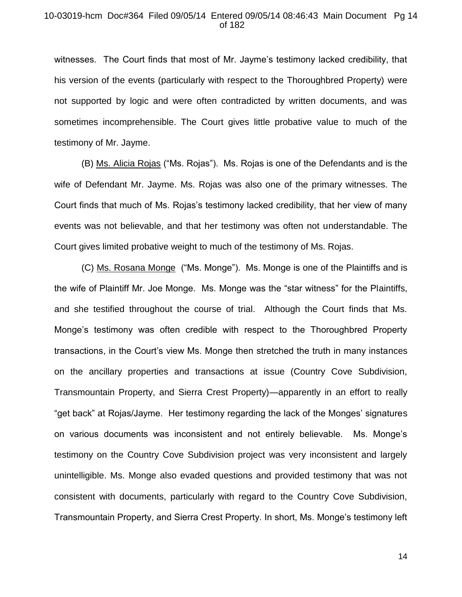### 10-03019-hcm Doc#364 Filed 09/05/14 Entered 09/05/14 08:46:43 Main Document Pg 14 of 182

witnesses. The Court finds that most of Mr. Jayme's testimony lacked credibility, that his version of the events (particularly with respect to the Thoroughbred Property) were not supported by logic and were often contradicted by written documents, and was sometimes incomprehensible. The Court gives little probative value to much of the testimony of Mr. Jayme.

(B) Ms. Alicia Rojas ("Ms. Rojas"). Ms. Rojas is one of the Defendants and is the wife of Defendant Mr. Jayme. Ms. Rojas was also one of the primary witnesses. The Court finds that much of Ms. Rojas's testimony lacked credibility, that her view of many events was not believable, and that her testimony was often not understandable. The Court gives limited probative weight to much of the testimony of Ms. Rojas.

(C) Ms. Rosana Monge ("Ms. Monge"). Ms. Monge is one of the Plaintiffs and is the wife of Plaintiff Mr. Joe Monge. Ms. Monge was the "star witness" for the Plaintiffs, and she testified throughout the course of trial. Although the Court finds that Ms. Monge's testimony was often credible with respect to the Thoroughbred Property transactions, in the Court's view Ms. Monge then stretched the truth in many instances on the ancillary properties and transactions at issue (Country Cove Subdivision, Transmountain Property, and Sierra Crest Property)—apparently in an effort to really "get back" at Rojas/Jayme. Her testimony regarding the lack of the Monges' signatures on various documents was inconsistent and not entirely believable. Ms. Monge's testimony on the Country Cove Subdivision project was very inconsistent and largely unintelligible. Ms. Monge also evaded questions and provided testimony that was not consistent with documents, particularly with regard to the Country Cove Subdivision, Transmountain Property, and Sierra Crest Property. In short, Ms. Monge's testimony left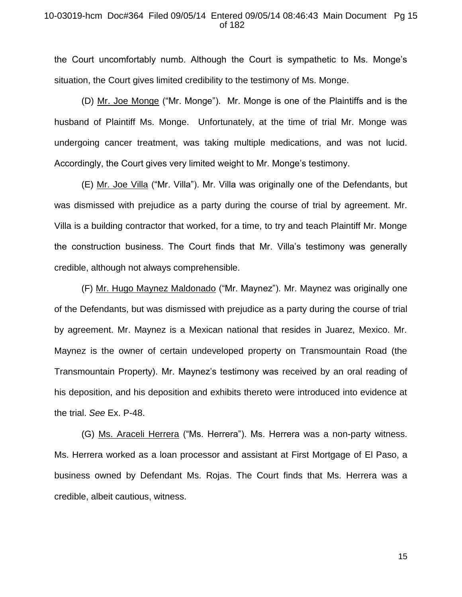## 10-03019-hcm Doc#364 Filed 09/05/14 Entered 09/05/14 08:46:43 Main Document Pg 15 of 182

the Court uncomfortably numb. Although the Court is sympathetic to Ms. Monge's situation, the Court gives limited credibility to the testimony of Ms. Monge.

(D) Mr. Joe Monge ("Mr. Monge"). Mr. Monge is one of the Plaintiffs and is the husband of Plaintiff Ms. Monge. Unfortunately, at the time of trial Mr. Monge was undergoing cancer treatment, was taking multiple medications, and was not lucid. Accordingly, the Court gives very limited weight to Mr. Monge's testimony.

(E) Mr. Joe Villa ("Mr. Villa"). Mr. Villa was originally one of the Defendants, but was dismissed with prejudice as a party during the course of trial by agreement. Mr. Villa is a building contractor that worked, for a time, to try and teach Plaintiff Mr. Monge the construction business. The Court finds that Mr. Villa's testimony was generally credible, although not always comprehensible.

(F) Mr. Hugo Maynez Maldonado ("Mr. Maynez"). Mr. Maynez was originally one of the Defendants, but was dismissed with prejudice as a party during the course of trial by agreement. Mr. Maynez is a Mexican national that resides in Juarez, Mexico. Mr. Maynez is the owner of certain undeveloped property on Transmountain Road (the Transmountain Property). Mr. Maynez's testimony was received by an oral reading of his deposition, and his deposition and exhibits thereto were introduced into evidence at the trial. *See* Ex. P-48.

(G) Ms. Araceli Herrera ("Ms. Herrera"). Ms. Herrera was a non-party witness. Ms. Herrera worked as a loan processor and assistant at First Mortgage of El Paso, a business owned by Defendant Ms. Rojas. The Court finds that Ms. Herrera was a credible, albeit cautious, witness.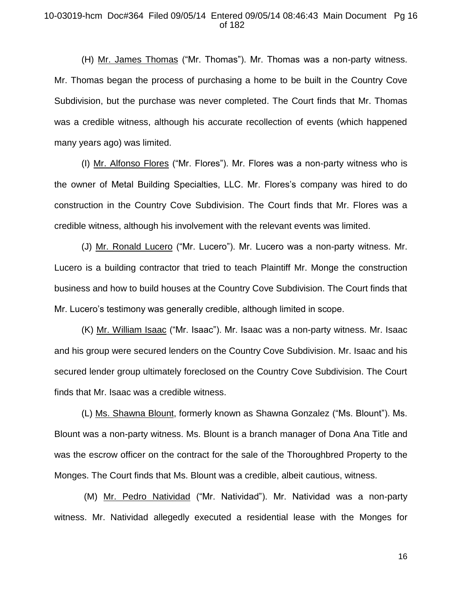## 10-03019-hcm Doc#364 Filed 09/05/14 Entered 09/05/14 08:46:43 Main Document Pg 16 of 182

(H) Mr. James Thomas ("Mr. Thomas"). Mr. Thomas was a non-party witness. Mr. Thomas began the process of purchasing a home to be built in the Country Cove Subdivision, but the purchase was never completed. The Court finds that Mr. Thomas was a credible witness, although his accurate recollection of events (which happened many years ago) was limited.

(I) Mr. Alfonso Flores ("Mr. Flores"). Mr. Flores was a non-party witness who is the owner of Metal Building Specialties, LLC. Mr. Flores's company was hired to do construction in the Country Cove Subdivision. The Court finds that Mr. Flores was a credible witness, although his involvement with the relevant events was limited.

(J) Mr. Ronald Lucero ("Mr. Lucero"). Mr. Lucero was a non-party witness. Mr. Lucero is a building contractor that tried to teach Plaintiff Mr. Monge the construction business and how to build houses at the Country Cove Subdivision. The Court finds that Mr. Lucero's testimony was generally credible, although limited in scope.

(K) Mr. William Isaac ("Mr. Isaac"). Mr. Isaac was a non-party witness. Mr. Isaac and his group were secured lenders on the Country Cove Subdivision. Mr. Isaac and his secured lender group ultimately foreclosed on the Country Cove Subdivision. The Court finds that Mr. Isaac was a credible witness.

(L) Ms. Shawna Blount, formerly known as Shawna Gonzalez ("Ms. Blount"). Ms. Blount was a non-party witness. Ms. Blount is a branch manager of Dona Ana Title and was the escrow officer on the contract for the sale of the Thoroughbred Property to the Monges. The Court finds that Ms. Blount was a credible, albeit cautious, witness.

(M) Mr. Pedro Natividad ("Mr. Natividad"). Mr. Natividad was a non-party witness. Mr. Natividad allegedly executed a residential lease with the Monges for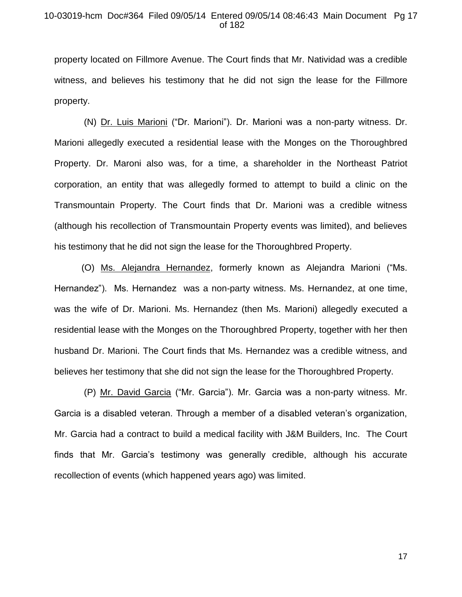### 10-03019-hcm Doc#364 Filed 09/05/14 Entered 09/05/14 08:46:43 Main Document Pg 17 of 182

property located on Fillmore Avenue. The Court finds that Mr. Natividad was a credible witness, and believes his testimony that he did not sign the lease for the Fillmore property.

(N) Dr. Luis Marioni ("Dr. Marioni"). Dr. Marioni was a non-party witness. Dr. Marioni allegedly executed a residential lease with the Monges on the Thoroughbred Property. Dr. Maroni also was, for a time, a shareholder in the Northeast Patriot corporation, an entity that was allegedly formed to attempt to build a clinic on the Transmountain Property. The Court finds that Dr. Marioni was a credible witness (although his recollection of Transmountain Property events was limited), and believes his testimony that he did not sign the lease for the Thoroughbred Property.

(O) Ms. Alejandra Hernandez, formerly known as Alejandra Marioni ("Ms. Hernandez"). Ms. Hernandez was a non-party witness. Ms. Hernandez, at one time, was the wife of Dr. Marioni. Ms. Hernandez (then Ms. Marioni) allegedly executed a residential lease with the Monges on the Thoroughbred Property, together with her then husband Dr. Marioni. The Court finds that Ms. Hernandez was a credible witness, and believes her testimony that she did not sign the lease for the Thoroughbred Property.

(P) Mr. David Garcia ("Mr. Garcia"). Mr. Garcia was a non-party witness. Mr. Garcia is a disabled veteran. Through a member of a disabled veteran's organization, Mr. Garcia had a contract to build a medical facility with J&M Builders, Inc. The Court finds that Mr. Garcia's testimony was generally credible, although his accurate recollection of events (which happened years ago) was limited.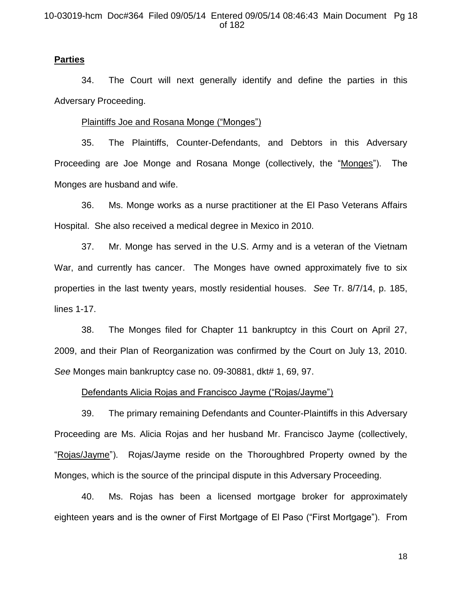### 10-03019-hcm Doc#364 Filed 09/05/14 Entered 09/05/14 08:46:43 Main Document Pg 18 of 182

# **Parties**

34. The Court will next generally identify and define the parties in this Adversary Proceeding.

### Plaintiffs Joe and Rosana Monge ("Monges")

35. The Plaintiffs, Counter-Defendants, and Debtors in this Adversary Proceeding are Joe Monge and Rosana Monge (collectively, the "Monges"). The Monges are husband and wife.

36. Ms. Monge works as a nurse practitioner at the El Paso Veterans Affairs Hospital. She also received a medical degree in Mexico in 2010.

37. Mr. Monge has served in the U.S. Army and is a veteran of the Vietnam War, and currently has cancer. The Monges have owned approximately five to six properties in the last twenty years, mostly residential houses. *See* Tr. 8/7/14, p. 185, lines 1-17.

38. The Monges filed for Chapter 11 bankruptcy in this Court on April 27, 2009, and their Plan of Reorganization was confirmed by the Court on July 13, 2010. *See* Monges main bankruptcy case no. 09-30881, dkt# 1, 69, 97.

### Defendants Alicia Rojas and Francisco Jayme ("Rojas/Jayme")

39. The primary remaining Defendants and Counter-Plaintiffs in this Adversary Proceeding are Ms. Alicia Rojas and her husband Mr. Francisco Jayme (collectively, "Rojas/Jayme"). Rojas/Jayme reside on the Thoroughbred Property owned by the Monges, which is the source of the principal dispute in this Adversary Proceeding.

40. Ms. Rojas has been a licensed mortgage broker for approximately eighteen years and is the owner of First Mortgage of El Paso ("First Mortgage"). From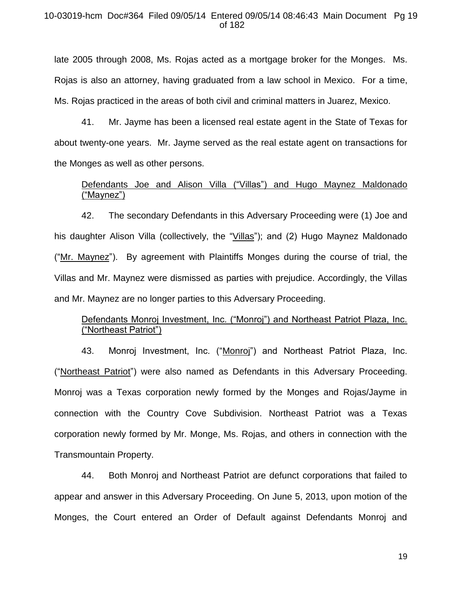## 10-03019-hcm Doc#364 Filed 09/05/14 Entered 09/05/14 08:46:43 Main Document Pg 19 of 182

late 2005 through 2008, Ms. Rojas acted as a mortgage broker for the Monges. Ms. Rojas is also an attorney, having graduated from a law school in Mexico. For a time, Ms. Rojas practiced in the areas of both civil and criminal matters in Juarez, Mexico.

41. Mr. Jayme has been a licensed real estate agent in the State of Texas for about twenty-one years. Mr. Jayme served as the real estate agent on transactions for the Monges as well as other persons.

# Defendants Joe and Alison Villa ("Villas") and Hugo Maynez Maldonado ("Maynez")

42. The secondary Defendants in this Adversary Proceeding were (1) Joe and his daughter Alison Villa (collectively, the "Villas"); and (2) Hugo Maynez Maldonado ("Mr. Maynez"). By agreement with Plaintiffs Monges during the course of trial, the Villas and Mr. Maynez were dismissed as parties with prejudice. Accordingly, the Villas and Mr. Maynez are no longer parties to this Adversary Proceeding.

# Defendants Monroj Investment, Inc. ("Monroj") and Northeast Patriot Plaza, Inc. ("Northeast Patriot")

43. Monroj Investment, Inc. ("Monroj") and Northeast Patriot Plaza, Inc. ("Northeast Patriot") were also named as Defendants in this Adversary Proceeding. Monroj was a Texas corporation newly formed by the Monges and Rojas/Jayme in connection with the Country Cove Subdivision. Northeast Patriot was a Texas corporation newly formed by Mr. Monge, Ms. Rojas, and others in connection with the Transmountain Property.

44. Both Monroj and Northeast Patriot are defunct corporations that failed to appear and answer in this Adversary Proceeding. On June 5, 2013, upon motion of the Monges, the Court entered an Order of Default against Defendants Monroj and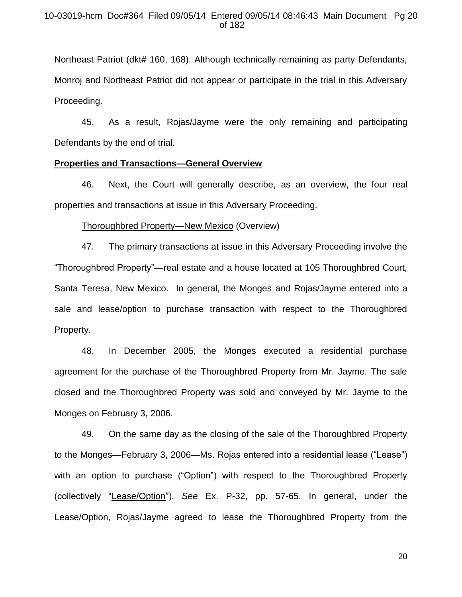## 10-03019-hcm Doc#364 Filed 09/05/14 Entered 09/05/14 08:46:43 Main Document Pg 20 of 182

Northeast Patriot (dkt# 160, 168). Although technically remaining as party Defendants, Monroj and Northeast Patriot did not appear or participate in the trial in this Adversary Proceeding.

45. As a result, Rojas/Jayme were the only remaining and participating Defendants by the end of trial.

### **Properties and Transactions—General Overview**

46. Next, the Court will generally describe, as an overview, the four real properties and transactions at issue in this Adversary Proceeding.

#### Thoroughbred Property—New Mexico (Overview)

47. The primary transactions at issue in this Adversary Proceeding involve the "Thoroughbred Property"—real estate and a house located at 105 Thoroughbred Court, Santa Teresa, New Mexico. In general, the Monges and Rojas/Jayme entered into a sale and lease/option to purchase transaction with respect to the Thoroughbred Property.

48. In December 2005, the Monges executed a residential purchase agreement for the purchase of the Thoroughbred Property from Mr. Jayme. The sale closed and the Thoroughbred Property was sold and conveyed by Mr. Jayme to the Monges on February 3, 2006.

49. On the same day as the closing of the sale of the Thoroughbred Property to the Monges—February 3, 2006—Ms. Rojas entered into a residential lease ("Lease") with an option to purchase ("Option") with respect to the Thoroughbred Property (collectively "Lease/Option"). *See* Ex. P-32, pp. 57-65. In general, under the Lease/Option, Rojas/Jayme agreed to lease the Thoroughbred Property from the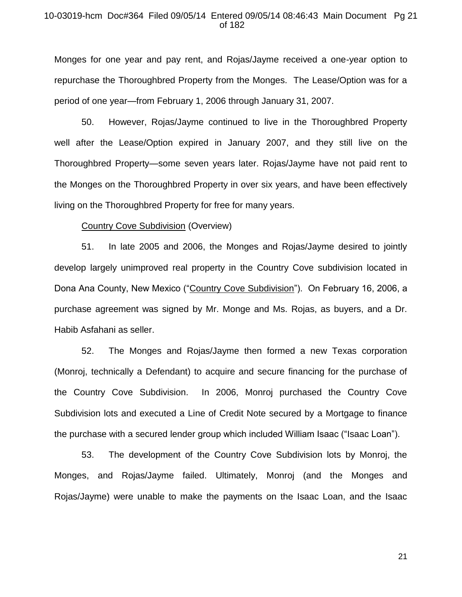## 10-03019-hcm Doc#364 Filed 09/05/14 Entered 09/05/14 08:46:43 Main Document Pg 21 of 182

Monges for one year and pay rent, and Rojas/Jayme received a one-year option to repurchase the Thoroughbred Property from the Monges. The Lease/Option was for a period of one year—from February 1, 2006 through January 31, 2007.

50. However, Rojas/Jayme continued to live in the Thoroughbred Property well after the Lease/Option expired in January 2007, and they still live on the Thoroughbred Property—some seven years later. Rojas/Jayme have not paid rent to the Monges on the Thoroughbred Property in over six years, and have been effectively living on the Thoroughbred Property for free for many years.

### Country Cove Subdivision (Overview)

51. In late 2005 and 2006, the Monges and Rojas/Jayme desired to jointly develop largely unimproved real property in the Country Cove subdivision located in Dona Ana County, New Mexico ("Country Cove Subdivision"). On February 16, 2006, a purchase agreement was signed by Mr. Monge and Ms. Rojas, as buyers, and a Dr. Habib Asfahani as seller.

52. The Monges and Rojas/Jayme then formed a new Texas corporation (Monroj, technically a Defendant) to acquire and secure financing for the purchase of the Country Cove Subdivision. In 2006, Monroj purchased the Country Cove Subdivision lots and executed a Line of Credit Note secured by a Mortgage to finance the purchase with a secured lender group which included William Isaac ("Isaac Loan").

53. The development of the Country Cove Subdivision lots by Monroj, the Monges, and Rojas/Jayme failed. Ultimately, Monroj (and the Monges and Rojas/Jayme) were unable to make the payments on the Isaac Loan, and the Isaac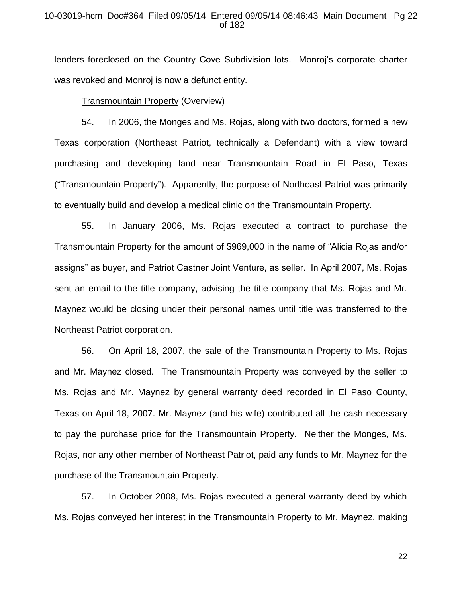### 10-03019-hcm Doc#364 Filed 09/05/14 Entered 09/05/14 08:46:43 Main Document Pg 22 of 182

lenders foreclosed on the Country Cove Subdivision lots. Monroj's corporate charter was revoked and Monroj is now a defunct entity.

### Transmountain Property (Overview)

54. In 2006, the Monges and Ms. Rojas, along with two doctors, formed a new Texas corporation (Northeast Patriot, technically a Defendant) with a view toward purchasing and developing land near Transmountain Road in El Paso, Texas ("Transmountain Property"). Apparently, the purpose of Northeast Patriot was primarily to eventually build and develop a medical clinic on the Transmountain Property.

55. In January 2006, Ms. Rojas executed a contract to purchase the Transmountain Property for the amount of \$969,000 in the name of "Alicia Rojas and/or assigns" as buyer, and Patriot Castner Joint Venture, as seller. In April 2007, Ms. Rojas sent an email to the title company, advising the title company that Ms. Rojas and Mr. Maynez would be closing under their personal names until title was transferred to the Northeast Patriot corporation.

56. On April 18, 2007, the sale of the Transmountain Property to Ms. Rojas and Mr. Maynez closed. The Transmountain Property was conveyed by the seller to Ms. Rojas and Mr. Maynez by general warranty deed recorded in El Paso County, Texas on April 18, 2007. Mr. Maynez (and his wife) contributed all the cash necessary to pay the purchase price for the Transmountain Property. Neither the Monges, Ms. Rojas, nor any other member of Northeast Patriot, paid any funds to Mr. Maynez for the purchase of the Transmountain Property.

57. In October 2008, Ms. Rojas executed a general warranty deed by which Ms. Rojas conveyed her interest in the Transmountain Property to Mr. Maynez, making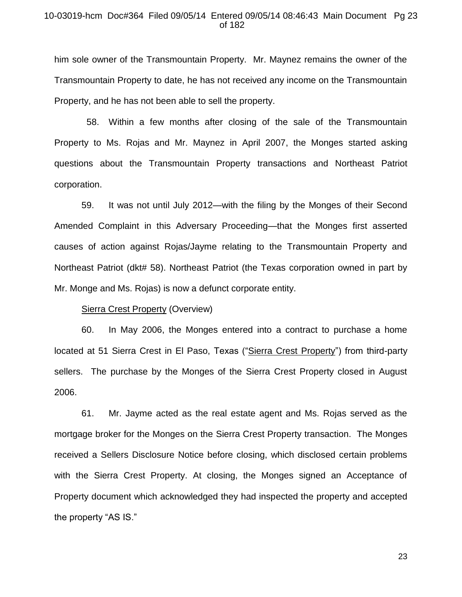### 10-03019-hcm Doc#364 Filed 09/05/14 Entered 09/05/14 08:46:43 Main Document Pg 23 of 182

him sole owner of the Transmountain Property. Mr. Maynez remains the owner of the Transmountain Property to date, he has not received any income on the Transmountain Property, and he has not been able to sell the property.

 58. Within a few months after closing of the sale of the Transmountain Property to Ms. Rojas and Mr. Maynez in April 2007, the Monges started asking questions about the Transmountain Property transactions and Northeast Patriot corporation.

59. It was not until July 2012—with the filing by the Monges of their Second Amended Complaint in this Adversary Proceeding—that the Monges first asserted causes of action against Rojas/Jayme relating to the Transmountain Property and Northeast Patriot (dkt# 58). Northeast Patriot (the Texas corporation owned in part by Mr. Monge and Ms. Rojas) is now a defunct corporate entity.

### Sierra Crest Property (Overview)

60. In May 2006, the Monges entered into a contract to purchase a home located at 51 Sierra Crest in El Paso, Texas ("Sierra Crest Property") from third-party sellers. The purchase by the Monges of the Sierra Crest Property closed in August 2006.

61. Mr. Jayme acted as the real estate agent and Ms. Rojas served as the mortgage broker for the Monges on the Sierra Crest Property transaction. The Monges received a Sellers Disclosure Notice before closing, which disclosed certain problems with the Sierra Crest Property. At closing, the Monges signed an Acceptance of Property document which acknowledged they had inspected the property and accepted the property "AS IS."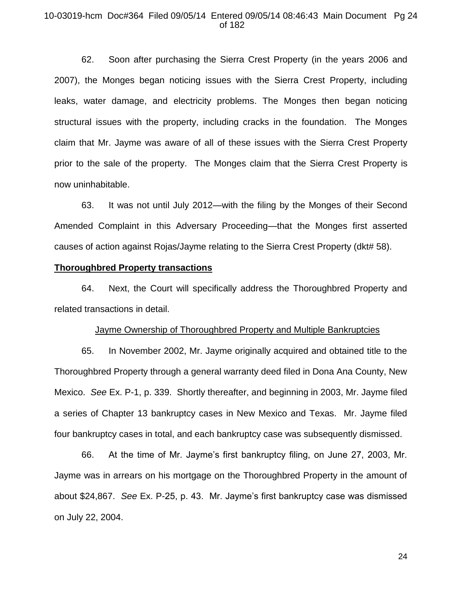### 10-03019-hcm Doc#364 Filed 09/05/14 Entered 09/05/14 08:46:43 Main Document Pg 24 of 182

62. Soon after purchasing the Sierra Crest Property (in the years 2006 and 2007), the Monges began noticing issues with the Sierra Crest Property, including leaks, water damage, and electricity problems. The Monges then began noticing structural issues with the property, including cracks in the foundation. The Monges claim that Mr. Jayme was aware of all of these issues with the Sierra Crest Property prior to the sale of the property. The Monges claim that the Sierra Crest Property is now uninhabitable.

63. It was not until July 2012—with the filing by the Monges of their Second Amended Complaint in this Adversary Proceeding—that the Monges first asserted causes of action against Rojas/Jayme relating to the Sierra Crest Property (dkt# 58).

# **Thoroughbred Property transactions**

64. Next, the Court will specifically address the Thoroughbred Property and related transactions in detail.

### Jayme Ownership of Thoroughbred Property and Multiple Bankruptcies

65. In November 2002, Mr. Jayme originally acquired and obtained title to the Thoroughbred Property through a general warranty deed filed in Dona Ana County, New Mexico. *See* Ex. P-1, p. 339. Shortly thereafter, and beginning in 2003, Mr. Jayme filed a series of Chapter 13 bankruptcy cases in New Mexico and Texas. Mr. Jayme filed four bankruptcy cases in total, and each bankruptcy case was subsequently dismissed.

66. At the time of Mr. Jayme's first bankruptcy filing, on June 27, 2003, Mr. Jayme was in arrears on his mortgage on the Thoroughbred Property in the amount of about \$24,867. *See* Ex. P-25, p. 43. Mr. Jayme's first bankruptcy case was dismissed on July 22, 2004.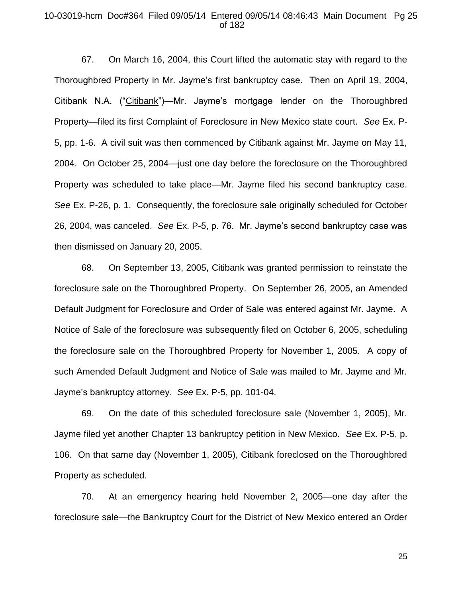### 10-03019-hcm Doc#364 Filed 09/05/14 Entered 09/05/14 08:46:43 Main Document Pg 25 of 182

67. On March 16, 2004, this Court lifted the automatic stay with regard to the Thoroughbred Property in Mr. Jayme's first bankruptcy case. Then on April 19, 2004, Citibank N.A. ("Citibank")—Mr. Jayme's mortgage lender on the Thoroughbred Property—filed its first Complaint of Foreclosure in New Mexico state court. *See* Ex. P-5, pp. 1-6. A civil suit was then commenced by Citibank against Mr. Jayme on May 11, 2004. On October 25, 2004—just one day before the foreclosure on the Thoroughbred Property was scheduled to take place—Mr. Jayme filed his second bankruptcy case. *See* Ex. P-26, p. 1. Consequently, the foreclosure sale originally scheduled for October 26, 2004, was canceled. *See* Ex. P-5, p. 76. Mr. Jayme's second bankruptcy case was then dismissed on January 20, 2005.

68. On September 13, 2005, Citibank was granted permission to reinstate the foreclosure sale on the Thoroughbred Property. On September 26, 2005, an Amended Default Judgment for Foreclosure and Order of Sale was entered against Mr. Jayme. A Notice of Sale of the foreclosure was subsequently filed on October 6, 2005, scheduling the foreclosure sale on the Thoroughbred Property for November 1, 2005. A copy of such Amended Default Judgment and Notice of Sale was mailed to Mr. Jayme and Mr. Jayme's bankruptcy attorney. *See* Ex. P-5, pp. 101-04.

69. On the date of this scheduled foreclosure sale (November 1, 2005), Mr. Jayme filed yet another Chapter 13 bankruptcy petition in New Mexico. *See* Ex. P-5, p. 106. On that same day (November 1, 2005), Citibank foreclosed on the Thoroughbred Property as scheduled.

70. At an emergency hearing held November 2, 2005—one day after the foreclosure sale—the Bankruptcy Court for the District of New Mexico entered an Order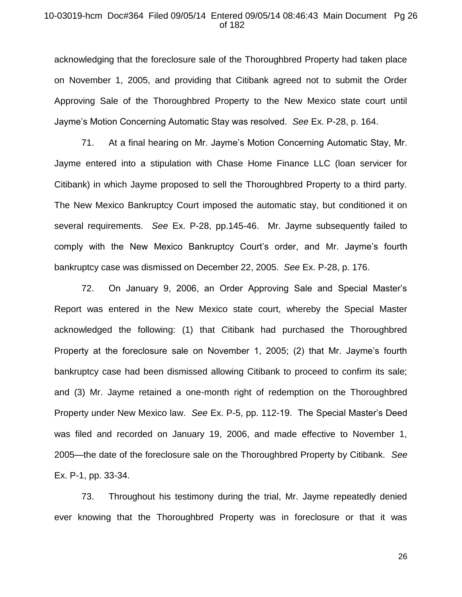## 10-03019-hcm Doc#364 Filed 09/05/14 Entered 09/05/14 08:46:43 Main Document Pg 26 of 182

acknowledging that the foreclosure sale of the Thoroughbred Property had taken place on November 1, 2005, and providing that Citibank agreed not to submit the Order Approving Sale of the Thoroughbred Property to the New Mexico state court until Jayme's Motion Concerning Automatic Stay was resolved. *See* Ex. P-28, p. 164.

71. At a final hearing on Mr. Jayme's Motion Concerning Automatic Stay, Mr. Jayme entered into a stipulation with Chase Home Finance LLC (loan servicer for Citibank) in which Jayme proposed to sell the Thoroughbred Property to a third party. The New Mexico Bankruptcy Court imposed the automatic stay, but conditioned it on several requirements. *See* Ex. P-28, pp.145-46. Mr. Jayme subsequently failed to comply with the New Mexico Bankruptcy Court's order, and Mr. Jayme's fourth bankruptcy case was dismissed on December 22, 2005. *See* Ex. P-28, p. 176.

72. On January 9, 2006, an Order Approving Sale and Special Master's Report was entered in the New Mexico state court, whereby the Special Master acknowledged the following: (1) that Citibank had purchased the Thoroughbred Property at the foreclosure sale on November 1, 2005; (2) that Mr. Jayme's fourth bankruptcy case had been dismissed allowing Citibank to proceed to confirm its sale; and (3) Mr. Jayme retained a one-month right of redemption on the Thoroughbred Property under New Mexico law. *See* Ex. P-5, pp. 112-19. The Special Master's Deed was filed and recorded on January 19, 2006, and made effective to November 1, 2005—the date of the foreclosure sale on the Thoroughbred Property by Citibank. *See*  Ex. P-1, pp. 33-34.

73. Throughout his testimony during the trial, Mr. Jayme repeatedly denied ever knowing that the Thoroughbred Property was in foreclosure or that it was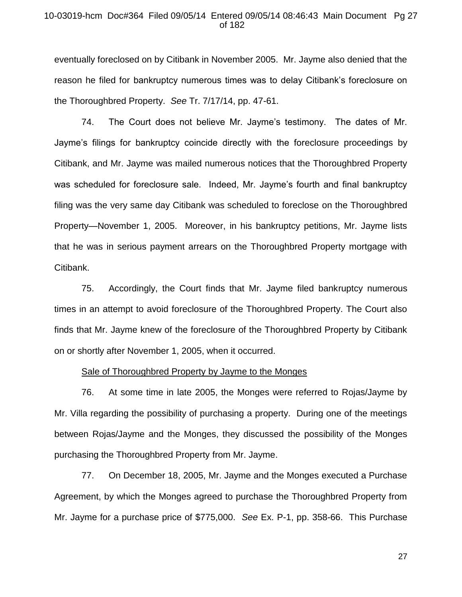## 10-03019-hcm Doc#364 Filed 09/05/14 Entered 09/05/14 08:46:43 Main Document Pg 27 of 182

eventually foreclosed on by Citibank in November 2005. Mr. Jayme also denied that the reason he filed for bankruptcy numerous times was to delay Citibank's foreclosure on the Thoroughbred Property. *See* Tr. 7/17/14, pp. 47-61.

74. The Court does not believe Mr. Jayme's testimony. The dates of Mr. Jayme's filings for bankruptcy coincide directly with the foreclosure proceedings by Citibank, and Mr. Jayme was mailed numerous notices that the Thoroughbred Property was scheduled for foreclosure sale. Indeed, Mr. Jayme's fourth and final bankruptcy filing was the very same day Citibank was scheduled to foreclose on the Thoroughbred Property—November 1, 2005. Moreover, in his bankruptcy petitions, Mr. Jayme lists that he was in serious payment arrears on the Thoroughbred Property mortgage with Citibank.

75. Accordingly, the Court finds that Mr. Jayme filed bankruptcy numerous times in an attempt to avoid foreclosure of the Thoroughbred Property. The Court also finds that Mr. Jayme knew of the foreclosure of the Thoroughbred Property by Citibank on or shortly after November 1, 2005, when it occurred.

#### Sale of Thoroughbred Property by Jayme to the Monges

76. At some time in late 2005, the Monges were referred to Rojas/Jayme by Mr. Villa regarding the possibility of purchasing a property. During one of the meetings between Rojas/Jayme and the Monges, they discussed the possibility of the Monges purchasing the Thoroughbred Property from Mr. Jayme.

77. On December 18, 2005, Mr. Jayme and the Monges executed a Purchase Agreement, by which the Monges agreed to purchase the Thoroughbred Property from Mr. Jayme for a purchase price of \$775,000. *See* Ex. P-1, pp. 358-66. This Purchase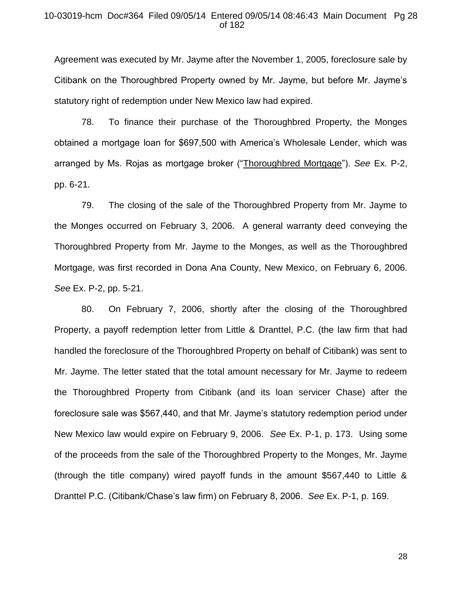## 10-03019-hcm Doc#364 Filed 09/05/14 Entered 09/05/14 08:46:43 Main Document Pg 28 of 182

Agreement was executed by Mr. Jayme after the November 1, 2005, foreclosure sale by Citibank on the Thoroughbred Property owned by Mr. Jayme, but before Mr. Jayme's statutory right of redemption under New Mexico law had expired.

78. To finance their purchase of the Thoroughbred Property, the Monges obtained a mortgage loan for \$697,500 with America's Wholesale Lender, which was arranged by Ms. Rojas as mortgage broker ("Thoroughbred Mortgage"). *See* Ex. P-2, pp. 6-21.

79. The closing of the sale of the Thoroughbred Property from Mr. Jayme to the Monges occurred on February 3, 2006. A general warranty deed conveying the Thoroughbred Property from Mr. Jayme to the Monges, as well as the Thoroughbred Mortgage, was first recorded in Dona Ana County, New Mexico, on February 6, 2006. *See* Ex. P-2, pp. 5-21.

80. On February 7, 2006, shortly after the closing of the Thoroughbred Property, a payoff redemption letter from Little & Dranttel, P.C. (the law firm that had handled the foreclosure of the Thoroughbred Property on behalf of Citibank) was sent to Mr. Jayme. The letter stated that the total amount necessary for Mr. Jayme to redeem the Thoroughbred Property from Citibank (and its loan servicer Chase) after the foreclosure sale was \$567,440, and that Mr. Jayme's statutory redemption period under New Mexico law would expire on February 9, 2006. *See* Ex. P-1, p. 173. Using some of the proceeds from the sale of the Thoroughbred Property to the Monges, Mr. Jayme (through the title company) wired payoff funds in the amount \$567,440 to Little & Dranttel P.C. (Citibank/Chase's law firm) on February 8, 2006. *See* Ex. P-1, p. 169.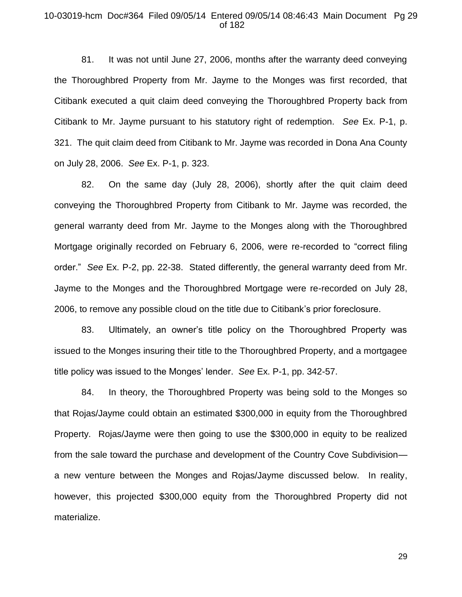### 10-03019-hcm Doc#364 Filed 09/05/14 Entered 09/05/14 08:46:43 Main Document Pg 29 of 182

81. It was not until June 27, 2006, months after the warranty deed conveying the Thoroughbred Property from Mr. Jayme to the Monges was first recorded, that Citibank executed a quit claim deed conveying the Thoroughbred Property back from Citibank to Mr. Jayme pursuant to his statutory right of redemption. *See* Ex. P-1, p. 321. The quit claim deed from Citibank to Mr. Jayme was recorded in Dona Ana County on July 28, 2006. *See* Ex. P-1, p. 323.

82. On the same day (July 28, 2006), shortly after the quit claim deed conveying the Thoroughbred Property from Citibank to Mr. Jayme was recorded, the general warranty deed from Mr. Jayme to the Monges along with the Thoroughbred Mortgage originally recorded on February 6, 2006, were re-recorded to "correct filing order." *See* Ex. P-2, pp. 22-38. Stated differently, the general warranty deed from Mr. Jayme to the Monges and the Thoroughbred Mortgage were re-recorded on July 28, 2006, to remove any possible cloud on the title due to Citibank's prior foreclosure.

83. Ultimately, an owner's title policy on the Thoroughbred Property was issued to the Monges insuring their title to the Thoroughbred Property, and a mortgagee title policy was issued to the Monges' lender. *See* Ex. P-1, pp. 342-57.

84. In theory, the Thoroughbred Property was being sold to the Monges so that Rojas/Jayme could obtain an estimated \$300,000 in equity from the Thoroughbred Property. Rojas/Jayme were then going to use the \$300,000 in equity to be realized from the sale toward the purchase and development of the Country Cove Subdivision a new venture between the Monges and Rojas/Jayme discussed below. In reality, however, this projected \$300,000 equity from the Thoroughbred Property did not materialize.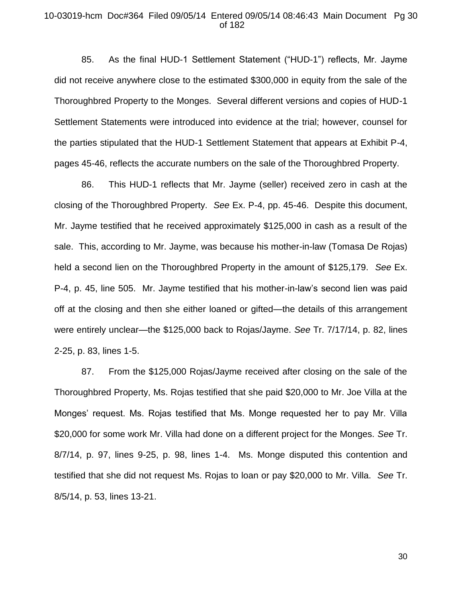### 10-03019-hcm Doc#364 Filed 09/05/14 Entered 09/05/14 08:46:43 Main Document Pg 30 of 182

85. As the final HUD-1 Settlement Statement ("HUD-1") reflects, Mr. Jayme did not receive anywhere close to the estimated \$300,000 in equity from the sale of the Thoroughbred Property to the Monges. Several different versions and copies of HUD-1 Settlement Statements were introduced into evidence at the trial; however, counsel for the parties stipulated that the HUD-1 Settlement Statement that appears at Exhibit P-4, pages 45-46, reflects the accurate numbers on the sale of the Thoroughbred Property.

86. This HUD-1 reflects that Mr. Jayme (seller) received zero in cash at the closing of the Thoroughbred Property. *See* Ex. P-4, pp. 45-46. Despite this document, Mr. Jayme testified that he received approximately \$125,000 in cash as a result of the sale. This, according to Mr. Jayme, was because his mother-in-law (Tomasa De Rojas) held a second lien on the Thoroughbred Property in the amount of \$125,179. *See* Ex. P-4, p. 45, line 505. Mr. Jayme testified that his mother-in-law's second lien was paid off at the closing and then she either loaned or gifted—the details of this arrangement were entirely unclear—the \$125,000 back to Rojas/Jayme. *See* Tr. 7/17/14, p. 82, lines 2-25, p. 83, lines 1-5.

87. From the \$125,000 Rojas/Jayme received after closing on the sale of the Thoroughbred Property, Ms. Rojas testified that she paid \$20,000 to Mr. Joe Villa at the Monges' request. Ms. Rojas testified that Ms. Monge requested her to pay Mr. Villa \$20,000 for some work Mr. Villa had done on a different project for the Monges. *See* Tr. 8/7/14, p. 97, lines 9-25, p. 98, lines 1-4. Ms. Monge disputed this contention and testified that she did not request Ms. Rojas to loan or pay \$20,000 to Mr. Villa. *See* Tr. 8/5/14, p. 53, lines 13-21.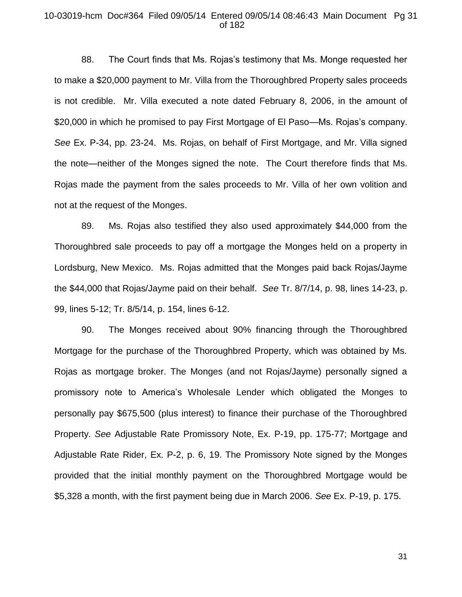### 10-03019-hcm Doc#364 Filed 09/05/14 Entered 09/05/14 08:46:43 Main Document Pg 31 of 182

88. The Court finds that Ms. Rojas's testimony that Ms. Monge requested her to make a \$20,000 payment to Mr. Villa from the Thoroughbred Property sales proceeds is not credible. Mr. Villa executed a note dated February 8, 2006, in the amount of \$20,000 in which he promised to pay First Mortgage of El Paso—Ms. Rojas's company. *See* Ex. P-34, pp. 23-24. Ms. Rojas, on behalf of First Mortgage, and Mr. Villa signed the note—neither of the Monges signed the note. The Court therefore finds that Ms. Rojas made the payment from the sales proceeds to Mr. Villa of her own volition and not at the request of the Monges.

89. Ms. Rojas also testified they also used approximately \$44,000 from the Thoroughbred sale proceeds to pay off a mortgage the Monges held on a property in Lordsburg, New Mexico. Ms. Rojas admitted that the Monges paid back Rojas/Jayme the \$44,000 that Rojas/Jayme paid on their behalf. *See* Tr. 8/7/14, p. 98, lines 14-23, p. 99, lines 5-12; Tr. 8/5/14, p. 154, lines 6-12.

90. The Monges received about 90% financing through the Thoroughbred Mortgage for the purchase of the Thoroughbred Property, which was obtained by Ms. Rojas as mortgage broker. The Monges (and not Rojas/Jayme) personally signed a promissory note to America's Wholesale Lender which obligated the Monges to personally pay \$675,500 (plus interest) to finance their purchase of the Thoroughbred Property. *See* Adjustable Rate Promissory Note, Ex. P-19, pp. 175-77; Mortgage and Adjustable Rate Rider, Ex. P-2, p. 6, 19. The Promissory Note signed by the Monges provided that the initial monthly payment on the Thoroughbred Mortgage would be \$5,328 a month, with the first payment being due in March 2006. *See* Ex. P-19, p. 175.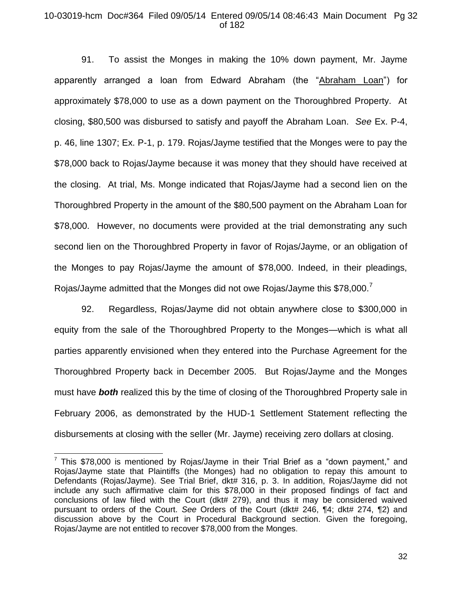## 10-03019-hcm Doc#364 Filed 09/05/14 Entered 09/05/14 08:46:43 Main Document Pg 32 of 182

91. To assist the Monges in making the 10% down payment, Mr. Jayme apparently arranged a loan from Edward Abraham (the "Abraham Loan") for approximately \$78,000 to use as a down payment on the Thoroughbred Property. At closing, \$80,500 was disbursed to satisfy and payoff the Abraham Loan. *See* Ex. P-4, p. 46, line 1307; Ex. P-1, p. 179. Rojas/Jayme testified that the Monges were to pay the \$78,000 back to Rojas/Jayme because it was money that they should have received at the closing. At trial, Ms. Monge indicated that Rojas/Jayme had a second lien on the Thoroughbred Property in the amount of the \$80,500 payment on the Abraham Loan for \$78,000. However, no documents were provided at the trial demonstrating any such second lien on the Thoroughbred Property in favor of Rojas/Jayme, or an obligation of the Monges to pay Rojas/Jayme the amount of \$78,000. Indeed, in their pleadings, Rojas/Jayme admitted that the Monges did not owe Rojas/Jayme this \$78,000.<sup>7</sup>

92. Regardless, Rojas/Jayme did not obtain anywhere close to \$300,000 in equity from the sale of the Thoroughbred Property to the Monges—which is what all parties apparently envisioned when they entered into the Purchase Agreement for the Thoroughbred Property back in December 2005. But Rojas/Jayme and the Monges must have *both* realized this by the time of closing of the Thoroughbred Property sale in February 2006, as demonstrated by the HUD-1 Settlement Statement reflecting the disbursements at closing with the seller (Mr. Jayme) receiving zero dollars at closing.

 $\overline{a}$ 

 $7$  This \$78,000 is mentioned by Rojas/Jayme in their Trial Brief as a "down payment," and Rojas/Jayme state that Plaintiffs (the Monges) had no obligation to repay this amount to Defendants (Rojas/Jayme). See Trial Brief, dkt# 316, p. 3. In addition, Rojas/Jayme did not include any such affirmative claim for this \$78,000 in their proposed findings of fact and conclusions of law filed with the Court (dkt# 279), and thus it may be considered waived pursuant to orders of the Court. *See* Orders of the Court (dkt# 246, ¶4; dkt# 274, ¶2) and discussion above by the Court in Procedural Background section. Given the foregoing, Rojas/Jayme are not entitled to recover \$78,000 from the Monges.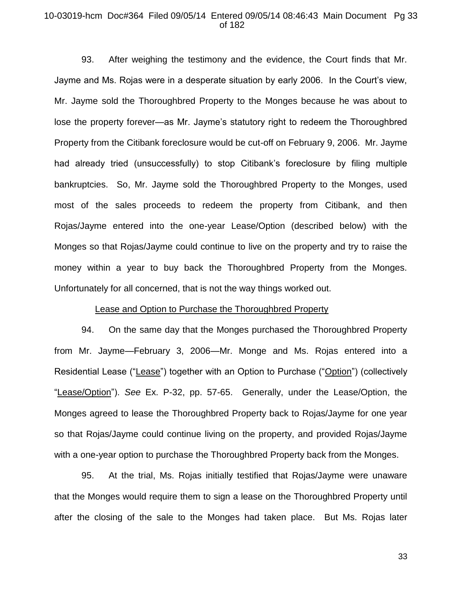### 10-03019-hcm Doc#364 Filed 09/05/14 Entered 09/05/14 08:46:43 Main Document Pg 33 of 182

93. After weighing the testimony and the evidence, the Court finds that Mr. Jayme and Ms. Rojas were in a desperate situation by early 2006. In the Court's view, Mr. Jayme sold the Thoroughbred Property to the Monges because he was about to lose the property forever—as Mr. Jayme's statutory right to redeem the Thoroughbred Property from the Citibank foreclosure would be cut-off on February 9, 2006. Mr. Jayme had already tried (unsuccessfully) to stop Citibank's foreclosure by filing multiple bankruptcies. So, Mr. Jayme sold the Thoroughbred Property to the Monges, used most of the sales proceeds to redeem the property from Citibank, and then Rojas/Jayme entered into the one-year Lease/Option (described below) with the Monges so that Rojas/Jayme could continue to live on the property and try to raise the money within a year to buy back the Thoroughbred Property from the Monges. Unfortunately for all concerned, that is not the way things worked out.

### Lease and Option to Purchase the Thoroughbred Property

94. On the same day that the Monges purchased the Thoroughbred Property from Mr. Jayme—February 3, 2006—Mr. Monge and Ms. Rojas entered into a Residential Lease ("Lease") together with an Option to Purchase ("Option") (collectively "Lease/Option"). *See* Ex. P-32, pp. 57-65. Generally, under the Lease/Option, the Monges agreed to lease the Thoroughbred Property back to Rojas/Jayme for one year so that Rojas/Jayme could continue living on the property, and provided Rojas/Jayme with a one-year option to purchase the Thoroughbred Property back from the Monges.

95. At the trial, Ms. Rojas initially testified that Rojas/Jayme were unaware that the Monges would require them to sign a lease on the Thoroughbred Property until after the closing of the sale to the Monges had taken place. But Ms. Rojas later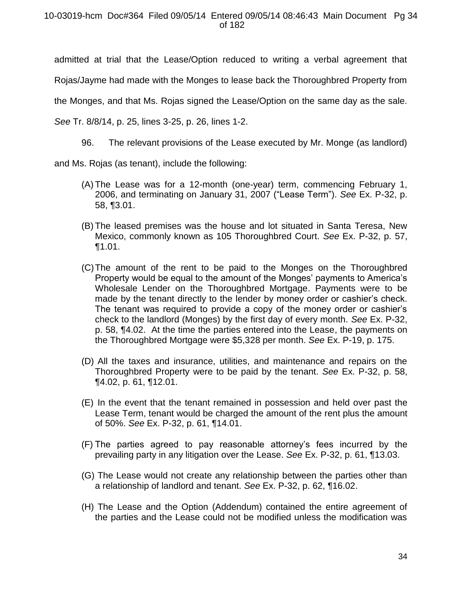admitted at trial that the Lease/Option reduced to writing a verbal agreement that

Rojas/Jayme had made with the Monges to lease back the Thoroughbred Property from

the Monges, and that Ms. Rojas signed the Lease/Option on the same day as the sale.

*See* Tr. 8/8/14, p. 25, lines 3-25, p. 26, lines 1-2.

96. The relevant provisions of the Lease executed by Mr. Monge (as landlord)

and Ms. Rojas (as tenant), include the following:

- (A) The Lease was for a 12-month (one-year) term, commencing February 1, 2006, and terminating on January 31, 2007 ("Lease Term"). *See* Ex. P-32, p. 58, ¶3.01.
- (B) The leased premises was the house and lot situated in Santa Teresa, New Mexico, commonly known as 105 Thoroughbred Court. *See* Ex. P-32, p. 57, ¶1.01.
- (C)The amount of the rent to be paid to the Monges on the Thoroughbred Property would be equal to the amount of the Monges' payments to America's Wholesale Lender on the Thoroughbred Mortgage. Payments were to be made by the tenant directly to the lender by money order or cashier's check. The tenant was required to provide a copy of the money order or cashier's check to the landlord (Monges) by the first day of every month. *See* Ex. P-32, p. 58, ¶4.02. At the time the parties entered into the Lease, the payments on the Thoroughbred Mortgage were \$5,328 per month. *See* Ex. P-19, p. 175.
- (D) All the taxes and insurance, utilities, and maintenance and repairs on the Thoroughbred Property were to be paid by the tenant. *See* Ex. P-32, p. 58, ¶4.02, p. 61, ¶12.01.
- (E) In the event that the tenant remained in possession and held over past the Lease Term, tenant would be charged the amount of the rent plus the amount of 50%. *See* Ex. P-32, p. 61, ¶14.01.
- (F) The parties agreed to pay reasonable attorney's fees incurred by the prevailing party in any litigation over the Lease. *See* Ex. P-32, p. 61, ¶13.03.
- (G) The Lease would not create any relationship between the parties other than a relationship of landlord and tenant. *See* Ex. P-32, p. 62, ¶16.02.
- (H) The Lease and the Option (Addendum) contained the entire agreement of the parties and the Lease could not be modified unless the modification was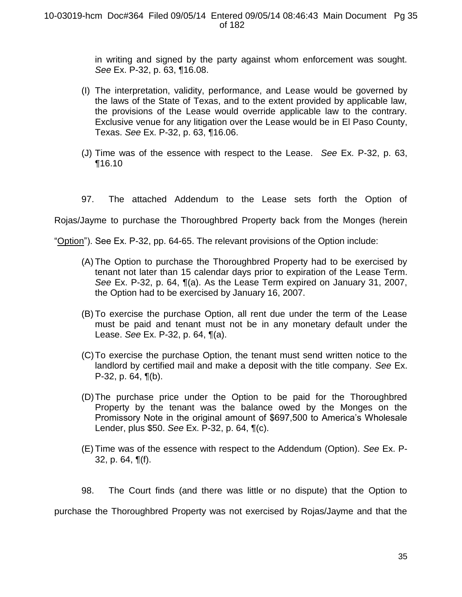in writing and signed by the party against whom enforcement was sought. *See* Ex. P-32, p. 63, ¶16.08.

- (I) The interpretation, validity, performance, and Lease would be governed by the laws of the State of Texas, and to the extent provided by applicable law, the provisions of the Lease would override applicable law to the contrary. Exclusive venue for any litigation over the Lease would be in El Paso County, Texas. *See* Ex. P-32, p. 63, ¶16.06.
- (J) Time was of the essence with respect to the Lease. *See* Ex. P-32, p. 63, ¶16.10
- 97. The attached Addendum to the Lease sets forth the Option of

Rojas/Jayme to purchase the Thoroughbred Property back from the Monges (herein

"Option"). See Ex. P-32, pp. 64-65. The relevant provisions of the Option include:

- (A) The Option to purchase the Thoroughbred Property had to be exercised by tenant not later than 15 calendar days prior to expiration of the Lease Term. *See* Ex. P-32, p. 64, ¶(a). As the Lease Term expired on January 31, 2007, the Option had to be exercised by January 16, 2007.
- (B) To exercise the purchase Option, all rent due under the term of the Lease must be paid and tenant must not be in any monetary default under the Lease. *See* Ex. P-32, p. 64, ¶(a).
- (C)To exercise the purchase Option, the tenant must send written notice to the landlord by certified mail and make a deposit with the title company. *See* Ex. P-32, p. 64, ¶(b).
- (D)The purchase price under the Option to be paid for the Thoroughbred Property by the tenant was the balance owed by the Monges on the Promissory Note in the original amount of \$697,500 to America's Wholesale Lender, plus \$50. *See* Ex. P-32, p. 64, ¶(c).
- (E) Time was of the essence with respect to the Addendum (Option). *See* Ex. P-32, p. 64, ¶(f).
- 98. The Court finds (and there was little or no dispute) that the Option to

purchase the Thoroughbred Property was not exercised by Rojas/Jayme and that the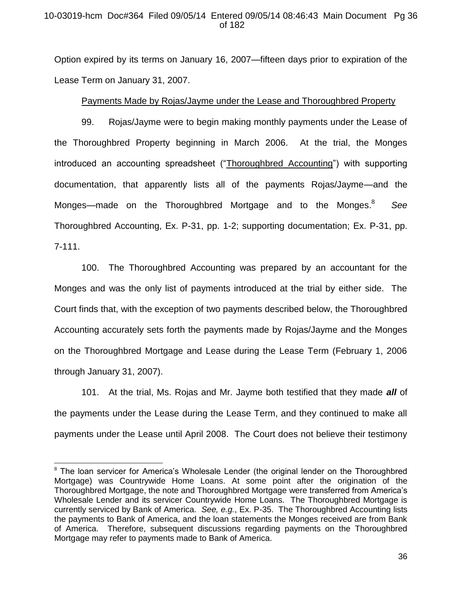# 10-03019-hcm Doc#364 Filed 09/05/14 Entered 09/05/14 08:46:43 Main Document Pg 36 of 182

Option expired by its terms on January 16, 2007—fifteen days prior to expiration of the Lease Term on January 31, 2007.

# Payments Made by Rojas/Jayme under the Lease and Thoroughbred Property

99. Rojas/Jayme were to begin making monthly payments under the Lease of the Thoroughbred Property beginning in March 2006. At the trial, the Monges introduced an accounting spreadsheet ("Thoroughbred Accounting") with supporting documentation, that apparently lists all of the payments Rojas/Jayme—and the Monges—made on the Thoroughbred Mortgage and to the Monges.<sup>8</sup> *See*  Thoroughbred Accounting, Ex. P-31, pp. 1-2; supporting documentation; Ex. P-31, pp. 7-111.

100. The Thoroughbred Accounting was prepared by an accountant for the Monges and was the only list of payments introduced at the trial by either side. The Court finds that, with the exception of two payments described below, the Thoroughbred Accounting accurately sets forth the payments made by Rojas/Jayme and the Monges on the Thoroughbred Mortgage and Lease during the Lease Term (February 1, 2006 through January 31, 2007).

101. At the trial, Ms. Rojas and Mr. Jayme both testified that they made *all* of the payments under the Lease during the Lease Term, and they continued to make all payments under the Lease until April 2008. The Court does not believe their testimony

l

<sup>&</sup>lt;sup>8</sup> The loan servicer for America's Wholesale Lender (the original lender on the Thoroughbred Mortgage) was Countrywide Home Loans. At some point after the origination of the Thoroughbred Mortgage, the note and Thoroughbred Mortgage were transferred from America's Wholesale Lender and its servicer Countrywide Home Loans. The Thoroughbred Mortgage is currently serviced by Bank of America. *See, e.g.*, Ex. P-35.The Thoroughbred Accounting lists the payments to Bank of America, and the loan statements the Monges received are from Bank of America. Therefore, subsequent discussions regarding payments on the Thoroughbred Mortgage may refer to payments made to Bank of America.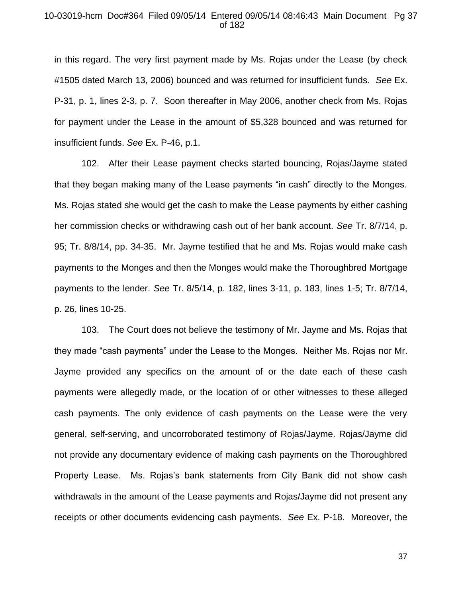### 10-03019-hcm Doc#364 Filed 09/05/14 Entered 09/05/14 08:46:43 Main Document Pg 37 of 182

in this regard. The very first payment made by Ms. Rojas under the Lease (by check #1505 dated March 13, 2006) bounced and was returned for insufficient funds. *See* Ex. P-31, p. 1, lines 2-3, p. 7. Soon thereafter in May 2006, another check from Ms. Rojas for payment under the Lease in the amount of \$5,328 bounced and was returned for insufficient funds. *See* Ex. P-46, p.1.

102. After their Lease payment checks started bouncing, Rojas/Jayme stated that they began making many of the Lease payments "in cash" directly to the Monges. Ms. Rojas stated she would get the cash to make the Lease payments by either cashing her commission checks or withdrawing cash out of her bank account. *See* Tr. 8/7/14, p. 95; Tr. 8/8/14, pp. 34-35. Mr. Jayme testified that he and Ms. Rojas would make cash payments to the Monges and then the Monges would make the Thoroughbred Mortgage payments to the lender. *See* Tr. 8/5/14, p. 182, lines 3-11, p. 183, lines 1-5; Tr. 8/7/14, p. 26, lines 10-25.

103. The Court does not believe the testimony of Mr. Jayme and Ms. Rojas that they made "cash payments" under the Lease to the Monges. Neither Ms. Rojas nor Mr. Jayme provided any specifics on the amount of or the date each of these cash payments were allegedly made, or the location of or other witnesses to these alleged cash payments. The only evidence of cash payments on the Lease were the very general, self-serving, and uncorroborated testimony of Rojas/Jayme. Rojas/Jayme did not provide any documentary evidence of making cash payments on the Thoroughbred Property Lease. Ms. Rojas's bank statements from City Bank did not show cash withdrawals in the amount of the Lease payments and Rojas/Jayme did not present any receipts or other documents evidencing cash payments. *See* Ex. P-18. Moreover, the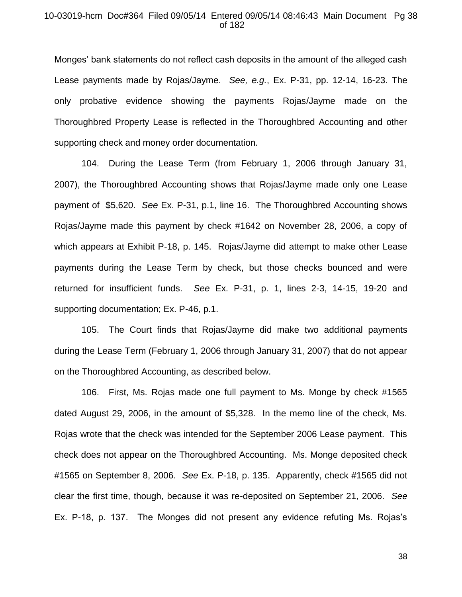# 10-03019-hcm Doc#364 Filed 09/05/14 Entered 09/05/14 08:46:43 Main Document Pg 38 of 182

Monges' bank statements do not reflect cash deposits in the amount of the alleged cash Lease payments made by Rojas/Jayme. *See, e.g.*, Ex. P-31, pp. 12-14, 16-23. The only probative evidence showing the payments Rojas/Jayme made on the Thoroughbred Property Lease is reflected in the Thoroughbred Accounting and other supporting check and money order documentation.

104. During the Lease Term (from February 1, 2006 through January 31, 2007), the Thoroughbred Accounting shows that Rojas/Jayme made only one Lease payment of \$5,620. *See* Ex. P-31, p.1, line 16. The Thoroughbred Accounting shows Rojas/Jayme made this payment by check #1642 on November 28, 2006, a copy of which appears at Exhibit P-18, p. 145. Rojas/Jayme did attempt to make other Lease payments during the Lease Term by check, but those checks bounced and were returned for insufficient funds. *See* Ex. P-31, p. 1, lines 2-3, 14-15, 19-20 and supporting documentation; Ex. P-46, p.1.

105. The Court finds that Rojas/Jayme did make two additional payments during the Lease Term (February 1, 2006 through January 31, 2007) that do not appear on the Thoroughbred Accounting, as described below.

106. First, Ms. Rojas made one full payment to Ms. Monge by check #1565 dated August 29, 2006, in the amount of \$5,328. In the memo line of the check, Ms. Rojas wrote that the check was intended for the September 2006 Lease payment. This check does not appear on the Thoroughbred Accounting. Ms. Monge deposited check #1565 on September 8, 2006. *See* Ex. P-18, p. 135. Apparently, check #1565 did not clear the first time, though, because it was re-deposited on September 21, 2006. *See*  Ex. P-18, p. 137. The Monges did not present any evidence refuting Ms. Rojas's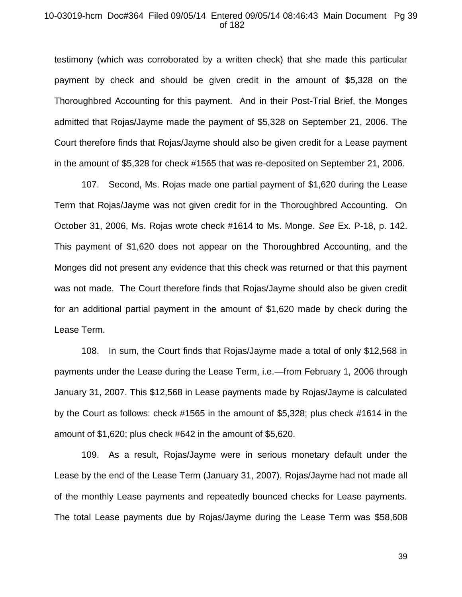## 10-03019-hcm Doc#364 Filed 09/05/14 Entered 09/05/14 08:46:43 Main Document Pg 39 of 182

testimony (which was corroborated by a written check) that she made this particular payment by check and should be given credit in the amount of \$5,328 on the Thoroughbred Accounting for this payment. And in their Post-Trial Brief, the Monges admitted that Rojas/Jayme made the payment of \$5,328 on September 21, 2006. The Court therefore finds that Rojas/Jayme should also be given credit for a Lease payment in the amount of \$5,328 for check #1565 that was re-deposited on September 21, 2006.

107. Second, Ms. Rojas made one partial payment of \$1,620 during the Lease Term that Rojas/Jayme was not given credit for in the Thoroughbred Accounting. On October 31, 2006, Ms. Rojas wrote check #1614 to Ms. Monge. *See* Ex. P-18, p. 142. This payment of \$1,620 does not appear on the Thoroughbred Accounting, and the Monges did not present any evidence that this check was returned or that this payment was not made. The Court therefore finds that Rojas/Jayme should also be given credit for an additional partial payment in the amount of \$1,620 made by check during the Lease Term.

108. In sum, the Court finds that Rojas/Jayme made a total of only \$12,568 in payments under the Lease during the Lease Term, i.e.—from February 1, 2006 through January 31, 2007. This \$12,568 in Lease payments made by Rojas/Jayme is calculated by the Court as follows: check #1565 in the amount of \$5,328; plus check #1614 in the amount of \$1,620; plus check #642 in the amount of \$5,620.

109. As a result, Rojas/Jayme were in serious monetary default under the Lease by the end of the Lease Term (January 31, 2007). Rojas/Jayme had not made all of the monthly Lease payments and repeatedly bounced checks for Lease payments. The total Lease payments due by Rojas/Jayme during the Lease Term was \$58,608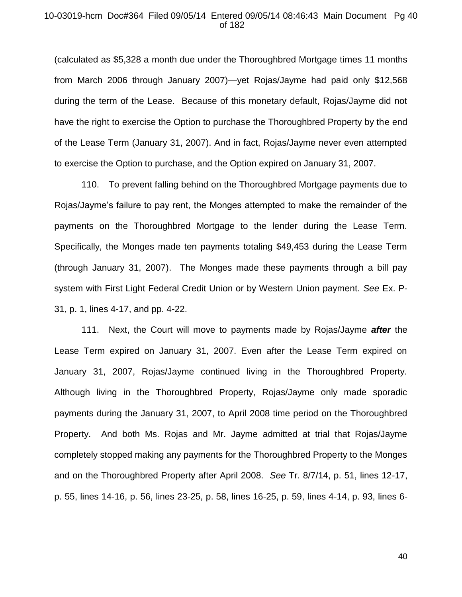# 10-03019-hcm Doc#364 Filed 09/05/14 Entered 09/05/14 08:46:43 Main Document Pg 40 of 182

(calculated as \$5,328 a month due under the Thoroughbred Mortgage times 11 months from March 2006 through January 2007)—yet Rojas/Jayme had paid only \$12,568 during the term of the Lease. Because of this monetary default, Rojas/Jayme did not have the right to exercise the Option to purchase the Thoroughbred Property by the end of the Lease Term (January 31, 2007). And in fact, Rojas/Jayme never even attempted to exercise the Option to purchase, and the Option expired on January 31, 2007.

110. To prevent falling behind on the Thoroughbred Mortgage payments due to Rojas/Jayme's failure to pay rent, the Monges attempted to make the remainder of the payments on the Thoroughbred Mortgage to the lender during the Lease Term. Specifically, the Monges made ten payments totaling \$49,453 during the Lease Term (through January 31, 2007). The Monges made these payments through a bill pay system with First Light Federal Credit Union or by Western Union payment. *See* Ex. P-31, p. 1, lines 4-17, and pp. 4-22.

111. Next, the Court will move to payments made by Rojas/Jayme *after* the Lease Term expired on January 31, 2007. Even after the Lease Term expired on January 31, 2007, Rojas/Jayme continued living in the Thoroughbred Property. Although living in the Thoroughbred Property, Rojas/Jayme only made sporadic payments during the January 31, 2007, to April 2008 time period on the Thoroughbred Property. And both Ms. Rojas and Mr. Jayme admitted at trial that Rojas/Jayme completely stopped making any payments for the Thoroughbred Property to the Monges and on the Thoroughbred Property after April 2008. *See* Tr. 8/7/14, p. 51, lines 12-17, p. 55, lines 14-16, p. 56, lines 23-25, p. 58, lines 16-25, p. 59, lines 4-14, p. 93, lines 6-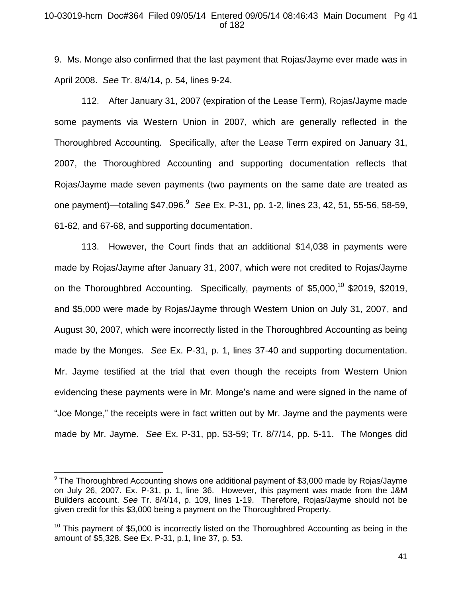# 10-03019-hcm Doc#364 Filed 09/05/14 Entered 09/05/14 08:46:43 Main Document Pg 41 of 182

9. Ms. Monge also confirmed that the last payment that Rojas/Jayme ever made was in April 2008. *See* Tr. 8/4/14, p. 54, lines 9-24.

112. After January 31, 2007 (expiration of the Lease Term), Rojas/Jayme made some payments via Western Union in 2007, which are generally reflected in the Thoroughbred Accounting. Specifically, after the Lease Term expired on January 31, 2007, the Thoroughbred Accounting and supporting documentation reflects that Rojas/Jayme made seven payments (two payments on the same date are treated as one payment)—totaling \$47,096.<sup>9</sup> *See* Ex. P-31, pp. 1-2, lines 23, 42, 51, 55-56, 58-59, 61-62, and 67-68, and supporting documentation.

113. However, the Court finds that an additional \$14,038 in payments were made by Rojas/Jayme after January 31, 2007, which were not credited to Rojas/Jayme on the Thoroughbred Accounting. Specifically, payments of \$5,000,<sup>10</sup> \$2019, \$2019, and \$5,000 were made by Rojas/Jayme through Western Union on July 31, 2007, and August 30, 2007, which were incorrectly listed in the Thoroughbred Accounting as being made by the Monges. *See* Ex. P-31, p. 1, lines 37-40 and supporting documentation. Mr. Jayme testified at the trial that even though the receipts from Western Union evidencing these payments were in Mr. Monge's name and were signed in the name of "Joe Monge," the receipts were in fact written out by Mr. Jayme and the payments were made by Mr. Jayme. *See* Ex. P-31, pp. 53-59; Tr. 8/7/14, pp. 5-11. The Monges did

 $\overline{a}$ 

<sup>&</sup>lt;sup>9</sup> The Thoroughbred Accounting shows one additional payment of \$3,000 made by Rojas/Jayme on July 26, 2007. Ex. P-31, p. 1, line 36. However, this payment was made from the J&M Builders account. *See* Tr. 8/4/14, p. 109, lines 1-19. Therefore, Rojas/Jayme should not be given credit for this \$3,000 being a payment on the Thoroughbred Property.

 $10$  This payment of \$5,000 is incorrectly listed on the Thoroughbred Accounting as being in the amount of \$5,328. See Ex. P-31, p.1, line 37, p. 53.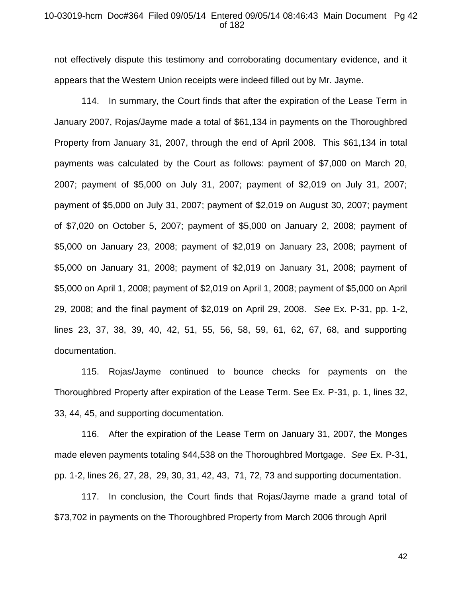#### 10-03019-hcm Doc#364 Filed 09/05/14 Entered 09/05/14 08:46:43 Main Document Pg 42 of 182

not effectively dispute this testimony and corroborating documentary evidence, and it appears that the Western Union receipts were indeed filled out by Mr. Jayme.

114. In summary, the Court finds that after the expiration of the Lease Term in January 2007, Rojas/Jayme made a total of \$61,134 in payments on the Thoroughbred Property from January 31, 2007, through the end of April 2008. This \$61,134 in total payments was calculated by the Court as follows: payment of \$7,000 on March 20, 2007; payment of \$5,000 on July 31, 2007; payment of \$2,019 on July 31, 2007; payment of \$5,000 on July 31, 2007; payment of \$2,019 on August 30, 2007; payment of \$7,020 on October 5, 2007; payment of \$5,000 on January 2, 2008; payment of \$5,000 on January 23, 2008; payment of \$2,019 on January 23, 2008; payment of \$5,000 on January 31, 2008; payment of \$2,019 on January 31, 2008; payment of \$5,000 on April 1, 2008; payment of \$2,019 on April 1, 2008; payment of \$5,000 on April 29, 2008; and the final payment of \$2,019 on April 29, 2008. *See* Ex. P-31, pp. 1-2, lines 23, 37, 38, 39, 40, 42, 51, 55, 56, 58, 59, 61, 62, 67, 68, and supporting documentation.

115. Rojas/Jayme continued to bounce checks for payments on the Thoroughbred Property after expiration of the Lease Term. See Ex. P-31, p. 1, lines 32, 33, 44, 45, and supporting documentation.

116. After the expiration of the Lease Term on January 31, 2007, the Monges made eleven payments totaling \$44,538 on the Thoroughbred Mortgage. *See* Ex. P-31, pp. 1-2, lines 26, 27, 28, 29, 30, 31, 42, 43, 71, 72, 73 and supporting documentation.

117. In conclusion, the Court finds that Rojas/Jayme made a grand total of \$73,702 in payments on the Thoroughbred Property from March 2006 through April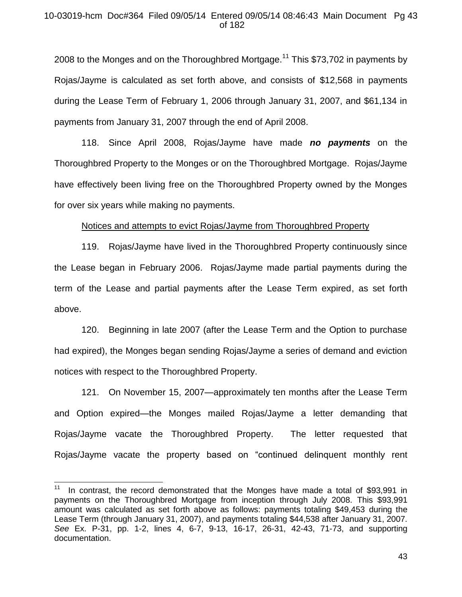# 10-03019-hcm Doc#364 Filed 09/05/14 Entered 09/05/14 08:46:43 Main Document Pg 43 of 182

2008 to the Monges and on the Thoroughbred Mortgage.<sup>11</sup> This \$73,702 in payments by Rojas/Jayme is calculated as set forth above, and consists of \$12,568 in payments during the Lease Term of February 1, 2006 through January 31, 2007, and \$61,134 in payments from January 31, 2007 through the end of April 2008.

118. Since April 2008, Rojas/Jayme have made *no payments* on the Thoroughbred Property to the Monges or on the Thoroughbred Mortgage. Rojas/Jayme have effectively been living free on the Thoroughbred Property owned by the Monges for over six years while making no payments.

## Notices and attempts to evict Rojas/Jayme from Thoroughbred Property

119. Rojas/Jayme have lived in the Thoroughbred Property continuously since the Lease began in February 2006. Rojas/Jayme made partial payments during the term of the Lease and partial payments after the Lease Term expired, as set forth above.

120. Beginning in late 2007 (after the Lease Term and the Option to purchase had expired), the Monges began sending Rojas/Jayme a series of demand and eviction notices with respect to the Thoroughbred Property.

121. On November 15, 2007—approximately ten months after the Lease Term and Option expired—the Monges mailed Rojas/Jayme a letter demanding that Rojas/Jayme vacate the Thoroughbred Property. The letter requested that Rojas/Jayme vacate the property based on "continued delinquent monthly rent

 $\overline{\phantom{a}}$ 

<sup>11</sup> In contrast, the record demonstrated that the Monges have made a total of \$93,991 in payments on the Thoroughbred Mortgage from inception through July 2008. This \$93,991 amount was calculated as set forth above as follows: payments totaling \$49,453 during the Lease Term (through January 31, 2007), and payments totaling \$44,538 after January 31, 2007. *See* Ex. P-31, pp. 1-2, lines 4, 6-7, 9-13, 16-17, 26-31, 42-43, 71-73, and supporting documentation.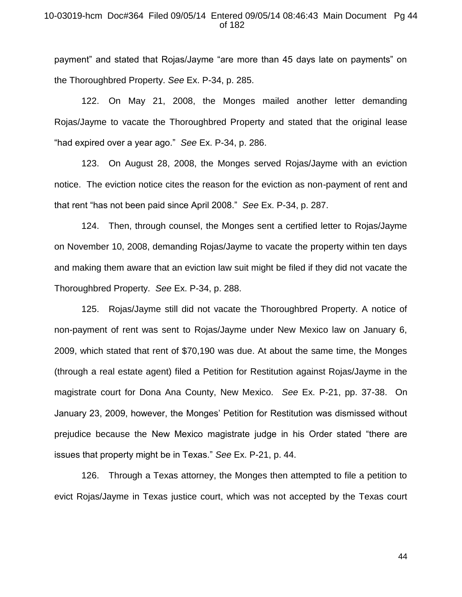## 10-03019-hcm Doc#364 Filed 09/05/14 Entered 09/05/14 08:46:43 Main Document Pg 44 of 182

payment" and stated that Rojas/Jayme "are more than 45 days late on payments" on the Thoroughbred Property. *See* Ex. P-34, p. 285.

122. On May 21, 2008, the Monges mailed another letter demanding Rojas/Jayme to vacate the Thoroughbred Property and stated that the original lease "had expired over a year ago." *See* Ex. P-34, p. 286.

123. On August 28, 2008, the Monges served Rojas/Jayme with an eviction notice. The eviction notice cites the reason for the eviction as non-payment of rent and that rent "has not been paid since April 2008." *See* Ex. P-34, p. 287.

124. Then, through counsel, the Monges sent a certified letter to Rojas/Jayme on November 10, 2008, demanding Rojas/Jayme to vacate the property within ten days and making them aware that an eviction law suit might be filed if they did not vacate the Thoroughbred Property. *See* Ex. P-34, p. 288.

125. Rojas/Jayme still did not vacate the Thoroughbred Property. A notice of non-payment of rent was sent to Rojas/Jayme under New Mexico law on January 6, 2009, which stated that rent of \$70,190 was due. At about the same time, the Monges (through a real estate agent) filed a Petition for Restitution against Rojas/Jayme in the magistrate court for Dona Ana County, New Mexico. *See* Ex. P-21, pp. 37-38. On January 23, 2009, however, the Monges' Petition for Restitution was dismissed without prejudice because the New Mexico magistrate judge in his Order stated "there are issues that property might be in Texas." *See* Ex. P-21, p. 44.

126. Through a Texas attorney, the Monges then attempted to file a petition to evict Rojas/Jayme in Texas justice court, which was not accepted by the Texas court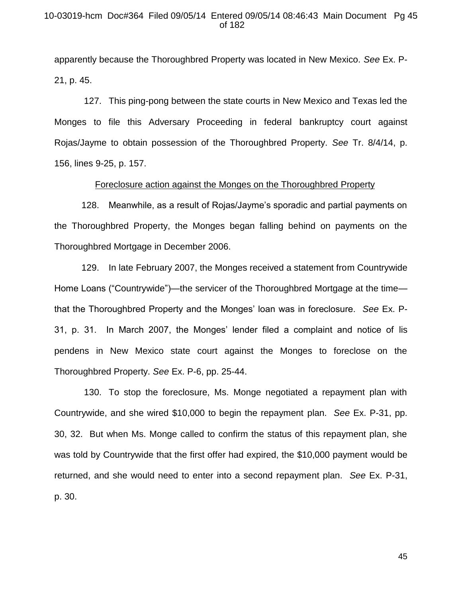## 10-03019-hcm Doc#364 Filed 09/05/14 Entered 09/05/14 08:46:43 Main Document Pg 45 of 182

apparently because the Thoroughbred Property was located in New Mexico. *See* Ex. P-21, p. 45.

127. This ping-pong between the state courts in New Mexico and Texas led the Monges to file this Adversary Proceeding in federal bankruptcy court against Rojas/Jayme to obtain possession of the Thoroughbred Property. *See* Tr. 8/4/14, p. 156, lines 9-25, p. 157.

# Foreclosure action against the Monges on the Thoroughbred Property

128. Meanwhile, as a result of Rojas/Jayme's sporadic and partial payments on the Thoroughbred Property, the Monges began falling behind on payments on the Thoroughbred Mortgage in December 2006.

129. In late February 2007, the Monges received a statement from Countrywide Home Loans ("Countrywide")—the servicer of the Thoroughbred Mortgage at the time that the Thoroughbred Property and the Monges' loan was in foreclosure. *See* Ex. P-31, p. 31. In March 2007, the Monges' lender filed a complaint and notice of lis pendens in New Mexico state court against the Monges to foreclose on the Thoroughbred Property. *See* Ex. P-6, pp. 25-44.

130. To stop the foreclosure, Ms. Monge negotiated a repayment plan with Countrywide, and she wired \$10,000 to begin the repayment plan. *See* Ex. P-31, pp. 30, 32. But when Ms. Monge called to confirm the status of this repayment plan, she was told by Countrywide that the first offer had expired, the \$10,000 payment would be returned, and she would need to enter into a second repayment plan. *See* Ex. P-31, p. 30.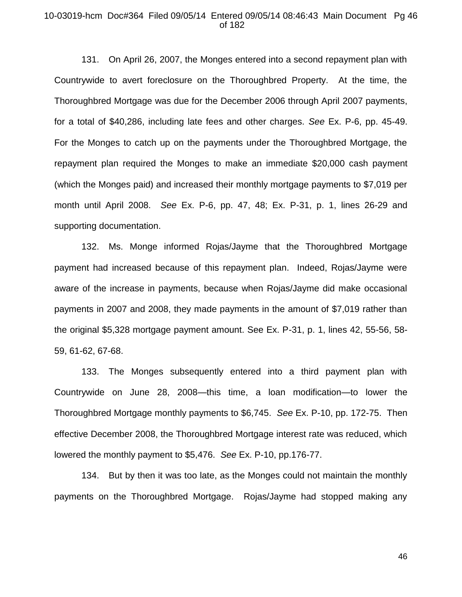#### 10-03019-hcm Doc#364 Filed 09/05/14 Entered 09/05/14 08:46:43 Main Document Pg 46 of 182

131. On April 26, 2007, the Monges entered into a second repayment plan with Countrywide to avert foreclosure on the Thoroughbred Property. At the time, the Thoroughbred Mortgage was due for the December 2006 through April 2007 payments, for a total of \$40,286, including late fees and other charges. *See* Ex. P-6, pp. 45-49. For the Monges to catch up on the payments under the Thoroughbred Mortgage, the repayment plan required the Monges to make an immediate \$20,000 cash payment (which the Monges paid) and increased their monthly mortgage payments to \$7,019 per month until April 2008. *See* Ex. P-6, pp. 47, 48; Ex. P-31, p. 1, lines 26-29 and supporting documentation.

132. Ms. Monge informed Rojas/Jayme that the Thoroughbred Mortgage payment had increased because of this repayment plan. Indeed, Rojas/Jayme were aware of the increase in payments, because when Rojas/Jayme did make occasional payments in 2007 and 2008, they made payments in the amount of \$7,019 rather than the original \$5,328 mortgage payment amount. See Ex. P-31, p. 1, lines 42, 55-56, 58- 59, 61-62, 67-68.

133. The Monges subsequently entered into a third payment plan with Countrywide on June 28, 2008—this time, a loan modification—to lower the Thoroughbred Mortgage monthly payments to \$6,745. *See* Ex. P-10, pp. 172-75. Then effective December 2008, the Thoroughbred Mortgage interest rate was reduced, which lowered the monthly payment to \$5,476. *See* Ex. P-10, pp.176-77.

134. But by then it was too late, as the Monges could not maintain the monthly payments on the Thoroughbred Mortgage. Rojas/Jayme had stopped making any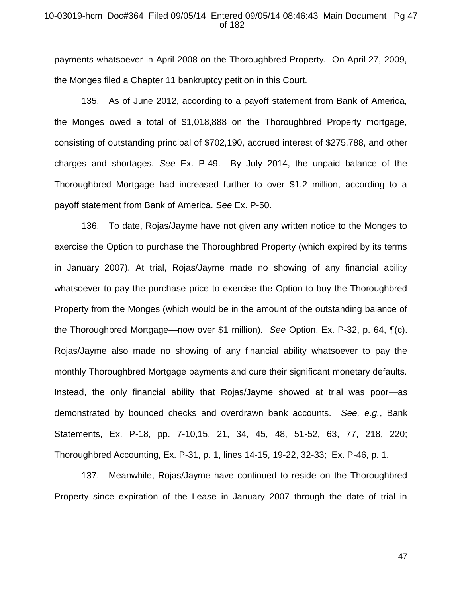# 10-03019-hcm Doc#364 Filed 09/05/14 Entered 09/05/14 08:46:43 Main Document Pg 47 of 182

payments whatsoever in April 2008 on the Thoroughbred Property. On April 27, 2009, the Monges filed a Chapter 11 bankruptcy petition in this Court.

135. As of June 2012, according to a payoff statement from Bank of America, the Monges owed a total of \$1,018,888 on the Thoroughbred Property mortgage, consisting of outstanding principal of \$702,190, accrued interest of \$275,788, and other charges and shortages. *See* Ex. P-49. By July 2014, the unpaid balance of the Thoroughbred Mortgage had increased further to over \$1.2 million, according to a payoff statement from Bank of America. *See* Ex. P-50.

136. To date, Rojas/Jayme have not given any written notice to the Monges to exercise the Option to purchase the Thoroughbred Property (which expired by its terms in January 2007). At trial, Rojas/Jayme made no showing of any financial ability whatsoever to pay the purchase price to exercise the Option to buy the Thoroughbred Property from the Monges (which would be in the amount of the outstanding balance of the Thoroughbred Mortgage—now over \$1 million). *See* Option, Ex. P-32, p. 64, ¶(c). Rojas/Jayme also made no showing of any financial ability whatsoever to pay the monthly Thoroughbred Mortgage payments and cure their significant monetary defaults. Instead, the only financial ability that Rojas/Jayme showed at trial was poor—as demonstrated by bounced checks and overdrawn bank accounts. *See, e.g.*, Bank Statements, Ex. P-18, pp. 7-10,15, 21, 34, 45, 48, 51-52, 63, 77, 218, 220; Thoroughbred Accounting, Ex. P-31, p. 1, lines 14-15, 19-22, 32-33; Ex. P-46, p. 1.

137. Meanwhile, Rojas/Jayme have continued to reside on the Thoroughbred Property since expiration of the Lease in January 2007 through the date of trial in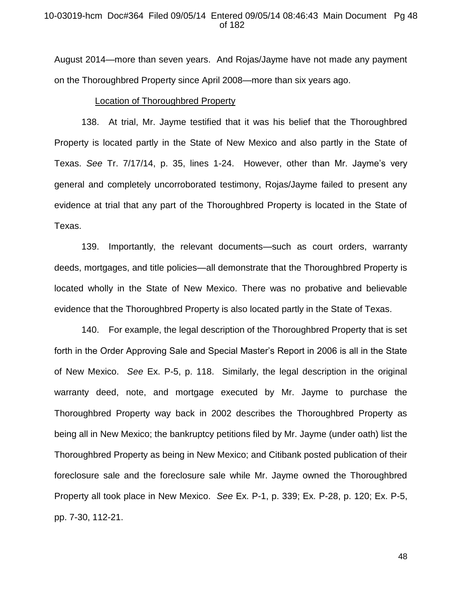## 10-03019-hcm Doc#364 Filed 09/05/14 Entered 09/05/14 08:46:43 Main Document Pg 48 of 182

August 2014—more than seven years. And Rojas/Jayme have not made any payment on the Thoroughbred Property since April 2008—more than six years ago.

#### Location of Thoroughbred Property

138. At trial, Mr. Jayme testified that it was his belief that the Thoroughbred Property is located partly in the State of New Mexico and also partly in the State of Texas. *See* Tr. 7/17/14, p. 35, lines 1-24. However, other than Mr. Jayme's very general and completely uncorroborated testimony, Rojas/Jayme failed to present any evidence at trial that any part of the Thoroughbred Property is located in the State of Texas.

139. Importantly, the relevant documents—such as court orders, warranty deeds, mortgages, and title policies—all demonstrate that the Thoroughbred Property is located wholly in the State of New Mexico. There was no probative and believable evidence that the Thoroughbred Property is also located partly in the State of Texas.

140. For example, the legal description of the Thoroughbred Property that is set forth in the Order Approving Sale and Special Master's Report in 2006 is all in the State of New Mexico. *See* Ex. P-5, p. 118. Similarly, the legal description in the original warranty deed, note, and mortgage executed by Mr. Jayme to purchase the Thoroughbred Property way back in 2002 describes the Thoroughbred Property as being all in New Mexico; the bankruptcy petitions filed by Mr. Jayme (under oath) list the Thoroughbred Property as being in New Mexico; and Citibank posted publication of their foreclosure sale and the foreclosure sale while Mr. Jayme owned the Thoroughbred Property all took place in New Mexico. *See* Ex. P-1, p. 339; Ex. P-28, p. 120; Ex. P-5, pp. 7-30, 112-21.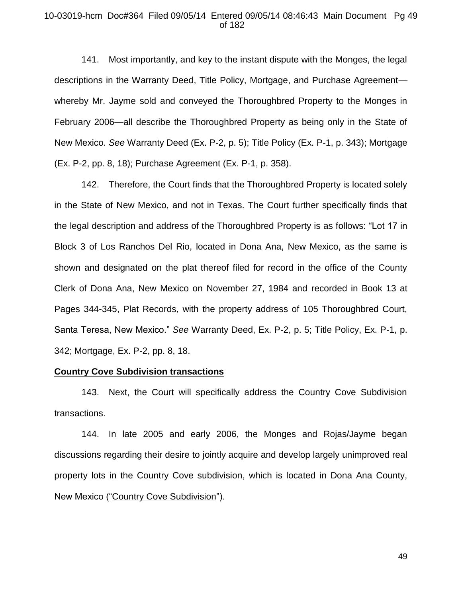### 10-03019-hcm Doc#364 Filed 09/05/14 Entered 09/05/14 08:46:43 Main Document Pg 49 of 182

141. Most importantly, and key to the instant dispute with the Monges, the legal descriptions in the Warranty Deed, Title Policy, Mortgage, and Purchase Agreement whereby Mr. Jayme sold and conveyed the Thoroughbred Property to the Monges in February 2006—all describe the Thoroughbred Property as being only in the State of New Mexico. *See* Warranty Deed (Ex. P-2, p. 5); Title Policy (Ex. P-1, p. 343); Mortgage (Ex. P-2, pp. 8, 18); Purchase Agreement (Ex. P-1, p. 358).

142. Therefore, the Court finds that the Thoroughbred Property is located solely in the State of New Mexico, and not in Texas. The Court further specifically finds that the legal description and address of the Thoroughbred Property is as follows: "Lot 17 in Block 3 of Los Ranchos Del Rio, located in Dona Ana, New Mexico, as the same is shown and designated on the plat thereof filed for record in the office of the County Clerk of Dona Ana, New Mexico on November 27, 1984 and recorded in Book 13 at Pages 344-345, Plat Records, with the property address of 105 Thoroughbred Court, Santa Teresa, New Mexico." *See* Warranty Deed, Ex. P-2, p. 5; Title Policy, Ex. P-1, p. 342; Mortgage, Ex. P-2, pp. 8, 18.

# **Country Cove Subdivision transactions**

143. Next, the Court will specifically address the Country Cove Subdivision transactions.

144. In late 2005 and early 2006, the Monges and Rojas/Jayme began discussions regarding their desire to jointly acquire and develop largely unimproved real property lots in the Country Cove subdivision, which is located in Dona Ana County, New Mexico ("Country Cove Subdivision").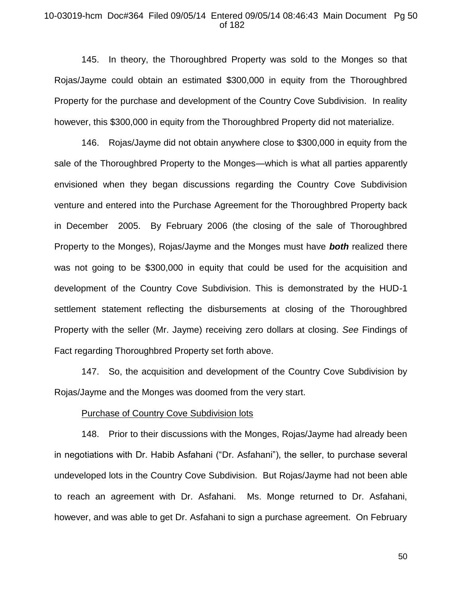# 10-03019-hcm Doc#364 Filed 09/05/14 Entered 09/05/14 08:46:43 Main Document Pg 50 of 182

145. In theory, the Thoroughbred Property was sold to the Monges so that Rojas/Jayme could obtain an estimated \$300,000 in equity from the Thoroughbred Property for the purchase and development of the Country Cove Subdivision. In reality however, this \$300,000 in equity from the Thoroughbred Property did not materialize.

146. Rojas/Jayme did not obtain anywhere close to \$300,000 in equity from the sale of the Thoroughbred Property to the Monges—which is what all parties apparently envisioned when they began discussions regarding the Country Cove Subdivision venture and entered into the Purchase Agreement for the Thoroughbred Property back in December 2005. By February 2006 (the closing of the sale of Thoroughbred Property to the Monges), Rojas/Jayme and the Monges must have *both* realized there was not going to be \$300,000 in equity that could be used for the acquisition and development of the Country Cove Subdivision. This is demonstrated by the HUD-1 settlement statement reflecting the disbursements at closing of the Thoroughbred Property with the seller (Mr. Jayme) receiving zero dollars at closing. *See* Findings of Fact regarding Thoroughbred Property set forth above.

147. So, the acquisition and development of the Country Cove Subdivision by Rojas/Jayme and the Monges was doomed from the very start.

#### Purchase of Country Cove Subdivision lots

148. Prior to their discussions with the Monges, Rojas/Jayme had already been in negotiations with Dr. Habib Asfahani ("Dr. Asfahani"), the seller, to purchase several undeveloped lots in the Country Cove Subdivision. But Rojas/Jayme had not been able to reach an agreement with Dr. Asfahani. Ms. Monge returned to Dr. Asfahani, however, and was able to get Dr. Asfahani to sign a purchase agreement. On February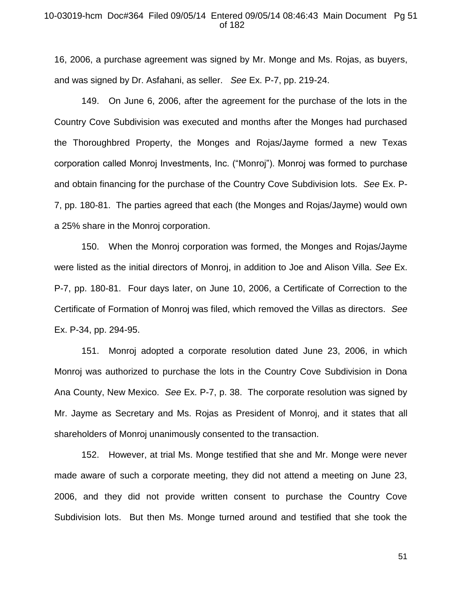### 10-03019-hcm Doc#364 Filed 09/05/14 Entered 09/05/14 08:46:43 Main Document Pg 51 of 182

16, 2006, a purchase agreement was signed by Mr. Monge and Ms. Rojas, as buyers, and was signed by Dr. Asfahani, as seller. *See* Ex. P-7, pp. 219-24.

149. On June 6, 2006, after the agreement for the purchase of the lots in the Country Cove Subdivision was executed and months after the Monges had purchased the Thoroughbred Property, the Monges and Rojas/Jayme formed a new Texas corporation called Monroj Investments, Inc. ("Monroj"). Monroj was formed to purchase and obtain financing for the purchase of the Country Cove Subdivision lots. *See* Ex. P-7, pp. 180-81. The parties agreed that each (the Monges and Rojas/Jayme) would own a 25% share in the Monroj corporation.

150. When the Monroj corporation was formed, the Monges and Rojas/Jayme were listed as the initial directors of Monroj, in addition to Joe and Alison Villa. *See* Ex. P-7, pp. 180-81. Four days later, on June 10, 2006, a Certificate of Correction to the Certificate of Formation of Monroj was filed, which removed the Villas as directors. *See*  Ex. P-34, pp. 294-95.

151. Monroj adopted a corporate resolution dated June 23, 2006, in which Monroj was authorized to purchase the lots in the Country Cove Subdivision in Dona Ana County, New Mexico. *See* Ex. P-7, p. 38. The corporate resolution was signed by Mr. Jayme as Secretary and Ms. Rojas as President of Monroj, and it states that all shareholders of Monroj unanimously consented to the transaction.

152. However, at trial Ms. Monge testified that she and Mr. Monge were never made aware of such a corporate meeting, they did not attend a meeting on June 23, 2006, and they did not provide written consent to purchase the Country Cove Subdivision lots. But then Ms. Monge turned around and testified that she took the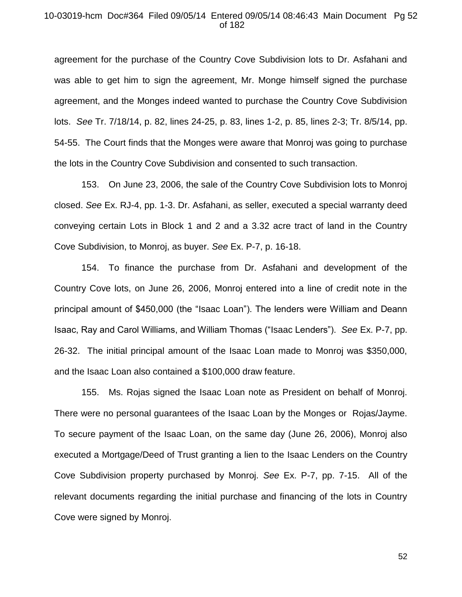# 10-03019-hcm Doc#364 Filed 09/05/14 Entered 09/05/14 08:46:43 Main Document Pg 52 of 182

agreement for the purchase of the Country Cove Subdivision lots to Dr. Asfahani and was able to get him to sign the agreement, Mr. Monge himself signed the purchase agreement, and the Monges indeed wanted to purchase the Country Cove Subdivision lots. *See* Tr. 7/18/14, p. 82, lines 24-25, p. 83, lines 1-2, p. 85, lines 2-3; Tr. 8/5/14, pp. 54-55. The Court finds that the Monges were aware that Monroj was going to purchase the lots in the Country Cove Subdivision and consented to such transaction.

153. On June 23, 2006, the sale of the Country Cove Subdivision lots to Monroj closed. *See* Ex. RJ-4, pp. 1-3. Dr. Asfahani, as seller, executed a special warranty deed conveying certain Lots in Block 1 and 2 and a 3.32 acre tract of land in the Country Cove Subdivision, to Monroj, as buyer. *See* Ex. P-7, p. 16-18.

154. To finance the purchase from Dr. Asfahani and development of the Country Cove lots, on June 26, 2006, Monroj entered into a line of credit note in the principal amount of \$450,000 (the "Isaac Loan"). The lenders were William and Deann Isaac, Ray and Carol Williams, and William Thomas ("Isaac Lenders"). *See* Ex. P-7, pp. 26-32. The initial principal amount of the Isaac Loan made to Monroj was \$350,000, and the Isaac Loan also contained a \$100,000 draw feature.

155. Ms. Rojas signed the Isaac Loan note as President on behalf of Monroj. There were no personal guarantees of the Isaac Loan by the Monges or Rojas/Jayme. To secure payment of the Isaac Loan, on the same day (June 26, 2006), Monroj also executed a Mortgage/Deed of Trust granting a lien to the Isaac Lenders on the Country Cove Subdivision property purchased by Monroj. *See* Ex. P-7, pp. 7-15. All of the relevant documents regarding the initial purchase and financing of the lots in Country Cove were signed by Monroj.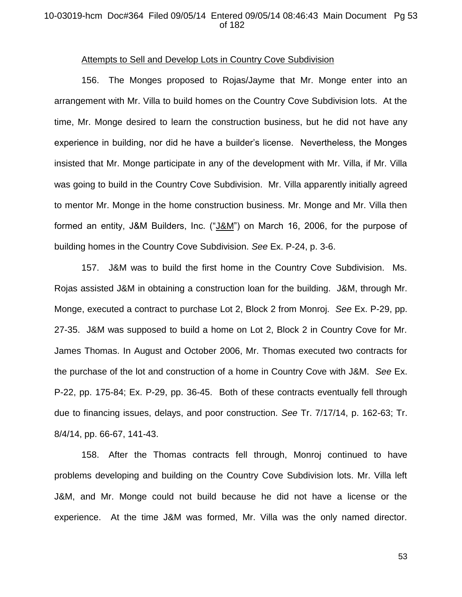# 10-03019-hcm Doc#364 Filed 09/05/14 Entered 09/05/14 08:46:43 Main Document Pg 53 of 182

#### Attempts to Sell and Develop Lots in Country Cove Subdivision

156. The Monges proposed to Rojas/Jayme that Mr. Monge enter into an arrangement with Mr. Villa to build homes on the Country Cove Subdivision lots. At the time, Mr. Monge desired to learn the construction business, but he did not have any experience in building, nor did he have a builder's license. Nevertheless, the Monges insisted that Mr. Monge participate in any of the development with Mr. Villa, if Mr. Villa was going to build in the Country Cove Subdivision. Mr. Villa apparently initially agreed to mentor Mr. Monge in the home construction business. Mr. Monge and Mr. Villa then formed an entity, J&M Builders, Inc. ("J&M") on March 16, 2006, for the purpose of building homes in the Country Cove Subdivision. *See* Ex. P-24, p. 3-6.

157. J&M was to build the first home in the Country Cove Subdivision. Ms. Rojas assisted J&M in obtaining a construction loan for the building. J&M, through Mr. Monge, executed a contract to purchase Lot 2, Block 2 from Monroj. *See* Ex. P-29, pp. 27-35. J&M was supposed to build a home on Lot 2, Block 2 in Country Cove for Mr. James Thomas. In August and October 2006, Mr. Thomas executed two contracts for the purchase of the lot and construction of a home in Country Cove with J&M. *See* Ex. P-22, pp. 175-84; Ex. P-29, pp. 36-45. Both of these contracts eventually fell through due to financing issues, delays, and poor construction. *See* Tr. 7/17/14, p. 162-63; Tr. 8/4/14, pp. 66-67, 141-43.

158. After the Thomas contracts fell through, Monroj continued to have problems developing and building on the Country Cove Subdivision lots. Mr. Villa left J&M, and Mr. Monge could not build because he did not have a license or the experience. At the time J&M was formed, Mr. Villa was the only named director.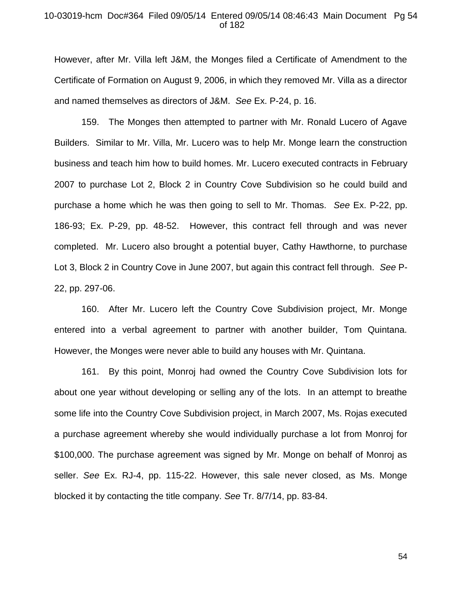# 10-03019-hcm Doc#364 Filed 09/05/14 Entered 09/05/14 08:46:43 Main Document Pg 54 of 182

However, after Mr. Villa left J&M, the Monges filed a Certificate of Amendment to the Certificate of Formation on August 9, 2006, in which they removed Mr. Villa as a director and named themselves as directors of J&M. *See* Ex. P-24, p. 16.

159. The Monges then attempted to partner with Mr. Ronald Lucero of Agave Builders. Similar to Mr. Villa, Mr. Lucero was to help Mr. Monge learn the construction business and teach him how to build homes. Mr. Lucero executed contracts in February 2007 to purchase Lot 2, Block 2 in Country Cove Subdivision so he could build and purchase a home which he was then going to sell to Mr. Thomas. *See* Ex. P-22, pp. 186-93; Ex. P-29, pp. 48-52. However, this contract fell through and was never completed. Mr. Lucero also brought a potential buyer, Cathy Hawthorne, to purchase Lot 3, Block 2 in Country Cove in June 2007, but again this contract fell through. *See* P-22, pp. 297-06.

160. After Mr. Lucero left the Country Cove Subdivision project, Mr. Monge entered into a verbal agreement to partner with another builder, Tom Quintana. However, the Monges were never able to build any houses with Mr. Quintana.

161. By this point, Monroj had owned the Country Cove Subdivision lots for about one year without developing or selling any of the lots. In an attempt to breathe some life into the Country Cove Subdivision project, in March 2007, Ms. Rojas executed a purchase agreement whereby she would individually purchase a lot from Monroj for \$100,000. The purchase agreement was signed by Mr. Monge on behalf of Monroj as seller. *See* Ex. RJ-4, pp. 115-22. However, this sale never closed, as Ms. Monge blocked it by contacting the title company. *See* Tr. 8/7/14, pp. 83-84.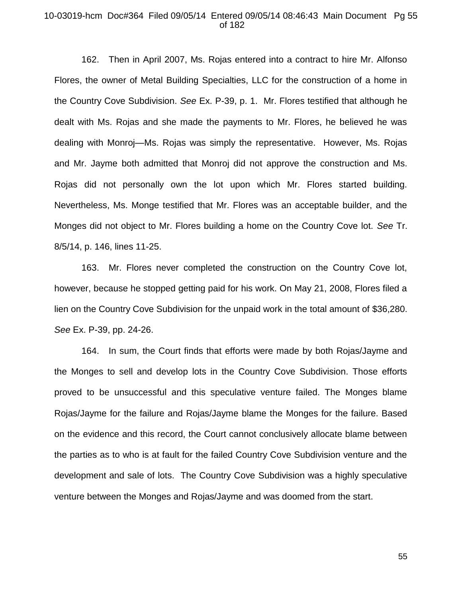# 10-03019-hcm Doc#364 Filed 09/05/14 Entered 09/05/14 08:46:43 Main Document Pg 55 of 182

162. Then in April 2007, Ms. Rojas entered into a contract to hire Mr. Alfonso Flores, the owner of Metal Building Specialties, LLC for the construction of a home in the Country Cove Subdivision. *See* Ex. P-39, p. 1. Mr. Flores testified that although he dealt with Ms. Rojas and she made the payments to Mr. Flores, he believed he was dealing with Monroj—Ms. Rojas was simply the representative. However, Ms. Rojas and Mr. Jayme both admitted that Monroj did not approve the construction and Ms. Rojas did not personally own the lot upon which Mr. Flores started building. Nevertheless, Ms. Monge testified that Mr. Flores was an acceptable builder, and the Monges did not object to Mr. Flores building a home on the Country Cove lot. *See* Tr. 8/5/14, p. 146, lines 11-25.

163. Mr. Flores never completed the construction on the Country Cove lot, however, because he stopped getting paid for his work. On May 21, 2008, Flores filed a lien on the Country Cove Subdivision for the unpaid work in the total amount of \$36,280. *See* Ex. P-39, pp. 24-26.

164. In sum, the Court finds that efforts were made by both Rojas/Jayme and the Monges to sell and develop lots in the Country Cove Subdivision. Those efforts proved to be unsuccessful and this speculative venture failed. The Monges blame Rojas/Jayme for the failure and Rojas/Jayme blame the Monges for the failure. Based on the evidence and this record, the Court cannot conclusively allocate blame between the parties as to who is at fault for the failed Country Cove Subdivision venture and the development and sale of lots. The Country Cove Subdivision was a highly speculative venture between the Monges and Rojas/Jayme and was doomed from the start.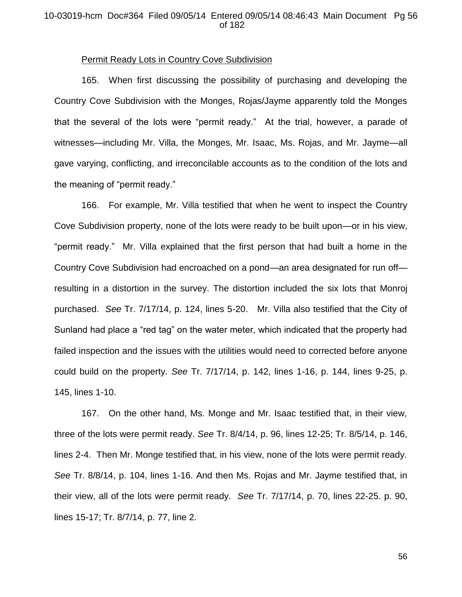## 10-03019-hcm Doc#364 Filed 09/05/14 Entered 09/05/14 08:46:43 Main Document Pg 56 of 182

### Permit Ready Lots in Country Cove Subdivision

165. When first discussing the possibility of purchasing and developing the Country Cove Subdivision with the Monges, Rojas/Jayme apparently told the Monges that the several of the lots were "permit ready." At the trial, however, a parade of witnesses—including Mr. Villa, the Monges, Mr. Isaac, Ms. Rojas, and Mr. Jayme—all gave varying, conflicting, and irreconcilable accounts as to the condition of the lots and the meaning of "permit ready."

166. For example, Mr. Villa testified that when he went to inspect the Country Cove Subdivision property, none of the lots were ready to be built upon—or in his view, "permit ready." Mr. Villa explained that the first person that had built a home in the Country Cove Subdivision had encroached on a pond—an area designated for run off resulting in a distortion in the survey. The distortion included the six lots that Monroj purchased. *See* Tr. 7/17/14, p. 124, lines 5-20. Mr. Villa also testified that the City of Sunland had place a "red tag" on the water meter, which indicated that the property had failed inspection and the issues with the utilities would need to corrected before anyone could build on the property. *See* Tr. 7/17/14, p. 142, lines 1-16, p. 144, lines 9-25, p. 145, lines 1-10.

167. On the other hand, Ms. Monge and Mr. Isaac testified that, in their view, three of the lots were permit ready. *See* Tr. 8/4/14, p. 96, lines 12-25; Tr. 8/5/14, p. 146, lines 2-4. Then Mr. Monge testified that, in his view, none of the lots were permit ready. *See* Tr. 8/8/14, p. 104, lines 1-16. And then Ms. Rojas and Mr. Jayme testified that, in their view, all of the lots were permit ready. *See* Tr. 7/17/14, p. 70, lines 22-25. p. 90, lines 15-17; Tr. 8/7/14, p. 77, line 2.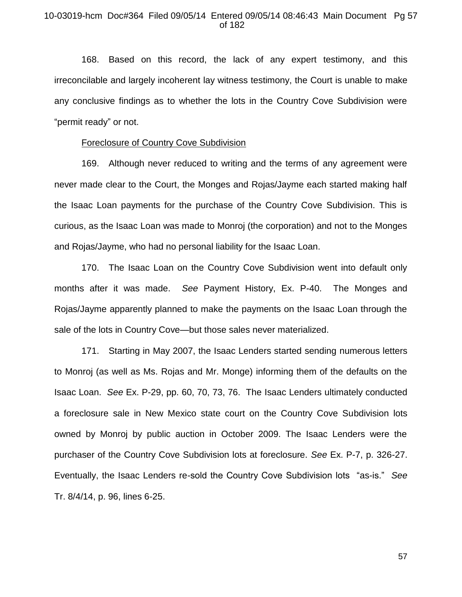## 10-03019-hcm Doc#364 Filed 09/05/14 Entered 09/05/14 08:46:43 Main Document Pg 57 of 182

168. Based on this record, the lack of any expert testimony, and this irreconcilable and largely incoherent lay witness testimony, the Court is unable to make any conclusive findings as to whether the lots in the Country Cove Subdivision were "permit ready" or not.

# Foreclosure of Country Cove Subdivision

169. Although never reduced to writing and the terms of any agreement were never made clear to the Court, the Monges and Rojas/Jayme each started making half the Isaac Loan payments for the purchase of the Country Cove Subdivision. This is curious, as the Isaac Loan was made to Monroj (the corporation) and not to the Monges and Rojas/Jayme, who had no personal liability for the Isaac Loan.

170. The Isaac Loan on the Country Cove Subdivision went into default only months after it was made. *See* Payment History, Ex. P-40. The Monges and Rojas/Jayme apparently planned to make the payments on the Isaac Loan through the sale of the lots in Country Cove—but those sales never materialized.

171. Starting in May 2007, the Isaac Lenders started sending numerous letters to Monroj (as well as Ms. Rojas and Mr. Monge) informing them of the defaults on the Isaac Loan. *See* Ex. P-29, pp. 60, 70, 73, 76. The Isaac Lenders ultimately conducted a foreclosure sale in New Mexico state court on the Country Cove Subdivision lots owned by Monroj by public auction in October 2009. The Isaac Lenders were the purchaser of the Country Cove Subdivision lots at foreclosure. *See* Ex. P-7, p. 326-27. Eventually, the Isaac Lenders re-sold the Country Cove Subdivision lots "as-is." *See*  Tr. 8/4/14, p. 96, lines 6-25.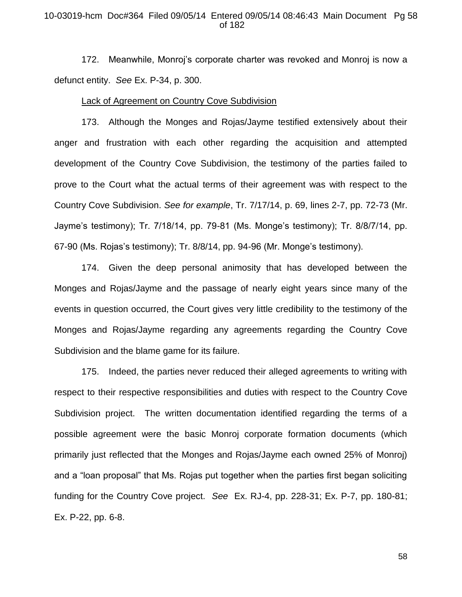### 10-03019-hcm Doc#364 Filed 09/05/14 Entered 09/05/14 08:46:43 Main Document Pg 58 of 182

172. Meanwhile, Monroj's corporate charter was revoked and Monroj is now a defunct entity. *See* Ex. P-34, p. 300.

#### Lack of Agreement on Country Cove Subdivision

173. Although the Monges and Rojas/Jayme testified extensively about their anger and frustration with each other regarding the acquisition and attempted development of the Country Cove Subdivision, the testimony of the parties failed to prove to the Court what the actual terms of their agreement was with respect to the Country Cove Subdivision. *See for example*, Tr. 7/17/14, p. 69, lines 2-7, pp. 72-73 (Mr. Jayme's testimony); Tr. 7/18/14, pp. 79-81 (Ms. Monge's testimony); Tr. 8/8/7/14, pp. 67-90 (Ms. Rojas's testimony); Tr. 8/8/14, pp. 94-96 (Mr. Monge's testimony).

174. Given the deep personal animosity that has developed between the Monges and Rojas/Jayme and the passage of nearly eight years since many of the events in question occurred, the Court gives very little credibility to the testimony of the Monges and Rojas/Jayme regarding any agreements regarding the Country Cove Subdivision and the blame game for its failure.

175. Indeed, the parties never reduced their alleged agreements to writing with respect to their respective responsibilities and duties with respect to the Country Cove Subdivision project. The written documentation identified regarding the terms of a possible agreement were the basic Monroj corporate formation documents (which primarily just reflected that the Monges and Rojas/Jayme each owned 25% of Monroj) and a "loan proposal" that Ms. Rojas put together when the parties first began soliciting funding for the Country Cove project. *See* Ex. RJ-4, pp. 228-31; Ex. P-7, pp. 180-81; Ex. P-22, pp. 6-8.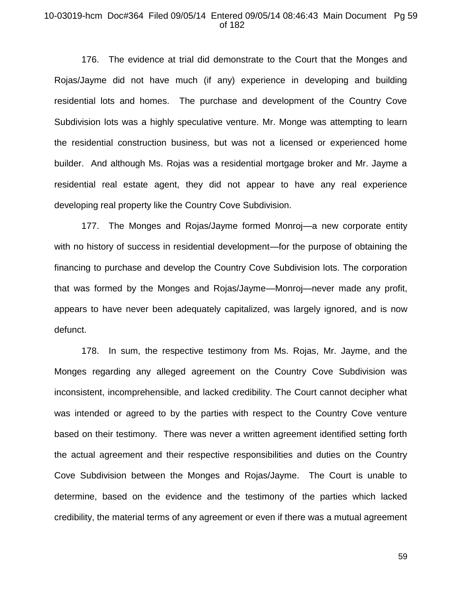## 10-03019-hcm Doc#364 Filed 09/05/14 Entered 09/05/14 08:46:43 Main Document Pg 59 of 182

176. The evidence at trial did demonstrate to the Court that the Monges and Rojas/Jayme did not have much (if any) experience in developing and building residential lots and homes. The purchase and development of the Country Cove Subdivision lots was a highly speculative venture. Mr. Monge was attempting to learn the residential construction business, but was not a licensed or experienced home builder. And although Ms. Rojas was a residential mortgage broker and Mr. Jayme a residential real estate agent, they did not appear to have any real experience developing real property like the Country Cove Subdivision.

177. The Monges and Rojas/Jayme formed Monroj—a new corporate entity with no history of success in residential development—for the purpose of obtaining the financing to purchase and develop the Country Cove Subdivision lots. The corporation that was formed by the Monges and Rojas/Jayme—Monroj—never made any profit, appears to have never been adequately capitalized, was largely ignored, and is now defunct.

178. In sum, the respective testimony from Ms. Rojas, Mr. Jayme, and the Monges regarding any alleged agreement on the Country Cove Subdivision was inconsistent, incomprehensible, and lacked credibility. The Court cannot decipher what was intended or agreed to by the parties with respect to the Country Cove venture based on their testimony. There was never a written agreement identified setting forth the actual agreement and their respective responsibilities and duties on the Country Cove Subdivision between the Monges and Rojas/Jayme. The Court is unable to determine, based on the evidence and the testimony of the parties which lacked credibility, the material terms of any agreement or even if there was a mutual agreement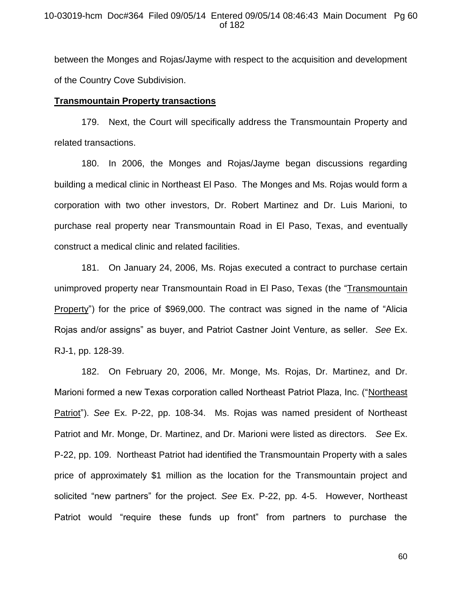between the Monges and Rojas/Jayme with respect to the acquisition and development of the Country Cove Subdivision.

### **Transmountain Property transactions**

179. Next, the Court will specifically address the Transmountain Property and related transactions.

180. In 2006, the Monges and Rojas/Jayme began discussions regarding building a medical clinic in Northeast El Paso. The Monges and Ms. Rojas would form a corporation with two other investors, Dr. Robert Martinez and Dr. Luis Marioni, to purchase real property near Transmountain Road in El Paso, Texas, and eventually construct a medical clinic and related facilities.

181. On January 24, 2006, Ms. Rojas executed a contract to purchase certain unimproved property near Transmountain Road in El Paso, Texas (the "Transmountain Property") for the price of \$969,000. The contract was signed in the name of "Alicia Rojas and/or assigns" as buyer, and Patriot Castner Joint Venture, as seller. *See* Ex. RJ-1, pp. 128-39.

182. On February 20, 2006, Mr. Monge, Ms. Rojas, Dr. Martinez, and Dr. Marioni formed a new Texas corporation called Northeast Patriot Plaza, Inc. ("Northeast Patriot"). *See* Ex. P-22, pp. 108-34. Ms. Rojas was named president of Northeast Patriot and Mr. Monge, Dr. Martinez, and Dr. Marioni were listed as directors. *See* Ex. P-22, pp. 109. Northeast Patriot had identified the Transmountain Property with a sales price of approximately \$1 million as the location for the Transmountain project and solicited "new partners" for the project. *See* Ex. P-22, pp. 4-5. However, Northeast Patriot would "require these funds up front" from partners to purchase the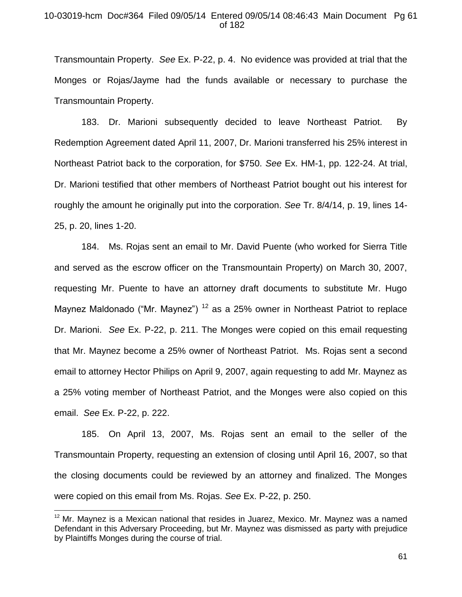## 10-03019-hcm Doc#364 Filed 09/05/14 Entered 09/05/14 08:46:43 Main Document Pg 61 of 182

Transmountain Property. *See* Ex. P-22, p. 4. No evidence was provided at trial that the Monges or Rojas/Jayme had the funds available or necessary to purchase the Transmountain Property.

183. Dr. Marioni subsequently decided to leave Northeast Patriot. By Redemption Agreement dated April 11, 2007, Dr. Marioni transferred his 25% interest in Northeast Patriot back to the corporation, for \$750. *See* Ex. HM-1, pp. 122-24. At trial, Dr. Marioni testified that other members of Northeast Patriot bought out his interest for roughly the amount he originally put into the corporation. *See* Tr. 8/4/14, p. 19, lines 14- 25, p. 20, lines 1-20.

184. Ms. Rojas sent an email to Mr. David Puente (who worked for Sierra Title and served as the escrow officer on the Transmountain Property) on March 30, 2007, requesting Mr. Puente to have an attorney draft documents to substitute Mr. Hugo Maynez Maldonado ("Mr. Maynez")  $12$  as a 25% owner in Northeast Patriot to replace Dr. Marioni. *See* Ex. P-22, p. 211. The Monges were copied on this email requesting that Mr. Maynez become a 25% owner of Northeast Patriot. Ms. Rojas sent a second email to attorney Hector Philips on April 9, 2007, again requesting to add Mr. Maynez as a 25% voting member of Northeast Patriot, and the Monges were also copied on this email. *See* Ex. P-22, p. 222.

185. On April 13, 2007, Ms. Rojas sent an email to the seller of the Transmountain Property, requesting an extension of closing until April 16, 2007, so that the closing documents could be reviewed by an attorney and finalized. The Monges were copied on this email from Ms. Rojas. *See* Ex. P-22, p. 250.

 $\overline{a}$ 

 $12$  Mr. Mavnez is a Mexican national that resides in Juarez, Mexico. Mr. Maynez was a named Defendant in this Adversary Proceeding, but Mr. Maynez was dismissed as party with prejudice by Plaintiffs Monges during the course of trial.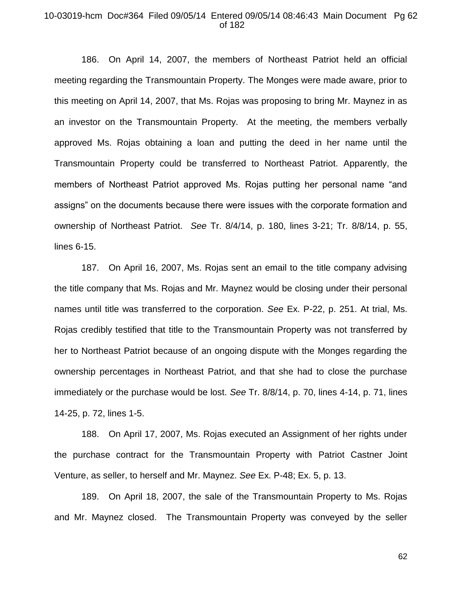#### 10-03019-hcm Doc#364 Filed 09/05/14 Entered 09/05/14 08:46:43 Main Document Pg 62 of 182

186. On April 14, 2007, the members of Northeast Patriot held an official meeting regarding the Transmountain Property. The Monges were made aware, prior to this meeting on April 14, 2007, that Ms. Rojas was proposing to bring Mr. Maynez in as an investor on the Transmountain Property. At the meeting, the members verbally approved Ms. Rojas obtaining a loan and putting the deed in her name until the Transmountain Property could be transferred to Northeast Patriot. Apparently, the members of Northeast Patriot approved Ms. Rojas putting her personal name "and assigns" on the documents because there were issues with the corporate formation and ownership of Northeast Patriot. *See* Tr. 8/4/14, p. 180, lines 3-21; Tr. 8/8/14, p. 55, lines 6-15.

187. On April 16, 2007, Ms. Rojas sent an email to the title company advising the title company that Ms. Rojas and Mr. Maynez would be closing under their personal names until title was transferred to the corporation. *See* Ex. P-22, p. 251. At trial, Ms. Rojas credibly testified that title to the Transmountain Property was not transferred by her to Northeast Patriot because of an ongoing dispute with the Monges regarding the ownership percentages in Northeast Patriot, and that she had to close the purchase immediately or the purchase would be lost. *See* Tr. 8/8/14, p. 70, lines 4-14, p. 71, lines 14-25, p. 72, lines 1-5.

188. On April 17, 2007, Ms. Rojas executed an Assignment of her rights under the purchase contract for the Transmountain Property with Patriot Castner Joint Venture, as seller, to herself and Mr. Maynez. *See* Ex. P-48; Ex. 5, p. 13.

189. On April 18, 2007, the sale of the Transmountain Property to Ms. Rojas and Mr. Maynez closed. The Transmountain Property was conveyed by the seller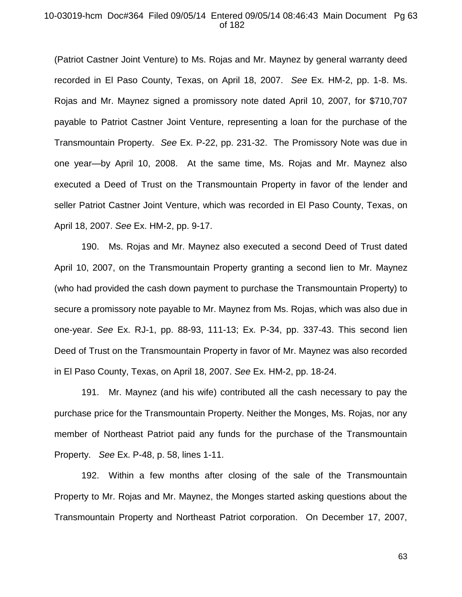#### 10-03019-hcm Doc#364 Filed 09/05/14 Entered 09/05/14 08:46:43 Main Document Pg 63 of 182

(Patriot Castner Joint Venture) to Ms. Rojas and Mr. Maynez by general warranty deed recorded in El Paso County, Texas, on April 18, 2007. *See* Ex. HM-2, pp. 1-8. Ms. Rojas and Mr. Maynez signed a promissory note dated April 10, 2007, for \$710,707 payable to Patriot Castner Joint Venture, representing a loan for the purchase of the Transmountain Property. *See* Ex. P-22, pp. 231-32. The Promissory Note was due in one year—by April 10, 2008. At the same time, Ms. Rojas and Mr. Maynez also executed a Deed of Trust on the Transmountain Property in favor of the lender and seller Patriot Castner Joint Venture, which was recorded in El Paso County, Texas, on April 18, 2007. *See* Ex. HM-2, pp. 9-17.

190. Ms. Rojas and Mr. Maynez also executed a second Deed of Trust dated April 10, 2007, on the Transmountain Property granting a second lien to Mr. Maynez (who had provided the cash down payment to purchase the Transmountain Property) to secure a promissory note payable to Mr. Maynez from Ms. Rojas, which was also due in one-year. *See* Ex. RJ-1, pp. 88-93, 111-13; Ex. P-34, pp. 337-43. This second lien Deed of Trust on the Transmountain Property in favor of Mr. Maynez was also recorded in El Paso County, Texas, on April 18, 2007. *See* Ex. HM-2, pp. 18-24.

191. Mr. Maynez (and his wife) contributed all the cash necessary to pay the purchase price for the Transmountain Property. Neither the Monges, Ms. Rojas, nor any member of Northeast Patriot paid any funds for the purchase of the Transmountain Property. *See* Ex. P-48, p. 58, lines 1-11.

192. Within a few months after closing of the sale of the Transmountain Property to Mr. Rojas and Mr. Maynez, the Monges started asking questions about the Transmountain Property and Northeast Patriot corporation. On December 17, 2007,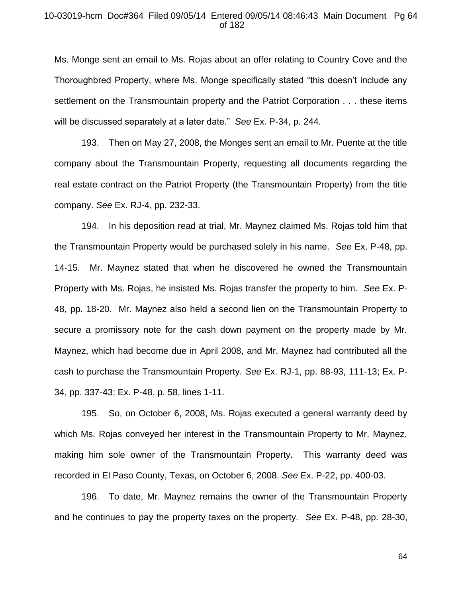### 10-03019-hcm Doc#364 Filed 09/05/14 Entered 09/05/14 08:46:43 Main Document Pg 64 of 182

Ms. Monge sent an email to Ms. Rojas about an offer relating to Country Cove and the Thoroughbred Property, where Ms. Monge specifically stated "this doesn't include any settlement on the Transmountain property and the Patriot Corporation . . . these items will be discussed separately at a later date." *See* Ex. P-34, p. 244.

193. Then on May 27, 2008, the Monges sent an email to Mr. Puente at the title company about the Transmountain Property, requesting all documents regarding the real estate contract on the Patriot Property (the Transmountain Property) from the title company. *See* Ex. RJ-4, pp. 232-33.

194. In his deposition read at trial, Mr. Maynez claimed Ms. Rojas told him that the Transmountain Property would be purchased solely in his name. *See* Ex. P-48, pp. 14-15. Mr. Maynez stated that when he discovered he owned the Transmountain Property with Ms. Rojas, he insisted Ms. Rojas transfer the property to him. *See* Ex. P-48, pp. 18-20. Mr. Maynez also held a second lien on the Transmountain Property to secure a promissory note for the cash down payment on the property made by Mr. Maynez, which had become due in April 2008, and Mr. Maynez had contributed all the cash to purchase the Transmountain Property. *See* Ex. RJ-1, pp. 88-93, 111-13; Ex. P-34, pp. 337-43; Ex. P-48, p. 58, lines 1-11.

195. So, on October 6, 2008, Ms. Rojas executed a general warranty deed by which Ms. Rojas conveyed her interest in the Transmountain Property to Mr. Maynez, making him sole owner of the Transmountain Property. This warranty deed was recorded in El Paso County, Texas, on October 6, 2008. *See* Ex. P-22, pp. 400-03.

196. To date, Mr. Maynez remains the owner of the Transmountain Property and he continues to pay the property taxes on the property. *See* Ex. P-48, pp. 28-30,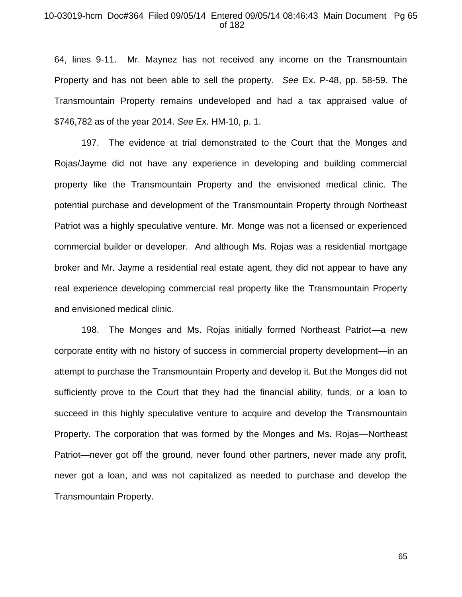## 10-03019-hcm Doc#364 Filed 09/05/14 Entered 09/05/14 08:46:43 Main Document Pg 65 of 182

64, lines 9-11. Mr. Maynez has not received any income on the Transmountain Property and has not been able to sell the property. *See* Ex. P-48, pp. 58-59. The Transmountain Property remains undeveloped and had a tax appraised value of \$746,782 as of the year 2014. *See* Ex. HM-10, p. 1.

197. The evidence at trial demonstrated to the Court that the Monges and Rojas/Jayme did not have any experience in developing and building commercial property like the Transmountain Property and the envisioned medical clinic. The potential purchase and development of the Transmountain Property through Northeast Patriot was a highly speculative venture. Mr. Monge was not a licensed or experienced commercial builder or developer. And although Ms. Rojas was a residential mortgage broker and Mr. Jayme a residential real estate agent, they did not appear to have any real experience developing commercial real property like the Transmountain Property and envisioned medical clinic.

198. The Monges and Ms. Rojas initially formed Northeast Patriot—a new corporate entity with no history of success in commercial property development—in an attempt to purchase the Transmountain Property and develop it. But the Monges did not sufficiently prove to the Court that they had the financial ability, funds, or a loan to succeed in this highly speculative venture to acquire and develop the Transmountain Property. The corporation that was formed by the Monges and Ms. Rojas—Northeast Patriot—never got off the ground, never found other partners, never made any profit, never got a loan, and was not capitalized as needed to purchase and develop the Transmountain Property.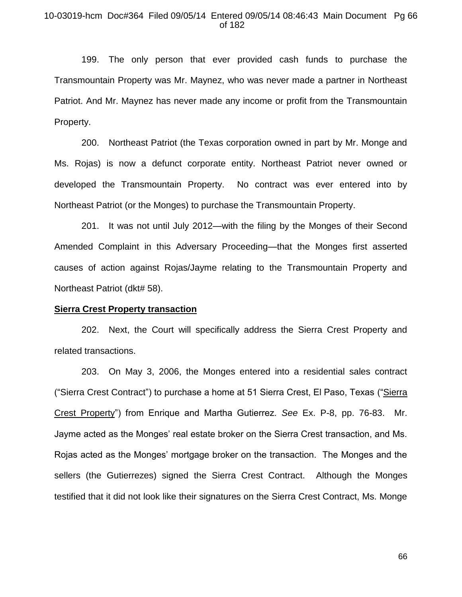# 10-03019-hcm Doc#364 Filed 09/05/14 Entered 09/05/14 08:46:43 Main Document Pg 66 of 182

199. The only person that ever provided cash funds to purchase the Transmountain Property was Mr. Maynez, who was never made a partner in Northeast Patriot. And Mr. Maynez has never made any income or profit from the Transmountain Property.

200. Northeast Patriot (the Texas corporation owned in part by Mr. Monge and Ms. Rojas) is now a defunct corporate entity. Northeast Patriot never owned or developed the Transmountain Property. No contract was ever entered into by Northeast Patriot (or the Monges) to purchase the Transmountain Property.

201. It was not until July 2012—with the filing by the Monges of their Second Amended Complaint in this Adversary Proceeding—that the Monges first asserted causes of action against Rojas/Jayme relating to the Transmountain Property and Northeast Patriot (dkt# 58).

#### **Sierra Crest Property transaction**

202. Next, the Court will specifically address the Sierra Crest Property and related transactions.

203. On May 3, 2006, the Monges entered into a residential sales contract ("Sierra Crest Contract") to purchase a home at 51 Sierra Crest, El Paso, Texas ("Sierra Crest Property") from Enrique and Martha Gutierrez. *See* Ex. P-8, pp. 76-83. Mr. Jayme acted as the Monges' real estate broker on the Sierra Crest transaction, and Ms. Rojas acted as the Monges' mortgage broker on the transaction. The Monges and the sellers (the Gutierrezes) signed the Sierra Crest Contract. Although the Monges testified that it did not look like their signatures on the Sierra Crest Contract, Ms. Monge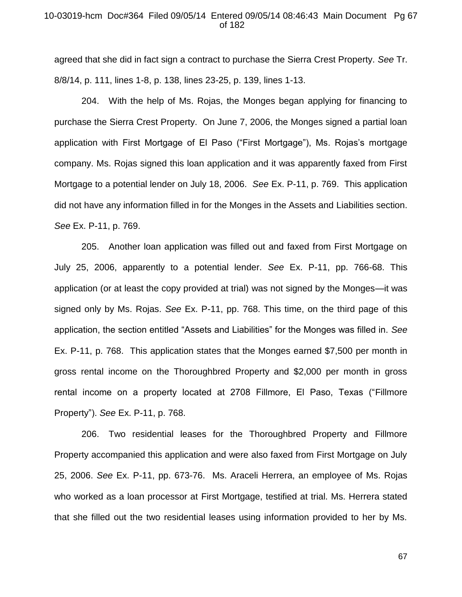# 10-03019-hcm Doc#364 Filed 09/05/14 Entered 09/05/14 08:46:43 Main Document Pg 67 of 182

agreed that she did in fact sign a contract to purchase the Sierra Crest Property. *See* Tr. 8/8/14, p. 111, lines 1-8, p. 138, lines 23-25, p. 139, lines 1-13.

204. With the help of Ms. Rojas, the Monges began applying for financing to purchase the Sierra Crest Property. On June 7, 2006, the Monges signed a partial loan application with First Mortgage of El Paso ("First Mortgage"), Ms. Rojas's mortgage company. Ms. Rojas signed this loan application and it was apparently faxed from First Mortgage to a potential lender on July 18, 2006. *See* Ex. P-11, p. 769. This application did not have any information filled in for the Monges in the Assets and Liabilities section. *See* Ex. P-11, p. 769.

205. Another loan application was filled out and faxed from First Mortgage on July 25, 2006, apparently to a potential lender. *See* Ex. P-11, pp. 766-68. This application (or at least the copy provided at trial) was not signed by the Monges—it was signed only by Ms. Rojas. *See* Ex. P-11, pp. 768. This time, on the third page of this application, the section entitled "Assets and Liabilities" for the Monges was filled in. *See*  Ex. P-11, p. 768. This application states that the Monges earned \$7,500 per month in gross rental income on the Thoroughbred Property and \$2,000 per month in gross rental income on a property located at 2708 Fillmore, El Paso, Texas ("Fillmore Property"). *See* Ex. P-11, p. 768.

206. Two residential leases for the Thoroughbred Property and Fillmore Property accompanied this application and were also faxed from First Mortgage on July 25, 2006. *See* Ex. P-11, pp. 673-76. Ms. Araceli Herrera, an employee of Ms. Rojas who worked as a loan processor at First Mortgage, testified at trial. Ms. Herrera stated that she filled out the two residential leases using information provided to her by Ms.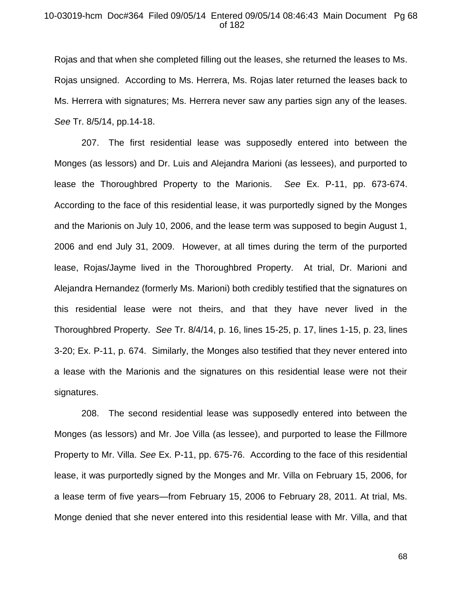# 10-03019-hcm Doc#364 Filed 09/05/14 Entered 09/05/14 08:46:43 Main Document Pg 68 of 182

Rojas and that when she completed filling out the leases, she returned the leases to Ms. Rojas unsigned. According to Ms. Herrera, Ms. Rojas later returned the leases back to Ms. Herrera with signatures; Ms. Herrera never saw any parties sign any of the leases. *See* Tr. 8/5/14, pp.14-18.

207. The first residential lease was supposedly entered into between the Monges (as lessors) and Dr. Luis and Alejandra Marioni (as lessees), and purported to lease the Thoroughbred Property to the Marionis. *See* Ex. P-11, pp. 673-674. According to the face of this residential lease, it was purportedly signed by the Monges and the Marionis on July 10, 2006, and the lease term was supposed to begin August 1, 2006 and end July 31, 2009. However, at all times during the term of the purported lease, Rojas/Jayme lived in the Thoroughbred Property. At trial, Dr. Marioni and Alejandra Hernandez (formerly Ms. Marioni) both credibly testified that the signatures on this residential lease were not theirs, and that they have never lived in the Thoroughbred Property. *See* Tr. 8/4/14, p. 16, lines 15-25, p. 17, lines 1-15, p. 23, lines 3-20; Ex. P-11, p. 674. Similarly, the Monges also testified that they never entered into a lease with the Marionis and the signatures on this residential lease were not their signatures.

208. The second residential lease was supposedly entered into between the Monges (as lessors) and Mr. Joe Villa (as lessee), and purported to lease the Fillmore Property to Mr. Villa. *See* Ex. P-11, pp. 675-76. According to the face of this residential lease, it was purportedly signed by the Monges and Mr. Villa on February 15, 2006, for a lease term of five years—from February 15, 2006 to February 28, 2011. At trial, Ms. Monge denied that she never entered into this residential lease with Mr. Villa, and that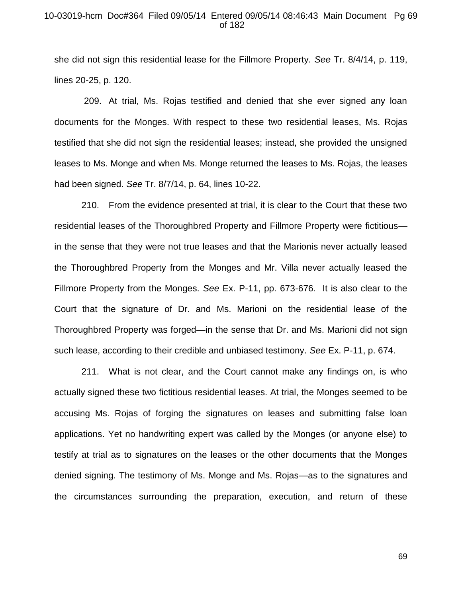## 10-03019-hcm Doc#364 Filed 09/05/14 Entered 09/05/14 08:46:43 Main Document Pg 69 of 182

she did not sign this residential lease for the Fillmore Property. *See* Tr. 8/4/14, p. 119, lines 20-25, p. 120.

209. At trial, Ms. Rojas testified and denied that she ever signed any loan documents for the Monges. With respect to these two residential leases, Ms. Rojas testified that she did not sign the residential leases; instead, she provided the unsigned leases to Ms. Monge and when Ms. Monge returned the leases to Ms. Rojas, the leases had been signed. *See* Tr. 8/7/14, p. 64, lines 10-22.

210. From the evidence presented at trial, it is clear to the Court that these two residential leases of the Thoroughbred Property and Fillmore Property were fictitious in the sense that they were not true leases and that the Marionis never actually leased the Thoroughbred Property from the Monges and Mr. Villa never actually leased the Fillmore Property from the Monges. *See* Ex. P-11, pp. 673-676. It is also clear to the Court that the signature of Dr. and Ms. Marioni on the residential lease of the Thoroughbred Property was forged—in the sense that Dr. and Ms. Marioni did not sign such lease, according to their credible and unbiased testimony. *See* Ex. P-11, p. 674.

211. What is not clear, and the Court cannot make any findings on, is who actually signed these two fictitious residential leases. At trial, the Monges seemed to be accusing Ms. Rojas of forging the signatures on leases and submitting false loan applications. Yet no handwriting expert was called by the Monges (or anyone else) to testify at trial as to signatures on the leases or the other documents that the Monges denied signing. The testimony of Ms. Monge and Ms. Rojas—as to the signatures and the circumstances surrounding the preparation, execution, and return of these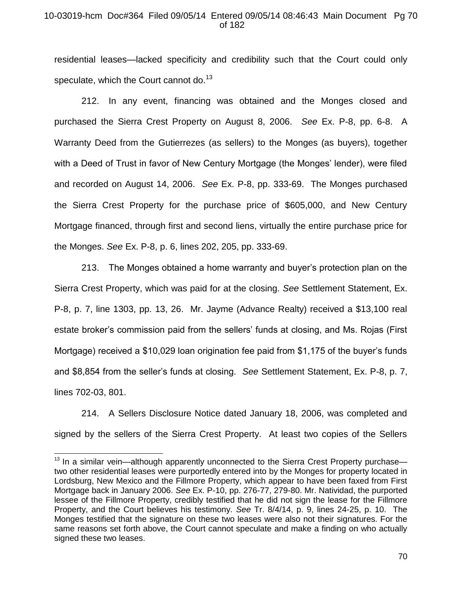# 10-03019-hcm Doc#364 Filed 09/05/14 Entered 09/05/14 08:46:43 Main Document Pg 70 of 182

residential leases—lacked specificity and credibility such that the Court could only speculate, which the Court cannot do.<sup>13</sup>

212. In any event, financing was obtained and the Monges closed and purchased the Sierra Crest Property on August 8, 2006. *See* Ex. P-8, pp. 6-8. A Warranty Deed from the Gutierrezes (as sellers) to the Monges (as buyers), together with a Deed of Trust in favor of New Century Mortgage (the Monges' lender), were filed and recorded on August 14, 2006. *See* Ex. P-8, pp. 333-69. The Monges purchased the Sierra Crest Property for the purchase price of \$605,000, and New Century Mortgage financed, through first and second liens, virtually the entire purchase price for the Monges. *See* Ex. P-8, p. 6, lines 202, 205, pp. 333-69.

213. The Monges obtained a home warranty and buyer's protection plan on the Sierra Crest Property, which was paid for at the closing. *See* Settlement Statement, Ex. P-8, p. 7, line 1303, pp. 13, 26. Mr. Jayme (Advance Realty) received a \$13,100 real estate broker's commission paid from the sellers' funds at closing, and Ms. Rojas (First Mortgage) received a \$10,029 loan origination fee paid from \$1,175 of the buyer's funds and \$8,854 from the seller's funds at closing. *See* Settlement Statement, Ex. P-8, p. 7, lines 702-03, 801.

214. A Sellers Disclosure Notice dated January 18, 2006, was completed and signed by the sellers of the Sierra Crest Property. At least two copies of the Sellers

 $\overline{\phantom{a}}$ 

 $13$  In a similar vein—although apparently unconnected to the Sierra Crest Property purchase two other residential leases were purportedly entered into by the Monges for property located in Lordsburg, New Mexico and the Fillmore Property, which appear to have been faxed from First Mortgage back in January 2006. *See* Ex. P-10, pp. 276-77, 279-80. Mr. Natividad, the purported lessee of the Fillmore Property, credibly testified that he did not sign the lease for the Fillmore Property, and the Court believes his testimony. *See* Tr. 8/4/14, p. 9, lines 24-25, p. 10. The Monges testified that the signature on these two leases were also not their signatures. For the same reasons set forth above, the Court cannot speculate and make a finding on who actually signed these two leases.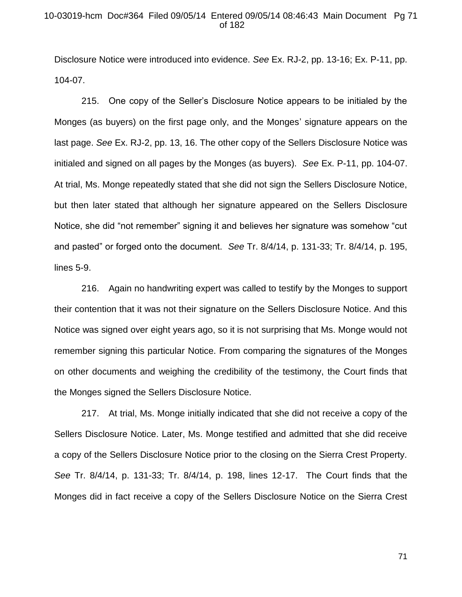# 10-03019-hcm Doc#364 Filed 09/05/14 Entered 09/05/14 08:46:43 Main Document Pg 71 of 182

Disclosure Notice were introduced into evidence. *See* Ex. RJ-2, pp. 13-16; Ex. P-11, pp. 104-07.

215. One copy of the Seller's Disclosure Notice appears to be initialed by the Monges (as buyers) on the first page only, and the Monges' signature appears on the last page. *See* Ex. RJ-2, pp. 13, 16. The other copy of the Sellers Disclosure Notice was initialed and signed on all pages by the Monges (as buyers). *See* Ex. P-11, pp. 104-07. At trial, Ms. Monge repeatedly stated that she did not sign the Sellers Disclosure Notice, but then later stated that although her signature appeared on the Sellers Disclosure Notice, she did "not remember" signing it and believes her signature was somehow "cut and pasted" or forged onto the document. *See* Tr. 8/4/14, p. 131-33; Tr. 8/4/14, p. 195, lines 5-9.

216. Again no handwriting expert was called to testify by the Monges to support their contention that it was not their signature on the Sellers Disclosure Notice. And this Notice was signed over eight years ago, so it is not surprising that Ms. Monge would not remember signing this particular Notice. From comparing the signatures of the Monges on other documents and weighing the credibility of the testimony, the Court finds that the Monges signed the Sellers Disclosure Notice.

217. At trial, Ms. Monge initially indicated that she did not receive a copy of the Sellers Disclosure Notice. Later, Ms. Monge testified and admitted that she did receive a copy of the Sellers Disclosure Notice prior to the closing on the Sierra Crest Property. *See* Tr. 8/4/14, p. 131-33; Tr. 8/4/14, p. 198, lines 12-17. The Court finds that the Monges did in fact receive a copy of the Sellers Disclosure Notice on the Sierra Crest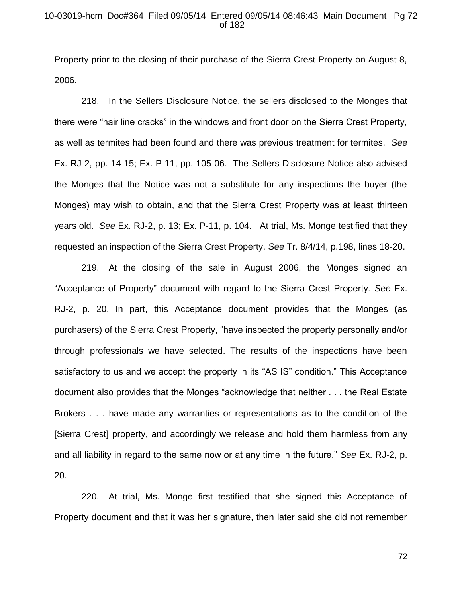# 10-03019-hcm Doc#364 Filed 09/05/14 Entered 09/05/14 08:46:43 Main Document Pg 72 of 182

Property prior to the closing of their purchase of the Sierra Crest Property on August 8, 2006.

218. In the Sellers Disclosure Notice, the sellers disclosed to the Monges that there were "hair line cracks" in the windows and front door on the Sierra Crest Property, as well as termites had been found and there was previous treatment for termites. *See*  Ex. RJ-2, pp. 14-15; Ex. P-11, pp. 105-06. The Sellers Disclosure Notice also advised the Monges that the Notice was not a substitute for any inspections the buyer (the Monges) may wish to obtain, and that the Sierra Crest Property was at least thirteen years old. *See* Ex. RJ-2, p. 13; Ex. P-11, p. 104. At trial, Ms. Monge testified that they requested an inspection of the Sierra Crest Property. *See* Tr. 8/4/14, p.198, lines 18-20.

219. At the closing of the sale in August 2006, the Monges signed an "Acceptance of Property" document with regard to the Sierra Crest Property. *See* Ex. RJ-2, p. 20. In part, this Acceptance document provides that the Monges (as purchasers) of the Sierra Crest Property, "have inspected the property personally and/or through professionals we have selected. The results of the inspections have been satisfactory to us and we accept the property in its "AS IS" condition." This Acceptance document also provides that the Monges "acknowledge that neither . . . the Real Estate Brokers . . . have made any warranties or representations as to the condition of the [Sierra Crest] property, and accordingly we release and hold them harmless from any and all liability in regard to the same now or at any time in the future." *See* Ex. RJ-2, p. 20.

220. At trial, Ms. Monge first testified that she signed this Acceptance of Property document and that it was her signature, then later said she did not remember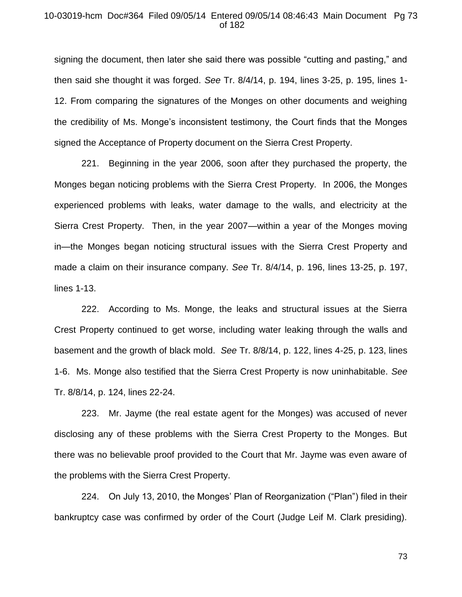#### 10-03019-hcm Doc#364 Filed 09/05/14 Entered 09/05/14 08:46:43 Main Document Pg 73 of 182

signing the document, then later she said there was possible "cutting and pasting," and then said she thought it was forged. *See* Tr. 8/4/14, p. 194, lines 3-25, p. 195, lines 1- 12. From comparing the signatures of the Monges on other documents and weighing the credibility of Ms. Monge's inconsistent testimony, the Court finds that the Monges signed the Acceptance of Property document on the Sierra Crest Property.

221. Beginning in the year 2006, soon after they purchased the property, the Monges began noticing problems with the Sierra Crest Property. In 2006, the Monges experienced problems with leaks, water damage to the walls, and electricity at the Sierra Crest Property. Then, in the year 2007—within a year of the Monges moving in—the Monges began noticing structural issues with the Sierra Crest Property and made a claim on their insurance company. *See* Tr. 8/4/14, p. 196, lines 13-25, p. 197, lines 1-13.

222. According to Ms. Monge, the leaks and structural issues at the Sierra Crest Property continued to get worse, including water leaking through the walls and basement and the growth of black mold. *See* Tr. 8/8/14, p. 122, lines 4-25, p. 123, lines 1-6. Ms. Monge also testified that the Sierra Crest Property is now uninhabitable. *See* Tr. 8/8/14, p. 124, lines 22-24.

223. Mr. Jayme (the real estate agent for the Monges) was accused of never disclosing any of these problems with the Sierra Crest Property to the Monges. But there was no believable proof provided to the Court that Mr. Jayme was even aware of the problems with the Sierra Crest Property.

224. On July 13, 2010, the Monges' Plan of Reorganization ("Plan") filed in their bankruptcy case was confirmed by order of the Court (Judge Leif M. Clark presiding).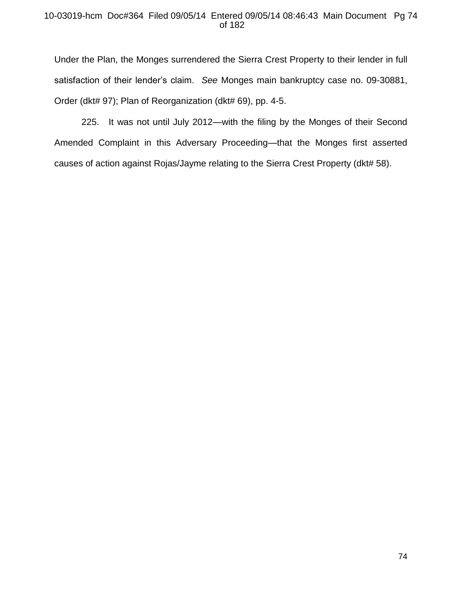## 10-03019-hcm Doc#364 Filed 09/05/14 Entered 09/05/14 08:46:43 Main Document Pg 74 of 182

Under the Plan, the Monges surrendered the Sierra Crest Property to their lender in full satisfaction of their lender's claim. *See* Monges main bankruptcy case no. 09-30881, Order (dkt# 97); Plan of Reorganization (dkt# 69), pp. 4-5.

225. It was not until July 2012—with the filing by the Monges of their Second Amended Complaint in this Adversary Proceeding—that the Monges first asserted causes of action against Rojas/Jayme relating to the Sierra Crest Property (dkt# 58).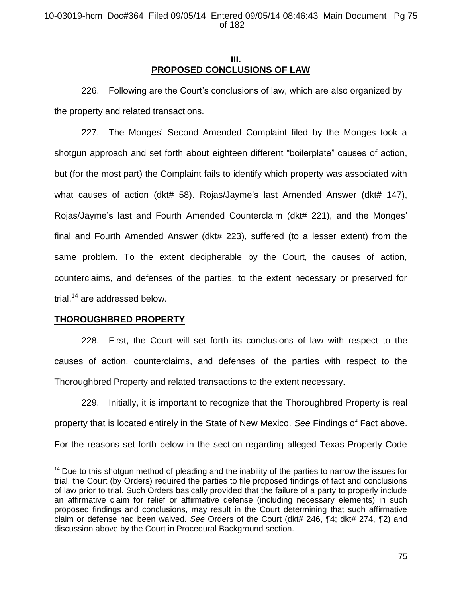## **III. PROPOSED CONCLUSIONS OF LAW**

226. Following are the Court's conclusions of law, which are also organized by the property and related transactions.

227. The Monges' Second Amended Complaint filed by the Monges took a shotgun approach and set forth about eighteen different "boilerplate" causes of action, but (for the most part) the Complaint fails to identify which property was associated with what causes of action (dkt# 58). Rojas/Jayme's last Amended Answer (dkt# 147), Rojas/Jayme's last and Fourth Amended Counterclaim (dkt# 221), and the Monges' final and Fourth Amended Answer (dkt# 223), suffered (to a lesser extent) from the same problem. To the extent decipherable by the Court, the causes of action, counterclaims, and defenses of the parties, to the extent necessary or preserved for trial, $14$  are addressed below.

# **THOROUGHBRED PROPERTY**

l

228. First, the Court will set forth its conclusions of law with respect to the causes of action, counterclaims, and defenses of the parties with respect to the Thoroughbred Property and related transactions to the extent necessary.

229. Initially, it is important to recognize that the Thoroughbred Property is real property that is located entirely in the State of New Mexico. *See* Findings of Fact above. For the reasons set forth below in the section regarding alleged Texas Property Code

 $14$  Due to this shotgun method of pleading and the inability of the parties to narrow the issues for trial, the Court (by Orders) required the parties to file proposed findings of fact and conclusions of law prior to trial. Such Orders basically provided that the failure of a party to properly include an affirmative claim for relief or affirmative defense (including necessary elements) in such proposed findings and conclusions, may result in the Court determining that such affirmative claim or defense had been waived. *See* Orders of the Court (dkt# 246, ¶4; dkt# 274, ¶2) and discussion above by the Court in Procedural Background section.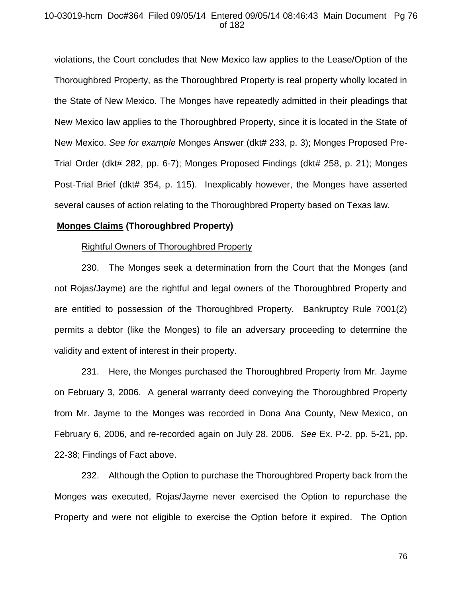## 10-03019-hcm Doc#364 Filed 09/05/14 Entered 09/05/14 08:46:43 Main Document Pg 76 of 182

violations, the Court concludes that New Mexico law applies to the Lease/Option of the Thoroughbred Property, as the Thoroughbred Property is real property wholly located in the State of New Mexico. The Monges have repeatedly admitted in their pleadings that New Mexico law applies to the Thoroughbred Property, since it is located in the State of New Mexico. *See for example* Monges Answer (dkt# 233, p. 3); Monges Proposed Pre-Trial Order (dkt# 282, pp. 6-7); Monges Proposed Findings (dkt# 258, p. 21); Monges Post-Trial Brief (dkt# 354, p. 115). Inexplicably however, the Monges have asserted several causes of action relating to the Thoroughbred Property based on Texas law.

## **Monges Claims (Thoroughbred Property)**

#### Rightful Owners of Thoroughbred Property

230. The Monges seek a determination from the Court that the Monges (and not Rojas/Jayme) are the rightful and legal owners of the Thoroughbred Property and are entitled to possession of the Thoroughbred Property. Bankruptcy Rule 7001(2) permits a debtor (like the Monges) to file an adversary proceeding to determine the validity and extent of interest in their property.

231. Here, the Monges purchased the Thoroughbred Property from Mr. Jayme on February 3, 2006. A general warranty deed conveying the Thoroughbred Property from Mr. Jayme to the Monges was recorded in Dona Ana County, New Mexico, on February 6, 2006, and re-recorded again on July 28, 2006. *See* Ex. P-2, pp. 5-21, pp. 22-38; Findings of Fact above.

232. Although the Option to purchase the Thoroughbred Property back from the Monges was executed, Rojas/Jayme never exercised the Option to repurchase the Property and were not eligible to exercise the Option before it expired. The Option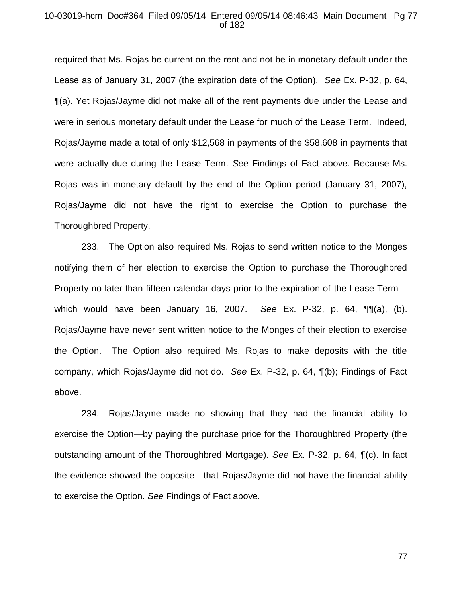### 10-03019-hcm Doc#364 Filed 09/05/14 Entered 09/05/14 08:46:43 Main Document Pg 77 of 182

required that Ms. Rojas be current on the rent and not be in monetary default under the Lease as of January 31, 2007 (the expiration date of the Option). *See* Ex. P-32, p. 64, ¶(a). Yet Rojas/Jayme did not make all of the rent payments due under the Lease and were in serious monetary default under the Lease for much of the Lease Term. Indeed, Rojas/Jayme made a total of only \$12,568 in payments of the \$58,608 in payments that were actually due during the Lease Term. *See* Findings of Fact above. Because Ms. Rojas was in monetary default by the end of the Option period (January 31, 2007), Rojas/Jayme did not have the right to exercise the Option to purchase the Thoroughbred Property.

233. The Option also required Ms. Rojas to send written notice to the Monges notifying them of her election to exercise the Option to purchase the Thoroughbred Property no later than fifteen calendar days prior to the expiration of the Lease Term which would have been January 16, 2007. *See* Ex. P-32, p. 64, ¶¶(a), (b). Rojas/Jayme have never sent written notice to the Monges of their election to exercise the Option. The Option also required Ms. Rojas to make deposits with the title company, which Rojas/Jayme did not do. *See* Ex. P-32, p. 64, ¶(b); Findings of Fact above.

234. Rojas/Jayme made no showing that they had the financial ability to exercise the Option—by paying the purchase price for the Thoroughbred Property (the outstanding amount of the Thoroughbred Mortgage). *See* Ex. P-32, p. 64, ¶(c). In fact the evidence showed the opposite—that Rojas/Jayme did not have the financial ability to exercise the Option. *See* Findings of Fact above.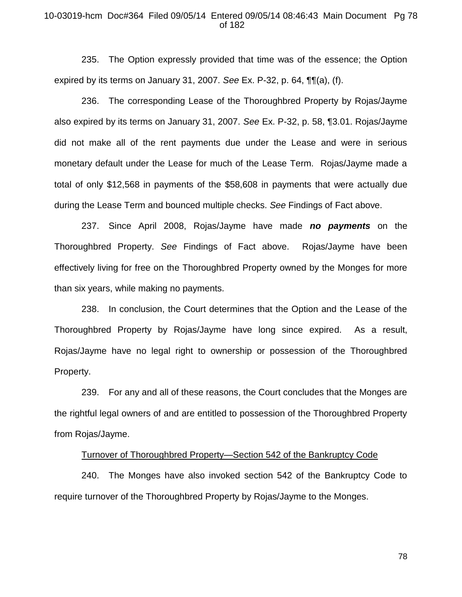## 10-03019-hcm Doc#364 Filed 09/05/14 Entered 09/05/14 08:46:43 Main Document Pg 78 of 182

235. The Option expressly provided that time was of the essence; the Option expired by its terms on January 31, 2007. *See* Ex. P-32, p. 64, ¶¶(a), (f).

236. The corresponding Lease of the Thoroughbred Property by Rojas/Jayme also expired by its terms on January 31, 2007. *See* Ex. P-32, p. 58, ¶3.01. Rojas/Jayme did not make all of the rent payments due under the Lease and were in serious monetary default under the Lease for much of the Lease Term. Rojas/Jayme made a total of only \$12,568 in payments of the \$58,608 in payments that were actually due during the Lease Term and bounced multiple checks. *See* Findings of Fact above.

237. Since April 2008, Rojas/Jayme have made *no payments* on the Thoroughbred Property. *See* Findings of Fact above. Rojas/Jayme have been effectively living for free on the Thoroughbred Property owned by the Monges for more than six years, while making no payments.

238. In conclusion, the Court determines that the Option and the Lease of the Thoroughbred Property by Rojas/Jayme have long since expired. As a result, Rojas/Jayme have no legal right to ownership or possession of the Thoroughbred Property.

239. For any and all of these reasons, the Court concludes that the Monges are the rightful legal owners of and are entitled to possession of the Thoroughbred Property from Rojas/Jayme.

#### Turnover of Thoroughbred Property—Section 542 of the Bankruptcy Code

240. The Monges have also invoked section 542 of the Bankruptcy Code to require turnover of the Thoroughbred Property by Rojas/Jayme to the Monges.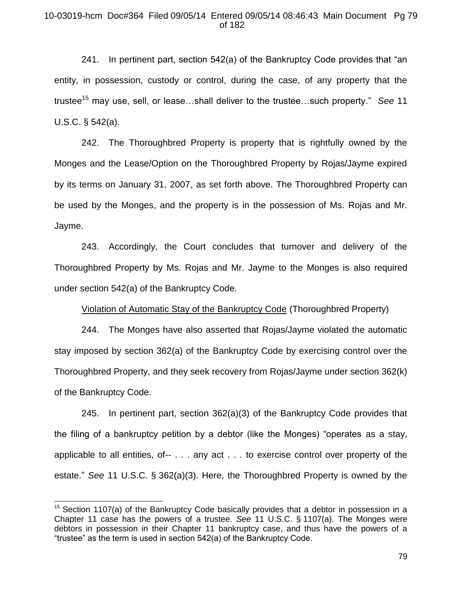## 10-03019-hcm Doc#364 Filed 09/05/14 Entered 09/05/14 08:46:43 Main Document Pg 79 of 182

241. In pertinent part, section 542(a) of the Bankruptcy Code provides that "an entity, in possession, custody or control, during the case, of any property that the trustee<sup>15</sup> may use, sell, or lease...shall deliver to the trustee...such property." *See* 11 U.S.C. § 542(a).

242. The Thoroughbred Property is property that is rightfully owned by the Monges and the Lease/Option on the Thoroughbred Property by Rojas/Jayme expired by its terms on January 31, 2007, as set forth above. The Thoroughbred Property can be used by the Monges, and the property is in the possession of Ms. Rojas and Mr. Jayme.

243. Accordingly, the Court concludes that turnover and delivery of the Thoroughbred Property by Ms. Rojas and Mr. Jayme to the Monges is also required under section 542(a) of the Bankruptcy Code.

Violation of Automatic Stay of the Bankruptcy Code (Thoroughbred Property)

244. The Monges have also asserted that Rojas/Jayme violated the automatic stay imposed by section 362(a) of the Bankruptcy Code by exercising control over the Thoroughbred Property, and they seek recovery from Rojas/Jayme under section 362(k) of the Bankruptcy Code.

245. In pertinent part, section 362(a)(3) of the Bankruptcy Code provides that the filing of a bankruptcy petition by a debtor (like the Monges) "operates as a stay, applicable to all entities, of-- . . . any act . . . to exercise control over property of the estate." *See* 11 U.S.C. § 362(a)(3). Here, the Thoroughbred Property is owned by the

 $\overline{a}$ 

 $15$  Section 1107(a) of the Bankruptcy Code basically provides that a debtor in possession in a Chapter 11 case has the powers of a trustee. *See* 11 U.S.C. § 1107(a). The Monges were debtors in possession in their Chapter 11 bankruptcy case, and thus have the powers of a "trustee" as the term is used in section 542(a) of the Bankruptcy Code.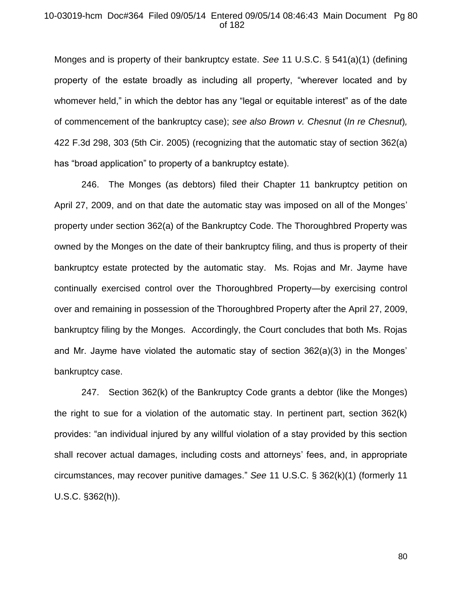## 10-03019-hcm Doc#364 Filed 09/05/14 Entered 09/05/14 08:46:43 Main Document Pg 80 of 182

Monges and is property of their bankruptcy estate. *See* 11 U.S.C. § 541(a)(1) (defining property of the estate broadly as including all property, "wherever located and by whomever held," in which the debtor has any "legal or equitable interest" as of the date of commencement of the bankruptcy case); *see also Brown v. Chesnut* (*In re Chesnut*)*,*  422 F.3d 298, 303 (5th Cir. 2005) (recognizing that the automatic stay of section 362(a) has "broad application" to property of a bankruptcy estate).

246. The Monges (as debtors) filed their Chapter 11 bankruptcy petition on April 27, 2009, and on that date the automatic stay was imposed on all of the Monges' property under section 362(a) of the Bankruptcy Code. The Thoroughbred Property was owned by the Monges on the date of their bankruptcy filing, and thus is property of their bankruptcy estate protected by the automatic stay. Ms. Rojas and Mr. Jayme have continually exercised control over the Thoroughbred Property—by exercising control over and remaining in possession of the Thoroughbred Property after the April 27, 2009, bankruptcy filing by the Monges. Accordingly, the Court concludes that both Ms. Rojas and Mr. Jayme have violated the automatic stay of section 362(a)(3) in the Monges' bankruptcy case.

247. Section 362(k) of the Bankruptcy Code grants a debtor (like the Monges) the right to sue for a violation of the automatic stay. In pertinent part, section 362(k) provides: "an individual injured by any willful violation of a stay provided by this section shall recover actual damages, including costs and attorneys' fees, and, in appropriate circumstances, may recover punitive damages." *See* 11 U.S.C. § 362(k)(1) (formerly 11 U.S.C. §362(h)).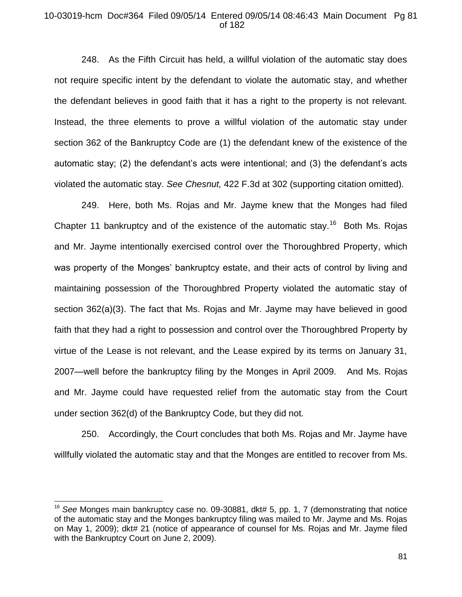## 10-03019-hcm Doc#364 Filed 09/05/14 Entered 09/05/14 08:46:43 Main Document Pg 81 of 182

248. As the Fifth Circuit has held, a willful violation of the automatic stay does not require specific intent by the defendant to violate the automatic stay, and whether the defendant believes in good faith that it has a right to the property is not relevant. Instead, the three elements to prove a willful violation of the automatic stay under section 362 of the Bankruptcy Code are (1) the defendant knew of the existence of the automatic stay; (2) the defendant's acts were intentional; and (3) the defendant's acts violated the automatic stay. *See Chesnut,* 422 F.3d at 302 (supporting citation omitted).

249. Here, both Ms. Rojas and Mr. Jayme knew that the Monges had filed Chapter 11 bankruptcy and of the existence of the automatic stay.<sup>16</sup> Both Ms. Rojas and Mr. Jayme intentionally exercised control over the Thoroughbred Property, which was property of the Monges' bankruptcy estate, and their acts of control by living and maintaining possession of the Thoroughbred Property violated the automatic stay of section 362(a)(3). The fact that Ms. Rojas and Mr. Jayme may have believed in good faith that they had a right to possession and control over the Thoroughbred Property by virtue of the Lease is not relevant, and the Lease expired by its terms on January 31, 2007—well before the bankruptcy filing by the Monges in April 2009. And Ms. Rojas and Mr. Jayme could have requested relief from the automatic stay from the Court under section 362(d) of the Bankruptcy Code, but they did not.

250. Accordingly, the Court concludes that both Ms. Rojas and Mr. Jayme have willfully violated the automatic stay and that the Monges are entitled to recover from Ms.

 $\overline{a}$ 

<sup>&</sup>lt;sup>16</sup> See Monges main bankruptcy case no. 09-30881, dkt# 5, pp. 1, 7 (demonstrating that notice of the automatic stay and the Monges bankruptcy filing was mailed to Mr. Jayme and Ms. Rojas on May 1, 2009); dkt# 21 (notice of appearance of counsel for Ms. Rojas and Mr. Jayme filed with the Bankruptcy Court on June 2, 2009).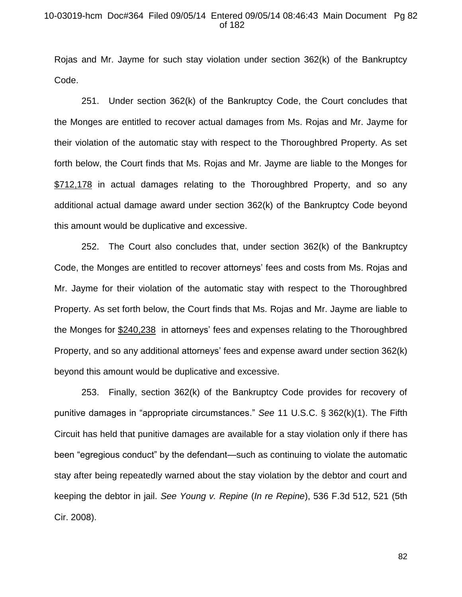## 10-03019-hcm Doc#364 Filed 09/05/14 Entered 09/05/14 08:46:43 Main Document Pg 82 of 182

Rojas and Mr. Jayme for such stay violation under section 362(k) of the Bankruptcy Code.

251. Under section 362(k) of the Bankruptcy Code, the Court concludes that the Monges are entitled to recover actual damages from Ms. Rojas and Mr. Jayme for their violation of the automatic stay with respect to the Thoroughbred Property. As set forth below, the Court finds that Ms. Rojas and Mr. Jayme are liable to the Monges for \$712,178 in actual damages relating to the Thoroughbred Property, and so any additional actual damage award under section 362(k) of the Bankruptcy Code beyond this amount would be duplicative and excessive.

252. The Court also concludes that, under section 362(k) of the Bankruptcy Code, the Monges are entitled to recover attorneys' fees and costs from Ms. Rojas and Mr. Jayme for their violation of the automatic stay with respect to the Thoroughbred Property. As set forth below, the Court finds that Ms. Rojas and Mr. Jayme are liable to the Monges for \$240,238 in attorneys' fees and expenses relating to the Thoroughbred Property, and so any additional attorneys' fees and expense award under section 362(k) beyond this amount would be duplicative and excessive.

253. Finally, section 362(k) of the Bankruptcy Code provides for recovery of punitive damages in "appropriate circumstances." *See* 11 U.S.C. § 362(k)(1). The Fifth Circuit has held that punitive damages are available for a stay violation only if there has been "egregious conduct" by the defendant—such as continuing to violate the automatic stay after being repeatedly warned about the stay violation by the debtor and court and keeping the debtor in jail. *See Young v. Repine* (*In re Repine*), 536 F.3d 512, 521 (5th Cir. 2008).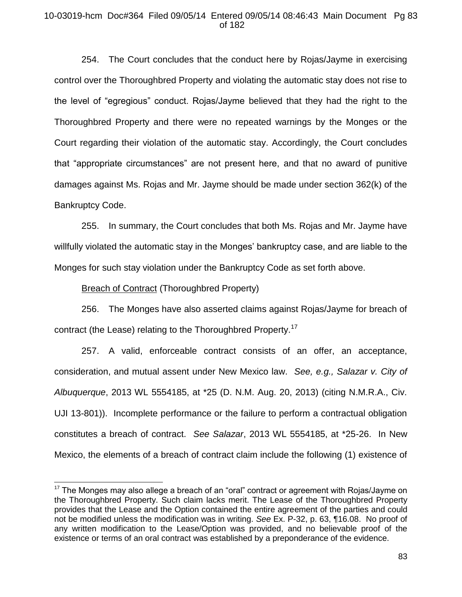## 10-03019-hcm Doc#364 Filed 09/05/14 Entered 09/05/14 08:46:43 Main Document Pg 83 of 182

254. The Court concludes that the conduct here by Rojas/Jayme in exercising control over the Thoroughbred Property and violating the automatic stay does not rise to the level of "egregious" conduct. Rojas/Jayme believed that they had the right to the Thoroughbred Property and there were no repeated warnings by the Monges or the Court regarding their violation of the automatic stay. Accordingly, the Court concludes that "appropriate circumstances" are not present here, and that no award of punitive damages against Ms. Rojas and Mr. Jayme should be made under section 362(k) of the Bankruptcy Code.

255. In summary, the Court concludes that both Ms. Rojas and Mr. Jayme have willfully violated the automatic stay in the Monges' bankruptcy case, and are liable to the Monges for such stay violation under the Bankruptcy Code as set forth above.

Breach of Contract (Thoroughbred Property)

 $\overline{a}$ 

256. The Monges have also asserted claims against Rojas/Jayme for breach of contract (the Lease) relating to the Thoroughbred Property.<sup>17</sup>

257. A valid, enforceable contract consists of an offer, an acceptance, consideration, and mutual assent under New Mexico law. *See, e.g., Salazar v. City of Albuquerque*, 2013 WL 5554185, at \*25 (D. N.M. Aug. 20, 2013) (citing N.M.R.A., Civ. UJI 13-801)). Incomplete performance or the failure to perform a contractual obligation constitutes a breach of contract. *See Salazar*, 2013 WL 5554185, at \*25-26. In New Mexico, the elements of a breach of contract claim include the following (1) existence of

 $17$  The Monges may also allege a breach of an "oral" contract or agreement with Rojas/Jayme on the Thoroughbred Property. Such claim lacks merit. The Lease of the Thoroughbred Property provides that the Lease and the Option contained the entire agreement of the parties and could not be modified unless the modification was in writing. *See* Ex. P-32, p. 63, ¶16.08. No proof of any written modification to the Lease/Option was provided, and no believable proof of the existence or terms of an oral contract was established by a preponderance of the evidence.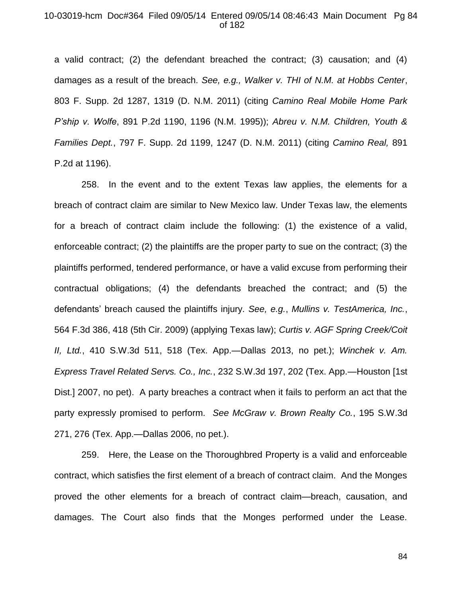#### 10-03019-hcm Doc#364 Filed 09/05/14 Entered 09/05/14 08:46:43 Main Document Pg 84 of 182

a valid contract; (2) the defendant breached the contract; (3) causation; and (4) damages as a result of the breach. *See, e.g., Walker v. THI of N.M. at Hobbs Center*, 803 F. Supp. 2d 1287, 1319 (D. N.M. 2011) (citing *Camino Real Mobile Home Park P'ship v. Wolfe*, 891 P.2d 1190, 1196 (N.M. 1995)); *Abreu v. N.M. Children, Youth & Families Dept.*, 797 F. Supp. 2d 1199, 1247 (D. N.M. 2011) (citing *Camino Real,* 891 P.2d at 1196).

258. In the event and to the extent Texas law applies, the elements for a breach of contract claim are similar to New Mexico law. Under Texas law, the elements for a breach of contract claim include the following: (1) the existence of a valid, enforceable contract; (2) the plaintiffs are the proper party to sue on the contract; (3) the plaintiffs performed, tendered performance, or have a valid excuse from performing their contractual obligations; (4) the defendants breached the contract; and (5) the defendants' breach caused the plaintiffs injury. *See, e.g.*, *Mullins v. TestAmerica, Inc.*, 564 F.3d 386, 418 (5th Cir. 2009) (applying Texas law); *Curtis v. AGF Spring Creek/Coit II, Ltd.*, 410 S.W.3d 511, 518 (Tex. App.—Dallas 2013, no pet.); *Winchek v. Am. Express Travel Related Servs. Co., Inc.*, 232 S.W.3d 197, 202 (Tex. App.—Houston [1st Dist.] 2007, no pet). A party breaches a contract when it fails to perform an act that the party expressly promised to perform. *See McGraw v. Brown Realty Co.*, 195 S.W.3d 271, 276 (Tex. App.—Dallas 2006, no pet.).

259. Here, the Lease on the Thoroughbred Property is a valid and enforceable contract, which satisfies the first element of a breach of contract claim. And the Monges proved the other elements for a breach of contract claim—breach, causation, and damages. The Court also finds that the Monges performed under the Lease.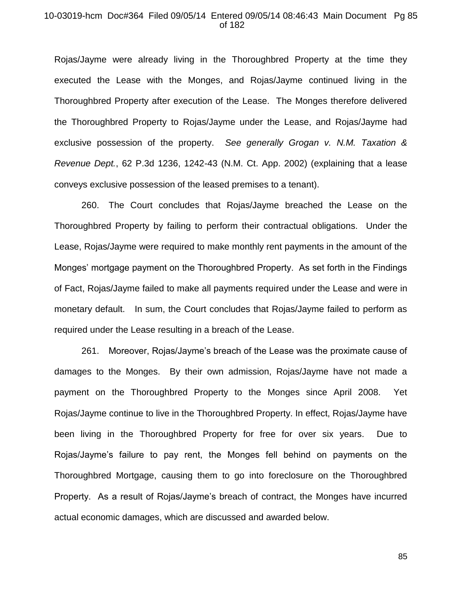#### 10-03019-hcm Doc#364 Filed 09/05/14 Entered 09/05/14 08:46:43 Main Document Pg 85 of 182

Rojas/Jayme were already living in the Thoroughbred Property at the time they executed the Lease with the Monges, and Rojas/Jayme continued living in the Thoroughbred Property after execution of the Lease. The Monges therefore delivered the Thoroughbred Property to Rojas/Jayme under the Lease, and Rojas/Jayme had exclusive possession of the property. *See generally Grogan v. N.M. Taxation & Revenue Dept.*, 62 P.3d 1236, 1242-43 (N.M. Ct. App. 2002) (explaining that a lease conveys exclusive possession of the leased premises to a tenant).

260. The Court concludes that Rojas/Jayme breached the Lease on the Thoroughbred Property by failing to perform their contractual obligations. Under the Lease, Rojas/Jayme were required to make monthly rent payments in the amount of the Monges' mortgage payment on the Thoroughbred Property. As set forth in the Findings of Fact, Rojas/Jayme failed to make all payments required under the Lease and were in monetary default. In sum, the Court concludes that Rojas/Jayme failed to perform as required under the Lease resulting in a breach of the Lease.

261. Moreover, Rojas/Jayme's breach of the Lease was the proximate cause of damages to the Monges. By their own admission, Rojas/Jayme have not made a payment on the Thoroughbred Property to the Monges since April 2008. Yet Rojas/Jayme continue to live in the Thoroughbred Property. In effect, Rojas/Jayme have been living in the Thoroughbred Property for free for over six years. Due to Rojas/Jayme's failure to pay rent, the Monges fell behind on payments on the Thoroughbred Mortgage, causing them to go into foreclosure on the Thoroughbred Property. As a result of Rojas/Jayme's breach of contract, the Monges have incurred actual economic damages, which are discussed and awarded below.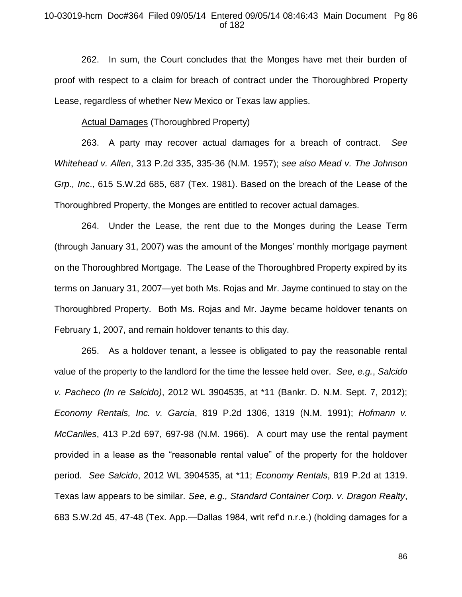## 10-03019-hcm Doc#364 Filed 09/05/14 Entered 09/05/14 08:46:43 Main Document Pg 86 of 182

262. In sum, the Court concludes that the Monges have met their burden of proof with respect to a claim for breach of contract under the Thoroughbred Property Lease, regardless of whether New Mexico or Texas law applies.

Actual Damages (Thoroughbred Property)

263. A party may recover actual damages for a breach of contract. *See Whitehead v. Allen*, 313 P.2d 335, 335-36 (N.M. 1957); *see also Mead v. The Johnson Grp., Inc*., 615 S.W.2d 685, 687 (Tex. 1981). Based on the breach of the Lease of the Thoroughbred Property, the Monges are entitled to recover actual damages.

264. Under the Lease, the rent due to the Monges during the Lease Term (through January 31, 2007) was the amount of the Monges' monthly mortgage payment on the Thoroughbred Mortgage. The Lease of the Thoroughbred Property expired by its terms on January 31, 2007—yet both Ms. Rojas and Mr. Jayme continued to stay on the Thoroughbred Property. Both Ms. Rojas and Mr. Jayme became holdover tenants on February 1, 2007, and remain holdover tenants to this day.

265. As a holdover tenant, a lessee is obligated to pay the reasonable rental value of the property to the landlord for the time the lessee held over. *See, e.g.*, *Salcido v. Pacheco (In re Salcido)*, 2012 WL 3904535, at \*11 (Bankr. D. N.M. Sept. 7, 2012); *Economy Rentals, Inc. v. Garcia*, 819 P.2d 1306, 1319 (N.M. 1991); *Hofmann v. McCanlies*, 413 P.2d 697, 697-98 (N.M. 1966). A court may use the rental payment provided in a lease as the "reasonable rental value" of the property for the holdover period*. See Salcido*, 2012 WL 3904535, at \*11; *Economy Rentals*, 819 P.2d at 1319. Texas law appears to be similar. *See, e.g., Standard Container Corp. v. Dragon Realty*, 683 S.W.2d 45, 47-48 (Tex. App.—Dallas 1984, writ ref'd n.r.e.) (holding damages for a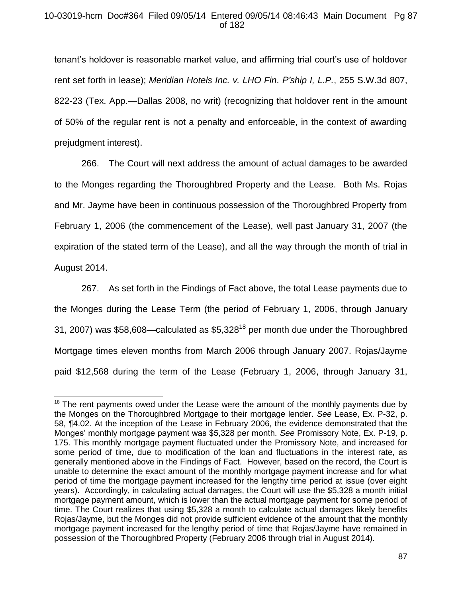## 10-03019-hcm Doc#364 Filed 09/05/14 Entered 09/05/14 08:46:43 Main Document Pg 87 of 182

tenant's holdover is reasonable market value, and affirming trial court's use of holdover rent set forth in lease); *Meridian Hotels Inc. v. LHO Fin. P'ship I, L.P.*, 255 S.W.3d 807, 822-23 (Tex. App.—Dallas 2008, no writ) (recognizing that holdover rent in the amount of 50% of the regular rent is not a penalty and enforceable, in the context of awarding prejudgment interest).

266. The Court will next address the amount of actual damages to be awarded to the Monges regarding the Thoroughbred Property and the Lease. Both Ms. Rojas and Mr. Jayme have been in continuous possession of the Thoroughbred Property from February 1, 2006 (the commencement of the Lease), well past January 31, 2007 (the expiration of the stated term of the Lease), and all the way through the month of trial in August 2014.

267. As set forth in the Findings of Fact above, the total Lease payments due to the Monges during the Lease Term (the period of February 1, 2006, through January 31, 2007) was \$58,608—calculated as \$5,328<sup>18</sup> per month due under the Thoroughbred Mortgage times eleven months from March 2006 through January 2007. Rojas/Jayme paid \$12,568 during the term of the Lease (February 1, 2006, through January 31,

 $\overline{a}$ 

 $18$  The rent payments owed under the Lease were the amount of the monthly payments due by the Monges on the Thoroughbred Mortgage to their mortgage lender. *See* Lease, Ex. P-32, p. 58, ¶4.02. At the inception of the Lease in February 2006, the evidence demonstrated that the Monges' monthly mortgage payment was \$5,328 per month. *See* Promissory Note, Ex. P-19, p. 175. This monthly mortgage payment fluctuated under the Promissory Note, and increased for some period of time, due to modification of the loan and fluctuations in the interest rate, as generally mentioned above in the Findings of Fact. However, based on the record, the Court is unable to determine the exact amount of the monthly mortgage payment increase and for what period of time the mortgage payment increased for the lengthy time period at issue (over eight years). Accordingly, in calculating actual damages, the Court will use the \$5,328 a month initial mortgage payment amount, which is lower than the actual mortgage payment for some period of time. The Court realizes that using \$5,328 a month to calculate actual damages likely benefits Rojas/Jayme, but the Monges did not provide sufficient evidence of the amount that the monthly mortgage payment increased for the lengthy period of time that Rojas/Jayme have remained in possession of the Thoroughbred Property (February 2006 through trial in August 2014).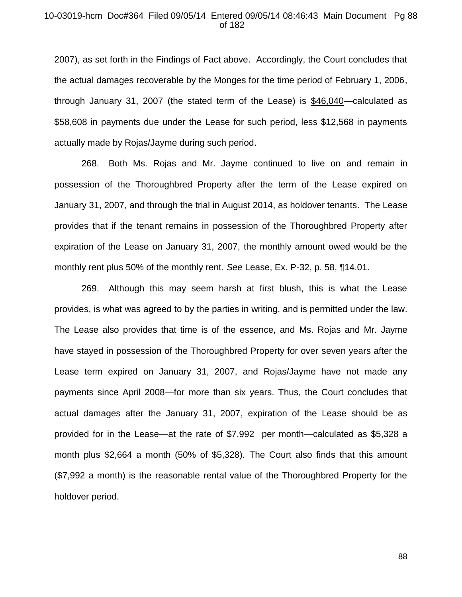## 10-03019-hcm Doc#364 Filed 09/05/14 Entered 09/05/14 08:46:43 Main Document Pg 88 of 182

2007), as set forth in the Findings of Fact above. Accordingly, the Court concludes that the actual damages recoverable by the Monges for the time period of February 1, 2006, through January 31, 2007 (the stated term of the Lease) is \$46,040—calculated as \$58,608 in payments due under the Lease for such period, less \$12,568 in payments actually made by Rojas/Jayme during such period.

268. Both Ms. Rojas and Mr. Jayme continued to live on and remain in possession of the Thoroughbred Property after the term of the Lease expired on January 31, 2007, and through the trial in August 2014, as holdover tenants. The Lease provides that if the tenant remains in possession of the Thoroughbred Property after expiration of the Lease on January 31, 2007, the monthly amount owed would be the monthly rent plus 50% of the monthly rent. *See* Lease, Ex. P-32, p. 58, ¶14.01.

269. Although this may seem harsh at first blush, this is what the Lease provides, is what was agreed to by the parties in writing, and is permitted under the law. The Lease also provides that time is of the essence, and Ms. Rojas and Mr. Jayme have stayed in possession of the Thoroughbred Property for over seven years after the Lease term expired on January 31, 2007, and Rojas/Jayme have not made any payments since April 2008—for more than six years. Thus, the Court concludes that actual damages after the January 31, 2007, expiration of the Lease should be as provided for in the Lease—at the rate of \$7,992 per month—calculated as \$5,328 a month plus \$2,664 a month (50% of \$5,328). The Court also finds that this amount (\$7,992 a month) is the reasonable rental value of the Thoroughbred Property for the holdover period.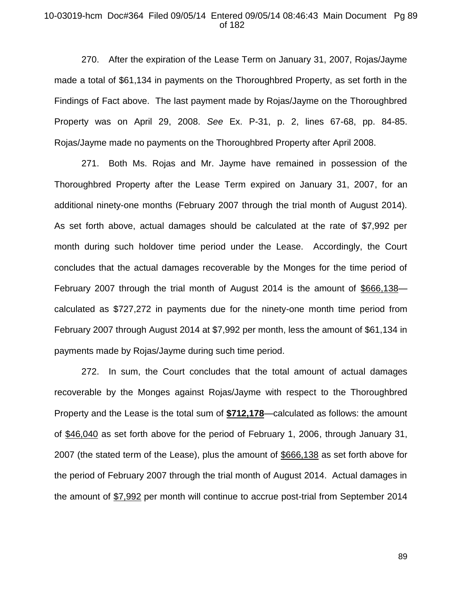## 10-03019-hcm Doc#364 Filed 09/05/14 Entered 09/05/14 08:46:43 Main Document Pg 89 of 182

270. After the expiration of the Lease Term on January 31, 2007, Rojas/Jayme made a total of \$61,134 in payments on the Thoroughbred Property, as set forth in the Findings of Fact above. The last payment made by Rojas/Jayme on the Thoroughbred Property was on April 29, 2008. *See* Ex. P-31, p. 2, lines 67-68, pp. 84-85. Rojas/Jayme made no payments on the Thoroughbred Property after April 2008.

271. Both Ms. Rojas and Mr. Jayme have remained in possession of the Thoroughbred Property after the Lease Term expired on January 31, 2007, for an additional ninety-one months (February 2007 through the trial month of August 2014). As set forth above, actual damages should be calculated at the rate of \$7,992 per month during such holdover time period under the Lease. Accordingly, the Court concludes that the actual damages recoverable by the Monges for the time period of February 2007 through the trial month of August 2014 is the amount of \$666,138 calculated as \$727,272 in payments due for the ninety-one month time period from February 2007 through August 2014 at \$7,992 per month, less the amount of \$61,134 in payments made by Rojas/Jayme during such time period.

272. In sum, the Court concludes that the total amount of actual damages recoverable by the Monges against Rojas/Jayme with respect to the Thoroughbred Property and the Lease is the total sum of **\$712,178**—calculated as follows: the amount of \$46,040 as set forth above for the period of February 1, 2006, through January 31, 2007 (the stated term of the Lease), plus the amount of \$666,138 as set forth above for the period of February 2007 through the trial month of August 2014. Actual damages in the amount of \$7,992 per month will continue to accrue post-trial from September 2014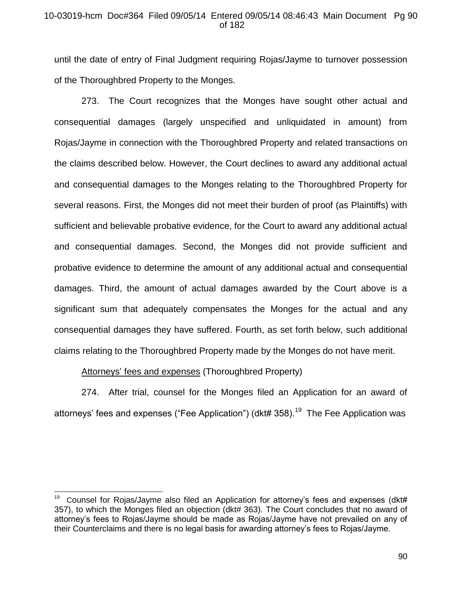## 10-03019-hcm Doc#364 Filed 09/05/14 Entered 09/05/14 08:46:43 Main Document Pg 90 of 182

until the date of entry of Final Judgment requiring Rojas/Jayme to turnover possession of the Thoroughbred Property to the Monges.

273. The Court recognizes that the Monges have sought other actual and consequential damages (largely unspecified and unliquidated in amount) from Rojas/Jayme in connection with the Thoroughbred Property and related transactions on the claims described below. However, the Court declines to award any additional actual and consequential damages to the Monges relating to the Thoroughbred Property for several reasons. First, the Monges did not meet their burden of proof (as Plaintiffs) with sufficient and believable probative evidence, for the Court to award any additional actual and consequential damages. Second, the Monges did not provide sufficient and probative evidence to determine the amount of any additional actual and consequential damages. Third, the amount of actual damages awarded by the Court above is a significant sum that adequately compensates the Monges for the actual and any consequential damages they have suffered. Fourth, as set forth below, such additional claims relating to the Thoroughbred Property made by the Monges do not have merit.

Attorneys' fees and expenses (Thoroughbred Property)

274. After trial, counsel for the Monges filed an Application for an award of attorneys' fees and expenses ("Fee Application") (dkt# 358).<sup>19</sup> The Fee Application was

 $\overline{a}$ 19 Counsel for Rojas/Jayme also filed an Application for attorney's fees and expenses (dkt# 357), to which the Monges filed an objection (dkt# 363). The Court concludes that no award of attorney's fees to Rojas/Jayme should be made as Rojas/Jayme have not prevailed on any of their Counterclaims and there is no legal basis for awarding attorney's fees to Rojas/Jayme.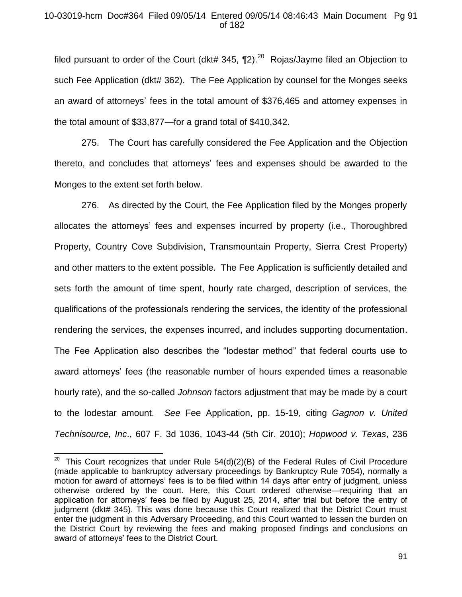## 10-03019-hcm Doc#364 Filed 09/05/14 Entered 09/05/14 08:46:43 Main Document Pg 91 of 182

filed pursuant to order of the Court (dkt# 345,  $\P$ 2).<sup>20</sup> Rojas/Jayme filed an Objection to such Fee Application (dkt# 362). The Fee Application by counsel for the Monges seeks an award of attorneys' fees in the total amount of \$376,465 and attorney expenses in the total amount of \$33,877—for a grand total of \$410,342.

275. The Court has carefully considered the Fee Application and the Objection thereto, and concludes that attorneys' fees and expenses should be awarded to the Monges to the extent set forth below.

276. As directed by the Court, the Fee Application filed by the Monges properly allocates the attorneys' fees and expenses incurred by property (i.e., Thoroughbred Property, Country Cove Subdivision, Transmountain Property, Sierra Crest Property) and other matters to the extent possible. The Fee Application is sufficiently detailed and sets forth the amount of time spent, hourly rate charged, description of services, the qualifications of the professionals rendering the services, the identity of the professional rendering the services, the expenses incurred, and includes supporting documentation. The Fee Application also describes the "lodestar method" that federal courts use to award attorneys' fees (the reasonable number of hours expended times a reasonable hourly rate), and the so-called *Johnson* factors adjustment that may be made by a court to the lodestar amount. *See* Fee Application, pp. 15-19, citing *Gagnon v. United Technisource, Inc*., 607 F. 3d 1036, 1043-44 (5th Cir. 2010); *Hopwood v. Texas*, 236

<sup>&</sup>lt;u>20</u><br>20 This Court recognizes that under Rule 54(d)(2)(B) of the Federal Rules of Civil Procedure (made applicable to bankruptcy adversary proceedings by Bankruptcy Rule 7054), normally a motion for award of attorneys' fees is to be filed within 14 days after entry of judgment, unless otherwise ordered by the court. Here, this Court ordered otherwise—requiring that an application for attorneys' fees be filed by August 25, 2014, after trial but before the entry of judgment (dkt# 345). This was done because this Court realized that the District Court must enter the judgment in this Adversary Proceeding, and this Court wanted to lessen the burden on the District Court by reviewing the fees and making proposed findings and conclusions on award of attorneys' fees to the District Court.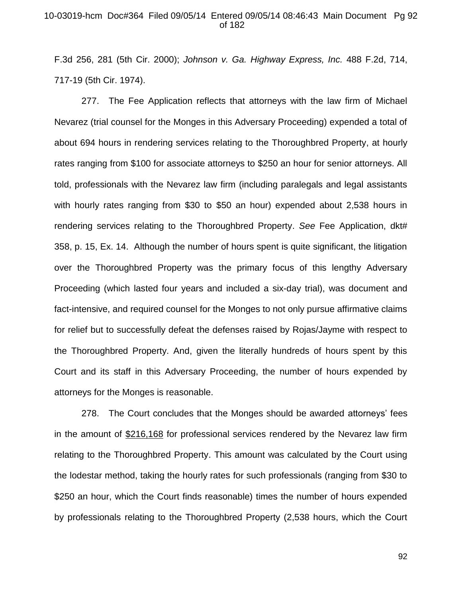## 10-03019-hcm Doc#364 Filed 09/05/14 Entered 09/05/14 08:46:43 Main Document Pg 92 of 182

F.3d 256, 281 (5th Cir. 2000); *Johnson v. Ga. Highway Express, Inc.* 488 F.2d, 714, 717-19 (5th Cir. 1974).

277. The Fee Application reflects that attorneys with the law firm of Michael Nevarez (trial counsel for the Monges in this Adversary Proceeding) expended a total of about 694 hours in rendering services relating to the Thoroughbred Property, at hourly rates ranging from \$100 for associate attorneys to \$250 an hour for senior attorneys. All told, professionals with the Nevarez law firm (including paralegals and legal assistants with hourly rates ranging from \$30 to \$50 an hour) expended about 2,538 hours in rendering services relating to the Thoroughbred Property. *See* Fee Application, dkt# 358, p. 15, Ex. 14. Although the number of hours spent is quite significant, the litigation over the Thoroughbred Property was the primary focus of this lengthy Adversary Proceeding (which lasted four years and included a six-day trial), was document and fact-intensive, and required counsel for the Monges to not only pursue affirmative claims for relief but to successfully defeat the defenses raised by Rojas/Jayme with respect to the Thoroughbred Property. And, given the literally hundreds of hours spent by this Court and its staff in this Adversary Proceeding, the number of hours expended by attorneys for the Monges is reasonable.

278. The Court concludes that the Monges should be awarded attorneys' fees in the amount of \$216,168 for professional services rendered by the Nevarez law firm relating to the Thoroughbred Property. This amount was calculated by the Court using the lodestar method, taking the hourly rates for such professionals (ranging from \$30 to \$250 an hour, which the Court finds reasonable) times the number of hours expended by professionals relating to the Thoroughbred Property (2,538 hours, which the Court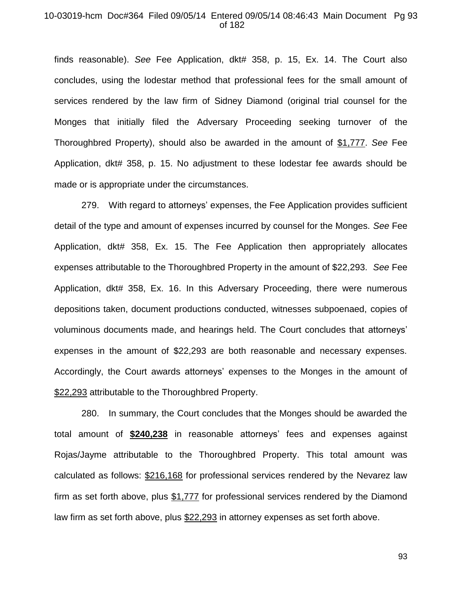#### 10-03019-hcm Doc#364 Filed 09/05/14 Entered 09/05/14 08:46:43 Main Document Pg 93 of 182

finds reasonable). *See* Fee Application, dkt# 358, p. 15, Ex. 14. The Court also concludes, using the lodestar method that professional fees for the small amount of services rendered by the law firm of Sidney Diamond (original trial counsel for the Monges that initially filed the Adversary Proceeding seeking turnover of the Thoroughbred Property), should also be awarded in the amount of \$1,777. *See* Fee Application, dkt# 358, p. 15. No adjustment to these lodestar fee awards should be made or is appropriate under the circumstances.

279. With regard to attorneys' expenses, the Fee Application provides sufficient detail of the type and amount of expenses incurred by counsel for the Monges. *See* Fee Application, dkt# 358, Ex. 15. The Fee Application then appropriately allocates expenses attributable to the Thoroughbred Property in the amount of \$22,293. *See* Fee Application, dkt# 358, Ex. 16. In this Adversary Proceeding, there were numerous depositions taken, document productions conducted, witnesses subpoenaed, copies of voluminous documents made, and hearings held. The Court concludes that attorneys' expenses in the amount of \$22,293 are both reasonable and necessary expenses. Accordingly, the Court awards attorneys' expenses to the Monges in the amount of \$22,293 attributable to the Thoroughbred Property.

280. In summary, the Court concludes that the Monges should be awarded the total amount of **\$240,238** in reasonable attorneys' fees and expenses against Rojas/Jayme attributable to the Thoroughbred Property. This total amount was calculated as follows: \$216,168 for professional services rendered by the Nevarez law firm as set forth above, plus \$1,777 for professional services rendered by the Diamond law firm as set forth above, plus \$22,293 in attorney expenses as set forth above.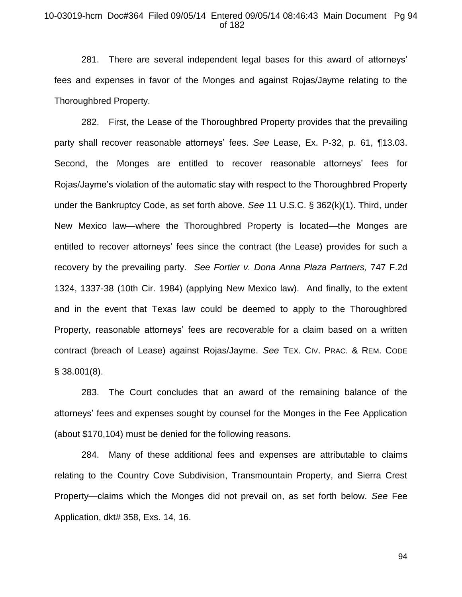## 10-03019-hcm Doc#364 Filed 09/05/14 Entered 09/05/14 08:46:43 Main Document Pg 94 of 182

281. There are several independent legal bases for this award of attorneys' fees and expenses in favor of the Monges and against Rojas/Jayme relating to the Thoroughbred Property.

282. First, the Lease of the Thoroughbred Property provides that the prevailing party shall recover reasonable attorneys' fees. *See* Lease, Ex. P-32, p. 61, ¶13.03. Second, the Monges are entitled to recover reasonable attorneys' fees for Rojas/Jayme's violation of the automatic stay with respect to the Thoroughbred Property under the Bankruptcy Code, as set forth above. *See* 11 U.S.C. § 362(k)(1). Third, under New Mexico law—where the Thoroughbred Property is located—the Monges are entitled to recover attorneys' fees since the contract (the Lease) provides for such a recovery by the prevailing party. *See Fortier v. Dona Anna Plaza Partners,* 747 F.2d 1324, 1337-38 (10th Cir. 1984) (applying New Mexico law). And finally, to the extent and in the event that Texas law could be deemed to apply to the Thoroughbred Property, reasonable attorneys' fees are recoverable for a claim based on a written contract (breach of Lease) against Rojas/Jayme. *See* TEX. CIV. PRAC. & REM. CODE § 38.001(8).

283. The Court concludes that an award of the remaining balance of the attorneys' fees and expenses sought by counsel for the Monges in the Fee Application (about \$170,104) must be denied for the following reasons.

284. Many of these additional fees and expenses are attributable to claims relating to the Country Cove Subdivision, Transmountain Property, and Sierra Crest Property—claims which the Monges did not prevail on, as set forth below. *See* Fee Application, dkt# 358, Exs. 14, 16.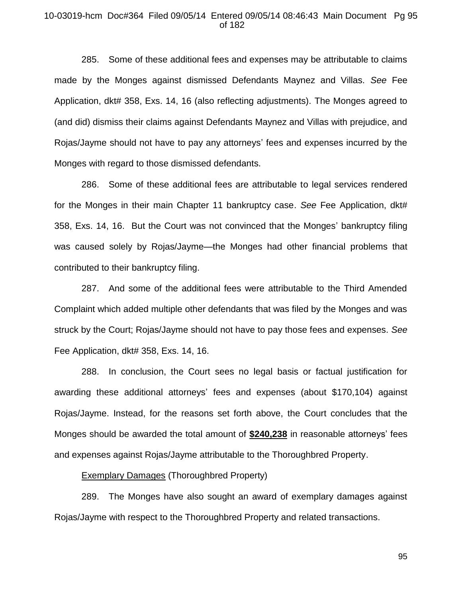## 10-03019-hcm Doc#364 Filed 09/05/14 Entered 09/05/14 08:46:43 Main Document Pg 95 of 182

285. Some of these additional fees and expenses may be attributable to claims made by the Monges against dismissed Defendants Maynez and Villas. *See* Fee Application, dkt# 358, Exs. 14, 16 (also reflecting adjustments). The Monges agreed to (and did) dismiss their claims against Defendants Maynez and Villas with prejudice, and Rojas/Jayme should not have to pay any attorneys' fees and expenses incurred by the Monges with regard to those dismissed defendants.

286. Some of these additional fees are attributable to legal services rendered for the Monges in their main Chapter 11 bankruptcy case. *See* Fee Application, dkt# 358, Exs. 14, 16. But the Court was not convinced that the Monges' bankruptcy filing was caused solely by Rojas/Jayme—the Monges had other financial problems that contributed to their bankruptcy filing.

287. And some of the additional fees were attributable to the Third Amended Complaint which added multiple other defendants that was filed by the Monges and was struck by the Court; Rojas/Jayme should not have to pay those fees and expenses. *See* Fee Application, dkt# 358, Exs. 14, 16.

288. In conclusion, the Court sees no legal basis or factual justification for awarding these additional attorneys' fees and expenses (about \$170,104) against Rojas/Jayme. Instead, for the reasons set forth above, the Court concludes that the Monges should be awarded the total amount of **\$240,238** in reasonable attorneys' fees and expenses against Rojas/Jayme attributable to the Thoroughbred Property.

**Exemplary Damages (Thoroughbred Property)** 

289. The Monges have also sought an award of exemplary damages against Rojas/Jayme with respect to the Thoroughbred Property and related transactions.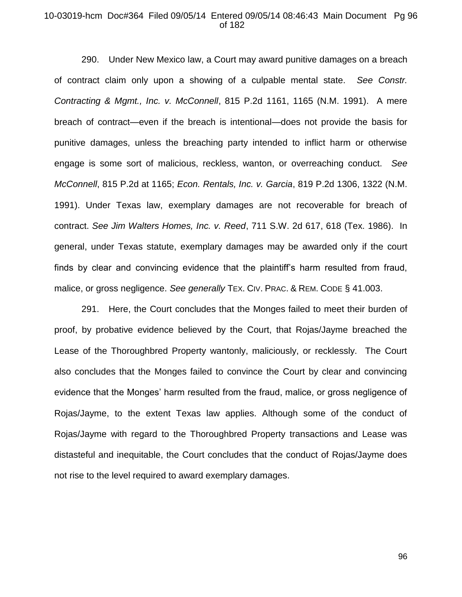## 10-03019-hcm Doc#364 Filed 09/05/14 Entered 09/05/14 08:46:43 Main Document Pg 96 of 182

290. Under New Mexico law, a Court may award punitive damages on a breach of contract claim only upon a showing of a culpable mental state. *See Constr. Contracting & Mgmt., Inc. v. McConnell*, 815 P.2d 1161, 1165 (N.M. 1991). A mere breach of contract—even if the breach is intentional—does not provide the basis for punitive damages, unless the breaching party intended to inflict harm or otherwise engage is some sort of malicious, reckless, wanton, or overreaching conduct. *See McConnell*, 815 P.2d at 1165; *Econ. Rentals, Inc. v. Garcia*, 819 P.2d 1306, 1322 (N.M. 1991). Under Texas law, exemplary damages are not recoverable for breach of contract. *See Jim Walters Homes, Inc. v. Reed*, 711 S.W. 2d 617, 618 (Tex. 1986). In general, under Texas statute, exemplary damages may be awarded only if the court finds by clear and convincing evidence that the plaintiff's harm resulted from fraud, malice, or gross negligence. *See generally* TEX. CIV. PRAC. & REM. CODE § 41.003.

291. Here, the Court concludes that the Monges failed to meet their burden of proof, by probative evidence believed by the Court, that Rojas/Jayme breached the Lease of the Thoroughbred Property wantonly, maliciously, or recklessly. The Court also concludes that the Monges failed to convince the Court by clear and convincing evidence that the Monges' harm resulted from the fraud, malice, or gross negligence of Rojas/Jayme, to the extent Texas law applies. Although some of the conduct of Rojas/Jayme with regard to the Thoroughbred Property transactions and Lease was distasteful and inequitable, the Court concludes that the conduct of Rojas/Jayme does not rise to the level required to award exemplary damages.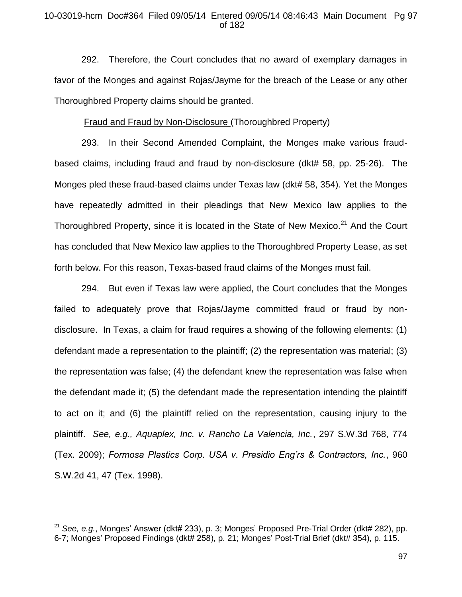## 10-03019-hcm Doc#364 Filed 09/05/14 Entered 09/05/14 08:46:43 Main Document Pg 97 of 182

292. Therefore, the Court concludes that no award of exemplary damages in favor of the Monges and against Rojas/Jayme for the breach of the Lease or any other Thoroughbred Property claims should be granted.

#### Fraud and Fraud by Non-Disclosure (Thoroughbred Property)

293. In their Second Amended Complaint, the Monges make various fraudbased claims, including fraud and fraud by non-disclosure (dkt# 58, pp. 25-26). The Monges pled these fraud-based claims under Texas law (dkt# 58, 354). Yet the Monges have repeatedly admitted in their pleadings that New Mexico law applies to the Thoroughbred Property, since it is located in the State of New Mexico.<sup>21</sup> And the Court has concluded that New Mexico law applies to the Thoroughbred Property Lease, as set forth below. For this reason, Texas-based fraud claims of the Monges must fail.

294. But even if Texas law were applied, the Court concludes that the Monges failed to adequately prove that Rojas/Jayme committed fraud or fraud by nondisclosure. In Texas, a claim for fraud requires a showing of the following elements: (1) defendant made a representation to the plaintiff; (2) the representation was material; (3) the representation was false; (4) the defendant knew the representation was false when the defendant made it; (5) the defendant made the representation intending the plaintiff to act on it; and (6) the plaintiff relied on the representation, causing injury to the plaintiff. *See, e.g., Aquaplex, Inc. v. Rancho La Valencia, Inc.*, 297 S.W.3d 768, 774 (Tex. 2009); *Formosa Plastics Corp. USA v. Presidio Eng'rs & Contractors, Inc.*, 960 S.W.2d 41, 47 (Tex. 1998).

 $\overline{a}$ 

<sup>&</sup>lt;sup>21</sup> See, e.g., Monges' Answer (dkt# 233), p. 3; Monges' Proposed Pre-Trial Order (dkt# 282), pp. 6-7; Monges' Proposed Findings (dkt# 258), p. 21; Monges' Post-Trial Brief (dkt# 354), p. 115.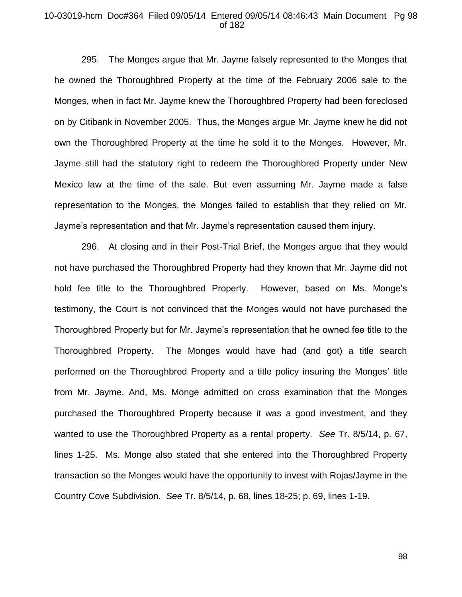#### 10-03019-hcm Doc#364 Filed 09/05/14 Entered 09/05/14 08:46:43 Main Document Pg 98 of 182

295. The Monges argue that Mr. Jayme falsely represented to the Monges that he owned the Thoroughbred Property at the time of the February 2006 sale to the Monges, when in fact Mr. Jayme knew the Thoroughbred Property had been foreclosed on by Citibank in November 2005. Thus, the Monges argue Mr. Jayme knew he did not own the Thoroughbred Property at the time he sold it to the Monges. However, Mr. Jayme still had the statutory right to redeem the Thoroughbred Property under New Mexico law at the time of the sale. But even assuming Mr. Jayme made a false representation to the Monges, the Monges failed to establish that they relied on Mr. Jayme's representation and that Mr. Jayme's representation caused them injury.

296. At closing and in their Post-Trial Brief, the Monges argue that they would not have purchased the Thoroughbred Property had they known that Mr. Jayme did not hold fee title to the Thoroughbred Property. However, based on Ms. Monge's testimony, the Court is not convinced that the Monges would not have purchased the Thoroughbred Property but for Mr. Jayme's representation that he owned fee title to the Thoroughbred Property. The Monges would have had (and got) a title search performed on the Thoroughbred Property and a title policy insuring the Monges' title from Mr. Jayme. And, Ms. Monge admitted on cross examination that the Monges purchased the Thoroughbred Property because it was a good investment, and they wanted to use the Thoroughbred Property as a rental property. *See* Tr. 8/5/14, p. 67, lines 1-25. Ms. Monge also stated that she entered into the Thoroughbred Property transaction so the Monges would have the opportunity to invest with Rojas/Jayme in the Country Cove Subdivision. *See* Tr. 8/5/14, p. 68, lines 18-25; p. 69, lines 1-19.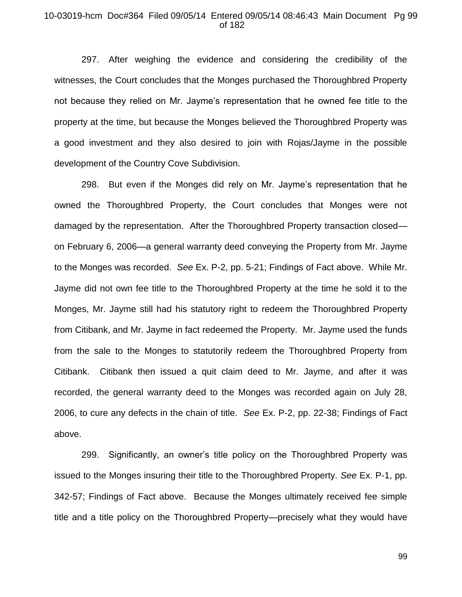### 10-03019-hcm Doc#364 Filed 09/05/14 Entered 09/05/14 08:46:43 Main Document Pg 99 of 182

297. After weighing the evidence and considering the credibility of the witnesses, the Court concludes that the Monges purchased the Thoroughbred Property not because they relied on Mr. Jayme's representation that he owned fee title to the property at the time, but because the Monges believed the Thoroughbred Property was a good investment and they also desired to join with Rojas/Jayme in the possible development of the Country Cove Subdivision.

298. But even if the Monges did rely on Mr. Jayme's representation that he owned the Thoroughbred Property, the Court concludes that Monges were not damaged by the representation. After the Thoroughbred Property transaction closed on February 6, 2006—a general warranty deed conveying the Property from Mr. Jayme to the Monges was recorded. *See* Ex. P-2, pp. 5-21; Findings of Fact above. While Mr. Jayme did not own fee title to the Thoroughbred Property at the time he sold it to the Monges, Mr. Jayme still had his statutory right to redeem the Thoroughbred Property from Citibank, and Mr. Jayme in fact redeemed the Property. Mr. Jayme used the funds from the sale to the Monges to statutorily redeem the Thoroughbred Property from Citibank. Citibank then issued a quit claim deed to Mr. Jayme, and after it was recorded, the general warranty deed to the Monges was recorded again on July 28, 2006, to cure any defects in the chain of title. *See* Ex. P-2, pp. 22-38; Findings of Fact above.

299. Significantly, an owner's title policy on the Thoroughbred Property was issued to the Monges insuring their title to the Thoroughbred Property. *See* Ex. P-1, pp. 342-57; Findings of Fact above. Because the Monges ultimately received fee simple title and a title policy on the Thoroughbred Property—precisely what they would have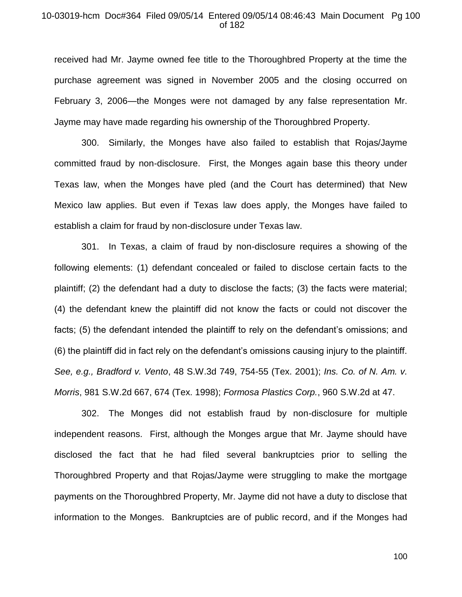## 10-03019-hcm Doc#364 Filed 09/05/14 Entered 09/05/14 08:46:43 Main Document Pg 100 of 182

received had Mr. Jayme owned fee title to the Thoroughbred Property at the time the purchase agreement was signed in November 2005 and the closing occurred on February 3, 2006—the Monges were not damaged by any false representation Mr. Jayme may have made regarding his ownership of the Thoroughbred Property.

300. Similarly, the Monges have also failed to establish that Rojas/Jayme committed fraud by non-disclosure. First, the Monges again base this theory under Texas law, when the Monges have pled (and the Court has determined) that New Mexico law applies. But even if Texas law does apply, the Monges have failed to establish a claim for fraud by non-disclosure under Texas law.

301. In Texas, a claim of fraud by non-disclosure requires a showing of the following elements: (1) defendant concealed or failed to disclose certain facts to the plaintiff; (2) the defendant had a duty to disclose the facts; (3) the facts were material; (4) the defendant knew the plaintiff did not know the facts or could not discover the facts; (5) the defendant intended the plaintiff to rely on the defendant's omissions; and (6) the plaintiff did in fact rely on the defendant's omissions causing injury to the plaintiff. *See, e.g., Bradford v. Vento*, 48 S.W.3d 749, 754-55 (Tex. 2001); *Ins. Co. of N. Am. v. Morris*, 981 S.W.2d 667, 674 (Tex. 1998); *Formosa Plastics Corp.*, 960 S.W.2d at 47.

302. The Monges did not establish fraud by non-disclosure for multiple independent reasons. First, although the Monges argue that Mr. Jayme should have disclosed the fact that he had filed several bankruptcies prior to selling the Thoroughbred Property and that Rojas/Jayme were struggling to make the mortgage payments on the Thoroughbred Property, Mr. Jayme did not have a duty to disclose that information to the Monges. Bankruptcies are of public record, and if the Monges had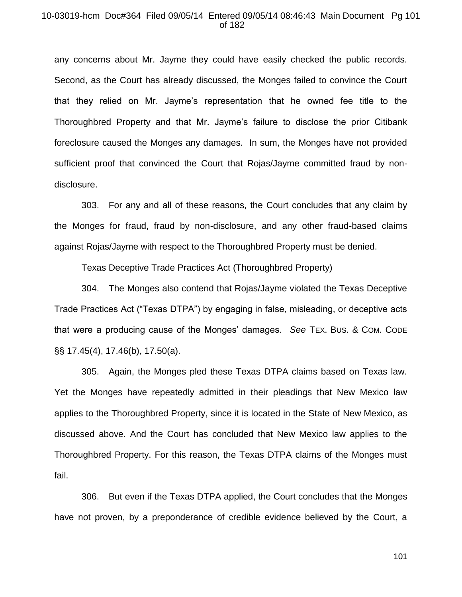#### 10-03019-hcm Doc#364 Filed 09/05/14 Entered 09/05/14 08:46:43 Main Document Pg 101 of 182

any concerns about Mr. Jayme they could have easily checked the public records. Second, as the Court has already discussed, the Monges failed to convince the Court that they relied on Mr. Jayme's representation that he owned fee title to the Thoroughbred Property and that Mr. Jayme's failure to disclose the prior Citibank foreclosure caused the Monges any damages. In sum, the Monges have not provided sufficient proof that convinced the Court that Rojas/Jayme committed fraud by nondisclosure.

303. For any and all of these reasons, the Court concludes that any claim by the Monges for fraud, fraud by non-disclosure, and any other fraud-based claims against Rojas/Jayme with respect to the Thoroughbred Property must be denied.

#### Texas Deceptive Trade Practices Act (Thoroughbred Property)

304. The Monges also contend that Rojas/Jayme violated the Texas Deceptive Trade Practices Act ("Texas DTPA") by engaging in false, misleading, or deceptive acts that were a producing cause of the Monges' damages. *See* TEX. BUS. & COM. CODE §§ 17.45(4), 17.46(b), 17.50(a).

305. Again, the Monges pled these Texas DTPA claims based on Texas law. Yet the Monges have repeatedly admitted in their pleadings that New Mexico law applies to the Thoroughbred Property, since it is located in the State of New Mexico, as discussed above. And the Court has concluded that New Mexico law applies to the Thoroughbred Property. For this reason, the Texas DTPA claims of the Monges must fail.

306. But even if the Texas DTPA applied, the Court concludes that the Monges have not proven, by a preponderance of credible evidence believed by the Court, a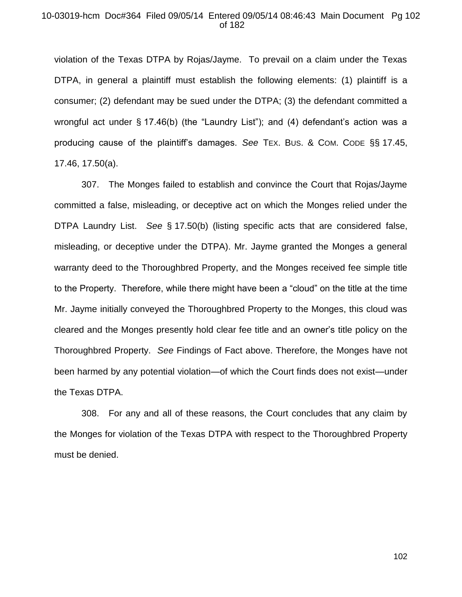#### 10-03019-hcm Doc#364 Filed 09/05/14 Entered 09/05/14 08:46:43 Main Document Pg 102 of 182

violation of the Texas DTPA by Rojas/Jayme. To prevail on a claim under the Texas DTPA, in general a plaintiff must establish the following elements: (1) plaintiff is a consumer; (2) defendant may be sued under the DTPA; (3) the defendant committed a wrongful act under § 17.46(b) (the "Laundry List"); and (4) defendant's action was a producing cause of the plaintiff's damages. *See* TEX. BUS. & COM. CODE §§ 17.45, 17.46, 17.50(a).

307. The Monges failed to establish and convince the Court that Rojas/Jayme committed a false, misleading, or deceptive act on which the Monges relied under the DTPA Laundry List. *See* § 17.50(b) (listing specific acts that are considered false, misleading, or deceptive under the DTPA). Mr. Jayme granted the Monges a general warranty deed to the Thoroughbred Property, and the Monges received fee simple title to the Property. Therefore, while there might have been a "cloud" on the title at the time Mr. Jayme initially conveyed the Thoroughbred Property to the Monges, this cloud was cleared and the Monges presently hold clear fee title and an owner's title policy on the Thoroughbred Property. *See* Findings of Fact above. Therefore, the Monges have not been harmed by any potential violation—of which the Court finds does not exist—under the Texas DTPA.

308. For any and all of these reasons, the Court concludes that any claim by the Monges for violation of the Texas DTPA with respect to the Thoroughbred Property must be denied.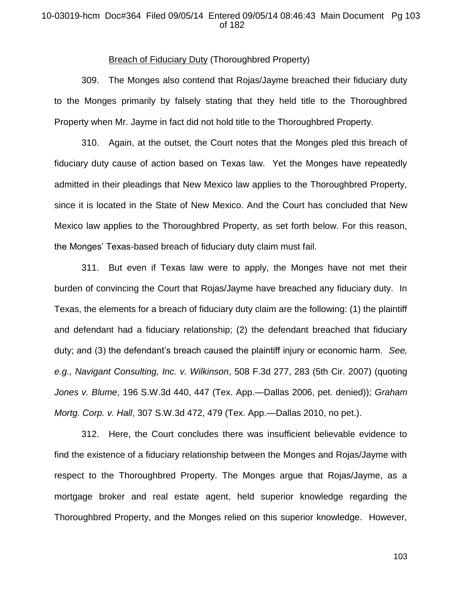## 10-03019-hcm Doc#364 Filed 09/05/14 Entered 09/05/14 08:46:43 Main Document Pg 103 of 182

#### Breach of Fiduciary Duty (Thoroughbred Property)

309. The Monges also contend that Rojas/Jayme breached their fiduciary duty to the Monges primarily by falsely stating that they held title to the Thoroughbred Property when Mr. Jayme in fact did not hold title to the Thoroughbred Property.

310. Again, at the outset, the Court notes that the Monges pled this breach of fiduciary duty cause of action based on Texas law. Yet the Monges have repeatedly admitted in their pleadings that New Mexico law applies to the Thoroughbred Property, since it is located in the State of New Mexico. And the Court has concluded that New Mexico law applies to the Thoroughbred Property, as set forth below. For this reason, the Monges' Texas-based breach of fiduciary duty claim must fail.

311. But even if Texas law were to apply, the Monges have not met their burden of convincing the Court that Rojas/Jayme have breached any fiduciary duty. In Texas, the elements for a breach of fiduciary duty claim are the following: (1) the plaintiff and defendant had a fiduciary relationship; (2) the defendant breached that fiduciary duty; and (3) the defendant's breach caused the plaintiff injury or economic harm. *See, e.g., Navigant Consulting, Inc. v. Wilkinson*, 508 F.3d 277, 283 (5th Cir. 2007) (quoting *Jones v. Blume*, 196 S.W.3d 440, 447 (Tex. App.—Dallas 2006, pet. denied)); *Graham Mortg. Corp. v. Hall*, 307 S.W.3d 472, 479 (Tex. App.—Dallas 2010, no pet.).

312. Here, the Court concludes there was insufficient believable evidence to find the existence of a fiduciary relationship between the Monges and Rojas/Jayme with respect to the Thoroughbred Property. The Monges argue that Rojas/Jayme, as a mortgage broker and real estate agent, held superior knowledge regarding the Thoroughbred Property, and the Monges relied on this superior knowledge. However,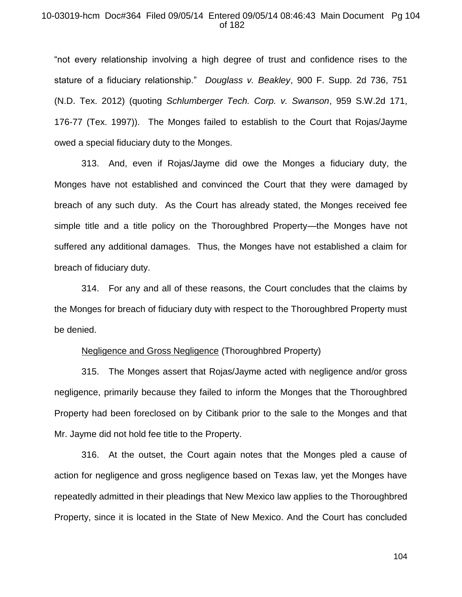## 10-03019-hcm Doc#364 Filed 09/05/14 Entered 09/05/14 08:46:43 Main Document Pg 104 of 182

"not every relationship involving a high degree of trust and confidence rises to the stature of a fiduciary relationship." *Douglass v. Beakley*, 900 F. Supp. 2d 736, 751 (N.D. Tex. 2012) (quoting *Schlumberger Tech. Corp. v. Swanson*, 959 S.W.2d 171, 176-77 (Tex. 1997)).The Monges failed to establish to the Court that Rojas/Jayme owed a special fiduciary duty to the Monges.

313. And, even if Rojas/Jayme did owe the Monges a fiduciary duty, the Monges have not established and convinced the Court that they were damaged by breach of any such duty. As the Court has already stated, the Monges received fee simple title and a title policy on the Thoroughbred Property—the Monges have not suffered any additional damages. Thus, the Monges have not established a claim for breach of fiduciary duty.

314. For any and all of these reasons, the Court concludes that the claims by the Monges for breach of fiduciary duty with respect to the Thoroughbred Property must be denied.

#### Negligence and Gross Negligence (Thoroughbred Property)

315. The Monges assert that Rojas/Jayme acted with negligence and/or gross negligence, primarily because they failed to inform the Monges that the Thoroughbred Property had been foreclosed on by Citibank prior to the sale to the Monges and that Mr. Jayme did not hold fee title to the Property.

316. At the outset, the Court again notes that the Monges pled a cause of action for negligence and gross negligence based on Texas law, yet the Monges have repeatedly admitted in their pleadings that New Mexico law applies to the Thoroughbred Property, since it is located in the State of New Mexico. And the Court has concluded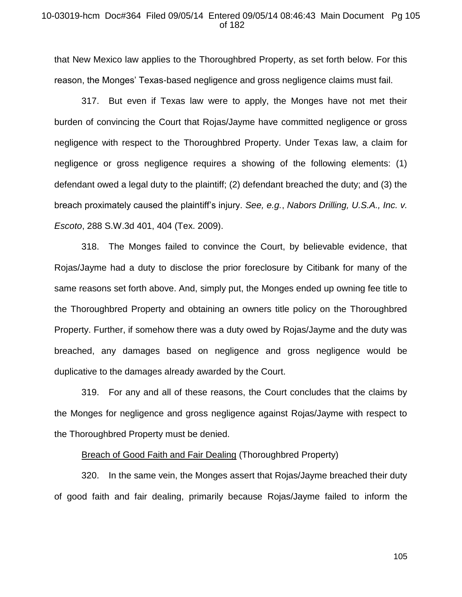#### 10-03019-hcm Doc#364 Filed 09/05/14 Entered 09/05/14 08:46:43 Main Document Pg 105 of 182

that New Mexico law applies to the Thoroughbred Property, as set forth below. For this reason, the Monges' Texas-based negligence and gross negligence claims must fail.

317. But even if Texas law were to apply, the Monges have not met their burden of convincing the Court that Rojas/Jayme have committed negligence or gross negligence with respect to the Thoroughbred Property. Under Texas law, a claim for negligence or gross negligence requires a showing of the following elements: (1) defendant owed a legal duty to the plaintiff; (2) defendant breached the duty; and (3) the breach proximately caused the plaintiff's injury. *See, e.g.*, *Nabors Drilling, U.S.A., Inc. v. Escoto*, 288 S.W.3d 401, 404 (Tex. 2009).

318. The Monges failed to convince the Court, by believable evidence, that Rojas/Jayme had a duty to disclose the prior foreclosure by Citibank for many of the same reasons set forth above. And, simply put, the Monges ended up owning fee title to the Thoroughbred Property and obtaining an owners title policy on the Thoroughbred Property. Further, if somehow there was a duty owed by Rojas/Jayme and the duty was breached, any damages based on negligence and gross negligence would be duplicative to the damages already awarded by the Court.

319. For any and all of these reasons, the Court concludes that the claims by the Monges for negligence and gross negligence against Rojas/Jayme with respect to the Thoroughbred Property must be denied.

## Breach of Good Faith and Fair Dealing (Thoroughbred Property)

320. In the same vein, the Monges assert that Rojas/Jayme breached their duty of good faith and fair dealing, primarily because Rojas/Jayme failed to inform the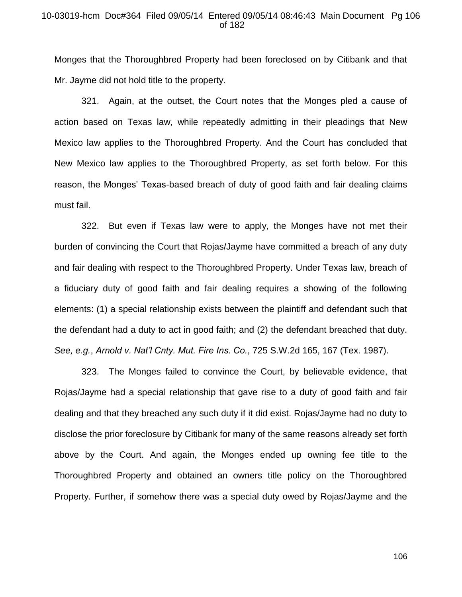#### 10-03019-hcm Doc#364 Filed 09/05/14 Entered 09/05/14 08:46:43 Main Document Pg 106 of 182

Monges that the Thoroughbred Property had been foreclosed on by Citibank and that Mr. Jayme did not hold title to the property.

321. Again, at the outset, the Court notes that the Monges pled a cause of action based on Texas law, while repeatedly admitting in their pleadings that New Mexico law applies to the Thoroughbred Property. And the Court has concluded that New Mexico law applies to the Thoroughbred Property, as set forth below. For this reason, the Monges' Texas-based breach of duty of good faith and fair dealing claims must fail.

322. But even if Texas law were to apply, the Monges have not met their burden of convincing the Court that Rojas/Jayme have committed a breach of any duty and fair dealing with respect to the Thoroughbred Property. Under Texas law, breach of a fiduciary duty of good faith and fair dealing requires a showing of the following elements: (1) a special relationship exists between the plaintiff and defendant such that the defendant had a duty to act in good faith; and (2) the defendant breached that duty. *See, e.g.*, *Arnold v. Nat'l Cnty. Mut. Fire Ins. Co.*, 725 S.W.2d 165, 167 (Tex. 1987).

323. The Monges failed to convince the Court, by believable evidence, that Rojas/Jayme had a special relationship that gave rise to a duty of good faith and fair dealing and that they breached any such duty if it did exist. Rojas/Jayme had no duty to disclose the prior foreclosure by Citibank for many of the same reasons already set forth above by the Court. And again, the Monges ended up owning fee title to the Thoroughbred Property and obtained an owners title policy on the Thoroughbred Property. Further, if somehow there was a special duty owed by Rojas/Jayme and the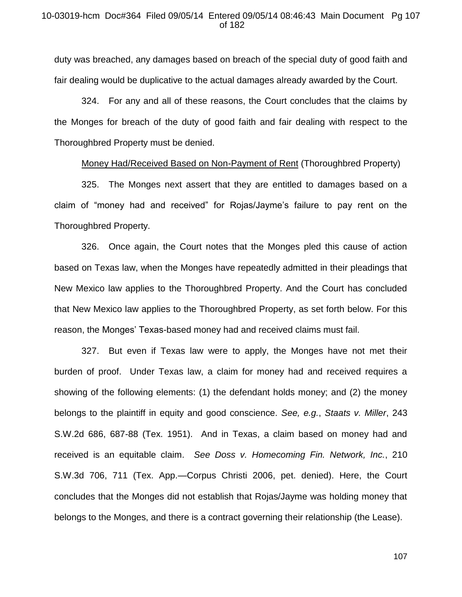duty was breached, any damages based on breach of the special duty of good faith and fair dealing would be duplicative to the actual damages already awarded by the Court.

324. For any and all of these reasons, the Court concludes that the claims by the Monges for breach of the duty of good faith and fair dealing with respect to the Thoroughbred Property must be denied.

#### Money Had/Received Based on Non-Payment of Rent (Thoroughbred Property)

325. The Monges next assert that they are entitled to damages based on a claim of "money had and received" for Rojas/Jayme's failure to pay rent on the Thoroughbred Property.

326. Once again, the Court notes that the Monges pled this cause of action based on Texas law, when the Monges have repeatedly admitted in their pleadings that New Mexico law applies to the Thoroughbred Property. And the Court has concluded that New Mexico law applies to the Thoroughbred Property, as set forth below. For this reason, the Monges' Texas-based money had and received claims must fail.

327. But even if Texas law were to apply, the Monges have not met their burden of proof. Under Texas law, a claim for money had and received requires a showing of the following elements: (1) the defendant holds money; and (2) the money belongs to the plaintiff in equity and good conscience. *See, e.g.*, *Staats v. Miller*, 243 S.W.2d 686, 687-88 (Tex. 1951). And in Texas, a claim based on money had and received is an equitable claim. *See Doss v. Homecoming Fin. Network, Inc.*, 210 S.W.3d 706, 711 (Tex. App.—Corpus Christi 2006, pet. denied). Here, the Court concludes that the Monges did not establish that Rojas/Jayme was holding money that belongs to the Monges, and there is a contract governing their relationship (the Lease).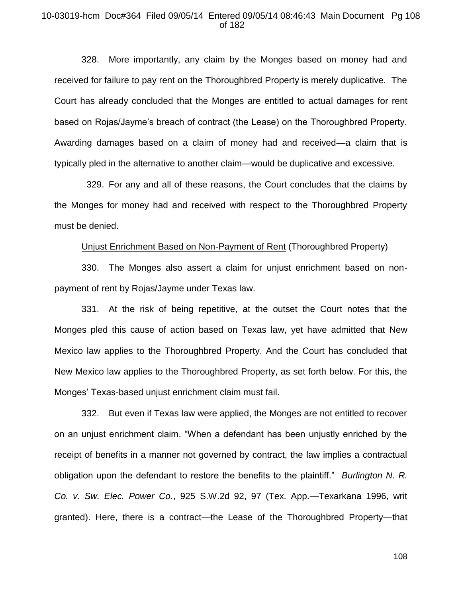#### 10-03019-hcm Doc#364 Filed 09/05/14 Entered 09/05/14 08:46:43 Main Document Pg 108 of 182

328. More importantly, any claim by the Monges based on money had and received for failure to pay rent on the Thoroughbred Property is merely duplicative. The Court has already concluded that the Monges are entitled to actual damages for rent based on Rojas/Jayme's breach of contract (the Lease) on the Thoroughbred Property. Awarding damages based on a claim of money had and received—a claim that is typically pled in the alternative to another claim—would be duplicative and excessive.

 329. For any and all of these reasons, the Court concludes that the claims by the Monges for money had and received with respect to the Thoroughbred Property must be denied.

#### Unjust Enrichment Based on Non-Payment of Rent (Thoroughbred Property)

330. The Monges also assert a claim for unjust enrichment based on nonpayment of rent by Rojas/Jayme under Texas law.

331. At the risk of being repetitive, at the outset the Court notes that the Monges pled this cause of action based on Texas law, yet have admitted that New Mexico law applies to the Thoroughbred Property. And the Court has concluded that New Mexico law applies to the Thoroughbred Property, as set forth below. For this, the Monges' Texas-based unjust enrichment claim must fail.

332. But even if Texas law were applied, the Monges are not entitled to recover on an unjust enrichment claim. "When a defendant has been unjustly enriched by the receipt of benefits in a manner not governed by contract, the law implies a contractual obligation upon the defendant to restore the benefits to the plaintiff." *Burlington N. R. Co. v. Sw. Elec. Power Co.*, 925 S.W.2d 92, 97 (Tex. App.—Texarkana 1996, writ granted). Here, there is a contract—the Lease of the Thoroughbred Property—that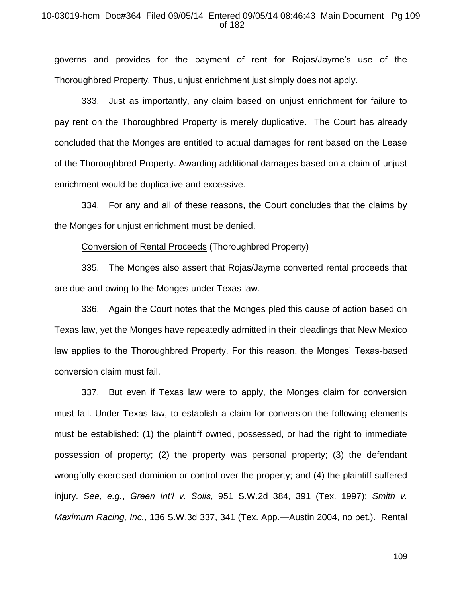#### 10-03019-hcm Doc#364 Filed 09/05/14 Entered 09/05/14 08:46:43 Main Document Pg 109 of 182

governs and provides for the payment of rent for Rojas/Jayme's use of the Thoroughbred Property. Thus, unjust enrichment just simply does not apply.

333. Just as importantly, any claim based on unjust enrichment for failure to pay rent on the Thoroughbred Property is merely duplicative. The Court has already concluded that the Monges are entitled to actual damages for rent based on the Lease of the Thoroughbred Property. Awarding additional damages based on a claim of unjust enrichment would be duplicative and excessive.

334. For any and all of these reasons, the Court concludes that the claims by the Monges for unjust enrichment must be denied.

Conversion of Rental Proceeds (Thoroughbred Property)

335. The Monges also assert that Rojas/Jayme converted rental proceeds that are due and owing to the Monges under Texas law.

336. Again the Court notes that the Monges pled this cause of action based on Texas law, yet the Monges have repeatedly admitted in their pleadings that New Mexico law applies to the Thoroughbred Property. For this reason, the Monges' Texas-based conversion claim must fail.

337. But even if Texas law were to apply, the Monges claim for conversion must fail. Under Texas law, to establish a claim for conversion the following elements must be established: (1) the plaintiff owned, possessed, or had the right to immediate possession of property; (2) the property was personal property; (3) the defendant wrongfully exercised dominion or control over the property; and (4) the plaintiff suffered injury. *See, e.g.*, *Green Int'l v. Solis*, 951 S.W.2d 384, 391 (Tex. 1997); *Smith v. Maximum Racing, Inc.*, 136 S.W.3d 337, 341 (Tex. App.—Austin 2004, no pet.). Rental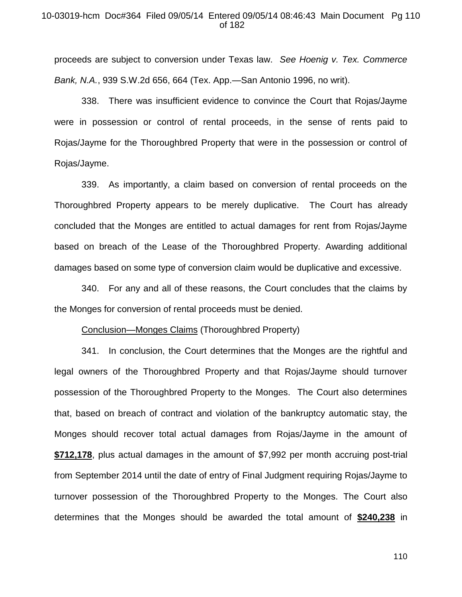#### 10-03019-hcm Doc#364 Filed 09/05/14 Entered 09/05/14 08:46:43 Main Document Pg 110 of 182

proceeds are subject to conversion under Texas law. *See Hoenig v. Tex. Commerce Bank, N.A.*, 939 S.W.2d 656, 664 (Tex. App.—San Antonio 1996, no writ).

338. There was insufficient evidence to convince the Court that Rojas/Jayme were in possession or control of rental proceeds, in the sense of rents paid to Rojas/Jayme for the Thoroughbred Property that were in the possession or control of Rojas/Jayme.

339. As importantly, a claim based on conversion of rental proceeds on the Thoroughbred Property appears to be merely duplicative. The Court has already concluded that the Monges are entitled to actual damages for rent from Rojas/Jayme based on breach of the Lease of the Thoroughbred Property. Awarding additional damages based on some type of conversion claim would be duplicative and excessive.

340. For any and all of these reasons, the Court concludes that the claims by the Monges for conversion of rental proceeds must be denied.

#### Conclusion—Monges Claims (Thoroughbred Property)

341. In conclusion, the Court determines that the Monges are the rightful and legal owners of the Thoroughbred Property and that Rojas/Jayme should turnover possession of the Thoroughbred Property to the Monges. The Court also determines that, based on breach of contract and violation of the bankruptcy automatic stay, the Monges should recover total actual damages from Rojas/Jayme in the amount of **\$712,178**, plus actual damages in the amount of \$7,992 per month accruing post-trial from September 2014 until the date of entry of Final Judgment requiring Rojas/Jayme to turnover possession of the Thoroughbred Property to the Monges. The Court also determines that the Monges should be awarded the total amount of **\$240,238** in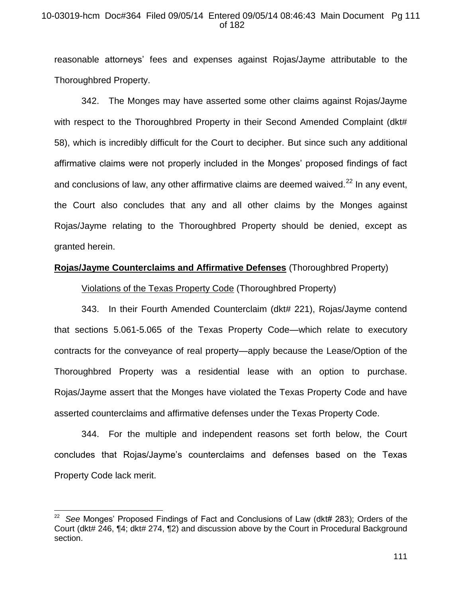## 10-03019-hcm Doc#364 Filed 09/05/14 Entered 09/05/14 08:46:43 Main Document Pg 111 of 182

reasonable attorneys' fees and expenses against Rojas/Jayme attributable to the Thoroughbred Property.

342. The Monges may have asserted some other claims against Rojas/Jayme with respect to the Thoroughbred Property in their Second Amended Complaint (dkt#) 58), which is incredibly difficult for the Court to decipher. But since such any additional affirmative claims were not properly included in the Monges' proposed findings of fact and conclusions of law, any other affirmative claims are deemed waived.<sup>22</sup> In any event, the Court also concludes that any and all other claims by the Monges against Rojas/Jayme relating to the Thoroughbred Property should be denied, except as granted herein.

## **Rojas/Jayme Counterclaims and Affirmative Defenses** (Thoroughbred Property)

Violations of the Texas Property Code (Thoroughbred Property)

343. In their Fourth Amended Counterclaim (dkt# 221), Rojas/Jayme contend that sections 5.061-5.065 of the Texas Property Code—which relate to executory contracts for the conveyance of real property—apply because the Lease/Option of the Thoroughbred Property was a residential lease with an option to purchase. Rojas/Jayme assert that the Monges have violated the Texas Property Code and have asserted counterclaims and affirmative defenses under the Texas Property Code.

344. For the multiple and independent reasons set forth below, the Court concludes that Rojas/Jayme's counterclaims and defenses based on the Texas Property Code lack merit.

 $\overline{a}$ 

<sup>22</sup> *See* Monges' Proposed Findings of Fact and Conclusions of Law (dkt# 283); Orders of the Court (dkt# 246, ¶4; dkt# 274, ¶2) and discussion above by the Court in Procedural Background section.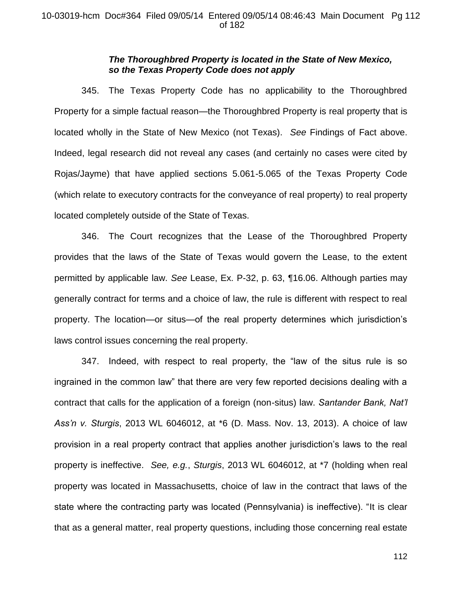## *The Thoroughbred Property is located in the State of New Mexico, so the Texas Property Code does not apply*

345. The Texas Property Code has no applicability to the Thoroughbred Property for a simple factual reason—the Thoroughbred Property is real property that is located wholly in the State of New Mexico (not Texas). *See* Findings of Fact above. Indeed, legal research did not reveal any cases (and certainly no cases were cited by Rojas/Jayme) that have applied sections 5.061-5.065 of the Texas Property Code (which relate to executory contracts for the conveyance of real property) to real property located completely outside of the State of Texas.

346. The Court recognizes that the Lease of the Thoroughbred Property provides that the laws of the State of Texas would govern the Lease, to the extent permitted by applicable law. *See* Lease, Ex. P-32, p. 63, ¶16.06. Although parties may generally contract for terms and a choice of law, the rule is different with respect to real property. The location—or situs—of the real property determines which jurisdiction's laws control issues concerning the real property.

347. Indeed, with respect to real property, the "law of the situs rule is so ingrained in the common law" that there are very few reported decisions dealing with a contract that calls for the application of a foreign (non-situs) law. *Santander Bank, Nat'l Ass'n v. Sturgis*, 2013 WL 6046012, at \*6 (D. Mass. Nov. 13, 2013). A choice of law provision in a real property contract that applies another jurisdiction's laws to the real property is ineffective. *See, e.g.*, *Sturgis*, 2013 WL 6046012, at \*7 (holding when real property was located in Massachusetts, choice of law in the contract that laws of the state where the contracting party was located (Pennsylvania) is ineffective). "It is clear that as a general matter, real property questions, including those concerning real estate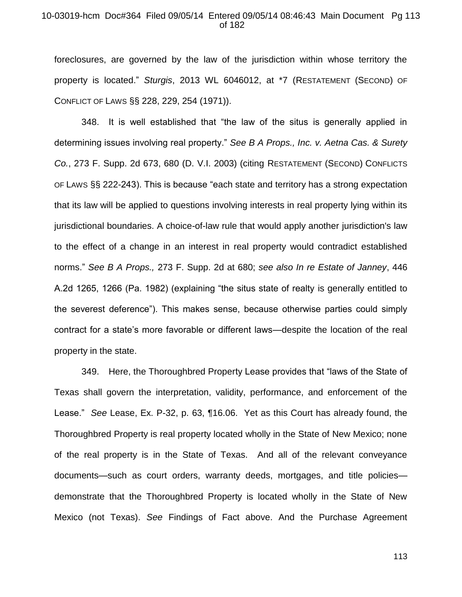### 10-03019-hcm Doc#364 Filed 09/05/14 Entered 09/05/14 08:46:43 Main Document Pg 113 of 182

foreclosures, are governed by the law of the jurisdiction within whose territory the property is located." *Sturgis*, 2013 WL 6046012, at \*7 (RESTATEMENT (SECOND) OF CONFLICT OF LAWS §§ 228, 229, 254 (1971)).

348. It is well established that "the law of the situs is generally applied in determining issues involving real property." *See B A Props., Inc. v. Aetna Cas. & Surety Co.*, 273 F. Supp. 2d 673, 680 (D. V.I. 2003) (citing RESTATEMENT (SECOND) CONFLICTS OF LAWS §§ 222-243). This is because "each state and territory has a strong expectation that its law will be applied to questions involving interests in real property lying within its jurisdictional boundaries. A choice-of-law rule that would apply another jurisdiction's law to the effect of a change in an interest in real property would contradict established norms." *See B A Props.,* 273 F. Supp. 2d at 680; *see also In re Estate of Janney*, 446 A.2d 1265, 1266 (Pa. 1982) (explaining "the situs state of realty is generally entitled to the severest deference"). This makes sense, because otherwise parties could simply contract for a state's more favorable or different laws—despite the location of the real property in the state.

349. Here, the Thoroughbred Property Lease provides that "laws of the State of Texas shall govern the interpretation, validity, performance, and enforcement of the Lease." *See* Lease, Ex. P-32, p. 63, ¶16.06. Yet as this Court has already found, the Thoroughbred Property is real property located wholly in the State of New Mexico; none of the real property is in the State of Texas. And all of the relevant conveyance documents—such as court orders, warranty deeds, mortgages, and title policies demonstrate that the Thoroughbred Property is located wholly in the State of New Mexico (not Texas). *See* Findings of Fact above. And the Purchase Agreement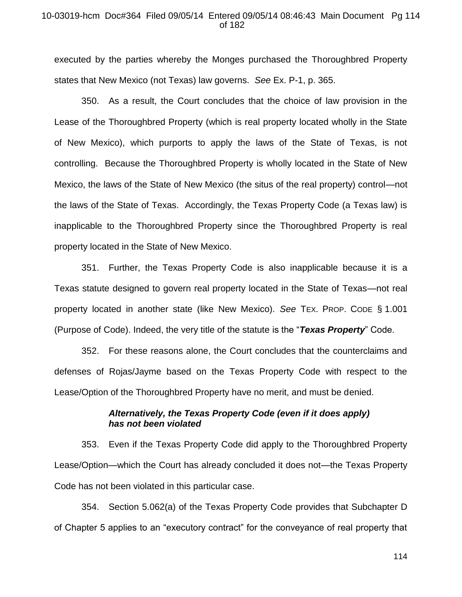### 10-03019-hcm Doc#364 Filed 09/05/14 Entered 09/05/14 08:46:43 Main Document Pg 114 of 182

executed by the parties whereby the Monges purchased the Thoroughbred Property states that New Mexico (not Texas) law governs. *See* Ex. P-1, p. 365.

350. As a result, the Court concludes that the choice of law provision in the Lease of the Thoroughbred Property (which is real property located wholly in the State of New Mexico), which purports to apply the laws of the State of Texas, is not controlling. Because the Thoroughbred Property is wholly located in the State of New Mexico, the laws of the State of New Mexico (the situs of the real property) control—not the laws of the State of Texas. Accordingly, the Texas Property Code (a Texas law) is inapplicable to the Thoroughbred Property since the Thoroughbred Property is real property located in the State of New Mexico.

351. Further, the Texas Property Code is also inapplicable because it is a Texas statute designed to govern real property located in the State of Texas—not real property located in another state (like New Mexico). *See* TEX. PROP. CODE § 1.001 (Purpose of Code). Indeed, the very title of the statute is the "*Texas Property*" Code.

352. For these reasons alone, the Court concludes that the counterclaims and defenses of Rojas/Jayme based on the Texas Property Code with respect to the Lease/Option of the Thoroughbred Property have no merit, and must be denied.

## *Alternatively, the Texas Property Code (even if it does apply) has not been violated*

353. Even if the Texas Property Code did apply to the Thoroughbred Property Lease/Option—which the Court has already concluded it does not—the Texas Property Code has not been violated in this particular case.

354. Section 5.062(a) of the Texas Property Code provides that Subchapter D of Chapter 5 applies to an "executory contract" for the conveyance of real property that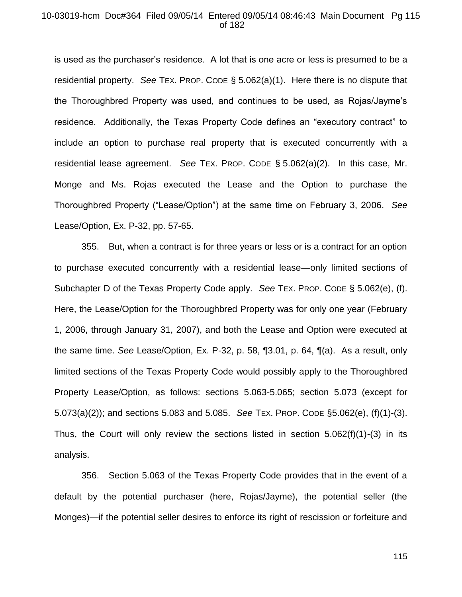#### 10-03019-hcm Doc#364 Filed 09/05/14 Entered 09/05/14 08:46:43 Main Document Pg 115 of 182

is used as the purchaser's residence. A lot that is one acre or less is presumed to be a residential property. *See* TEX. PROP. CODE § 5.062(a)(1). Here there is no dispute that the Thoroughbred Property was used, and continues to be used, as Rojas/Jayme's residence. Additionally, the Texas Property Code defines an "executory contract" to include an option to purchase real property that is executed concurrently with a residential lease agreement. *See* TEX. PROP. CODE § 5.062(a)(2). In this case, Mr. Monge and Ms. Rojas executed the Lease and the Option to purchase the Thoroughbred Property ("Lease/Option") at the same time on February 3, 2006. *See* Lease/Option, Ex. P-32, pp. 57-65.

 355. But, when a contract is for three years or less or is a contract for an option to purchase executed concurrently with a residential lease—only limited sections of Subchapter D of the Texas Property Code apply. *See* TEX. PROP. CODE § 5.062(e), (f). Here, the Lease/Option for the Thoroughbred Property was for only one year (February 1, 2006, through January 31, 2007), and both the Lease and Option were executed at the same time. *See* Lease/Option, Ex. P-32, p. 58, ¶3.01, p. 64, ¶(a). As a result, only limited sections of the Texas Property Code would possibly apply to the Thoroughbred Property Lease/Option, as follows: sections 5.063-5.065; section 5.073 (except for 5.073(a)(2)); and sections 5.083 and 5.085. *See* TEX. PROP. CODE §5.062(e), (f)(1)-(3). Thus, the Court will only review the sections listed in section 5.062(f)(1)-(3) in its analysis.

356. Section 5.063 of the Texas Property Code provides that in the event of a default by the potential purchaser (here, Rojas/Jayme), the potential seller (the Monges)—if the potential seller desires to enforce its right of rescission or forfeiture and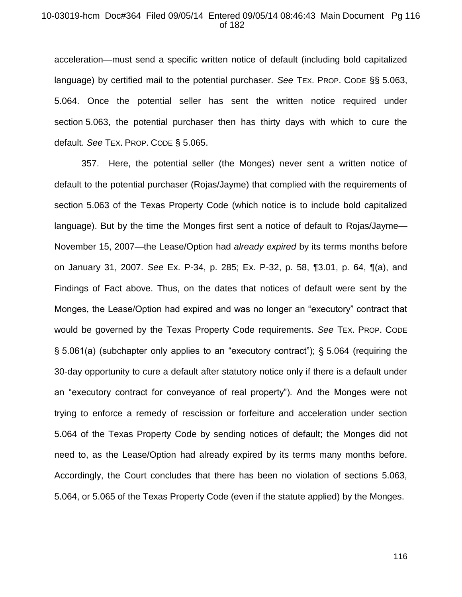### 10-03019-hcm Doc#364 Filed 09/05/14 Entered 09/05/14 08:46:43 Main Document Pg 116 of 182

acceleration—must send a specific written notice of default (including bold capitalized language) by certified mail to the potential purchaser. *See* TEX. PROP. CODE §§ 5.063, 5.064. Once the potential seller has sent the written notice required under section 5.063, the potential purchaser then has thirty days with which to cure the default. *See* TEX. PROP. CODE § 5.065.

357. Here, the potential seller (the Monges) never sent a written notice of default to the potential purchaser (Rojas/Jayme) that complied with the requirements of section 5.063 of the Texas Property Code (which notice is to include bold capitalized language). But by the time the Monges first sent a notice of default to Rojas/Jayme— November 15, 2007—the Lease/Option had *already expired* by its terms months before on January 31, 2007. *See* Ex. P-34, p. 285; Ex. P-32, p. 58, ¶3.01, p. 64, ¶(a), and Findings of Fact above. Thus, on the dates that notices of default were sent by the Monges, the Lease/Option had expired and was no longer an "executory" contract that would be governed by the Texas Property Code requirements. *See* TEX. PROP. CODE § 5.061(a) (subchapter only applies to an "executory contract"); § 5.064 (requiring the 30-day opportunity to cure a default after statutory notice only if there is a default under an "executory contract for conveyance of real property"). And the Monges were not trying to enforce a remedy of rescission or forfeiture and acceleration under section 5.064 of the Texas Property Code by sending notices of default; the Monges did not need to, as the Lease/Option had already expired by its terms many months before. Accordingly, the Court concludes that there has been no violation of sections 5.063, 5.064, or 5.065 of the Texas Property Code (even if the statute applied) by the Monges.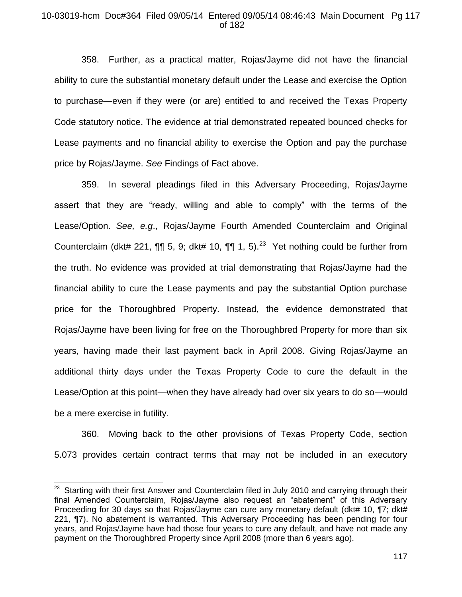## 10-03019-hcm Doc#364 Filed 09/05/14 Entered 09/05/14 08:46:43 Main Document Pg 117 of 182

358. Further, as a practical matter, Rojas/Jayme did not have the financial ability to cure the substantial monetary default under the Lease and exercise the Option to purchase—even if they were (or are) entitled to and received the Texas Property Code statutory notice. The evidence at trial demonstrated repeated bounced checks for Lease payments and no financial ability to exercise the Option and pay the purchase price by Rojas/Jayme. *See* Findings of Fact above.

359. In several pleadings filed in this Adversary Proceeding, Rojas/Jayme assert that they are "ready, willing and able to comply" with the terms of the Lease/Option. *See, e.g*., Rojas/Jayme Fourth Amended Counterclaim and Original Counterclaim (dkt# 221,  $\P\P$  5, 9; dkt# 10,  $\P\P$  1, 5).<sup>23</sup> Yet nothing could be further from the truth. No evidence was provided at trial demonstrating that Rojas/Jayme had the financial ability to cure the Lease payments and pay the substantial Option purchase price for the Thoroughbred Property. Instead, the evidence demonstrated that Rojas/Jayme have been living for free on the Thoroughbred Property for more than six years, having made their last payment back in April 2008. Giving Rojas/Jayme an additional thirty days under the Texas Property Code to cure the default in the Lease/Option at this point—when they have already had over six years to do so—would be a mere exercise in futility.

360. Moving back to the other provisions of Texas Property Code, section 5.073 provides certain contract terms that may not be included in an executory

**EXECUTE:**<br><sup>23</sup> Starting with their first Answer and Counterclaim filed in July 2010 and carrying through their final Amended Counterclaim, Rojas/Jayme also request an "abatement" of this Adversary Proceeding for 30 days so that Rojas/Jayme can cure any monetary default (dkt# 10, ¶7; dkt# 221, ¶7). No abatement is warranted. This Adversary Proceeding has been pending for four years, and Rojas/Jayme have had those four years to cure any default, and have not made any payment on the Thoroughbred Property since April 2008 (more than 6 years ago).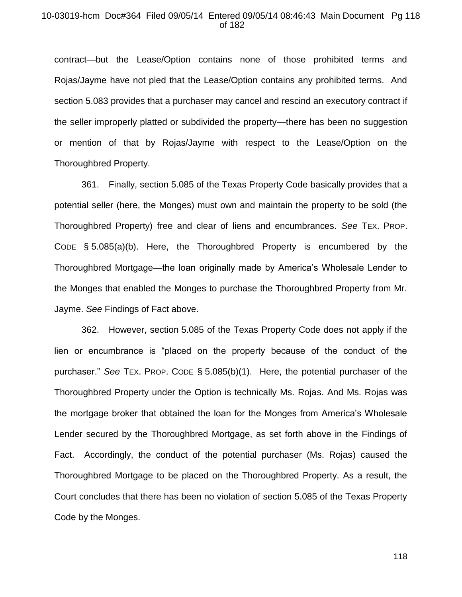#### 10-03019-hcm Doc#364 Filed 09/05/14 Entered 09/05/14 08:46:43 Main Document Pg 118 of 182

contract—but the Lease/Option contains none of those prohibited terms and Rojas/Jayme have not pled that the Lease/Option contains any prohibited terms. And section 5.083 provides that a purchaser may cancel and rescind an executory contract if the seller improperly platted or subdivided the property—there has been no suggestion or mention of that by Rojas/Jayme with respect to the Lease/Option on the Thoroughbred Property.

361. Finally, section 5.085 of the Texas Property Code basically provides that a potential seller (here, the Monges) must own and maintain the property to be sold (the Thoroughbred Property) free and clear of liens and encumbrances. *See* TEX. PROP. CODE § 5.085(a)(b). Here, the Thoroughbred Property is encumbered by the Thoroughbred Mortgage—the loan originally made by America's Wholesale Lender to the Monges that enabled the Monges to purchase the Thoroughbred Property from Mr. Jayme. *See* Findings of Fact above.

362. However, section 5.085 of the Texas Property Code does not apply if the lien or encumbrance is "placed on the property because of the conduct of the purchaser." *See* TEX. PROP. CODE § 5.085(b)(1). Here, the potential purchaser of the Thoroughbred Property under the Option is technically Ms. Rojas. And Ms. Rojas was the mortgage broker that obtained the loan for the Monges from America's Wholesale Lender secured by the Thoroughbred Mortgage, as set forth above in the Findings of Fact. Accordingly, the conduct of the potential purchaser (Ms. Rojas) caused the Thoroughbred Mortgage to be placed on the Thoroughbred Property. As a result, the Court concludes that there has been no violation of section 5.085 of the Texas Property Code by the Monges.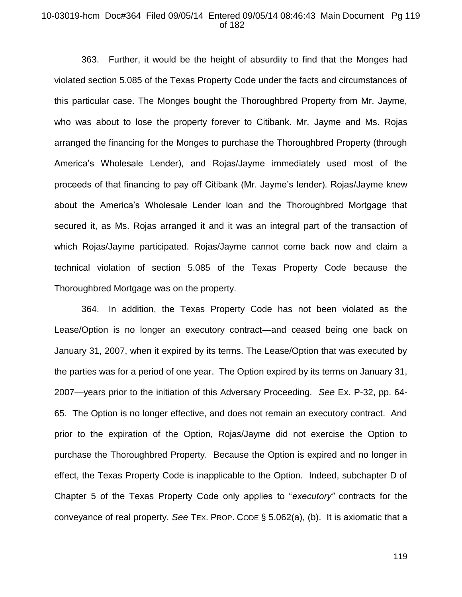#### 10-03019-hcm Doc#364 Filed 09/05/14 Entered 09/05/14 08:46:43 Main Document Pg 119 of 182

363. Further, it would be the height of absurdity to find that the Monges had violated section 5.085 of the Texas Property Code under the facts and circumstances of this particular case. The Monges bought the Thoroughbred Property from Mr. Jayme, who was about to lose the property forever to Citibank. Mr. Jayme and Ms. Rojas arranged the financing for the Monges to purchase the Thoroughbred Property (through America's Wholesale Lender), and Rojas/Jayme immediately used most of the proceeds of that financing to pay off Citibank (Mr. Jayme's lender). Rojas/Jayme knew about the America's Wholesale Lender loan and the Thoroughbred Mortgage that secured it, as Ms. Rojas arranged it and it was an integral part of the transaction of which Rojas/Jayme participated. Rojas/Jayme cannot come back now and claim a technical violation of section 5.085 of the Texas Property Code because the Thoroughbred Mortgage was on the property.

364. In addition, the Texas Property Code has not been violated as the Lease/Option is no longer an executory contract—and ceased being one back on January 31, 2007, when it expired by its terms. The Lease/Option that was executed by the parties was for a period of one year. The Option expired by its terms on January 31, 2007—years prior to the initiation of this Adversary Proceeding. *See* Ex. P-32, pp. 64- 65. The Option is no longer effective, and does not remain an executory contract. And prior to the expiration of the Option, Rojas/Jayme did not exercise the Option to purchase the Thoroughbred Property. Because the Option is expired and no longer in effect, the Texas Property Code is inapplicable to the Option. Indeed, subchapter D of Chapter 5 of the Texas Property Code only applies to "*executory"* contracts for the conveyance of real property. *See* TEX. PROP. CODE § 5.062(a), (b). It is axiomatic that a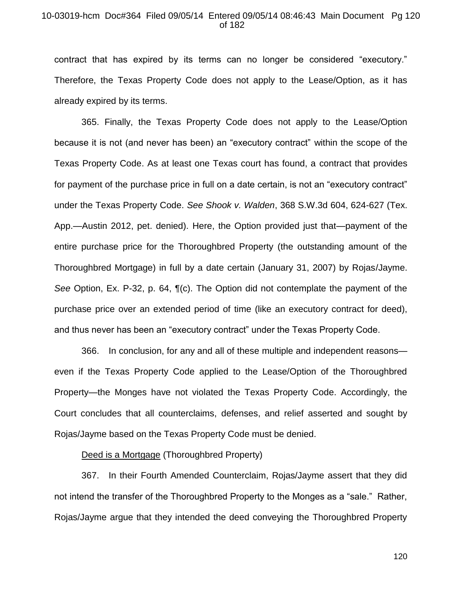#### 10-03019-hcm Doc#364 Filed 09/05/14 Entered 09/05/14 08:46:43 Main Document Pg 120 of 182

contract that has expired by its terms can no longer be considered "executory." Therefore, the Texas Property Code does not apply to the Lease/Option, as it has already expired by its terms.

365. Finally, the Texas Property Code does not apply to the Lease/Option because it is not (and never has been) an "executory contract" within the scope of the Texas Property Code. As at least one Texas court has found, a contract that provides for payment of the purchase price in full on a date certain, is not an "executory contract" under the Texas Property Code. *See Shook v. Walden*, 368 S.W.3d 604, 624-627 (Tex. App.—Austin 2012, pet. denied). Here, the Option provided just that—payment of the entire purchase price for the Thoroughbred Property (the outstanding amount of the Thoroughbred Mortgage) in full by a date certain (January 31, 2007) by Rojas/Jayme. *See* Option, Ex. P-32, p. 64, ¶(c). The Option did not contemplate the payment of the purchase price over an extended period of time (like an executory contract for deed), and thus never has been an "executory contract" under the Texas Property Code.

366. In conclusion, for any and all of these multiple and independent reasons even if the Texas Property Code applied to the Lease/Option of the Thoroughbred Property—the Monges have not violated the Texas Property Code. Accordingly, the Court concludes that all counterclaims, defenses, and relief asserted and sought by Rojas/Jayme based on the Texas Property Code must be denied.

## Deed is a Mortgage (Thoroughbred Property)

367. In their Fourth Amended Counterclaim, Rojas/Jayme assert that they did not intend the transfer of the Thoroughbred Property to the Monges as a "sale." Rather, Rojas/Jayme argue that they intended the deed conveying the Thoroughbred Property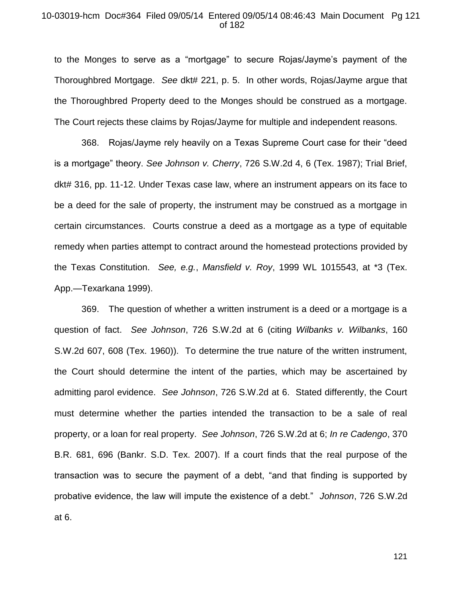#### 10-03019-hcm Doc#364 Filed 09/05/14 Entered 09/05/14 08:46:43 Main Document Pg 121 of 182

to the Monges to serve as a "mortgage" to secure Rojas/Jayme's payment of the Thoroughbred Mortgage. *See* dkt# 221, p. 5. In other words, Rojas/Jayme argue that the Thoroughbred Property deed to the Monges should be construed as a mortgage. The Court rejects these claims by Rojas/Jayme for multiple and independent reasons.

368. Rojas/Jayme rely heavily on a Texas Supreme Court case for their "deed is a mortgage" theory. *See Johnson v. Cherry*, 726 S.W.2d 4, 6 (Tex. 1987); Trial Brief, dkt# 316, pp. 11-12. Under Texas case law, where an instrument appears on its face to be a deed for the sale of property, the instrument may be construed as a mortgage in certain circumstances. Courts construe a deed as a mortgage as a type of equitable remedy when parties attempt to contract around the homestead protections provided by the Texas Constitution. *See, e.g.*, *Mansfield v. Roy*, 1999 WL 1015543, at \*3 (Tex. App.—Texarkana 1999).

369. The question of whether a written instrument is a deed or a mortgage is a question of fact. *See Johnson*, 726 S.W.2d at 6 (citing *Wilbanks v. Wilbanks*, 160 S.W.2d 607, 608 (Tex. 1960)). To determine the true nature of the written instrument, the Court should determine the intent of the parties, which may be ascertained by admitting parol evidence. *See Johnson*, 726 S.W.2d at 6. Stated differently, the Court must determine whether the parties intended the transaction to be a sale of real property, or a loan for real property. *See Johnson*, 726 S.W.2d at 6; *In re Cadengo*, 370 B.R. 681, 696 (Bankr. S.D. Tex. 2007). If a court finds that the real purpose of the transaction was to secure the payment of a debt, "and that finding is supported by probative evidence, the law will impute the existence of a debt." *Johnson*, 726 S.W.2d at 6.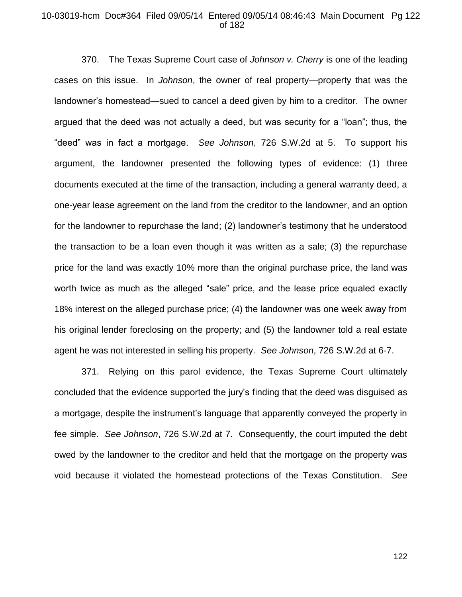#### 10-03019-hcm Doc#364 Filed 09/05/14 Entered 09/05/14 08:46:43 Main Document Pg 122 of 182

370. The Texas Supreme Court case of *Johnson v. Cherry* is one of the leading cases on this issue. In *Johnson*, the owner of real property—property that was the landowner's homestead—sued to cancel a deed given by him to a creditor. The owner argued that the deed was not actually a deed, but was security for a "loan"; thus, the "deed" was in fact a mortgage. *See Johnson*, 726 S.W.2d at 5. To support his argument, the landowner presented the following types of evidence: (1) three documents executed at the time of the transaction, including a general warranty deed, a one-year lease agreement on the land from the creditor to the landowner, and an option for the landowner to repurchase the land; (2) landowner's testimony that he understood the transaction to be a loan even though it was written as a sale; (3) the repurchase price for the land was exactly 10% more than the original purchase price, the land was worth twice as much as the alleged "sale" price, and the lease price equaled exactly 18% interest on the alleged purchase price; (4) the landowner was one week away from his original lender foreclosing on the property; and (5) the landowner told a real estate agent he was not interested in selling his property. *See Johnson*, 726 S.W.2d at 6-7.

371. Relying on this parol evidence, the Texas Supreme Court ultimately concluded that the evidence supported the jury's finding that the deed was disguised as a mortgage, despite the instrument's language that apparently conveyed the property in fee simple. *See Johnson*, 726 S.W.2d at 7. Consequently, the court imputed the debt owed by the landowner to the creditor and held that the mortgage on the property was void because it violated the homestead protections of the Texas Constitution. *See*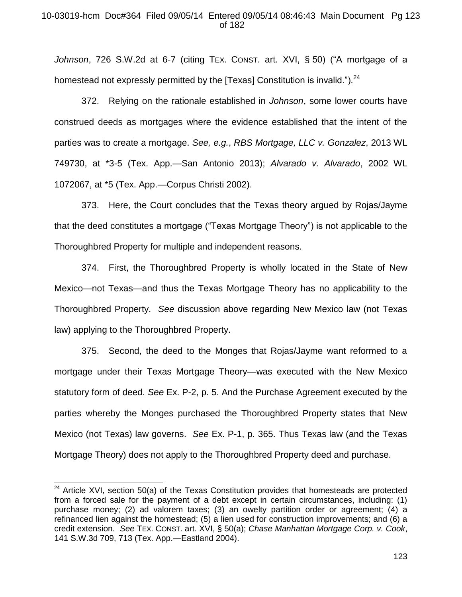## 10-03019-hcm Doc#364 Filed 09/05/14 Entered 09/05/14 08:46:43 Main Document Pg 123 of 182

*Johnson*, 726 S.W.2d at 6-7 (citing TEX. CONST. art. XVI, § 50) ("A mortgage of a homestead not expressly permitted by the [Texas] Constitution is invalid.").  $24$ 

372. Relying on the rationale established in *Johnson*, some lower courts have construed deeds as mortgages where the evidence established that the intent of the parties was to create a mortgage. *See, e.g.*, *RBS Mortgage, LLC v. Gonzalez*, 2013 WL 749730, at \*3-5 (Tex. App.—San Antonio 2013); *Alvarado v. Alvarado*, 2002 WL 1072067, at \*5 (Tex. App.—Corpus Christi 2002).

373. Here, the Court concludes that the Texas theory argued by Rojas/Jayme that the deed constitutes a mortgage ("Texas Mortgage Theory") is not applicable to the Thoroughbred Property for multiple and independent reasons.

374. First, the Thoroughbred Property is wholly located in the State of New Mexico—not Texas—and thus the Texas Mortgage Theory has no applicability to the Thoroughbred Property. *See* discussion above regarding New Mexico law (not Texas law) applying to the Thoroughbred Property.

375. Second, the deed to the Monges that Rojas/Jayme want reformed to a mortgage under their Texas Mortgage Theory—was executed with the New Mexico statutory form of deed. *See* Ex. P-2, p. 5. And the Purchase Agreement executed by the parties whereby the Monges purchased the Thoroughbred Property states that New Mexico (not Texas) law governs. *See* Ex. P-1, p. 365. Thus Texas law (and the Texas Mortgage Theory) does not apply to the Thoroughbred Property deed and purchase.

 $\overline{a}$ 

 $24$  Article XVI, section 50(a) of the Texas Constitution provides that homesteads are protected from a forced sale for the payment of a debt except in certain circumstances, including: (1) purchase money; (2) ad valorem taxes; (3) an owelty partition order or agreement; (4) a refinanced lien against the homestead; (5) a lien used for construction improvements; and (6) a credit extension. *See* TEX. CONST. art. XVI, § 50(a); *Chase Manhattan Mortgage Corp. v. Cook*, 141 S.W.3d 709, 713 (Tex. App.—Eastland 2004).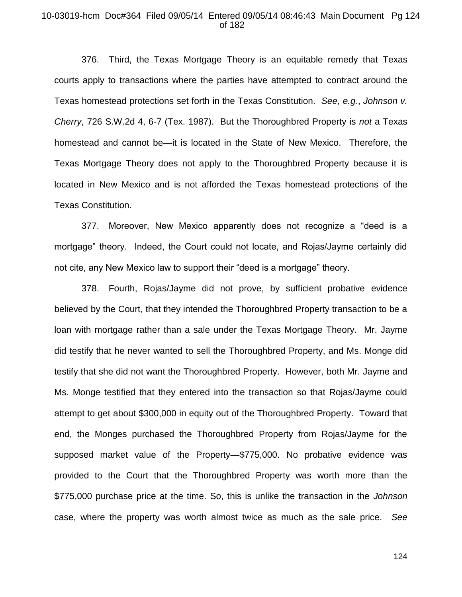## 10-03019-hcm Doc#364 Filed 09/05/14 Entered 09/05/14 08:46:43 Main Document Pg 124 of 182

376. Third, the Texas Mortgage Theory is an equitable remedy that Texas courts apply to transactions where the parties have attempted to contract around the Texas homestead protections set forth in the Texas Constitution. *See, e.g.*, *Johnson v. Cherry*, 726 S.W.2d 4, 6-7 (Tex. 1987). But the Thoroughbred Property is *not* a Texas homestead and cannot be—it is located in the State of New Mexico. Therefore, the Texas Mortgage Theory does not apply to the Thoroughbred Property because it is located in New Mexico and is not afforded the Texas homestead protections of the Texas Constitution.

377. Moreover, New Mexico apparently does not recognize a "deed is a mortgage" theory. Indeed, the Court could not locate, and Rojas/Jayme certainly did not cite, any New Mexico law to support their "deed is a mortgage" theory.

378. Fourth, Rojas/Jayme did not prove, by sufficient probative evidence believed by the Court, that they intended the Thoroughbred Property transaction to be a loan with mortgage rather than a sale under the Texas Mortgage Theory. Mr. Jayme did testify that he never wanted to sell the Thoroughbred Property, and Ms. Monge did testify that she did not want the Thoroughbred Property. However, both Mr. Jayme and Ms. Monge testified that they entered into the transaction so that Rojas/Jayme could attempt to get about \$300,000 in equity out of the Thoroughbred Property. Toward that end, the Monges purchased the Thoroughbred Property from Rojas/Jayme for the supposed market value of the Property—\$775,000. No probative evidence was provided to the Court that the Thoroughbred Property was worth more than the \$775,000 purchase price at the time. So, this is unlike the transaction in the *Johnson* case, where the property was worth almost twice as much as the sale price. *See*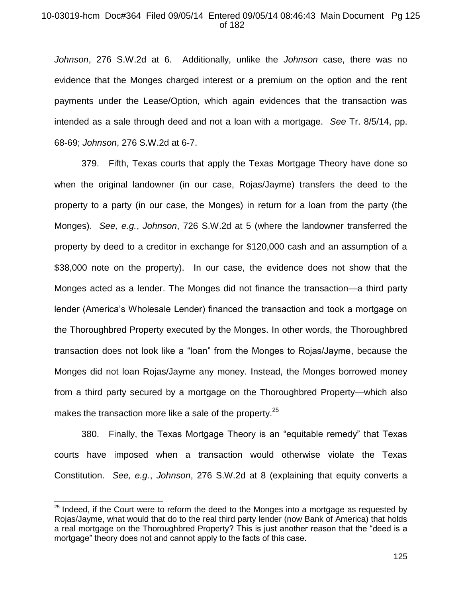## 10-03019-hcm Doc#364 Filed 09/05/14 Entered 09/05/14 08:46:43 Main Document Pg 125 of 182

*Johnson*, 276 S.W.2d at 6. Additionally, unlike the *Johnson* case, there was no evidence that the Monges charged interest or a premium on the option and the rent payments under the Lease/Option, which again evidences that the transaction was intended as a sale through deed and not a loan with a mortgage. *See* Tr. 8/5/14, pp. 68-69; *Johnson*, 276 S.W.2d at 6-7.

379. Fifth, Texas courts that apply the Texas Mortgage Theory have done so when the original landowner (in our case, Rojas/Jayme) transfers the deed to the property to a party (in our case, the Monges) in return for a loan from the party (the Monges). *See, e.g.*, *Johnson*, 726 S.W.2d at 5 (where the landowner transferred the property by deed to a creditor in exchange for \$120,000 cash and an assumption of a \$38,000 note on the property). In our case, the evidence does not show that the Monges acted as a lender. The Monges did not finance the transaction—a third party lender (America's Wholesale Lender) financed the transaction and took a mortgage on the Thoroughbred Property executed by the Monges. In other words, the Thoroughbred transaction does not look like a "loan" from the Monges to Rojas/Jayme, because the Monges did not loan Rojas/Jayme any money. Instead, the Monges borrowed money from a third party secured by a mortgage on the Thoroughbred Property—which also makes the transaction more like a sale of the property.<sup>25</sup>

380. Finally, the Texas Mortgage Theory is an "equitable remedy" that Texas courts have imposed when a transaction would otherwise violate the Texas Constitution. *See, e.g.*, *Johnson*, 276 S.W.2d at 8 (explaining that equity converts a

 $\overline{a}$ 

 $25$  Indeed, if the Court were to reform the deed to the Monges into a mortgage as requested by Rojas/Jayme, what would that do to the real third party lender (now Bank of America) that holds a real mortgage on the Thoroughbred Property? This is just another reason that the "deed is a mortgage" theory does not and cannot apply to the facts of this case.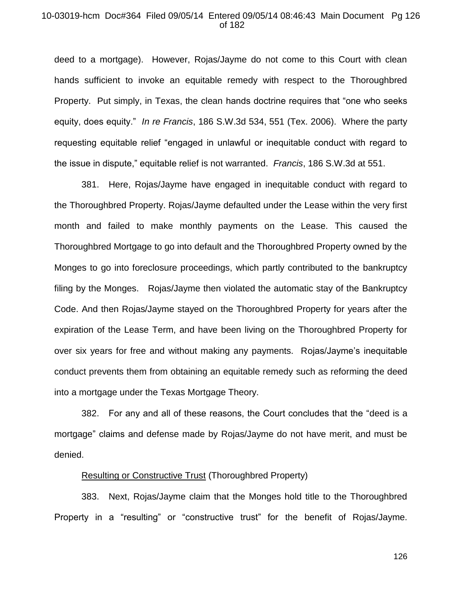#### 10-03019-hcm Doc#364 Filed 09/05/14 Entered 09/05/14 08:46:43 Main Document Pg 126 of 182

deed to a mortgage). However, Rojas/Jayme do not come to this Court with clean hands sufficient to invoke an equitable remedy with respect to the Thoroughbred Property. Put simply, in Texas, the clean hands doctrine requires that "one who seeks equity, does equity." *In re Francis*, 186 S.W.3d 534, 551 (Tex. 2006). Where the party requesting equitable relief "engaged in unlawful or inequitable conduct with regard to the issue in dispute," equitable relief is not warranted. *Francis*, 186 S.W.3d at 551.

381. Here, Rojas/Jayme have engaged in inequitable conduct with regard to the Thoroughbred Property. Rojas/Jayme defaulted under the Lease within the very first month and failed to make monthly payments on the Lease. This caused the Thoroughbred Mortgage to go into default and the Thoroughbred Property owned by the Monges to go into foreclosure proceedings, which partly contributed to the bankruptcy filing by the Monges. Rojas/Jayme then violated the automatic stay of the Bankruptcy Code. And then Rojas/Jayme stayed on the Thoroughbred Property for years after the expiration of the Lease Term, and have been living on the Thoroughbred Property for over six years for free and without making any payments. Rojas/Jayme's inequitable conduct prevents them from obtaining an equitable remedy such as reforming the deed into a mortgage under the Texas Mortgage Theory.

382. For any and all of these reasons, the Court concludes that the "deed is a mortgage" claims and defense made by Rojas/Jayme do not have merit, and must be denied.

#### Resulting or Constructive Trust (Thoroughbred Property)

383. Next, Rojas/Jayme claim that the Monges hold title to the Thoroughbred Property in a "resulting" or "constructive trust" for the benefit of Rojas/Jayme.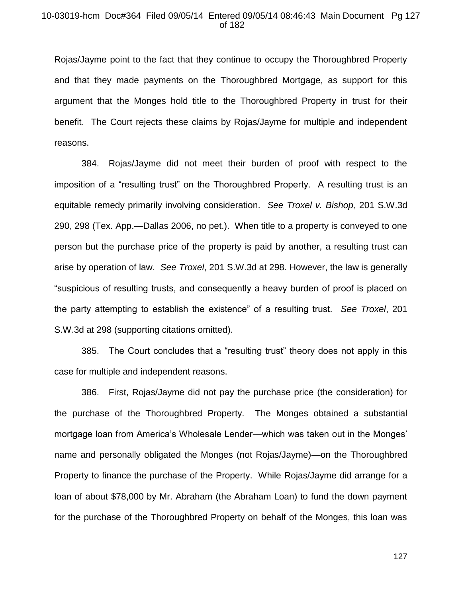## 10-03019-hcm Doc#364 Filed 09/05/14 Entered 09/05/14 08:46:43 Main Document Pg 127 of 182

Rojas/Jayme point to the fact that they continue to occupy the Thoroughbred Property and that they made payments on the Thoroughbred Mortgage, as support for this argument that the Monges hold title to the Thoroughbred Property in trust for their benefit. The Court rejects these claims by Rojas/Jayme for multiple and independent reasons.

384. Rojas/Jayme did not meet their burden of proof with respect to the imposition of a "resulting trust" on the Thoroughbred Property. A resulting trust is an equitable remedy primarily involving consideration. *See Troxel v. Bishop*, 201 S.W.3d 290, 298 (Tex. App.—Dallas 2006, no pet.). When title to a property is conveyed to one person but the purchase price of the property is paid by another, a resulting trust can arise by operation of law. *See Troxel*, 201 S.W.3d at 298. However, the law is generally "suspicious of resulting trusts, and consequently a heavy burden of proof is placed on the party attempting to establish the existence" of a resulting trust. *See Troxel*, 201 S.W.3d at 298 (supporting citations omitted).

385. The Court concludes that a "resulting trust" theory does not apply in this case for multiple and independent reasons.

386. First, Rojas/Jayme did not pay the purchase price (the consideration) for the purchase of the Thoroughbred Property. The Monges obtained a substantial mortgage loan from America's Wholesale Lender—which was taken out in the Monges' name and personally obligated the Monges (not Rojas/Jayme)—on the Thoroughbred Property to finance the purchase of the Property. While Rojas/Jayme did arrange for a loan of about \$78,000 by Mr. Abraham (the Abraham Loan) to fund the down payment for the purchase of the Thoroughbred Property on behalf of the Monges, this loan was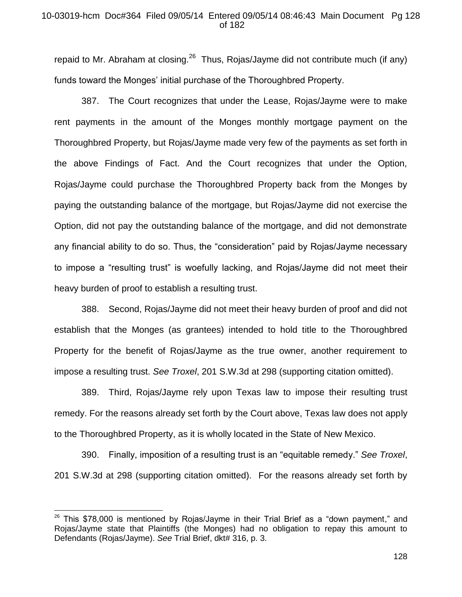## 10-03019-hcm Doc#364 Filed 09/05/14 Entered 09/05/14 08:46:43 Main Document Pg 128 of 182

repaid to Mr. Abraham at closing.<sup>26</sup> Thus, Rojas/Jayme did not contribute much (if any) funds toward the Monges' initial purchase of the Thoroughbred Property.

387. The Court recognizes that under the Lease, Rojas/Jayme were to make rent payments in the amount of the Monges monthly mortgage payment on the Thoroughbred Property, but Rojas/Jayme made very few of the payments as set forth in the above Findings of Fact. And the Court recognizes that under the Option, Rojas/Jayme could purchase the Thoroughbred Property back from the Monges by paying the outstanding balance of the mortgage, but Rojas/Jayme did not exercise the Option, did not pay the outstanding balance of the mortgage, and did not demonstrate any financial ability to do so. Thus, the "consideration" paid by Rojas/Jayme necessary to impose a "resulting trust" is woefully lacking, and Rojas/Jayme did not meet their heavy burden of proof to establish a resulting trust.

388. Second, Rojas/Jayme did not meet their heavy burden of proof and did not establish that the Monges (as grantees) intended to hold title to the Thoroughbred Property for the benefit of Rojas/Jayme as the true owner, another requirement to impose a resulting trust. *See Troxel*, 201 S.W.3d at 298 (supporting citation omitted).

389. Third, Rojas/Jayme rely upon Texas law to impose their resulting trust remedy. For the reasons already set forth by the Court above, Texas law does not apply to the Thoroughbred Property, as it is wholly located in the State of New Mexico.

390. Finally, imposition of a resulting trust is an "equitable remedy." *See Troxel*, 201 S.W.3d at 298 (supporting citation omitted). For the reasons already set forth by

 $\overline{a}$ 

 $26$  This \$78,000 is mentioned by Rojas/Jayme in their Trial Brief as a "down payment," and Rojas/Jayme state that Plaintiffs (the Monges) had no obligation to repay this amount to Defendants (Rojas/Jayme). *See* Trial Brief, dkt# 316, p. 3.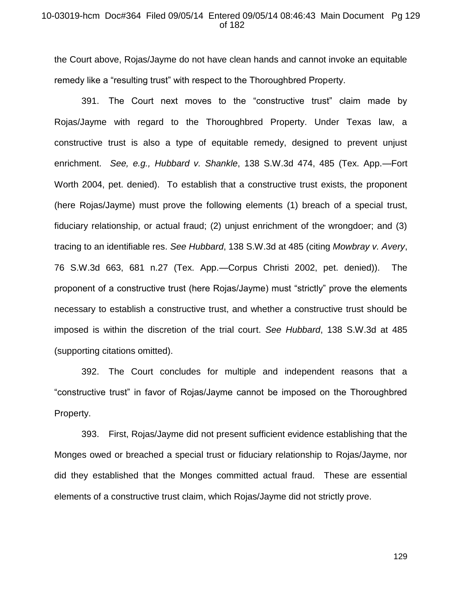#### 10-03019-hcm Doc#364 Filed 09/05/14 Entered 09/05/14 08:46:43 Main Document Pg 129 of 182

the Court above, Rojas/Jayme do not have clean hands and cannot invoke an equitable remedy like a "resulting trust" with respect to the Thoroughbred Property.

391. The Court next moves to the "constructive trust" claim made by Rojas/Jayme with regard to the Thoroughbred Property. Under Texas law, a constructive trust is also a type of equitable remedy, designed to prevent unjust enrichment. *See, e.g., Hubbard v. Shankle*, 138 S.W.3d 474, 485 (Tex. App.—Fort Worth 2004, pet. denied). To establish that a constructive trust exists, the proponent (here Rojas/Jayme) must prove the following elements (1) breach of a special trust, fiduciary relationship, or actual fraud; (2) unjust enrichment of the wrongdoer; and (3) tracing to an identifiable res. *See Hubbard*, 138 S.W.3d at 485 (citing *Mowbray v. Avery*, 76 S.W.3d 663, 681 n.27 (Tex. App.—Corpus Christi 2002, pet. denied)). The proponent of a constructive trust (here Rojas/Jayme) must "strictly" prove the elements necessary to establish a constructive trust, and whether a constructive trust should be imposed is within the discretion of the trial court. *See Hubbard*, 138 S.W.3d at 485 (supporting citations omitted).

392. The Court concludes for multiple and independent reasons that a "constructive trust" in favor of Rojas/Jayme cannot be imposed on the Thoroughbred Property.

393. First, Rojas/Jayme did not present sufficient evidence establishing that the Monges owed or breached a special trust or fiduciary relationship to Rojas/Jayme, nor did they established that the Monges committed actual fraud. These are essential elements of a constructive trust claim, which Rojas/Jayme did not strictly prove.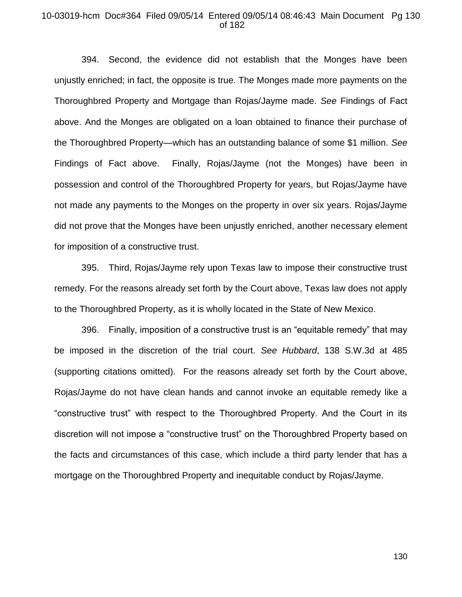#### 10-03019-hcm Doc#364 Filed 09/05/14 Entered 09/05/14 08:46:43 Main Document Pg 130 of 182

394. Second, the evidence did not establish that the Monges have been unjustly enriched; in fact, the opposite is true. The Monges made more payments on the Thoroughbred Property and Mortgage than Rojas/Jayme made. *See* Findings of Fact above. And the Monges are obligated on a loan obtained to finance their purchase of the Thoroughbred Property—which has an outstanding balance of some \$1 million. *See* Findings of Fact above. Finally, Rojas/Jayme (not the Monges) have been in possession and control of the Thoroughbred Property for years, but Rojas/Jayme have not made any payments to the Monges on the property in over six years. Rojas/Jayme did not prove that the Monges have been unjustly enriched, another necessary element for imposition of a constructive trust.

395. Third, Rojas/Jayme rely upon Texas law to impose their constructive trust remedy. For the reasons already set forth by the Court above, Texas law does not apply to the Thoroughbred Property, as it is wholly located in the State of New Mexico.

396. Finally, imposition of a constructive trust is an "equitable remedy" that may be imposed in the discretion of the trial court. *See Hubbard*, 138 S.W.3d at 485 (supporting citations omitted). For the reasons already set forth by the Court above, Rojas/Jayme do not have clean hands and cannot invoke an equitable remedy like a "constructive trust" with respect to the Thoroughbred Property. And the Court in its discretion will not impose a "constructive trust" on the Thoroughbred Property based on the facts and circumstances of this case, which include a third party lender that has a mortgage on the Thoroughbred Property and inequitable conduct by Rojas/Jayme.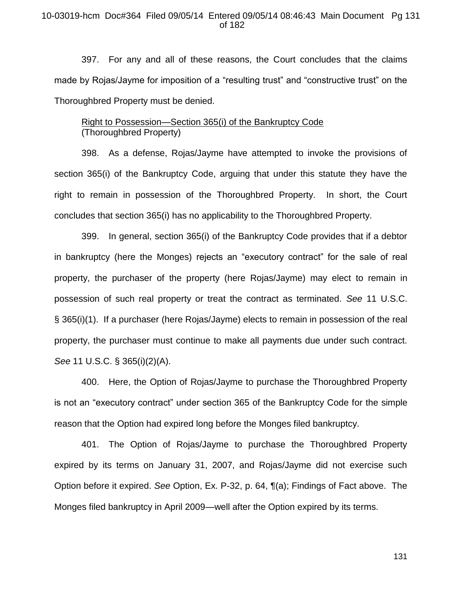#### 10-03019-hcm Doc#364 Filed 09/05/14 Entered 09/05/14 08:46:43 Main Document Pg 131 of 182

397. For any and all of these reasons, the Court concludes that the claims made by Rojas/Jayme for imposition of a "resulting trust" and "constructive trust" on the Thoroughbred Property must be denied.

# Right to Possession—Section 365(i) of the Bankruptcy Code (Thoroughbred Property)

398. As a defense, Rojas/Jayme have attempted to invoke the provisions of section 365(i) of the Bankruptcy Code, arguing that under this statute they have the right to remain in possession of the Thoroughbred Property. In short, the Court concludes that section 365(i) has no applicability to the Thoroughbred Property.

399. In general, section 365(i) of the Bankruptcy Code provides that if a debtor in bankruptcy (here the Monges) rejects an "executory contract" for the sale of real property, the purchaser of the property (here Rojas/Jayme) may elect to remain in possession of such real property or treat the contract as terminated. *See* 11 U.S.C. § 365(i)(1). If a purchaser (here Rojas/Jayme) elects to remain in possession of the real property, the purchaser must continue to make all payments due under such contract. *See* 11 U.S.C. § 365(i)(2)(A).

400. Here, the Option of Rojas/Jayme to purchase the Thoroughbred Property is not an "executory contract" under section 365 of the Bankruptcy Code for the simple reason that the Option had expired long before the Monges filed bankruptcy.

401. The Option of Rojas/Jayme to purchase the Thoroughbred Property expired by its terms on January 31, 2007, and Rojas/Jayme did not exercise such Option before it expired. *See* Option, Ex. P-32, p. 64, ¶(a); Findings of Fact above. The Monges filed bankruptcy in April 2009—well after the Option expired by its terms.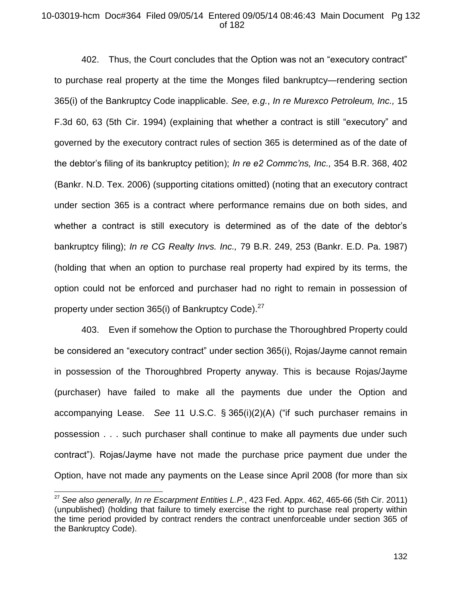## 10-03019-hcm Doc#364 Filed 09/05/14 Entered 09/05/14 08:46:43 Main Document Pg 132 of 182

402. Thus, the Court concludes that the Option was not an "executory contract" to purchase real property at the time the Monges filed bankruptcy—rendering section 365(i) of the Bankruptcy Code inapplicable. *See, e.g.*, *In re Murexco Petroleum, Inc.,* 15 F.3d 60, 63 (5th Cir. 1994) (explaining that whether a contract is still "executory" and governed by the executory contract rules of section 365 is determined as of the date of the debtor's filing of its bankruptcy petition); *In re e2 Commc'ns, Inc.,* 354 B.R. 368, 402 (Bankr. N.D. Tex. 2006) (supporting citations omitted) (noting that an executory contract under section 365 is a contract where performance remains due on both sides, and whether a contract is still executory is determined as of the date of the debtor's bankruptcy filing); *In re CG Realty Invs. Inc.,* 79 B.R. 249, 253 (Bankr. E.D. Pa. 1987) (holding that when an option to purchase real property had expired by its terms, the option could not be enforced and purchaser had no right to remain in possession of property under section 365(i) of Bankruptcy Code).<sup>27</sup>

403. Even if somehow the Option to purchase the Thoroughbred Property could be considered an "executory contract" under section 365(i), Rojas/Jayme cannot remain in possession of the Thoroughbred Property anyway. This is because Rojas/Jayme (purchaser) have failed to make all the payments due under the Option and accompanying Lease. *See* 11 U.S.C. § 365(i)(2)(A) ("if such purchaser remains in possession . . . such purchaser shall continue to make all payments due under such contract"). Rojas/Jayme have not made the purchase price payment due under the Option, have not made any payments on the Lease since April 2008 (for more than six

 $\overline{a}$ 

<sup>27</sup> *See also generally, In re Escarpment Entities L.P.*, 423 Fed. Appx. 462, 465-66 (5th Cir. 2011) (unpublished) (holding that failure to timely exercise the right to purchase real property within the time period provided by contract renders the contract unenforceable under section 365 of the Bankruptcy Code).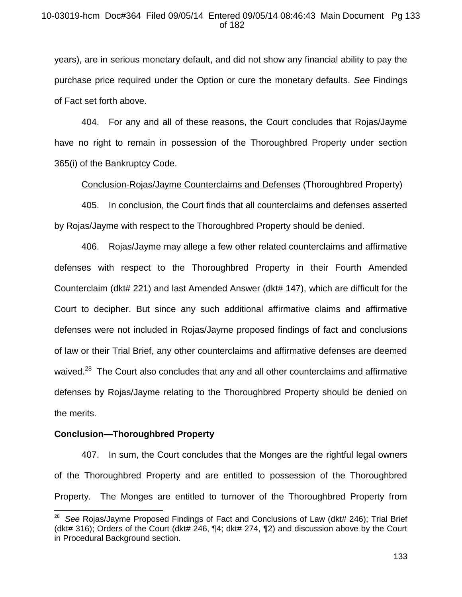years), are in serious monetary default, and did not show any financial ability to pay the purchase price required under the Option or cure the monetary defaults. *See* Findings of Fact set forth above.

404. For any and all of these reasons, the Court concludes that Rojas/Jayme have no right to remain in possession of the Thoroughbred Property under section 365(i) of the Bankruptcy Code.

Conclusion-Rojas/Jayme Counterclaims and Defenses (Thoroughbred Property)

405. In conclusion, the Court finds that all counterclaims and defenses asserted by Rojas/Jayme with respect to the Thoroughbred Property should be denied.

406. Rojas/Jayme may allege a few other related counterclaims and affirmative defenses with respect to the Thoroughbred Property in their Fourth Amended Counterclaim (dkt# 221) and last Amended Answer (dkt# 147), which are difficult for the Court to decipher. But since any such additional affirmative claims and affirmative defenses were not included in Rojas/Jayme proposed findings of fact and conclusions of law or their Trial Brief, any other counterclaims and affirmative defenses are deemed waived.<sup>28</sup> The Court also concludes that any and all other counterclaims and affirmative defenses by Rojas/Jayme relating to the Thoroughbred Property should be denied on the merits.

## **Conclusion—Thoroughbred Property**

 $\overline{a}$ 

407. In sum, the Court concludes that the Monges are the rightful legal owners of the Thoroughbred Property and are entitled to possession of the Thoroughbred Property. The Monges are entitled to turnover of the Thoroughbred Property from

<sup>28</sup> *See* Rojas/Jayme Proposed Findings of Fact and Conclusions of Law (dkt# 246); Trial Brief (dkt# 316); Orders of the Court (dkt# 246,  $\P$ 4; dkt# 274,  $\P$ 2) and discussion above by the Court in Procedural Background section.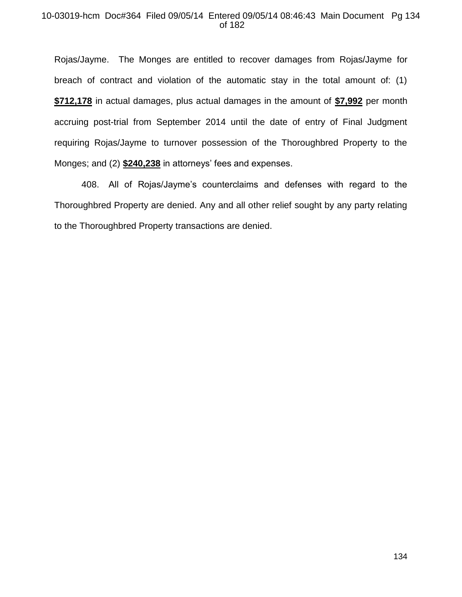## 10-03019-hcm Doc#364 Filed 09/05/14 Entered 09/05/14 08:46:43 Main Document Pg 134 of 182

Rojas/Jayme. The Monges are entitled to recover damages from Rojas/Jayme for breach of contract and violation of the automatic stay in the total amount of: (1) **\$712,178** in actual damages, plus actual damages in the amount of **\$7,992** per month accruing post-trial from September 2014 until the date of entry of Final Judgment requiring Rojas/Jayme to turnover possession of the Thoroughbred Property to the Monges; and (2) **\$240,238** in attorneys' fees and expenses.

408. All of Rojas/Jayme's counterclaims and defenses with regard to the Thoroughbred Property are denied. Any and all other relief sought by any party relating to the Thoroughbred Property transactions are denied.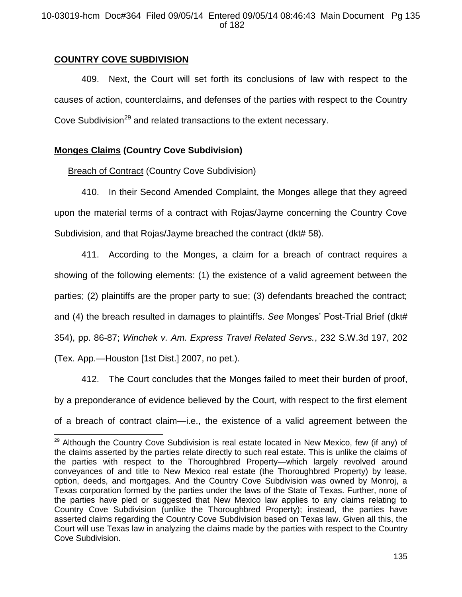# **COUNTRY COVE SUBDIVISION**

409. Next, the Court will set forth its conclusions of law with respect to the causes of action, counterclaims, and defenses of the parties with respect to the Country Cove Subdivision<sup>29</sup> and related transactions to the extent necessary.

# **Monges Claims (Country Cove Subdivision)**

Breach of Contract (Country Cove Subdivision)

410. In their Second Amended Complaint, the Monges allege that they agreed upon the material terms of a contract with Rojas/Jayme concerning the Country Cove Subdivision, and that Rojas/Jayme breached the contract (dkt# 58).

411. According to the Monges, a claim for a breach of contract requires a showing of the following elements: (1) the existence of a valid agreement between the parties; (2) plaintiffs are the proper party to sue; (3) defendants breached the contract; and (4) the breach resulted in damages to plaintiffs. *See* Monges' Post-Trial Brief (dkt# 354), pp. 86-87; *Winchek v. Am. Express Travel Related Servs.*, 232 S.W.3d 197, 202

(Tex. App.—Houston [1st Dist.] 2007, no pet.).

412. The Court concludes that the Monges failed to meet their burden of proof, by a preponderance of evidence believed by the Court, with respect to the first element of a breach of contract claim—i.e., the existence of a valid agreement between the

l  $29$  Although the Country Cove Subdivision is real estate located in New Mexico, few (if any) of the claims asserted by the parties relate directly to such real estate. This is unlike the claims of the parties with respect to the Thoroughbred Property—which largely revolved around conveyances of and title to New Mexico real estate (the Thoroughbred Property) by lease, option, deeds, and mortgages. And the Country Cove Subdivision was owned by Monroj, a Texas corporation formed by the parties under the laws of the State of Texas. Further, none of the parties have pled or suggested that New Mexico law applies to any claims relating to Country Cove Subdivision (unlike the Thoroughbred Property); instead, the parties have asserted claims regarding the Country Cove Subdivision based on Texas law. Given all this, the Court will use Texas law in analyzing the claims made by the parties with respect to the Country Cove Subdivision.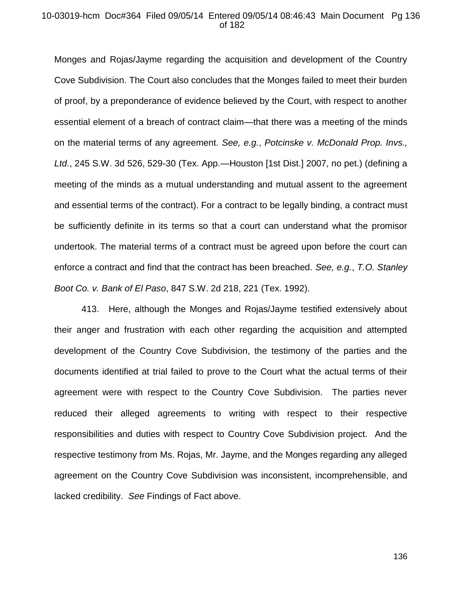#### 10-03019-hcm Doc#364 Filed 09/05/14 Entered 09/05/14 08:46:43 Main Document Pg 136 of 182

Monges and Rojas/Jayme regarding the acquisition and development of the Country Cove Subdivision. The Court also concludes that the Monges failed to meet their burden of proof, by a preponderance of evidence believed by the Court, with respect to another essential element of a breach of contract claim—that there was a meeting of the minds on the material terms of any agreement. *See, e.g.*, *Potcinske v. McDonald Prop. Invs., Ltd.*, 245 S.W. 3d 526, 529-30 (Tex. App.—Houston [1st Dist.] 2007, no pet.) (defining a meeting of the minds as a mutual understanding and mutual assent to the agreement and essential terms of the contract). For a contract to be legally binding, a contract must be sufficiently definite in its terms so that a court can understand what the promisor undertook. The material terms of a contract must be agreed upon before the court can enforce a contract and find that the contract has been breached. *See, e.g.*, *T.O. Stanley Boot Co. v. Bank of El Paso*, 847 S.W. 2d 218, 221 (Tex. 1992).

413. Here, although the Monges and Rojas/Jayme testified extensively about their anger and frustration with each other regarding the acquisition and attempted development of the Country Cove Subdivision, the testimony of the parties and the documents identified at trial failed to prove to the Court what the actual terms of their agreement were with respect to the Country Cove Subdivision. The parties never reduced their alleged agreements to writing with respect to their respective responsibilities and duties with respect to Country Cove Subdivision project. And the respective testimony from Ms. Rojas, Mr. Jayme, and the Monges regarding any alleged agreement on the Country Cove Subdivision was inconsistent, incomprehensible, and lacked credibility. *See* Findings of Fact above.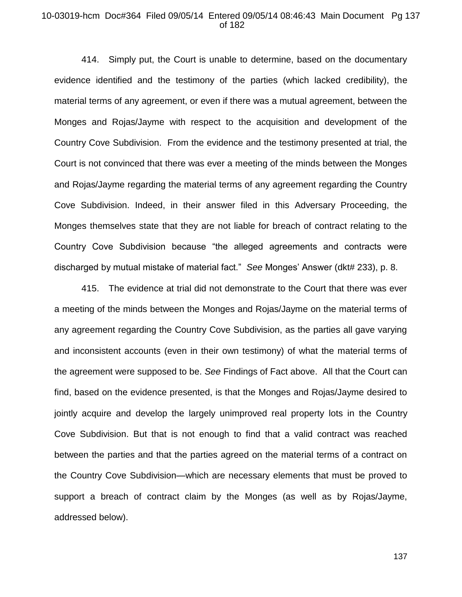#### 10-03019-hcm Doc#364 Filed 09/05/14 Entered 09/05/14 08:46:43 Main Document Pg 137 of 182

414. Simply put, the Court is unable to determine, based on the documentary evidence identified and the testimony of the parties (which lacked credibility), the material terms of any agreement, or even if there was a mutual agreement, between the Monges and Rojas/Jayme with respect to the acquisition and development of the Country Cove Subdivision. From the evidence and the testimony presented at trial, the Court is not convinced that there was ever a meeting of the minds between the Monges and Rojas/Jayme regarding the material terms of any agreement regarding the Country Cove Subdivision. Indeed, in their answer filed in this Adversary Proceeding, the Monges themselves state that they are not liable for breach of contract relating to the Country Cove Subdivision because "the alleged agreements and contracts were discharged by mutual mistake of material fact." *See* Monges' Answer (dkt# 233), p. 8.

415. The evidence at trial did not demonstrate to the Court that there was ever a meeting of the minds between the Monges and Rojas/Jayme on the material terms of any agreement regarding the Country Cove Subdivision, as the parties all gave varying and inconsistent accounts (even in their own testimony) of what the material terms of the agreement were supposed to be. *See* Findings of Fact above. All that the Court can find, based on the evidence presented, is that the Monges and Rojas/Jayme desired to jointly acquire and develop the largely unimproved real property lots in the Country Cove Subdivision. But that is not enough to find that a valid contract was reached between the parties and that the parties agreed on the material terms of a contract on the Country Cove Subdivision—which are necessary elements that must be proved to support a breach of contract claim by the Monges (as well as by Rojas/Jayme, addressed below).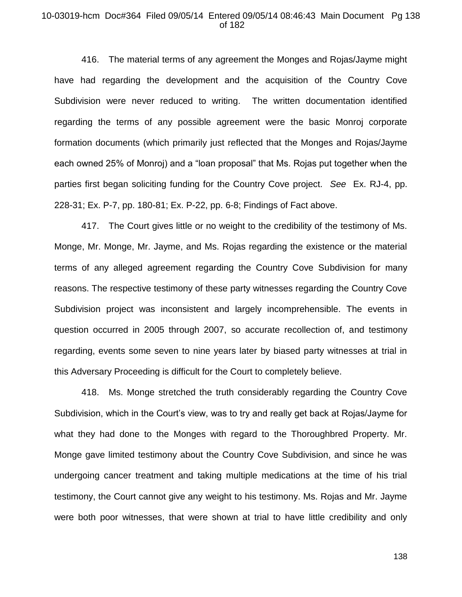#### 10-03019-hcm Doc#364 Filed 09/05/14 Entered 09/05/14 08:46:43 Main Document Pg 138 of 182

416. The material terms of any agreement the Monges and Rojas/Jayme might have had regarding the development and the acquisition of the Country Cove Subdivision were never reduced to writing. The written documentation identified regarding the terms of any possible agreement were the basic Monroj corporate formation documents (which primarily just reflected that the Monges and Rojas/Jayme each owned 25% of Monroj) and a "loan proposal" that Ms. Rojas put together when the parties first began soliciting funding for the Country Cove project. *See* Ex. RJ-4, pp. 228-31; Ex. P-7, pp. 180-81; Ex. P-22, pp. 6-8; Findings of Fact above.

417. The Court gives little or no weight to the credibility of the testimony of Ms. Monge, Mr. Monge, Mr. Jayme, and Ms. Rojas regarding the existence or the material terms of any alleged agreement regarding the Country Cove Subdivision for many reasons. The respective testimony of these party witnesses regarding the Country Cove Subdivision project was inconsistent and largely incomprehensible. The events in question occurred in 2005 through 2007, so accurate recollection of, and testimony regarding, events some seven to nine years later by biased party witnesses at trial in this Adversary Proceeding is difficult for the Court to completely believe.

418. Ms. Monge stretched the truth considerably regarding the Country Cove Subdivision, which in the Court's view, was to try and really get back at Rojas/Jayme for what they had done to the Monges with regard to the Thoroughbred Property. Mr. Monge gave limited testimony about the Country Cove Subdivision, and since he was undergoing cancer treatment and taking multiple medications at the time of his trial testimony, the Court cannot give any weight to his testimony. Ms. Rojas and Mr. Jayme were both poor witnesses, that were shown at trial to have little credibility and only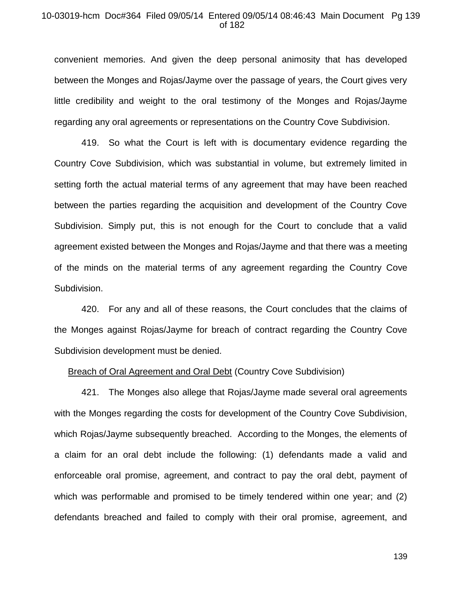#### 10-03019-hcm Doc#364 Filed 09/05/14 Entered 09/05/14 08:46:43 Main Document Pg 139 of 182

convenient memories. And given the deep personal animosity that has developed between the Monges and Rojas/Jayme over the passage of years, the Court gives very little credibility and weight to the oral testimony of the Monges and Rojas/Jayme regarding any oral agreements or representations on the Country Cove Subdivision.

419. So what the Court is left with is documentary evidence regarding the Country Cove Subdivision, which was substantial in volume, but extremely limited in setting forth the actual material terms of any agreement that may have been reached between the parties regarding the acquisition and development of the Country Cove Subdivision. Simply put, this is not enough for the Court to conclude that a valid agreement existed between the Monges and Rojas/Jayme and that there was a meeting of the minds on the material terms of any agreement regarding the Country Cove Subdivision.

420. For any and all of these reasons, the Court concludes that the claims of the Monges against Rojas/Jayme for breach of contract regarding the Country Cove Subdivision development must be denied.

#### Breach of Oral Agreement and Oral Debt (Country Cove Subdivision)

421. The Monges also allege that Rojas/Jayme made several oral agreements with the Monges regarding the costs for development of the Country Cove Subdivision, which Rojas/Jayme subsequently breached. According to the Monges, the elements of a claim for an oral debt include the following: (1) defendants made a valid and enforceable oral promise, agreement, and contract to pay the oral debt, payment of which was performable and promised to be timely tendered within one year; and (2) defendants breached and failed to comply with their oral promise, agreement, and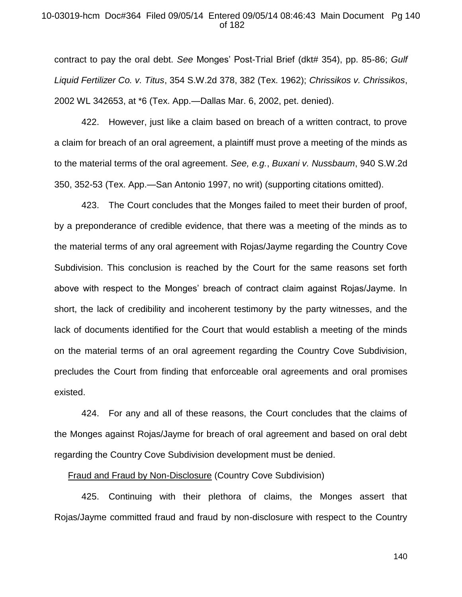## 10-03019-hcm Doc#364 Filed 09/05/14 Entered 09/05/14 08:46:43 Main Document Pg 140 of 182

contract to pay the oral debt. *See* Monges' Post-Trial Brief (dkt# 354), pp. 85-86; *Gulf Liquid Fertilizer Co. v. Titus*, 354 S.W.2d 378, 382 (Tex. 1962); *Chrissikos v. Chrissikos*, 2002 WL 342653, at \*6 (Tex. App.—Dallas Mar. 6, 2002, pet. denied).

422. However, just like a claim based on breach of a written contract, to prove a claim for breach of an oral agreement, a plaintiff must prove a meeting of the minds as to the material terms of the oral agreement. *See, e.g.*, *Buxani v. Nussbaum*, 940 S.W.2d 350, 352-53 (Tex. App.—San Antonio 1997, no writ) (supporting citations omitted).

423. The Court concludes that the Monges failed to meet their burden of proof, by a preponderance of credible evidence, that there was a meeting of the minds as to the material terms of any oral agreement with Rojas/Jayme regarding the Country Cove Subdivision. This conclusion is reached by the Court for the same reasons set forth above with respect to the Monges' breach of contract claim against Rojas/Jayme. In short, the lack of credibility and incoherent testimony by the party witnesses, and the lack of documents identified for the Court that would establish a meeting of the minds on the material terms of an oral agreement regarding the Country Cove Subdivision, precludes the Court from finding that enforceable oral agreements and oral promises existed.

424. For any and all of these reasons, the Court concludes that the claims of the Monges against Rojas/Jayme for breach of oral agreement and based on oral debt regarding the Country Cove Subdivision development must be denied.

#### Fraud and Fraud by Non-Disclosure (Country Cove Subdivision)

425. Continuing with their plethora of claims, the Monges assert that Rojas/Jayme committed fraud and fraud by non-disclosure with respect to the Country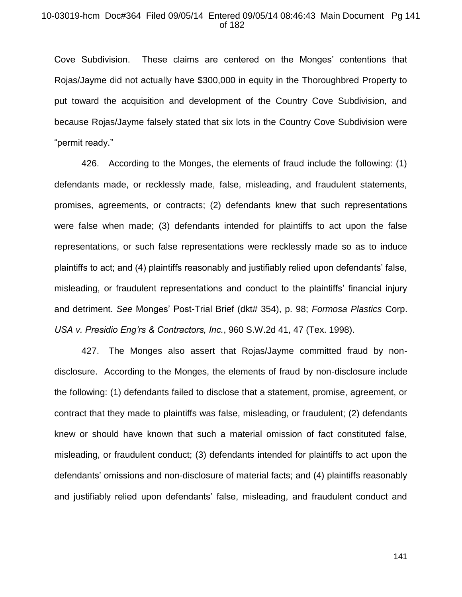## 10-03019-hcm Doc#364 Filed 09/05/14 Entered 09/05/14 08:46:43 Main Document Pg 141 of 182

Cove Subdivision. These claims are centered on the Monges' contentions that Rojas/Jayme did not actually have \$300,000 in equity in the Thoroughbred Property to put toward the acquisition and development of the Country Cove Subdivision, and because Rojas/Jayme falsely stated that six lots in the Country Cove Subdivision were "permit ready."

426. According to the Monges, the elements of fraud include the following: (1) defendants made, or recklessly made, false, misleading, and fraudulent statements, promises, agreements, or contracts; (2) defendants knew that such representations were false when made; (3) defendants intended for plaintiffs to act upon the false representations, or such false representations were recklessly made so as to induce plaintiffs to act; and (4) plaintiffs reasonably and justifiably relied upon defendants' false, misleading, or fraudulent representations and conduct to the plaintiffs' financial injury and detriment. *See* Monges' Post-Trial Brief (dkt# 354), p. 98; *Formosa Plastics* Corp. *USA v. Presidio Eng'rs & Contractors, Inc.*, 960 S.W.2d 41, 47 (Tex. 1998).

427. The Monges also assert that Rojas/Jayme committed fraud by nondisclosure. According to the Monges, the elements of fraud by non-disclosure include the following: (1) defendants failed to disclose that a statement, promise, agreement, or contract that they made to plaintiffs was false, misleading, or fraudulent; (2) defendants knew or should have known that such a material omission of fact constituted false, misleading, or fraudulent conduct; (3) defendants intended for plaintiffs to act upon the defendants' omissions and non-disclosure of material facts; and (4) plaintiffs reasonably and justifiably relied upon defendants' false, misleading, and fraudulent conduct and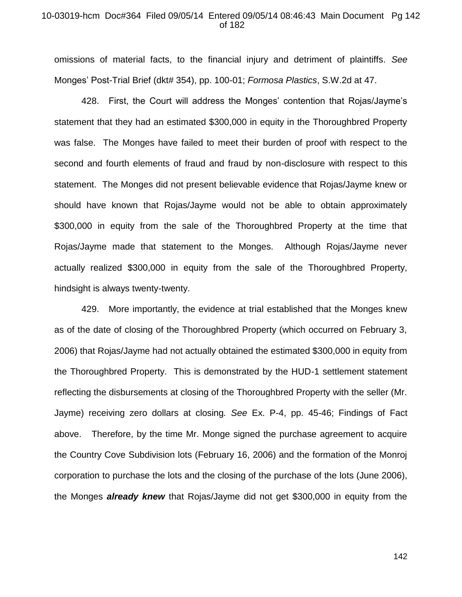#### 10-03019-hcm Doc#364 Filed 09/05/14 Entered 09/05/14 08:46:43 Main Document Pg 142 of 182

omissions of material facts, to the financial injury and detriment of plaintiffs. *See*  Monges' Post-Trial Brief (dkt# 354), pp. 100-01; *Formosa Plastics*, S.W.2d at 47.

428. First, the Court will address the Monges' contention that Rojas/Jayme's statement that they had an estimated \$300,000 in equity in the Thoroughbred Property was false. The Monges have failed to meet their burden of proof with respect to the second and fourth elements of fraud and fraud by non-disclosure with respect to this statement. The Monges did not present believable evidence that Rojas/Jayme knew or should have known that Rojas/Jayme would not be able to obtain approximately \$300,000 in equity from the sale of the Thoroughbred Property at the time that Rojas/Jayme made that statement to the Monges. Although Rojas/Jayme never actually realized \$300,000 in equity from the sale of the Thoroughbred Property, hindsight is always twenty-twenty.

429. More importantly, the evidence at trial established that the Monges knew as of the date of closing of the Thoroughbred Property (which occurred on February 3, 2006) that Rojas/Jayme had not actually obtained the estimated \$300,000 in equity from the Thoroughbred Property. This is demonstrated by the HUD-1 settlement statement reflecting the disbursements at closing of the Thoroughbred Property with the seller (Mr. Jayme) receiving zero dollars at closing*. See* Ex. P-4, pp. 45-46; Findings of Fact above. Therefore, by the time Mr. Monge signed the purchase agreement to acquire the Country Cove Subdivision lots (February 16, 2006) and the formation of the Monroj corporation to purchase the lots and the closing of the purchase of the lots (June 2006), the Monges *already knew* that Rojas/Jayme did not get \$300,000 in equity from the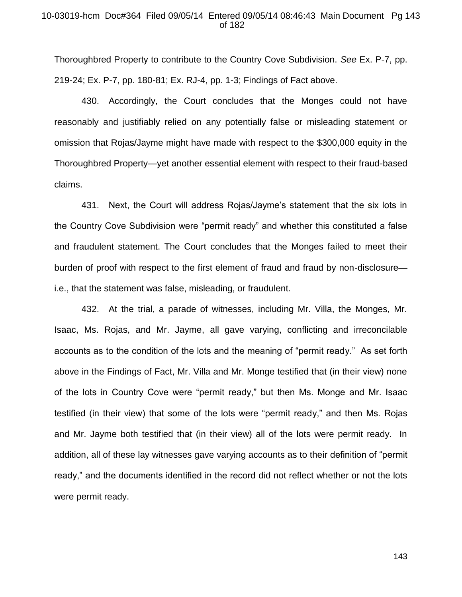## 10-03019-hcm Doc#364 Filed 09/05/14 Entered 09/05/14 08:46:43 Main Document Pg 143 of 182

Thoroughbred Property to contribute to the Country Cove Subdivision. *See* Ex. P-7, pp. 219-24; Ex. P-7, pp. 180-81; Ex. RJ-4, pp. 1-3; Findings of Fact above.

430. Accordingly, the Court concludes that the Monges could not have reasonably and justifiably relied on any potentially false or misleading statement or omission that Rojas/Jayme might have made with respect to the \$300,000 equity in the Thoroughbred Property—yet another essential element with respect to their fraud-based claims.

431. Next, the Court will address Rojas/Jayme's statement that the six lots in the Country Cove Subdivision were "permit ready" and whether this constituted a false and fraudulent statement. The Court concludes that the Monges failed to meet their burden of proof with respect to the first element of fraud and fraud by non-disclosure i.e., that the statement was false, misleading, or fraudulent.

432. At the trial, a parade of witnesses, including Mr. Villa, the Monges, Mr. Isaac, Ms. Rojas, and Mr. Jayme, all gave varying, conflicting and irreconcilable accounts as to the condition of the lots and the meaning of "permit ready." As set forth above in the Findings of Fact, Mr. Villa and Mr. Monge testified that (in their view) none of the lots in Country Cove were "permit ready," but then Ms. Monge and Mr. Isaac testified (in their view) that some of the lots were "permit ready," and then Ms. Rojas and Mr. Jayme both testified that (in their view) all of the lots were permit ready. In addition, all of these lay witnesses gave varying accounts as to their definition of "permit ready," and the documents identified in the record did not reflect whether or not the lots were permit ready.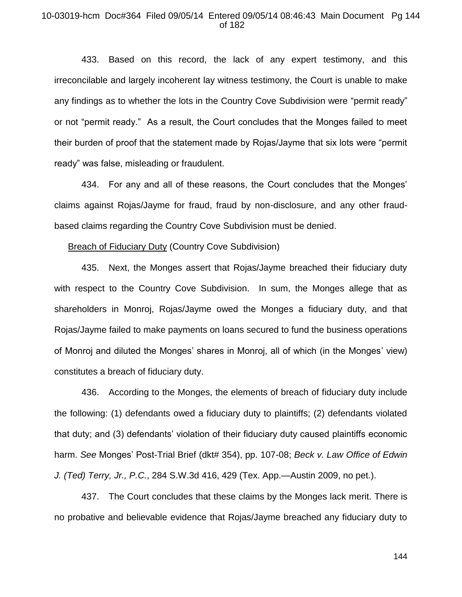## 10-03019-hcm Doc#364 Filed 09/05/14 Entered 09/05/14 08:46:43 Main Document Pg 144 of 182

433. Based on this record, the lack of any expert testimony, and this irreconcilable and largely incoherent lay witness testimony, the Court is unable to make any findings as to whether the lots in the Country Cove Subdivision were "permit ready" or not "permit ready." As a result, the Court concludes that the Monges failed to meet their burden of proof that the statement made by Rojas/Jayme that six lots were "permit ready" was false, misleading or fraudulent.

434. For any and all of these reasons, the Court concludes that the Monges' claims against Rojas/Jayme for fraud, fraud by non-disclosure, and any other fraudbased claims regarding the Country Cove Subdivision must be denied.

#### Breach of Fiduciary Duty (Country Cove Subdivision)

435. Next, the Monges assert that Rojas/Jayme breached their fiduciary duty with respect to the Country Cove Subdivision. In sum, the Monges allege that as shareholders in Monroj, Rojas/Jayme owed the Monges a fiduciary duty, and that Rojas/Jayme failed to make payments on loans secured to fund the business operations of Monroj and diluted the Monges' shares in Monroj, all of which (in the Monges' view) constitutes a breach of fiduciary duty.

436. According to the Monges, the elements of breach of fiduciary duty include the following: (1) defendants owed a fiduciary duty to plaintiffs; (2) defendants violated that duty; and (3) defendants' violation of their fiduciary duty caused plaintiffs economic harm. *See* Monges' Post-Trial Brief (dkt# 354), pp. 107-08; *Beck v. Law Office of Edwin J. (Ted) Terry, Jr., P.C.*, 284 S.W.3d 416, 429 (Tex. App.—Austin 2009, no pet.).

437. The Court concludes that these claims by the Monges lack merit. There is no probative and believable evidence that Rojas/Jayme breached any fiduciary duty to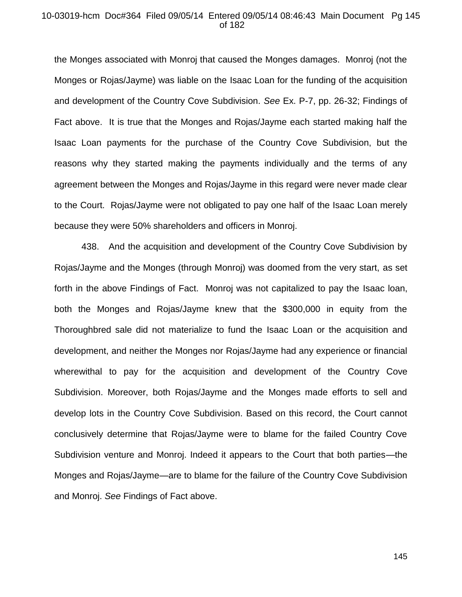#### 10-03019-hcm Doc#364 Filed 09/05/14 Entered 09/05/14 08:46:43 Main Document Pg 145 of 182

the Monges associated with Monroj that caused the Monges damages. Monroj (not the Monges or Rojas/Jayme) was liable on the Isaac Loan for the funding of the acquisition and development of the Country Cove Subdivision. *See* Ex. P-7, pp. 26-32; Findings of Fact above. It is true that the Monges and Rojas/Jayme each started making half the Isaac Loan payments for the purchase of the Country Cove Subdivision, but the reasons why they started making the payments individually and the terms of any agreement between the Monges and Rojas/Jayme in this regard were never made clear to the Court. Rojas/Jayme were not obligated to pay one half of the Isaac Loan merely because they were 50% shareholders and officers in Monroj.

438. And the acquisition and development of the Country Cove Subdivision by Rojas/Jayme and the Monges (through Monroj) was doomed from the very start, as set forth in the above Findings of Fact. Monroj was not capitalized to pay the Isaac loan, both the Monges and Rojas/Jayme knew that the \$300,000 in equity from the Thoroughbred sale did not materialize to fund the Isaac Loan or the acquisition and development, and neither the Monges nor Rojas/Jayme had any experience or financial wherewithal to pay for the acquisition and development of the Country Cove Subdivision. Moreover, both Rojas/Jayme and the Monges made efforts to sell and develop lots in the Country Cove Subdivision. Based on this record, the Court cannot conclusively determine that Rojas/Jayme were to blame for the failed Country Cove Subdivision venture and Monroj. Indeed it appears to the Court that both parties—the Monges and Rojas/Jayme—are to blame for the failure of the Country Cove Subdivision and Monroj. *See* Findings of Fact above.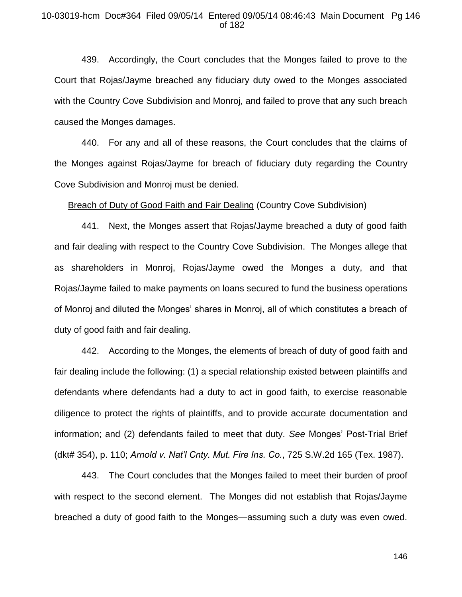### 10-03019-hcm Doc#364 Filed 09/05/14 Entered 09/05/14 08:46:43 Main Document Pg 146 of 182

439. Accordingly, the Court concludes that the Monges failed to prove to the Court that Rojas/Jayme breached any fiduciary duty owed to the Monges associated with the Country Cove Subdivision and Monroj, and failed to prove that any such breach caused the Monges damages.

440. For any and all of these reasons, the Court concludes that the claims of the Monges against Rojas/Jayme for breach of fiduciary duty regarding the Country Cove Subdivision and Monroj must be denied.

Breach of Duty of Good Faith and Fair Dealing (Country Cove Subdivision)

441. Next, the Monges assert that Rojas/Jayme breached a duty of good faith and fair dealing with respect to the Country Cove Subdivision. The Monges allege that as shareholders in Monroj, Rojas/Jayme owed the Monges a duty, and that Rojas/Jayme failed to make payments on loans secured to fund the business operations of Monroj and diluted the Monges' shares in Monroj, all of which constitutes a breach of duty of good faith and fair dealing.

442. According to the Monges, the elements of breach of duty of good faith and fair dealing include the following: (1) a special relationship existed between plaintiffs and defendants where defendants had a duty to act in good faith, to exercise reasonable diligence to protect the rights of plaintiffs, and to provide accurate documentation and information; and (2) defendants failed to meet that duty. *See* Monges' Post-Trial Brief (dkt# 354), p. 110; *Arnold v. Nat'l Cnty. Mut. Fire Ins. Co.*, 725 S.W.2d 165 (Tex. 1987).

443. The Court concludes that the Monges failed to meet their burden of proof with respect to the second element. The Monges did not establish that Rojas/Jayme breached a duty of good faith to the Monges—assuming such a duty was even owed.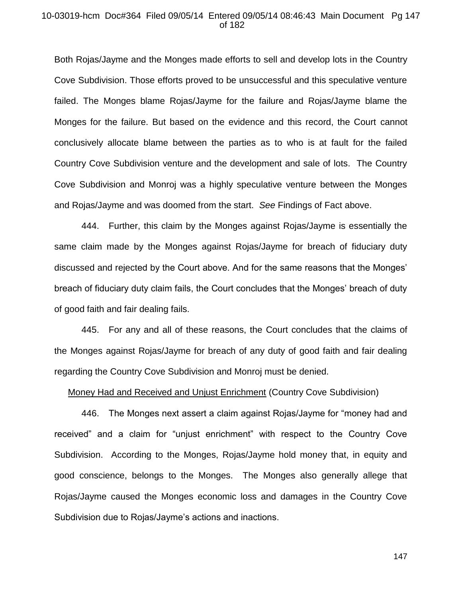#### 10-03019-hcm Doc#364 Filed 09/05/14 Entered 09/05/14 08:46:43 Main Document Pg 147 of 182

Both Rojas/Jayme and the Monges made efforts to sell and develop lots in the Country Cove Subdivision. Those efforts proved to be unsuccessful and this speculative venture failed. The Monges blame Rojas/Jayme for the failure and Rojas/Jayme blame the Monges for the failure. But based on the evidence and this record, the Court cannot conclusively allocate blame between the parties as to who is at fault for the failed Country Cove Subdivision venture and the development and sale of lots. The Country Cove Subdivision and Monroj was a highly speculative venture between the Monges and Rojas/Jayme and was doomed from the start. *See* Findings of Fact above.

444. Further, this claim by the Monges against Rojas/Jayme is essentially the same claim made by the Monges against Rojas/Jayme for breach of fiduciary duty discussed and rejected by the Court above. And for the same reasons that the Monges' breach of fiduciary duty claim fails, the Court concludes that the Monges' breach of duty of good faith and fair dealing fails.

445. For any and all of these reasons, the Court concludes that the claims of the Monges against Rojas/Jayme for breach of any duty of good faith and fair dealing regarding the Country Cove Subdivision and Monroj must be denied.

#### Money Had and Received and Unjust Enrichment (Country Cove Subdivision)

446. The Monges next assert a claim against Rojas/Jayme for "money had and received" and a claim for "unjust enrichment" with respect to the Country Cove Subdivision. According to the Monges, Rojas/Jayme hold money that, in equity and good conscience, belongs to the Monges. The Monges also generally allege that Rojas/Jayme caused the Monges economic loss and damages in the Country Cove Subdivision due to Rojas/Jayme's actions and inactions.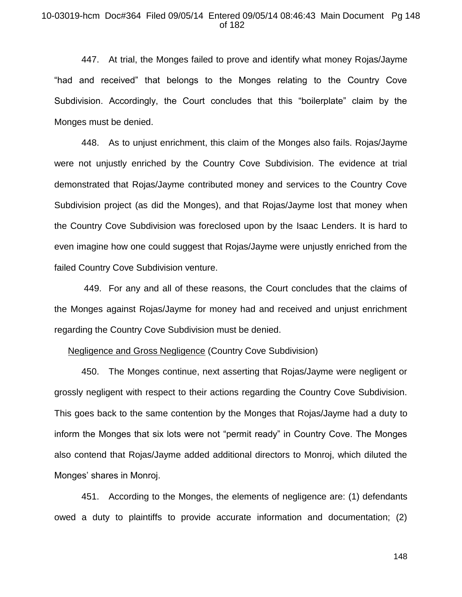### 10-03019-hcm Doc#364 Filed 09/05/14 Entered 09/05/14 08:46:43 Main Document Pg 148 of 182

447. At trial, the Monges failed to prove and identify what money Rojas/Jayme "had and received" that belongs to the Monges relating to the Country Cove Subdivision. Accordingly, the Court concludes that this "boilerplate" claim by the Monges must be denied.

448. As to unjust enrichment, this claim of the Monges also fails. Rojas/Jayme were not unjustly enriched by the Country Cove Subdivision. The evidence at trial demonstrated that Rojas/Jayme contributed money and services to the Country Cove Subdivision project (as did the Monges), and that Rojas/Jayme lost that money when the Country Cove Subdivision was foreclosed upon by the Isaac Lenders. It is hard to even imagine how one could suggest that Rojas/Jayme were unjustly enriched from the failed Country Cove Subdivision venture.

449. For any and all of these reasons, the Court concludes that the claims of the Monges against Rojas/Jayme for money had and received and unjust enrichment regarding the Country Cove Subdivision must be denied.

#### Negligence and Gross Negligence (Country Cove Subdivision)

450. The Monges continue, next asserting that Rojas/Jayme were negligent or grossly negligent with respect to their actions regarding the Country Cove Subdivision. This goes back to the same contention by the Monges that Rojas/Jayme had a duty to inform the Monges that six lots were not "permit ready" in Country Cove. The Monges also contend that Rojas/Jayme added additional directors to Monroj, which diluted the Monges' shares in Monroj.

451. According to the Monges, the elements of negligence are: (1) defendants owed a duty to plaintiffs to provide accurate information and documentation; (2)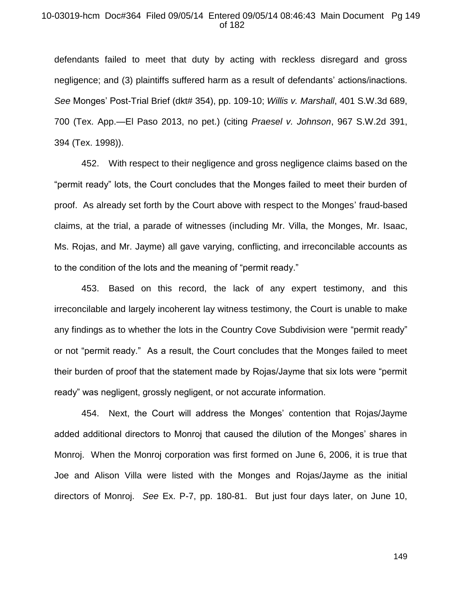#### 10-03019-hcm Doc#364 Filed 09/05/14 Entered 09/05/14 08:46:43 Main Document Pg 149 of 182

defendants failed to meet that duty by acting with reckless disregard and gross negligence; and (3) plaintiffs suffered harm as a result of defendants' actions/inactions. *See* Monges' Post-Trial Brief (dkt# 354), pp. 109-10; *Willis v. Marshall*, 401 S.W.3d 689, 700 (Tex. App.—El Paso 2013, no pet.) (citing *Praesel v. Johnson*, 967 S.W.2d 391, 394 (Tex. 1998)).

452. With respect to their negligence and gross negligence claims based on the "permit ready" lots, the Court concludes that the Monges failed to meet their burden of proof. As already set forth by the Court above with respect to the Monges' fraud-based claims, at the trial, a parade of witnesses (including Mr. Villa, the Monges, Mr. Isaac, Ms. Rojas, and Mr. Jayme) all gave varying, conflicting, and irreconcilable accounts as to the condition of the lots and the meaning of "permit ready."

453. Based on this record, the lack of any expert testimony, and this irreconcilable and largely incoherent lay witness testimony, the Court is unable to make any findings as to whether the lots in the Country Cove Subdivision were "permit ready" or not "permit ready." As a result, the Court concludes that the Monges failed to meet their burden of proof that the statement made by Rojas/Jayme that six lots were "permit ready" was negligent, grossly negligent, or not accurate information.

454. Next, the Court will address the Monges' contention that Rojas/Jayme added additional directors to Monroj that caused the dilution of the Monges' shares in Monroj. When the Monroj corporation was first formed on June 6, 2006, it is true that Joe and Alison Villa were listed with the Monges and Rojas/Jayme as the initial directors of Monroj. *See* Ex. P-7, pp. 180-81. But just four days later, on June 10,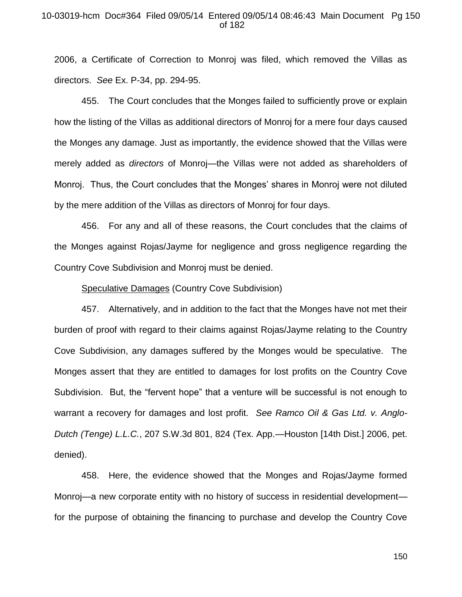## 10-03019-hcm Doc#364 Filed 09/05/14 Entered 09/05/14 08:46:43 Main Document Pg 150 of 182

2006, a Certificate of Correction to Monroj was filed, which removed the Villas as directors. *See* Ex. P-34, pp. 294-95.

455. The Court concludes that the Monges failed to sufficiently prove or explain how the listing of the Villas as additional directors of Monroj for a mere four days caused the Monges any damage. Just as importantly, the evidence showed that the Villas were merely added as *directors* of Monroj—the Villas were not added as shareholders of Monroj. Thus, the Court concludes that the Monges' shares in Monroj were not diluted by the mere addition of the Villas as directors of Monroj for four days.

456. For any and all of these reasons, the Court concludes that the claims of the Monges against Rojas/Jayme for negligence and gross negligence regarding the Country Cove Subdivision and Monroj must be denied.

## Speculative Damages (Country Cove Subdivision)

457. Alternatively, and in addition to the fact that the Monges have not met their burden of proof with regard to their claims against Rojas/Jayme relating to the Country Cove Subdivision, any damages suffered by the Monges would be speculative. The Monges assert that they are entitled to damages for lost profits on the Country Cove Subdivision. But, the "fervent hope" that a venture will be successful is not enough to warrant a recovery for damages and lost profit. *See Ramco Oil & Gas Ltd. v. Anglo-Dutch (Tenge) L.L.C.*, 207 S.W.3d 801, 824 (Tex. App.—Houston [14th Dist.] 2006, pet. denied).

458. Here, the evidence showed that the Monges and Rojas/Jayme formed Monroj—a new corporate entity with no history of success in residential development for the purpose of obtaining the financing to purchase and develop the Country Cove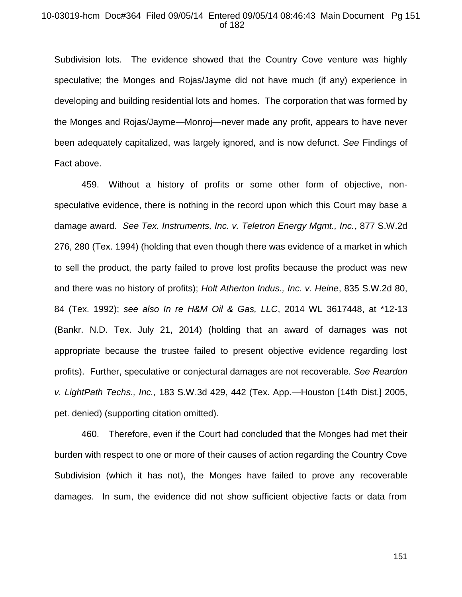#### 10-03019-hcm Doc#364 Filed 09/05/14 Entered 09/05/14 08:46:43 Main Document Pg 151 of 182

Subdivision lots. The evidence showed that the Country Cove venture was highly speculative; the Monges and Rojas/Jayme did not have much (if any) experience in developing and building residential lots and homes. The corporation that was formed by the Monges and Rojas/Jayme—Monroj—never made any profit, appears to have never been adequately capitalized, was largely ignored, and is now defunct. *See* Findings of Fact above.

459. Without a history of profits or some other form of objective, nonspeculative evidence, there is nothing in the record upon which this Court may base a damage award. *See Tex. Instruments, Inc. v. Teletron Energy Mgmt., Inc.*, 877 S.W.2d 276, 280 (Tex. 1994) (holding that even though there was evidence of a market in which to sell the product, the party failed to prove lost profits because the product was new and there was no history of profits); *Holt Atherton Indus., Inc. v. Heine*, 835 S.W.2d 80, 84 (Tex. 1992); *see also In re H&M Oil & Gas, LLC*, 2014 WL 3617448, at \*12-13 (Bankr. N.D. Tex. July 21, 2014) (holding that an award of damages was not appropriate because the trustee failed to present objective evidence regarding lost profits). Further, speculative or conjectural damages are not recoverable. *See Reardon v. LightPath Techs., Inc.,* 183 S.W.3d 429, 442 (Tex. App.—Houston [14th Dist.] 2005, pet. denied) (supporting citation omitted).

460. Therefore, even if the Court had concluded that the Monges had met their burden with respect to one or more of their causes of action regarding the Country Cove Subdivision (which it has not), the Monges have failed to prove any recoverable damages. In sum, the evidence did not show sufficient objective facts or data from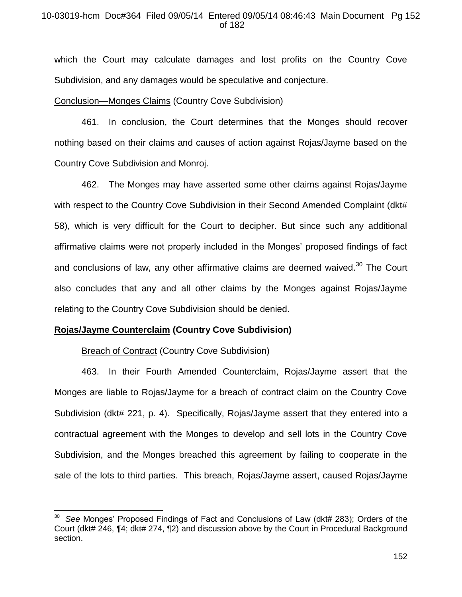## 10-03019-hcm Doc#364 Filed 09/05/14 Entered 09/05/14 08:46:43 Main Document Pg 152 of 182

which the Court may calculate damages and lost profits on the Country Cove Subdivision, and any damages would be speculative and conjecture.

## Conclusion—Monges Claims (Country Cove Subdivision)

461. In conclusion, the Court determines that the Monges should recover nothing based on their claims and causes of action against Rojas/Jayme based on the Country Cove Subdivision and Monroj.

462. The Monges may have asserted some other claims against Rojas/Jayme with respect to the Country Cove Subdivision in their Second Amended Complaint (dkt# 58), which is very difficult for the Court to decipher. But since such any additional affirmative claims were not properly included in the Monges' proposed findings of fact and conclusions of law, any other affirmative claims are deemed waived. $30$  The Court also concludes that any and all other claims by the Monges against Rojas/Jayme relating to the Country Cove Subdivision should be denied.

## **Rojas/Jayme Counterclaim (Country Cove Subdivision)**

## **Breach of Contract (Country Cove Subdivision)**

 $\overline{a}$ 

463. In their Fourth Amended Counterclaim, Rojas/Jayme assert that the Monges are liable to Rojas/Jayme for a breach of contract claim on the Country Cove Subdivision (dkt# 221, p. 4). Specifically, Rojas/Jayme assert that they entered into a contractual agreement with the Monges to develop and sell lots in the Country Cove Subdivision, and the Monges breached this agreement by failing to cooperate in the sale of the lots to third parties. This breach, Rojas/Jayme assert, caused Rojas/Jayme

<sup>30</sup> *See* Monges' Proposed Findings of Fact and Conclusions of Law (dkt# 283); Orders of the Court (dkt# 246, ¶4; dkt# 274, ¶2) and discussion above by the Court in Procedural Background section.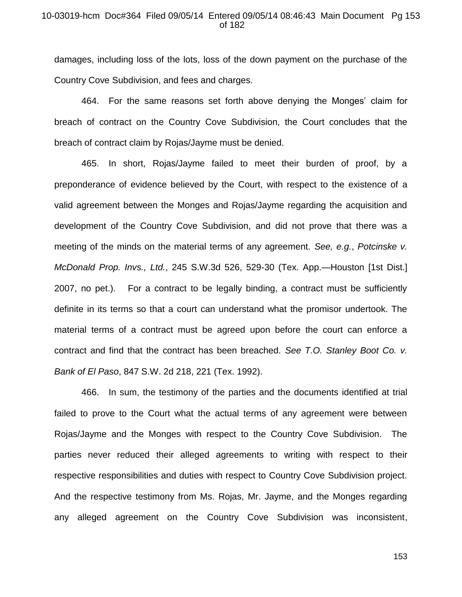## 10-03019-hcm Doc#364 Filed 09/05/14 Entered 09/05/14 08:46:43 Main Document Pg 153 of 182

damages, including loss of the lots, loss of the down payment on the purchase of the Country Cove Subdivision, and fees and charges.

464. For the same reasons set forth above denying the Monges' claim for breach of contract on the Country Cove Subdivision, the Court concludes that the breach of contract claim by Rojas/Jayme must be denied.

465. In short, Rojas/Jayme failed to meet their burden of proof, by a preponderance of evidence believed by the Court, with respect to the existence of a valid agreement between the Monges and Rojas/Jayme regarding the acquisition and development of the Country Cove Subdivision, and did not prove that there was a meeting of the minds on the material terms of any agreement. *See, e.g.*, *Potcinske v. McDonald Prop. Invs., Ltd.*, 245 S.W.3d 526, 529-30 (Tex. App.—Houston [1st Dist.] 2007, no pet.). For a contract to be legally binding, a contract must be sufficiently definite in its terms so that a court can understand what the promisor undertook. The material terms of a contract must be agreed upon before the court can enforce a contract and find that the contract has been breached. *See T.O. Stanley Boot Co. v. Bank of El Paso*, 847 S.W. 2d 218, 221 (Tex. 1992).

466. In sum, the testimony of the parties and the documents identified at trial failed to prove to the Court what the actual terms of any agreement were between Rojas/Jayme and the Monges with respect to the Country Cove Subdivision. The parties never reduced their alleged agreements to writing with respect to their respective responsibilities and duties with respect to Country Cove Subdivision project. And the respective testimony from Ms. Rojas, Mr. Jayme, and the Monges regarding any alleged agreement on the Country Cove Subdivision was inconsistent,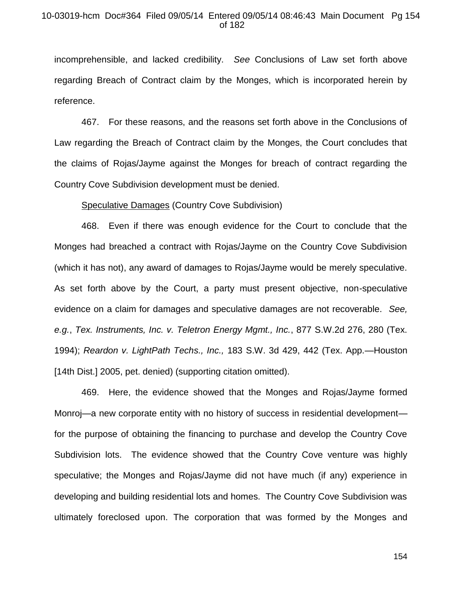## 10-03019-hcm Doc#364 Filed 09/05/14 Entered 09/05/14 08:46:43 Main Document Pg 154 of 182

incomprehensible, and lacked credibility. *See* Conclusions of Law set forth above regarding Breach of Contract claim by the Monges, which is incorporated herein by reference.

467. For these reasons, and the reasons set forth above in the Conclusions of Law regarding the Breach of Contract claim by the Monges, the Court concludes that the claims of Rojas/Jayme against the Monges for breach of contract regarding the Country Cove Subdivision development must be denied.

#### Speculative Damages (Country Cove Subdivision)

468. Even if there was enough evidence for the Court to conclude that the Monges had breached a contract with Rojas/Jayme on the Country Cove Subdivision (which it has not), any award of damages to Rojas/Jayme would be merely speculative. As set forth above by the Court, a party must present objective, non-speculative evidence on a claim for damages and speculative damages are not recoverable. *See, e.g.*, *Tex. Instruments, Inc. v. Teletron Energy Mgmt., Inc.*, 877 S.W.2d 276, 280 (Tex. 1994); *Reardon v. LightPath Techs., Inc.,* 183 S.W. 3d 429, 442 (Tex. App.—Houston [14th Dist.] 2005, pet. denied) (supporting citation omitted).

469. Here, the evidence showed that the Monges and Rojas/Jayme formed Monroj—a new corporate entity with no history of success in residential development for the purpose of obtaining the financing to purchase and develop the Country Cove Subdivision lots. The evidence showed that the Country Cove venture was highly speculative; the Monges and Rojas/Jayme did not have much (if any) experience in developing and building residential lots and homes. The Country Cove Subdivision was ultimately foreclosed upon. The corporation that was formed by the Monges and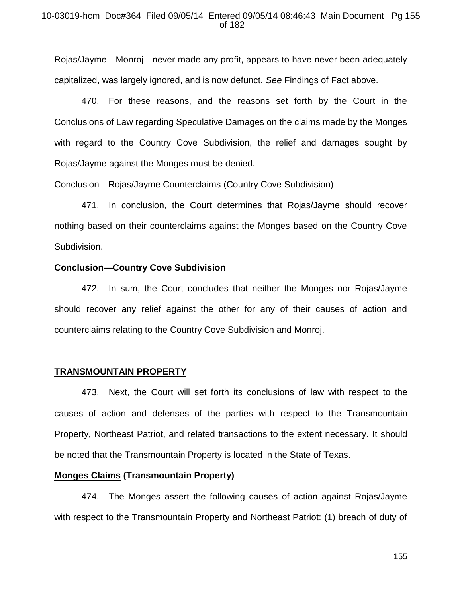Rojas/Jayme—Monroj—never made any profit, appears to have never been adequately capitalized, was largely ignored, and is now defunct. *See* Findings of Fact above.

470. For these reasons, and the reasons set forth by the Court in the Conclusions of Law regarding Speculative Damages on the claims made by the Monges with regard to the Country Cove Subdivision, the relief and damages sought by Rojas/Jayme against the Monges must be denied.

## Conclusion—Rojas/Jayme Counterclaims (Country Cove Subdivision)

471. In conclusion, the Court determines that Rojas/Jayme should recover nothing based on their counterclaims against the Monges based on the Country Cove Subdivision.

## **Conclusion—Country Cove Subdivision**

472. In sum, the Court concludes that neither the Monges nor Rojas/Jayme should recover any relief against the other for any of their causes of action and counterclaims relating to the Country Cove Subdivision and Monroj.

### **TRANSMOUNTAIN PROPERTY**

473. Next, the Court will set forth its conclusions of law with respect to the causes of action and defenses of the parties with respect to the Transmountain Property, Northeast Patriot, and related transactions to the extent necessary. It should be noted that the Transmountain Property is located in the State of Texas.

### **Monges Claims (Transmountain Property)**

474. The Monges assert the following causes of action against Rojas/Jayme with respect to the Transmountain Property and Northeast Patriot: (1) breach of duty of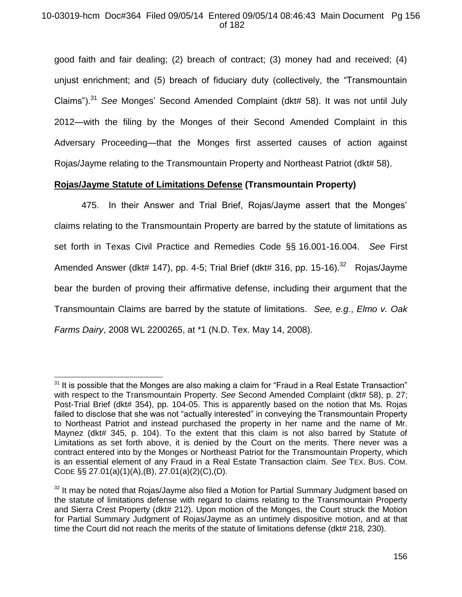## 10-03019-hcm Doc#364 Filed 09/05/14 Entered 09/05/14 08:46:43 Main Document Pg 156 of 182

good faith and fair dealing; (2) breach of contract; (3) money had and received; (4) unjust enrichment; and (5) breach of fiduciary duty (collectively, the "Transmountain Claims").<sup>31</sup> *See* Monges' Second Amended Complaint (dkt# 58). It was not until July 2012—with the filing by the Monges of their Second Amended Complaint in this Adversary Proceeding—that the Monges first asserted causes of action against Rojas/Jayme relating to the Transmountain Property and Northeast Patriot (dkt# 58).

# **Rojas/Jayme Statute of Limitations Defense (Transmountain Property)**

475. In their Answer and Trial Brief, Rojas/Jayme assert that the Monges' claims relating to the Transmountain Property are barred by the statute of limitations as set forth in Texas Civil Practice and Remedies Code §§ 16.001-16.004. *See* First Amended Answer (dkt# 147), pp. 4-5; Trial Brief (dkt# 316, pp. 15-16). $^{32}$  Rojas/Jayme bear the burden of proving their affirmative defense, including their argument that the Transmountain Claims are barred by the statute of limitations. *See, e.g.*, *Elmo v. Oak Farms Dairy*, 2008 WL 2200265, at \*1 (N.D. Tex. May 14, 2008).

 $\overline{\phantom{a}}$ 

 $31$  It is possible that the Monges are also making a claim for "Fraud in a Real Estate Transaction" with respect to the Transmountain Property. *See* Second Amended Complaint (dkt# 58), p. 27; Post-Trial Brief (dkt# 354), pp. 104-05. This is apparently based on the notion that Ms. Rojas failed to disclose that she was not "actually interested" in conveying the Transmountain Property to Northeast Patriot and instead purchased the property in her name and the name of Mr. Maynez (dkt# 345, p. 104). To the extent that this claim is not also barred by Statute of Limitations as set forth above, it is denied by the Court on the merits. There never was a contract entered into by the Monges or Northeast Patriot for the Transmountain Property, which is an essential element of any Fraud in a Real Estate Transaction claim. *See* TEX. BUS. COM. CODE §§ 27.01(a)(1)(A),(B), 27.01(a)(2)(C),(D).

 $32$  It may be noted that Rojas/Jayme also filed a Motion for Partial Summary Judgment based on the statute of limitations defense with regard to claims relating to the Transmountain Property and Sierra Crest Property (dkt# 212). Upon motion of the Monges, the Court struck the Motion for Partial Summary Judgment of Rojas/Jayme as an untimely dispositive motion, and at that time the Court did not reach the merits of the statute of limitations defense (dkt# 218, 230).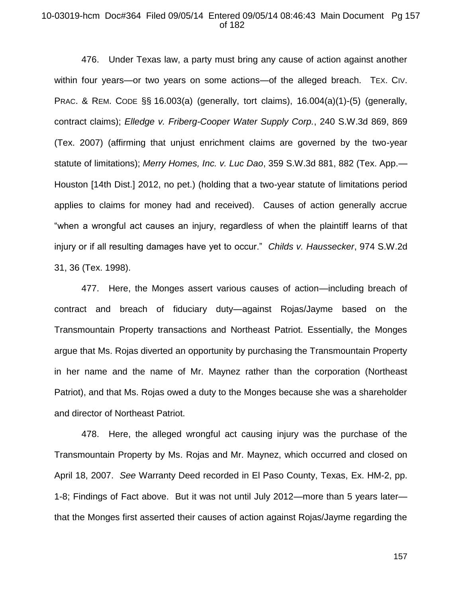### 10-03019-hcm Doc#364 Filed 09/05/14 Entered 09/05/14 08:46:43 Main Document Pg 157 of 182

476. Under Texas law, a party must bring any cause of action against another within four years—or two years on some actions—of the alleged breach. TEX. CIV. PRAC. & REM. CODE §§ 16.003(a) (generally, tort claims), 16.004(a)(1)-(5) (generally, contract claims); *Elledge v. Friberg-Cooper Water Supply Corp.*, 240 S.W.3d 869, 869 (Tex. 2007) (affirming that unjust enrichment claims are governed by the two-year statute of limitations); *Merry Homes, Inc. v. Luc Dao*, 359 S.W.3d 881, 882 (Tex. App.— Houston [14th Dist.] 2012, no pet.) (holding that a two-year statute of limitations period applies to claims for money had and received). Causes of action generally accrue "when a wrongful act causes an injury, regardless of when the plaintiff learns of that injury or if all resulting damages have yet to occur." *Childs v. Haussecker*, 974 S.W.2d 31, 36 (Tex. 1998).

477. Here, the Monges assert various causes of action—including breach of contract and breach of fiduciary duty—against Rojas/Jayme based on the Transmountain Property transactions and Northeast Patriot. Essentially, the Monges argue that Ms. Rojas diverted an opportunity by purchasing the Transmountain Property in her name and the name of Mr. Maynez rather than the corporation (Northeast Patriot), and that Ms. Rojas owed a duty to the Monges because she was a shareholder and director of Northeast Patriot.

478. Here, the alleged wrongful act causing injury was the purchase of the Transmountain Property by Ms. Rojas and Mr. Maynez, which occurred and closed on April 18, 2007. *See* Warranty Deed recorded in El Paso County, Texas, Ex. HM-2, pp. 1-8; Findings of Fact above. But it was not until July 2012—more than 5 years later that the Monges first asserted their causes of action against Rojas/Jayme regarding the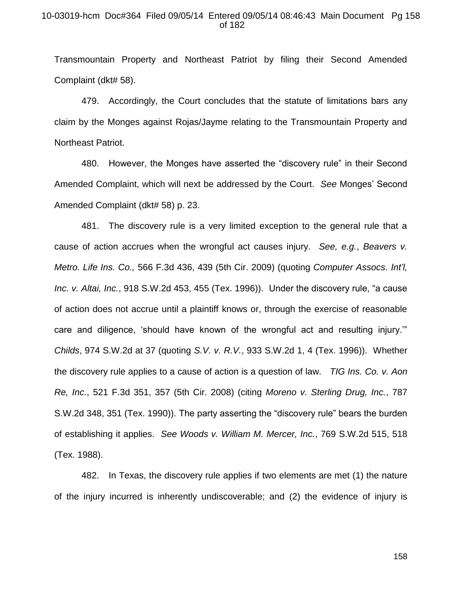## 10-03019-hcm Doc#364 Filed 09/05/14 Entered 09/05/14 08:46:43 Main Document Pg 158 of 182

Transmountain Property and Northeast Patriot by filing their Second Amended Complaint (dkt# 58).

479. Accordingly, the Court concludes that the statute of limitations bars any claim by the Monges against Rojas/Jayme relating to the Transmountain Property and Northeast Patriot.

480. However, the Monges have asserted the "discovery rule" in their Second Amended Complaint, which will next be addressed by the Court. *See* Monges' Second Amended Complaint (dkt# 58) p. 23.

481. The discovery rule is a very limited exception to the general rule that a cause of action accrues when the wrongful act causes injury. *See, e.g.*, *Beavers v. Metro. Life Ins. Co.,* 566 F.3d 436, 439 (5th Cir. 2009) (quoting *Computer Assocs. Int'l, Inc. v. Altai, Inc.*, 918 S.W.2d 453, 455 (Tex. 1996)).Under the discovery rule, "a cause of action does not accrue until a plaintiff knows or, through the exercise of reasonable care and diligence, 'should have known of the wrongful act and resulting injury.'" *Childs*, 974 S.W.2d at 37 (quoting *S.V. v. R.V.*, 933 S.W.2d 1, 4 (Tex. 1996)). Whether the discovery rule applies to a cause of action is a question of law. *TIG Ins. Co. v. Aon Re, Inc.*, 521 F.3d 351, 357 (5th Cir. 2008) (citing *Moreno v. Sterling Drug, Inc.*, 787 S.W.2d 348, 351 (Tex. 1990)). The party asserting the "discovery rule" bears the burden of establishing it applies. *See Woods v. William M. Mercer, Inc.*, 769 S.W.2d 515, 518 (Tex. 1988).

482. In Texas, the discovery rule applies if two elements are met (1) the nature of the injury incurred is inherently undiscoverable; and (2) the evidence of injury is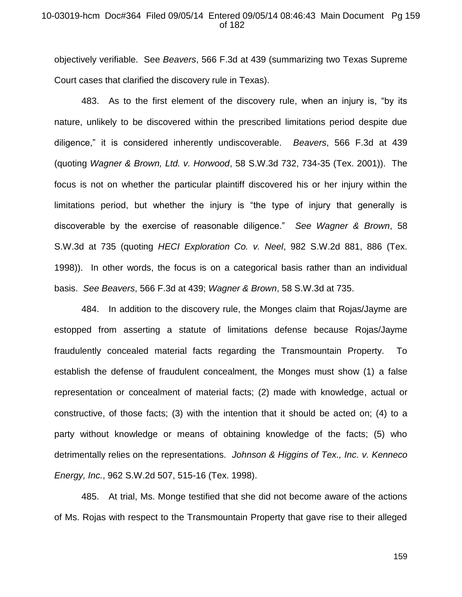### 10-03019-hcm Doc#364 Filed 09/05/14 Entered 09/05/14 08:46:43 Main Document Pg 159 of 182

objectively verifiable. See *Beavers*, 566 F.3d at 439 (summarizing two Texas Supreme Court cases that clarified the discovery rule in Texas).

483. As to the first element of the discovery rule, when an injury is, "by its nature, unlikely to be discovered within the prescribed limitations period despite due diligence," it is considered inherently undiscoverable. *Beavers*, 566 F.3d at 439 (quoting *Wagner & Brown, Ltd. v. Horwood*, 58 S.W.3d 732, 734-35 (Tex. 2001)). The focus is not on whether the particular plaintiff discovered his or her injury within the limitations period, but whether the injury is "the type of injury that generally is discoverable by the exercise of reasonable diligence." *See Wagner & Brown*, 58 S.W.3d at 735 (quoting *HECI Exploration Co. v. Neel*, 982 S.W.2d 881, 886 (Tex. 1998)). In other words, the focus is on a categorical basis rather than an individual basis. *See Beavers*, 566 F.3d at 439; *Wagner & Brown*, 58 S.W.3d at 735.

484. In addition to the discovery rule, the Monges claim that Rojas/Jayme are estopped from asserting a statute of limitations defense because Rojas/Jayme fraudulently concealed material facts regarding the Transmountain Property. To establish the defense of fraudulent concealment, the Monges must show (1) a false representation or concealment of material facts; (2) made with knowledge, actual or constructive, of those facts; (3) with the intention that it should be acted on; (4) to a party without knowledge or means of obtaining knowledge of the facts; (5) who detrimentally relies on the representations. *Johnson & Higgins of Tex., Inc. v. Kenneco Energy, Inc.*, 962 S.W.2d 507, 515-16 (Tex. 1998).

485. At trial, Ms. Monge testified that she did not become aware of the actions of Ms. Rojas with respect to the Transmountain Property that gave rise to their alleged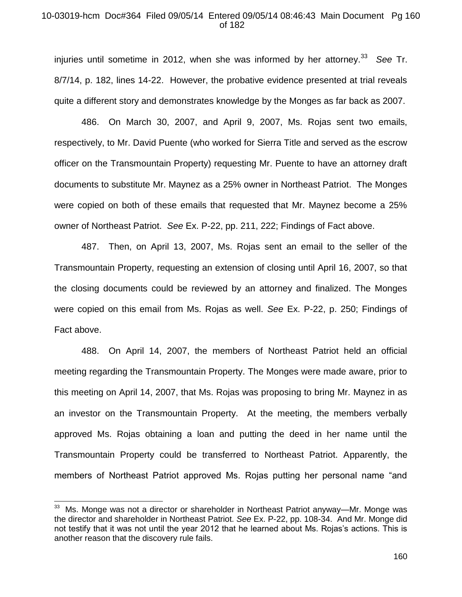## 10-03019-hcm Doc#364 Filed 09/05/14 Entered 09/05/14 08:46:43 Main Document Pg 160 of 182

injuries until sometime in 2012, when she was informed by her attorney.<sup>33</sup> See Tr. 8/7/14, p. 182, lines 14-22. However, the probative evidence presented at trial reveals quite a different story and demonstrates knowledge by the Monges as far back as 2007.

486. On March 30, 2007, and April 9, 2007, Ms. Rojas sent two emails, respectively, to Mr. David Puente (who worked for Sierra Title and served as the escrow officer on the Transmountain Property) requesting Mr. Puente to have an attorney draft documents to substitute Mr. Maynez as a 25% owner in Northeast Patriot. The Monges were copied on both of these emails that requested that Mr. Maynez become a 25% owner of Northeast Patriot. *See* Ex. P-22, pp. 211, 222; Findings of Fact above.

487. Then, on April 13, 2007, Ms. Rojas sent an email to the seller of the Transmountain Property, requesting an extension of closing until April 16, 2007, so that the closing documents could be reviewed by an attorney and finalized. The Monges were copied on this email from Ms. Rojas as well. *See* Ex. P-22, p. 250; Findings of Fact above.

488. On April 14, 2007, the members of Northeast Patriot held an official meeting regarding the Transmountain Property. The Monges were made aware, prior to this meeting on April 14, 2007, that Ms. Rojas was proposing to bring Mr. Maynez in as an investor on the Transmountain Property. At the meeting, the members verbally approved Ms. Rojas obtaining a loan and putting the deed in her name until the Transmountain Property could be transferred to Northeast Patriot. Apparently, the members of Northeast Patriot approved Ms. Rojas putting her personal name "and

 $\overline{\phantom{a}}$ 

<sup>33</sup> Ms. Monge was not a director or shareholder in Northeast Patriot anyway—Mr. Monge was the director and shareholder in Northeast Patriot. *See* Ex. P-22, pp. 108-34. And Mr. Monge did not testify that it was not until the year 2012 that he learned about Ms. Rojas's actions. This is another reason that the discovery rule fails.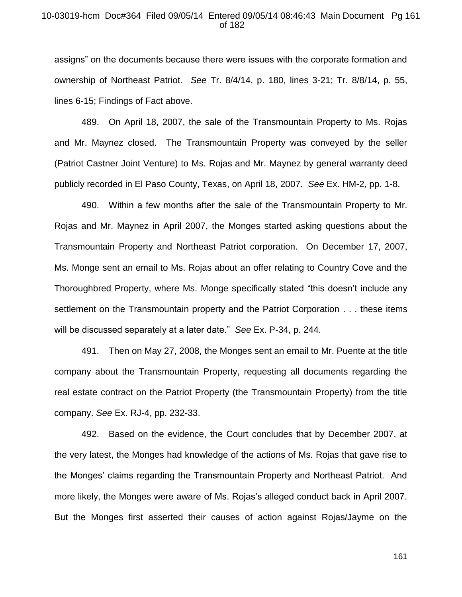## 10-03019-hcm Doc#364 Filed 09/05/14 Entered 09/05/14 08:46:43 Main Document Pg 161 of 182

assigns" on the documents because there were issues with the corporate formation and ownership of Northeast Patriot. *See* Tr. 8/4/14, p. 180, lines 3-21; Tr. 8/8/14, p. 55, lines 6-15; Findings of Fact above.

489. On April 18, 2007, the sale of the Transmountain Property to Ms. Rojas and Mr. Maynez closed. The Transmountain Property was conveyed by the seller (Patriot Castner Joint Venture) to Ms. Rojas and Mr. Maynez by general warranty deed publicly recorded in El Paso County, Texas, on April 18, 2007. *See* Ex. HM-2, pp. 1-8.

490. Within a few months after the sale of the Transmountain Property to Mr. Rojas and Mr. Maynez in April 2007, the Monges started asking questions about the Transmountain Property and Northeast Patriot corporation. On December 17, 2007, Ms. Monge sent an email to Ms. Rojas about an offer relating to Country Cove and the Thoroughbred Property, where Ms. Monge specifically stated "this doesn't include any settlement on the Transmountain property and the Patriot Corporation . . . these items will be discussed separately at a later date." *See* Ex. P-34, p. 244.

491. Then on May 27, 2008, the Monges sent an email to Mr. Puente at the title company about the Transmountain Property, requesting all documents regarding the real estate contract on the Patriot Property (the Transmountain Property) from the title company. *See* Ex. RJ-4, pp. 232-33.

492. Based on the evidence, the Court concludes that by December 2007, at the very latest, the Monges had knowledge of the actions of Ms. Rojas that gave rise to the Monges' claims regarding the Transmountain Property and Northeast Patriot. And more likely, the Monges were aware of Ms. Rojas's alleged conduct back in April 2007. But the Monges first asserted their causes of action against Rojas/Jayme on the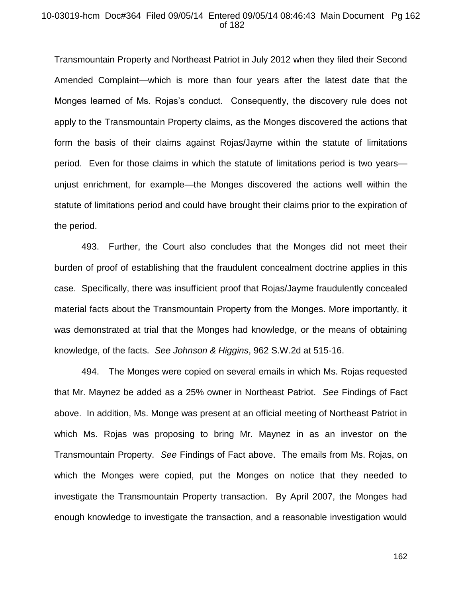## 10-03019-hcm Doc#364 Filed 09/05/14 Entered 09/05/14 08:46:43 Main Document Pg 162 of 182

Transmountain Property and Northeast Patriot in July 2012 when they filed their Second Amended Complaint—which is more than four years after the latest date that the Monges learned of Ms. Rojas's conduct. Consequently, the discovery rule does not apply to the Transmountain Property claims, as the Monges discovered the actions that form the basis of their claims against Rojas/Jayme within the statute of limitations period. Even for those claims in which the statute of limitations period is two years unjust enrichment, for example—the Monges discovered the actions well within the statute of limitations period and could have brought their claims prior to the expiration of the period.

493. Further, the Court also concludes that the Monges did not meet their burden of proof of establishing that the fraudulent concealment doctrine applies in this case. Specifically, there was insufficient proof that Rojas/Jayme fraudulently concealed material facts about the Transmountain Property from the Monges. More importantly, it was demonstrated at trial that the Monges had knowledge, or the means of obtaining knowledge, of the facts. *See Johnson & Higgins*, 962 S.W.2d at 515-16.

494. The Monges were copied on several emails in which Ms. Rojas requested that Mr. Maynez be added as a 25% owner in Northeast Patriot. *See* Findings of Fact above. In addition, Ms. Monge was present at an official meeting of Northeast Patriot in which Ms. Rojas was proposing to bring Mr. Maynez in as an investor on the Transmountain Property. *See* Findings of Fact above. The emails from Ms. Rojas, on which the Monges were copied, put the Monges on notice that they needed to investigate the Transmountain Property transaction. By April 2007, the Monges had enough knowledge to investigate the transaction, and a reasonable investigation would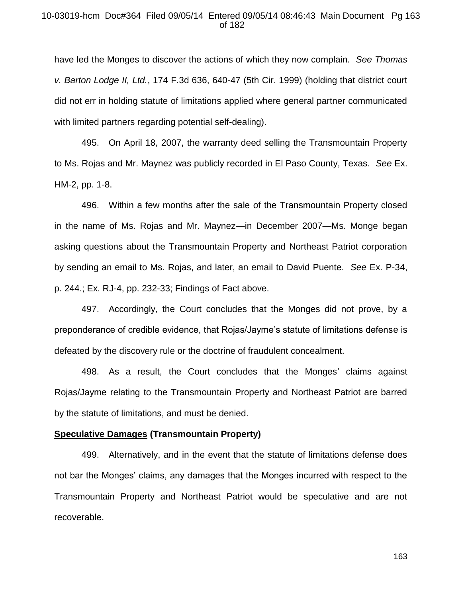## 10-03019-hcm Doc#364 Filed 09/05/14 Entered 09/05/14 08:46:43 Main Document Pg 163 of 182

have led the Monges to discover the actions of which they now complain. *See Thomas v. Barton Lodge II, Ltd.*, 174 F.3d 636, 640-47 (5th Cir. 1999) (holding that district court did not err in holding statute of limitations applied where general partner communicated with limited partners regarding potential self-dealing).

495. On April 18, 2007, the warranty deed selling the Transmountain Property to Ms. Rojas and Mr. Maynez was publicly recorded in El Paso County, Texas. *See* Ex. HM-2, pp. 1-8.

496. Within a few months after the sale of the Transmountain Property closed in the name of Ms. Rojas and Mr. Maynez—in December 2007—Ms. Monge began asking questions about the Transmountain Property and Northeast Patriot corporation by sending an email to Ms. Rojas, and later, an email to David Puente. *See* Ex. P-34, p. 244.; Ex. RJ-4, pp. 232-33; Findings of Fact above.

497. Accordingly, the Court concludes that the Monges did not prove, by a preponderance of credible evidence, that Rojas/Jayme's statute of limitations defense is defeated by the discovery rule or the doctrine of fraudulent concealment.

498. As a result, the Court concludes that the Monges' claims against Rojas/Jayme relating to the Transmountain Property and Northeast Patriot are barred by the statute of limitations, and must be denied.

#### **Speculative Damages (Transmountain Property)**

499. Alternatively, and in the event that the statute of limitations defense does not bar the Monges' claims, any damages that the Monges incurred with respect to the Transmountain Property and Northeast Patriot would be speculative and are not recoverable.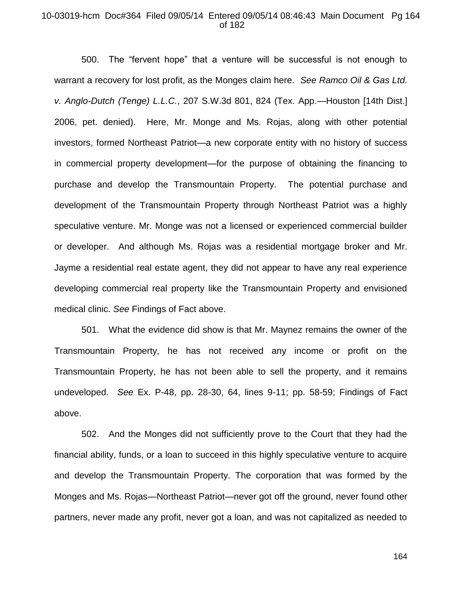### 10-03019-hcm Doc#364 Filed 09/05/14 Entered 09/05/14 08:46:43 Main Document Pg 164 of 182

500. The "fervent hope" that a venture will be successful is not enough to warrant a recovery for lost profit, as the Monges claim here. *See Ramco Oil & Gas Ltd. v. Anglo-Dutch (Tenge) L.L.C.*, 207 S.W.3d 801, 824 (Tex. App.—Houston [14th Dist.] 2006, pet. denied). Here, Mr. Monge and Ms. Rojas, along with other potential investors, formed Northeast Patriot—a new corporate entity with no history of success in commercial property development—for the purpose of obtaining the financing to purchase and develop the Transmountain Property. The potential purchase and development of the Transmountain Property through Northeast Patriot was a highly speculative venture. Mr. Monge was not a licensed or experienced commercial builder or developer. And although Ms. Rojas was a residential mortgage broker and Mr. Jayme a residential real estate agent, they did not appear to have any real experience developing commercial real property like the Transmountain Property and envisioned medical clinic. *See* Findings of Fact above.

501. What the evidence did show is that Mr. Maynez remains the owner of the Transmountain Property, he has not received any income or profit on the Transmountain Property, he has not been able to sell the property, and it remains undeveloped. *See* Ex. P-48, pp. 28-30, 64, lines 9-11; pp. 58-59; Findings of Fact above.

502. And the Monges did not sufficiently prove to the Court that they had the financial ability, funds, or a loan to succeed in this highly speculative venture to acquire and develop the Transmountain Property. The corporation that was formed by the Monges and Ms. Rojas—Northeast Patriot—never got off the ground, never found other partners, never made any profit, never got a loan, and was not capitalized as needed to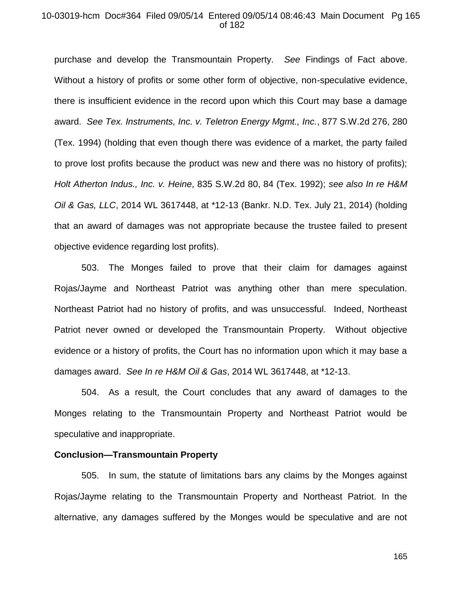#### 10-03019-hcm Doc#364 Filed 09/05/14 Entered 09/05/14 08:46:43 Main Document Pg 165 of 182

purchase and develop the Transmountain Property. *See* Findings of Fact above. Without a history of profits or some other form of objective, non-speculative evidence, there is insufficient evidence in the record upon which this Court may base a damage award. *See Tex. Instruments, Inc. v. Teletron Energy Mgmt., Inc.*, 877 S.W.2d 276, 280 (Tex. 1994) (holding that even though there was evidence of a market, the party failed to prove lost profits because the product was new and there was no history of profits); *Holt Atherton Indus., Inc. v. Heine*, 835 S.W.2d 80, 84 (Tex. 1992); *see also In re H&M Oil & Gas, LLC*, 2014 WL 3617448, at \*12-13 (Bankr. N.D. Tex. July 21, 2014) (holding that an award of damages was not appropriate because the trustee failed to present objective evidence regarding lost profits).

503. The Monges failed to prove that their claim for damages against Rojas/Jayme and Northeast Patriot was anything other than mere speculation. Northeast Patriot had no history of profits, and was unsuccessful. Indeed, Northeast Patriot never owned or developed the Transmountain Property. Without objective evidence or a history of profits, the Court has no information upon which it may base a damages award. *See In re H&M Oil & Gas*, 2014 WL 3617448, at \*12-13.

504. As a result, the Court concludes that any award of damages to the Monges relating to the Transmountain Property and Northeast Patriot would be speculative and inappropriate.

## **Conclusion—Transmountain Property**

505. In sum, the statute of limitations bars any claims by the Monges against Rojas/Jayme relating to the Transmountain Property and Northeast Patriot. In the alternative, any damages suffered by the Monges would be speculative and are not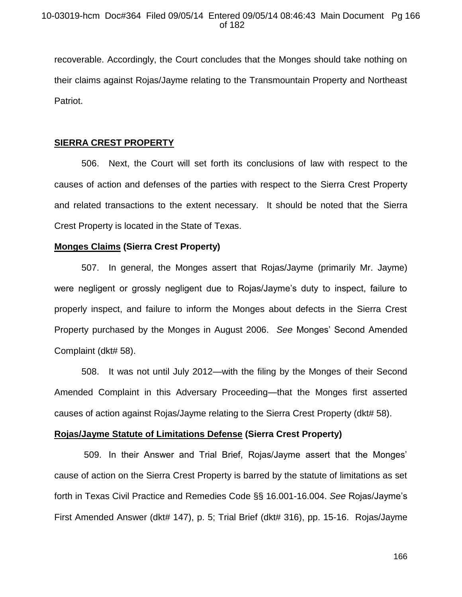recoverable. Accordingly, the Court concludes that the Monges should take nothing on their claims against Rojas/Jayme relating to the Transmountain Property and Northeast Patriot.

## **SIERRA CREST PROPERTY**

506. Next, the Court will set forth its conclusions of law with respect to the causes of action and defenses of the parties with respect to the Sierra Crest Property and related transactions to the extent necessary. It should be noted that the Sierra Crest Property is located in the State of Texas.

## **Monges Claims (Sierra Crest Property)**

507. In general, the Monges assert that Rojas/Jayme (primarily Mr. Jayme) were negligent or grossly negligent due to Rojas/Jayme's duty to inspect, failure to properly inspect, and failure to inform the Monges about defects in the Sierra Crest Property purchased by the Monges in August 2006. *See* Monges' Second Amended Complaint (dkt# 58).

508. It was not until July 2012—with the filing by the Monges of their Second Amended Complaint in this Adversary Proceeding—that the Monges first asserted causes of action against Rojas/Jayme relating to the Sierra Crest Property (dkt# 58).

## **Rojas/Jayme Statute of Limitations Defense (Sierra Crest Property)**

509. In their Answer and Trial Brief, Rojas/Jayme assert that the Monges' cause of action on the Sierra Crest Property is barred by the statute of limitations as set forth in Texas Civil Practice and Remedies Code §§ 16.001-16.004. *See* Rojas/Jayme's First Amended Answer (dkt# 147), p. 5; Trial Brief (dkt# 316), pp. 15-16. Rojas/Jayme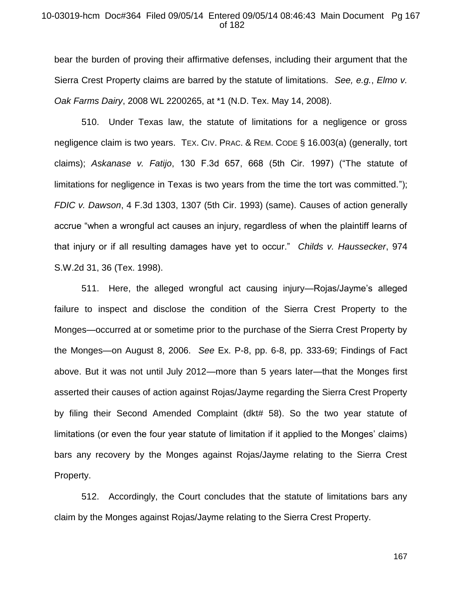### 10-03019-hcm Doc#364 Filed 09/05/14 Entered 09/05/14 08:46:43 Main Document Pg 167 of 182

bear the burden of proving their affirmative defenses, including their argument that the Sierra Crest Property claims are barred by the statute of limitations. *See, e.g.*, *Elmo v. Oak Farms Dairy*, 2008 WL 2200265, at \*1 (N.D. Tex. May 14, 2008).

510. Under Texas law, the statute of limitations for a negligence or gross negligence claim is two years. TEX. CIV. PRAC. & REM. CODE § 16.003(a) (generally, tort claims); *Askanase v. Fatijo*, 130 F.3d 657, 668 (5th Cir. 1997) ("The statute of limitations for negligence in Texas is two years from the time the tort was committed."); *FDIC v. Dawson*, 4 F.3d 1303, 1307 (5th Cir. 1993) (same). Causes of action generally accrue "when a wrongful act causes an injury, regardless of when the plaintiff learns of that injury or if all resulting damages have yet to occur." *Childs v. Haussecker*, 974 S.W.2d 31, 36 (Tex. 1998).

511. Here, the alleged wrongful act causing injury—Rojas/Jayme's alleged failure to inspect and disclose the condition of the Sierra Crest Property to the Monges—occurred at or sometime prior to the purchase of the Sierra Crest Property by the Monges—on August 8, 2006. *See* Ex. P-8, pp. 6-8, pp. 333-69; Findings of Fact above. But it was not until July 2012—more than 5 years later—that the Monges first asserted their causes of action against Rojas/Jayme regarding the Sierra Crest Property by filing their Second Amended Complaint (dkt# 58). So the two year statute of limitations (or even the four year statute of limitation if it applied to the Monges' claims) bars any recovery by the Monges against Rojas/Jayme relating to the Sierra Crest Property.

512. Accordingly, the Court concludes that the statute of limitations bars any claim by the Monges against Rojas/Jayme relating to the Sierra Crest Property.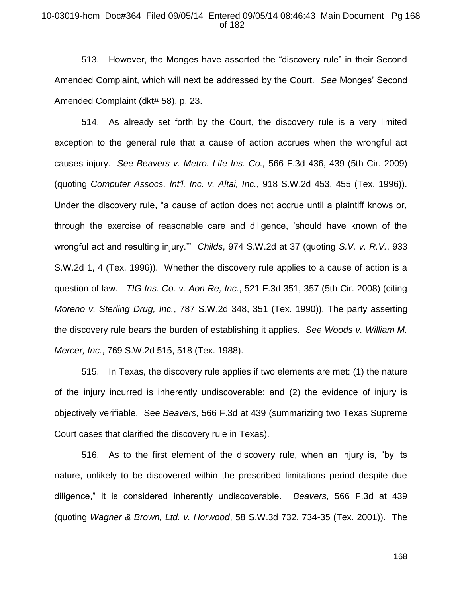### 10-03019-hcm Doc#364 Filed 09/05/14 Entered 09/05/14 08:46:43 Main Document Pg 168 of 182

513. However, the Monges have asserted the "discovery rule" in their Second Amended Complaint, which will next be addressed by the Court. *See* Monges' Second Amended Complaint (dkt# 58), p. 23.

514. As already set forth by the Court, the discovery rule is a very limited exception to the general rule that a cause of action accrues when the wrongful act causes injury. *See Beavers v. Metro. Life Ins. Co.,* 566 F.3d 436, 439 (5th Cir. 2009) (quoting *Computer Assocs. Int'l, Inc. v. Altai, Inc.*, 918 S.W.2d 453, 455 (Tex. 1996)). Under the discovery rule, "a cause of action does not accrue until a plaintiff knows or, through the exercise of reasonable care and diligence, 'should have known of the wrongful act and resulting injury.'" *Childs*, 974 S.W.2d at 37 (quoting *S.V. v. R.V.*, 933 S.W.2d 1, 4 (Tex. 1996)). Whether the discovery rule applies to a cause of action is a question of law. *TIG Ins. Co. v. Aon Re, Inc.*, 521 F.3d 351, 357 (5th Cir. 2008) (citing *Moreno v. Sterling Drug, Inc.*, 787 S.W.2d 348, 351 (Tex. 1990)). The party asserting the discovery rule bears the burden of establishing it applies. *See Woods v. William M. Mercer, Inc.*, 769 S.W.2d 515, 518 (Tex. 1988).

515. In Texas, the discovery rule applies if two elements are met: (1) the nature of the injury incurred is inherently undiscoverable; and (2) the evidence of injury is objectively verifiable. See *Beavers*, 566 F.3d at 439 (summarizing two Texas Supreme Court cases that clarified the discovery rule in Texas).

516. As to the first element of the discovery rule, when an injury is, "by its nature, unlikely to be discovered within the prescribed limitations period despite due diligence," it is considered inherently undiscoverable. *Beavers*, 566 F.3d at 439 (quoting *Wagner & Brown, Ltd. v. Horwood*, 58 S.W.3d 732, 734-35 (Tex. 2001)). The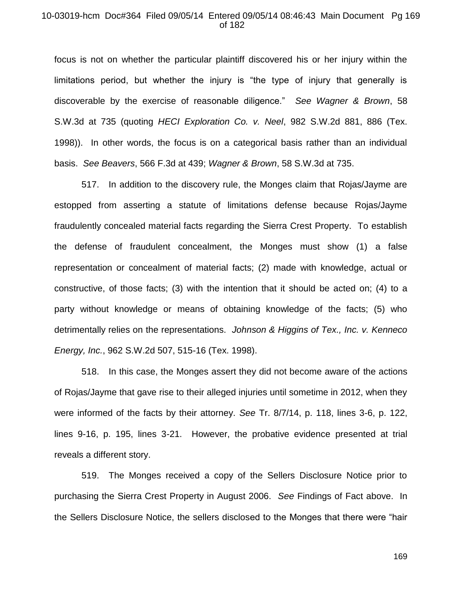#### 10-03019-hcm Doc#364 Filed 09/05/14 Entered 09/05/14 08:46:43 Main Document Pg 169 of 182

focus is not on whether the particular plaintiff discovered his or her injury within the limitations period, but whether the injury is "the type of injury that generally is discoverable by the exercise of reasonable diligence." *See Wagner & Brown*, 58 S.W.3d at 735 (quoting *HECI Exploration Co. v. Neel*, 982 S.W.2d 881, 886 (Tex. 1998)). In other words, the focus is on a categorical basis rather than an individual basis. *See Beavers*, 566 F.3d at 439; *Wagner & Brown*, 58 S.W.3d at 735.

517. In addition to the discovery rule, the Monges claim that Rojas/Jayme are estopped from asserting a statute of limitations defense because Rojas/Jayme fraudulently concealed material facts regarding the Sierra Crest Property. To establish the defense of fraudulent concealment, the Monges must show (1) a false representation or concealment of material facts; (2) made with knowledge, actual or constructive, of those facts; (3) with the intention that it should be acted on; (4) to a party without knowledge or means of obtaining knowledge of the facts; (5) who detrimentally relies on the representations. *Johnson & Higgins of Tex., Inc. v. Kenneco Energy, Inc.*, 962 S.W.2d 507, 515-16 (Tex. 1998).

518. In this case, the Monges assert they did not become aware of the actions of Rojas/Jayme that gave rise to their alleged injuries until sometime in 2012, when they were informed of the facts by their attorney. *See* Tr. 8/7/14, p. 118, lines 3-6, p. 122, lines 9-16, p. 195, lines 3-21. However, the probative evidence presented at trial reveals a different story.

519. The Monges received a copy of the Sellers Disclosure Notice prior to purchasing the Sierra Crest Property in August 2006. *See* Findings of Fact above. In the Sellers Disclosure Notice, the sellers disclosed to the Monges that there were "hair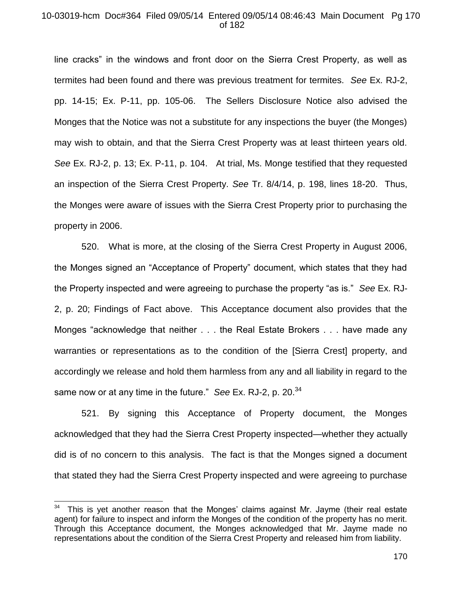## 10-03019-hcm Doc#364 Filed 09/05/14 Entered 09/05/14 08:46:43 Main Document Pg 170 of 182

line cracks" in the windows and front door on the Sierra Crest Property, as well as termites had been found and there was previous treatment for termites. *See* Ex. RJ-2, pp. 14-15; Ex. P-11, pp. 105-06. The Sellers Disclosure Notice also advised the Monges that the Notice was not a substitute for any inspections the buyer (the Monges) may wish to obtain, and that the Sierra Crest Property was at least thirteen years old. *See* Ex. RJ-2, p. 13; Ex. P-11, p. 104. At trial, Ms. Monge testified that they requested an inspection of the Sierra Crest Property. *See* Tr. 8/4/14, p. 198, lines 18-20. Thus, the Monges were aware of issues with the Sierra Crest Property prior to purchasing the property in 2006.

520. What is more, at the closing of the Sierra Crest Property in August 2006, the Monges signed an "Acceptance of Property" document, which states that they had the Property inspected and were agreeing to purchase the property "as is." *See* Ex. RJ-2, p. 20; Findings of Fact above. This Acceptance document also provides that the Monges "acknowledge that neither . . . the Real Estate Brokers . . . have made any warranties or representations as to the condition of the [Sierra Crest] property, and accordingly we release and hold them harmless from any and all liability in regard to the same now or at any time in the future." *See* Ex. RJ-2, p. 20.<sup>34</sup>

521. By signing this Acceptance of Property document, the Monges acknowledged that they had the Sierra Crest Property inspected—whether they actually did is of no concern to this analysis. The fact is that the Monges signed a document that stated they had the Sierra Crest Property inspected and were agreeing to purchase

 $\overline{\phantom{a}}$ 

This is yet another reason that the Monges' claims against Mr. Jayme (their real estate agent) for failure to inspect and inform the Monges of the condition of the property has no merit. Through this Acceptance document, the Monges acknowledged that Mr. Jayme made no representations about the condition of the Sierra Crest Property and released him from liability.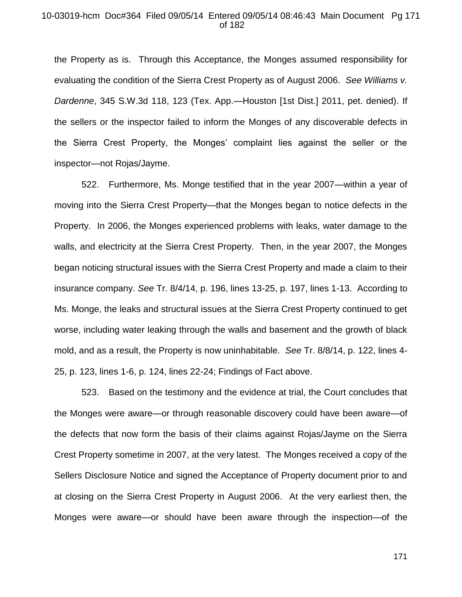#### 10-03019-hcm Doc#364 Filed 09/05/14 Entered 09/05/14 08:46:43 Main Document Pg 171 of 182

the Property as is. Through this Acceptance, the Monges assumed responsibility for evaluating the condition of the Sierra Crest Property as of August 2006. *See Williams v. Dardenne*, 345 S.W.3d 118, 123 (Tex. App.—Houston [1st Dist.] 2011, pet. denied). If the sellers or the inspector failed to inform the Monges of any discoverable defects in the Sierra Crest Property, the Monges' complaint lies against the seller or the inspector—not Rojas/Jayme.

522. Furthermore, Ms. Monge testified that in the year 2007—within a year of moving into the Sierra Crest Property—that the Monges began to notice defects in the Property. In 2006, the Monges experienced problems with leaks, water damage to the walls, and electricity at the Sierra Crest Property. Then, in the year 2007, the Monges began noticing structural issues with the Sierra Crest Property and made a claim to their insurance company. *See* Tr. 8/4/14, p. 196, lines 13-25, p. 197, lines 1-13. According to Ms. Monge, the leaks and structural issues at the Sierra Crest Property continued to get worse, including water leaking through the walls and basement and the growth of black mold, and as a result, the Property is now uninhabitable. *See* Tr. 8/8/14, p. 122, lines 4- 25, p. 123, lines 1-6, p. 124, lines 22-24; Findings of Fact above.

523. Based on the testimony and the evidence at trial, the Court concludes that the Monges were aware—or through reasonable discovery could have been aware—of the defects that now form the basis of their claims against Rojas/Jayme on the Sierra Crest Property sometime in 2007, at the very latest. The Monges received a copy of the Sellers Disclosure Notice and signed the Acceptance of Property document prior to and at closing on the Sierra Crest Property in August 2006. At the very earliest then, the Monges were aware—or should have been aware through the inspection—of the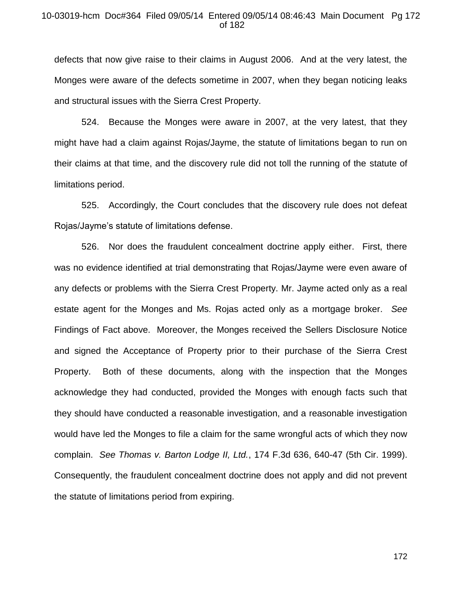## 10-03019-hcm Doc#364 Filed 09/05/14 Entered 09/05/14 08:46:43 Main Document Pg 172 of 182

defects that now give raise to their claims in August 2006. And at the very latest, the Monges were aware of the defects sometime in 2007, when they began noticing leaks and structural issues with the Sierra Crest Property.

524. Because the Monges were aware in 2007, at the very latest, that they might have had a claim against Rojas/Jayme, the statute of limitations began to run on their claims at that time, and the discovery rule did not toll the running of the statute of limitations period.

525. Accordingly, the Court concludes that the discovery rule does not defeat Rojas/Jayme's statute of limitations defense.

526. Nor does the fraudulent concealment doctrine apply either. First, there was no evidence identified at trial demonstrating that Rojas/Jayme were even aware of any defects or problems with the Sierra Crest Property. Mr. Jayme acted only as a real estate agent for the Monges and Ms. Rojas acted only as a mortgage broker. *See*  Findings of Fact above. Moreover, the Monges received the Sellers Disclosure Notice and signed the Acceptance of Property prior to their purchase of the Sierra Crest Property. Both of these documents, along with the inspection that the Monges acknowledge they had conducted, provided the Monges with enough facts such that they should have conducted a reasonable investigation, and a reasonable investigation would have led the Monges to file a claim for the same wrongful acts of which they now complain. *See Thomas v. Barton Lodge II, Ltd.*, 174 F.3d 636, 640-47 (5th Cir. 1999). Consequently, the fraudulent concealment doctrine does not apply and did not prevent the statute of limitations period from expiring.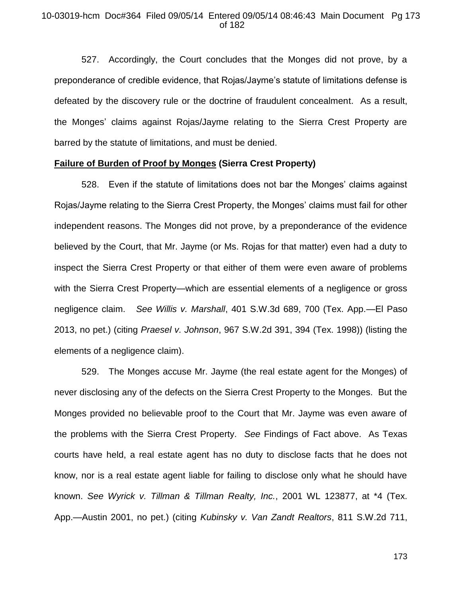## 10-03019-hcm Doc#364 Filed 09/05/14 Entered 09/05/14 08:46:43 Main Document Pg 173 of 182

527. Accordingly, the Court concludes that the Monges did not prove, by a preponderance of credible evidence, that Rojas/Jayme's statute of limitations defense is defeated by the discovery rule or the doctrine of fraudulent concealment. As a result, the Monges' claims against Rojas/Jayme relating to the Sierra Crest Property are barred by the statute of limitations, and must be denied.

### **Failure of Burden of Proof by Monges (Sierra Crest Property)**

528. Even if the statute of limitations does not bar the Monges' claims against Rojas/Jayme relating to the Sierra Crest Property, the Monges' claims must fail for other independent reasons. The Monges did not prove, by a preponderance of the evidence believed by the Court, that Mr. Jayme (or Ms. Rojas for that matter) even had a duty to inspect the Sierra Crest Property or that either of them were even aware of problems with the Sierra Crest Property—which are essential elements of a negligence or gross negligence claim. *See Willis v. Marshall*, 401 S.W.3d 689, 700 (Tex. App.—El Paso 2013, no pet.) (citing *Praesel v. Johnson*, 967 S.W.2d 391, 394 (Tex. 1998)) (listing the elements of a negligence claim).

529. The Monges accuse Mr. Jayme (the real estate agent for the Monges) of never disclosing any of the defects on the Sierra Crest Property to the Monges. But the Monges provided no believable proof to the Court that Mr. Jayme was even aware of the problems with the Sierra Crest Property. *See* Findings of Fact above. As Texas courts have held, a real estate agent has no duty to disclose facts that he does not know, nor is a real estate agent liable for failing to disclose only what he should have known. *See Wyrick v. Tillman & Tillman Realty, Inc.*, 2001 WL 123877, at \*4 (Tex. App.—Austin 2001, no pet.) (citing *Kubinsky v. Van Zandt Realtors*, 811 S.W.2d 711,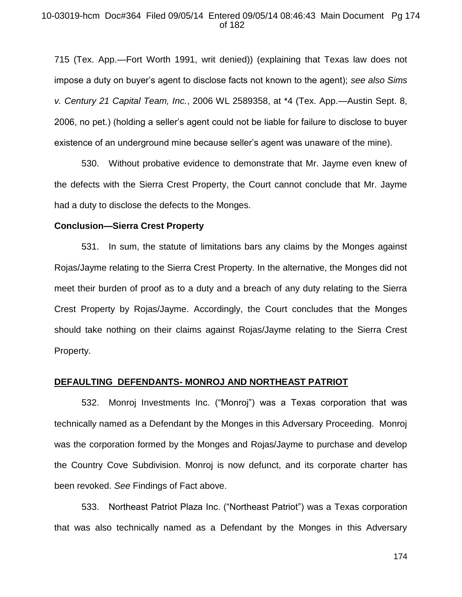## 10-03019-hcm Doc#364 Filed 09/05/14 Entered 09/05/14 08:46:43 Main Document Pg 174 of 182

715 (Tex. App.—Fort Worth 1991, writ denied)) (explaining that Texas law does not impose a duty on buyer's agent to disclose facts not known to the agent); *see also Sims v. Century 21 Capital Team, Inc.*, 2006 WL 2589358, at \*4 (Tex. App.—Austin Sept. 8, 2006, no pet.) (holding a seller's agent could not be liable for failure to disclose to buyer existence of an underground mine because seller's agent was unaware of the mine).

530. Without probative evidence to demonstrate that Mr. Jayme even knew of the defects with the Sierra Crest Property, the Court cannot conclude that Mr. Jayme had a duty to disclose the defects to the Monges.

#### **Conclusion—Sierra Crest Property**

531. In sum, the statute of limitations bars any claims by the Monges against Rojas/Jayme relating to the Sierra Crest Property. In the alternative, the Monges did not meet their burden of proof as to a duty and a breach of any duty relating to the Sierra Crest Property by Rojas/Jayme. Accordingly, the Court concludes that the Monges should take nothing on their claims against Rojas/Jayme relating to the Sierra Crest Property.

#### **DEFAULTING DEFENDANTS- MONROJ AND NORTHEAST PATRIOT**

532. Monroj Investments Inc. ("Monroj") was a Texas corporation that was technically named as a Defendant by the Monges in this Adversary Proceeding. Monroj was the corporation formed by the Monges and Rojas/Jayme to purchase and develop the Country Cove Subdivision. Monroj is now defunct, and its corporate charter has been revoked. *See* Findings of Fact above.

533. Northeast Patriot Plaza Inc. ("Northeast Patriot") was a Texas corporation that was also technically named as a Defendant by the Monges in this Adversary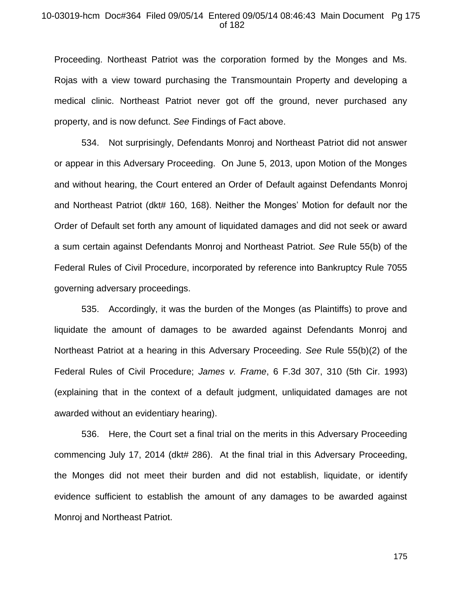#### 10-03019-hcm Doc#364 Filed 09/05/14 Entered 09/05/14 08:46:43 Main Document Pg 175 of 182

Proceeding. Northeast Patriot was the corporation formed by the Monges and Ms. Rojas with a view toward purchasing the Transmountain Property and developing a medical clinic. Northeast Patriot never got off the ground, never purchased any property, and is now defunct. *See* Findings of Fact above.

534. Not surprisingly, Defendants Monroj and Northeast Patriot did not answer or appear in this Adversary Proceeding. On June 5, 2013, upon Motion of the Monges and without hearing, the Court entered an Order of Default against Defendants Monroj and Northeast Patriot (dkt# 160, 168). Neither the Monges' Motion for default nor the Order of Default set forth any amount of liquidated damages and did not seek or award a sum certain against Defendants Monroj and Northeast Patriot. *See* Rule 55(b) of the Federal Rules of Civil Procedure, incorporated by reference into Bankruptcy Rule 7055 governing adversary proceedings.

535. Accordingly, it was the burden of the Monges (as Plaintiffs) to prove and liquidate the amount of damages to be awarded against Defendants Monroj and Northeast Patriot at a hearing in this Adversary Proceeding. *See* Rule 55(b)(2) of the Federal Rules of Civil Procedure; *James v. Frame*, 6 F.3d 307, 310 (5th Cir. 1993) (explaining that in the context of a default judgment, unliquidated damages are not awarded without an evidentiary hearing).

536. Here, the Court set a final trial on the merits in this Adversary Proceeding commencing July 17, 2014 (dkt# 286). At the final trial in this Adversary Proceeding, the Monges did not meet their burden and did not establish, liquidate, or identify evidence sufficient to establish the amount of any damages to be awarded against Monroj and Northeast Patriot.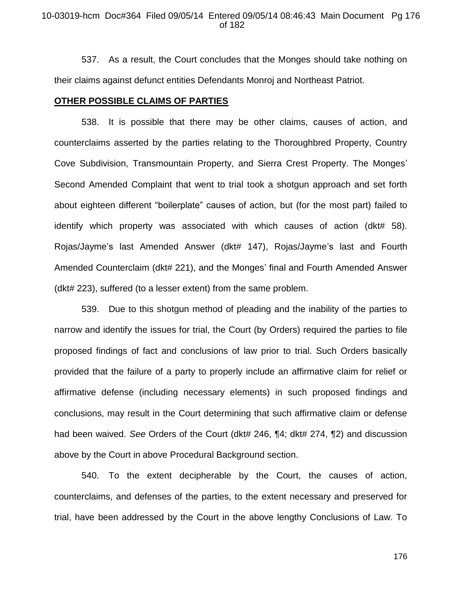537. As a result, the Court concludes that the Monges should take nothing on their claims against defunct entities Defendants Monroj and Northeast Patriot.

#### **OTHER POSSIBLE CLAIMS OF PARTIES**

538. It is possible that there may be other claims, causes of action, and counterclaims asserted by the parties relating to the Thoroughbred Property, Country Cove Subdivision, Transmountain Property, and Sierra Crest Property. The Monges' Second Amended Complaint that went to trial took a shotgun approach and set forth about eighteen different "boilerplate" causes of action, but (for the most part) failed to identify which property was associated with which causes of action (dkt# 58). Rojas/Jayme's last Amended Answer (dkt# 147), Rojas/Jayme's last and Fourth Amended Counterclaim (dkt# 221), and the Monges' final and Fourth Amended Answer (dkt# 223), suffered (to a lesser extent) from the same problem.

539. Due to this shotgun method of pleading and the inability of the parties to narrow and identify the issues for trial, the Court (by Orders) required the parties to file proposed findings of fact and conclusions of law prior to trial. Such Orders basically provided that the failure of a party to properly include an affirmative claim for relief or affirmative defense (including necessary elements) in such proposed findings and conclusions, may result in the Court determining that such affirmative claim or defense had been waived. *See* Orders of the Court (dkt# 246, ¶4; dkt# 274, ¶2) and discussion above by the Court in above Procedural Background section.

540. To the extent decipherable by the Court, the causes of action, counterclaims, and defenses of the parties, to the extent necessary and preserved for trial, have been addressed by the Court in the above lengthy Conclusions of Law. To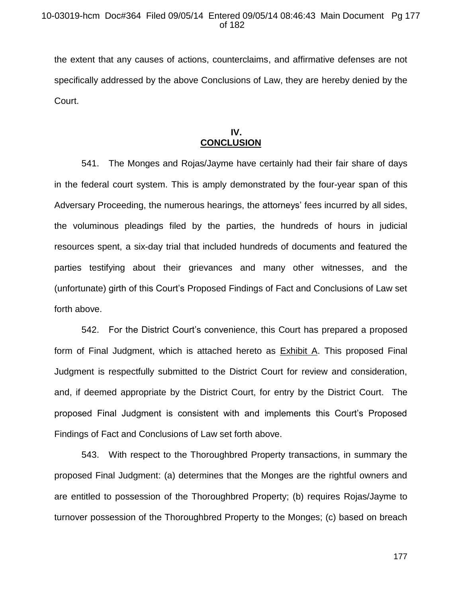the extent that any causes of actions, counterclaims, and affirmative defenses are not specifically addressed by the above Conclusions of Law, they are hereby denied by the Court.

## **IV. CONCLUSION**

541. The Monges and Rojas/Jayme have certainly had their fair share of days in the federal court system. This is amply demonstrated by the four-year span of this Adversary Proceeding, the numerous hearings, the attorneys' fees incurred by all sides, the voluminous pleadings filed by the parties, the hundreds of hours in judicial resources spent, a six-day trial that included hundreds of documents and featured the parties testifying about their grievances and many other witnesses, and the (unfortunate) girth of this Court's Proposed Findings of Fact and Conclusions of Law set forth above.

542. For the District Court's convenience, this Court has prepared a proposed form of Final Judgment, which is attached hereto as **Exhibit A.** This proposed Final Judgment is respectfully submitted to the District Court for review and consideration, and, if deemed appropriate by the District Court, for entry by the District Court. The proposed Final Judgment is consistent with and implements this Court's Proposed Findings of Fact and Conclusions of Law set forth above.

543. With respect to the Thoroughbred Property transactions, in summary the proposed Final Judgment: (a) determines that the Monges are the rightful owners and are entitled to possession of the Thoroughbred Property; (b) requires Rojas/Jayme to turnover possession of the Thoroughbred Property to the Monges; (c) based on breach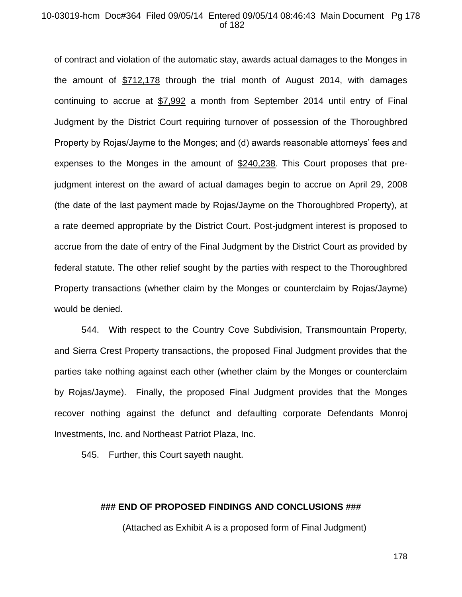## 10-03019-hcm Doc#364 Filed 09/05/14 Entered 09/05/14 08:46:43 Main Document Pg 178 of 182

of contract and violation of the automatic stay, awards actual damages to the Monges in the amount of \$712,178 through the trial month of August 2014, with damages continuing to accrue at \$7,992 a month from September 2014 until entry of Final Judgment by the District Court requiring turnover of possession of the Thoroughbred Property by Rojas/Jayme to the Monges; and (d) awards reasonable attorneys' fees and expenses to the Monges in the amount of \$240,238. This Court proposes that prejudgment interest on the award of actual damages begin to accrue on April 29, 2008 (the date of the last payment made by Rojas/Jayme on the Thoroughbred Property), at a rate deemed appropriate by the District Court. Post-judgment interest is proposed to accrue from the date of entry of the Final Judgment by the District Court as provided by federal statute. The other relief sought by the parties with respect to the Thoroughbred Property transactions (whether claim by the Monges or counterclaim by Rojas/Jayme) would be denied.

544. With respect to the Country Cove Subdivision, Transmountain Property, and Sierra Crest Property transactions, the proposed Final Judgment provides that the parties take nothing against each other (whether claim by the Monges or counterclaim by Rojas/Jayme). Finally, the proposed Final Judgment provides that the Monges recover nothing against the defunct and defaulting corporate Defendants Monroj Investments, Inc. and Northeast Patriot Plaza, Inc.

545. Further, this Court sayeth naught.

## **### END OF PROPOSED FINDINGS AND CONCLUSIONS ###**

(Attached as Exhibit A is a proposed form of Final Judgment)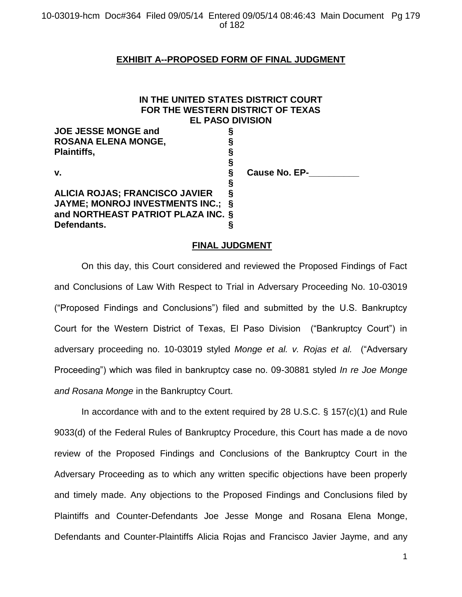## **EXHIBIT A--PROPOSED FORM OF FINAL JUDGMENT**

# **IN THE UNITED STATES DISTRICT COURT FOR THE WESTERN DISTRICT OF TEXAS EL PASO DIVISION**

| <b>JOE JESSE MONGE and</b>            |   |               |
|---------------------------------------|---|---------------|
| <b>ROSANA ELENA MONGE,</b>            |   |               |
| <b>Plaintiffs,</b>                    | ş |               |
|                                       | 9 |               |
| v.                                    | δ | Cause No. EP- |
|                                       | δ |               |
| <b>ALICIA ROJAS; FRANCISCO JAVIER</b> |   |               |
| JAYME; MONROJ INVESTMENTS INC.; §     |   |               |
| and NORTHEAST PATRIOT PLAZA INC. §    |   |               |
| Defendants.                           |   |               |

## **FINAL JUDGMENT**

On this day, this Court considered and reviewed the Proposed Findings of Fact and Conclusions of Law With Respect to Trial in Adversary Proceeding No. 10-03019 ("Proposed Findings and Conclusions") filed and submitted by the U.S. Bankruptcy Court for the Western District of Texas, El Paso Division ("Bankruptcy Court") in adversary proceeding no. 10-03019 styled *Monge et al. v. Rojas et al.* ("Adversary Proceeding") which was filed in bankruptcy case no. 09-30881 styled *In re Joe Monge and Rosana Monge* in the Bankruptcy Court.

In accordance with and to the extent required by 28 U.S.C. § 157(c)(1) and Rule 9033(d) of the Federal Rules of Bankruptcy Procedure, this Court has made a de novo review of the Proposed Findings and Conclusions of the Bankruptcy Court in the Adversary Proceeding as to which any written specific objections have been properly and timely made. Any objections to the Proposed Findings and Conclusions filed by Plaintiffs and Counter-Defendants Joe Jesse Monge and Rosana Elena Monge, Defendants and Counter-Plaintiffs Alicia Rojas and Francisco Javier Jayme, and any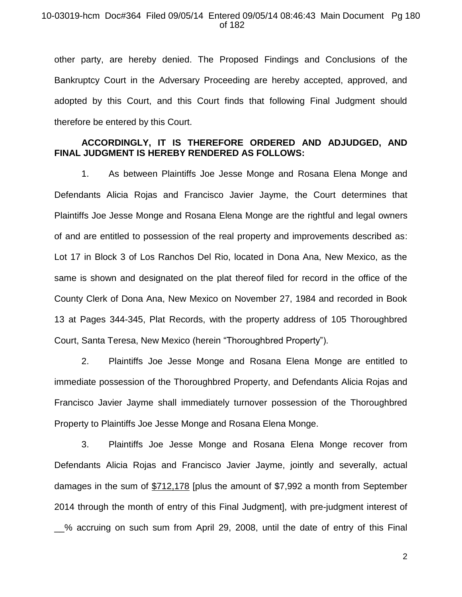### 10-03019-hcm Doc#364 Filed 09/05/14 Entered 09/05/14 08:46:43 Main Document Pg 180 of 182

other party, are hereby denied. The Proposed Findings and Conclusions of the Bankruptcy Court in the Adversary Proceeding are hereby accepted, approved, and adopted by this Court, and this Court finds that following Final Judgment should therefore be entered by this Court.

## **ACCORDINGLY, IT IS THEREFORE ORDERED AND ADJUDGED, AND FINAL JUDGMENT IS HEREBY RENDERED AS FOLLOWS:**

1. As between Plaintiffs Joe Jesse Monge and Rosana Elena Monge and Defendants Alicia Rojas and Francisco Javier Jayme, the Court determines that Plaintiffs Joe Jesse Monge and Rosana Elena Monge are the rightful and legal owners of and are entitled to possession of the real property and improvements described as: Lot 17 in Block 3 of Los Ranchos Del Rio, located in Dona Ana, New Mexico, as the same is shown and designated on the plat thereof filed for record in the office of the County Clerk of Dona Ana, New Mexico on November 27, 1984 and recorded in Book 13 at Pages 344-345, Plat Records, with the property address of 105 Thoroughbred Court, Santa Teresa, New Mexico (herein "Thoroughbred Property").

2. Plaintiffs Joe Jesse Monge and Rosana Elena Monge are entitled to immediate possession of the Thoroughbred Property, and Defendants Alicia Rojas and Francisco Javier Jayme shall immediately turnover possession of the Thoroughbred Property to Plaintiffs Joe Jesse Monge and Rosana Elena Monge.

3. Plaintiffs Joe Jesse Monge and Rosana Elena Monge recover from Defendants Alicia Rojas and Francisco Javier Jayme, jointly and severally, actual damages in the sum of \$712,178 [plus the amount of \$7,992 a month from September 2014 through the month of entry of this Final Judgment], with pre-judgment interest of \_\_% accruing on such sum from April 29, 2008, until the date of entry of this Final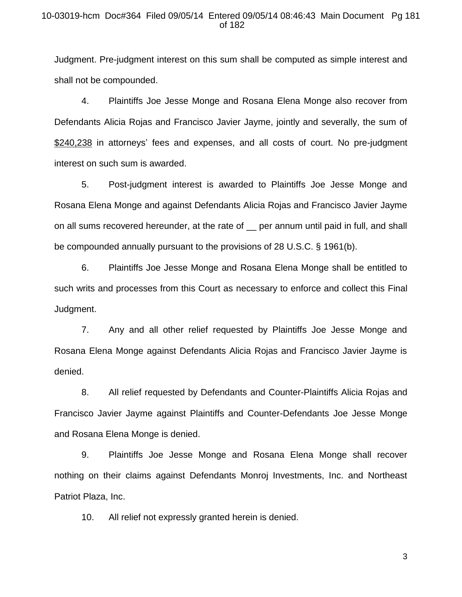## 10-03019-hcm Doc#364 Filed 09/05/14 Entered 09/05/14 08:46:43 Main Document Pg 181 of 182

Judgment. Pre-judgment interest on this sum shall be computed as simple interest and shall not be compounded.

4. Plaintiffs Joe Jesse Monge and Rosana Elena Monge also recover from Defendants Alicia Rojas and Francisco Javier Jayme, jointly and severally, the sum of \$240,238 in attorneys' fees and expenses, and all costs of court. No pre-judgment interest on such sum is awarded.

5. Post-judgment interest is awarded to Plaintiffs Joe Jesse Monge and Rosana Elena Monge and against Defendants Alicia Rojas and Francisco Javier Jayme on all sums recovered hereunder, at the rate of \_\_ per annum until paid in full, and shall be compounded annually pursuant to the provisions of 28 U.S.C. § 1961(b).

6. Plaintiffs Joe Jesse Monge and Rosana Elena Monge shall be entitled to such writs and processes from this Court as necessary to enforce and collect this Final Judgment.

7. Any and all other relief requested by Plaintiffs Joe Jesse Monge and Rosana Elena Monge against Defendants Alicia Rojas and Francisco Javier Jayme is denied.

8. All relief requested by Defendants and Counter-Plaintiffs Alicia Rojas and Francisco Javier Jayme against Plaintiffs and Counter-Defendants Joe Jesse Monge and Rosana Elena Monge is denied.

9. Plaintiffs Joe Jesse Monge and Rosana Elena Monge shall recover nothing on their claims against Defendants Monroj Investments, Inc. and Northeast Patriot Plaza, Inc.

10. All relief not expressly granted herein is denied.

3